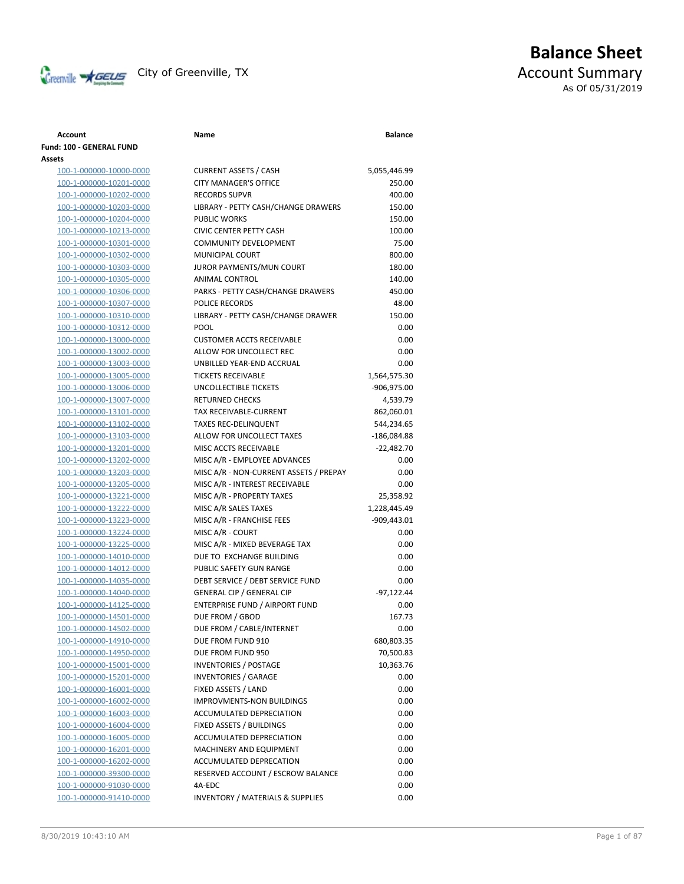

# **Balance Sheet** Creenville  $\star$  GEUS</del> City of Greenville, TX **Account Summary** As Of 05/31/2019

**Account Name Balance**

| Fund: 100 - GENERAL FUND<br>Assets |                                             |               |
|------------------------------------|---------------------------------------------|---------------|
| 100-1-000000-10000-0000            | <b>CURRENT ASSETS / CASH</b>                | 5,055,446.99  |
| 100-1-000000-10201-0000            | <b>CITY MANAGER'S OFFICE</b>                | 250.00        |
| 100-1-000000-10202-0000            | <b>RECORDS SUPVR</b>                        | 400.00        |
| 100-1-000000-10203-0000            | LIBRARY - PETTY CASH/CHANGE DRAWERS         | 150.00        |
| 100-1-000000-10204-0000            | <b>PUBLIC WORKS</b>                         | 150.00        |
| 100-1-000000-10213-0000            | <b>CIVIC CENTER PETTY CASH</b>              | 100.00        |
| 100-1-000000-10301-0000            | COMMUNITY DEVELOPMENT                       | 75.00         |
| 100-1-000000-10302-0000            | MUNICIPAL COURT                             | 800.00        |
| 100-1-000000-10303-0000            | JUROR PAYMENTS/MUN COURT                    | 180.00        |
| 100-1-000000-10305-0000            | ANIMAL CONTROL                              | 140.00        |
| 100-1-000000-10306-0000            | PARKS - PETTY CASH/CHANGE DRAWERS           | 450.00        |
| 100-1-000000-10307-0000            | POLICE RECORDS                              | 48.00         |
| 100-1-000000-10310-0000            | LIBRARY - PETTY CASH/CHANGE DRAWER          | 150.00        |
| 100-1-000000-10312-0000            | POOL                                        | 0.00          |
| 100-1-000000-13000-0000            | <b>CUSTOMER ACCTS RECEIVABLE</b>            | 0.00          |
| 100-1-000000-13002-0000            | ALLOW FOR UNCOLLECT REC                     | 0.00          |
| 100-1-000000-13003-0000            | UNBILLED YEAR-END ACCRUAL                   | 0.00          |
| 100-1-000000-13005-0000            | <b>TICKETS RECEIVABLE</b>                   | 1,564,575.30  |
| 100-1-000000-13006-0000            | UNCOLLECTIBLE TICKETS                       | -906,975.00   |
| 100-1-000000-13007-0000            | <b>RETURNED CHECKS</b>                      | 4,539.79      |
| 100-1-000000-13101-0000            | TAX RECEIVABLE-CURRENT                      | 862,060.01    |
| 100-1-000000-13102-0000            | <b>TAXES REC-DELINQUENT</b>                 | 544,234.65    |
| 100-1-000000-13103-0000            | ALLOW FOR UNCOLLECT TAXES                   | $-186,084.88$ |
| 100-1-000000-13201-0000            | MISC ACCTS RECEIVABLE                       | $-22,482.70$  |
| 100-1-000000-13202-0000            | MISC A/R - EMPLOYEE ADVANCES                | 0.00          |
| 100-1-000000-13203-0000            | MISC A/R - NON-CURRENT ASSETS / PREPAY      | 0.00          |
| 100-1-000000-13205-0000            | MISC A/R - INTEREST RECEIVABLE              | 0.00          |
| 100-1-000000-13221-0000            | MISC A/R - PROPERTY TAXES                   | 25,358.92     |
| 100-1-000000-13222-0000            | MISC A/R SALES TAXES                        | 1,228,445.49  |
| 100-1-000000-13223-0000            | MISC A/R - FRANCHISE FEES                   | $-909,443.01$ |
| 100-1-000000-13224-0000            | MISC A/R - COURT                            | 0.00          |
| 100-1-000000-13225-0000            | MISC A/R - MIXED BEVERAGE TAX               | 0.00          |
| 100-1-000000-14010-0000            | DUE TO EXCHANGE BUILDING                    | 0.00          |
| 100-1-000000-14012-0000            | PUBLIC SAFETY GUN RANGE                     | 0.00          |
| 100-1-000000-14035-0000            | DEBT SERVICE / DEBT SERVICE FUND            | 0.00          |
| 100-1-000000-14040-0000            | <b>GENERAL CIP / GENERAL CIP</b>            | $-97,122.44$  |
| 100-1-000000-14125-0000            | ENTERPRISE FUND / AIRPORT FUND              | 0.00          |
| 100-1-000000-14501-0000            | DUE FROM / GBOD                             | 167.73        |
| 100-1-000000-14502-0000            | DUE FROM / CABLE/INTERNET                   | 0.00          |
| 100-1-000000-14910-0000            | DUE FROM FUND 910                           | 680,803.35    |
| 100-1-000000-14950-0000            | DUE FROM FUND 950                           | 70,500.83     |
| 100-1-000000-15001-0000            | <b>INVENTORIES / POSTAGE</b>                | 10,363.76     |
| 100-1-000000-15201-0000            | <b>INVENTORIES / GARAGE</b>                 | 0.00          |
| 100-1-000000-16001-0000            | FIXED ASSETS / LAND                         | 0.00          |
| 100-1-000000-16002-0000            | <b>IMPROVMENTS-NON BUILDINGS</b>            | 0.00          |
| 100-1-000000-16003-0000            | ACCUMULATED DEPRECIATION                    | 0.00          |
| 100-1-000000-16004-0000            | <b>FIXED ASSETS / BUILDINGS</b>             | 0.00          |
| 100-1-000000-16005-0000            | ACCUMULATED DEPRECIATION                    | 0.00          |
| 100-1-000000-16201-0000            | MACHINERY AND EQUIPMENT                     | 0.00          |
| 100-1-000000-16202-0000            | ACCUMULATED DEPRECATION                     | 0.00          |
| 100-1-000000-39300-0000            | RESERVED ACCOUNT / ESCROW BALANCE           | 0.00          |
| 100-1-000000-91030-0000            | 4A-EDC                                      | 0.00          |
| 100-1-000000-91410-0000            | <b>INVENTORY / MATERIALS &amp; SUPPLIES</b> | 0.00          |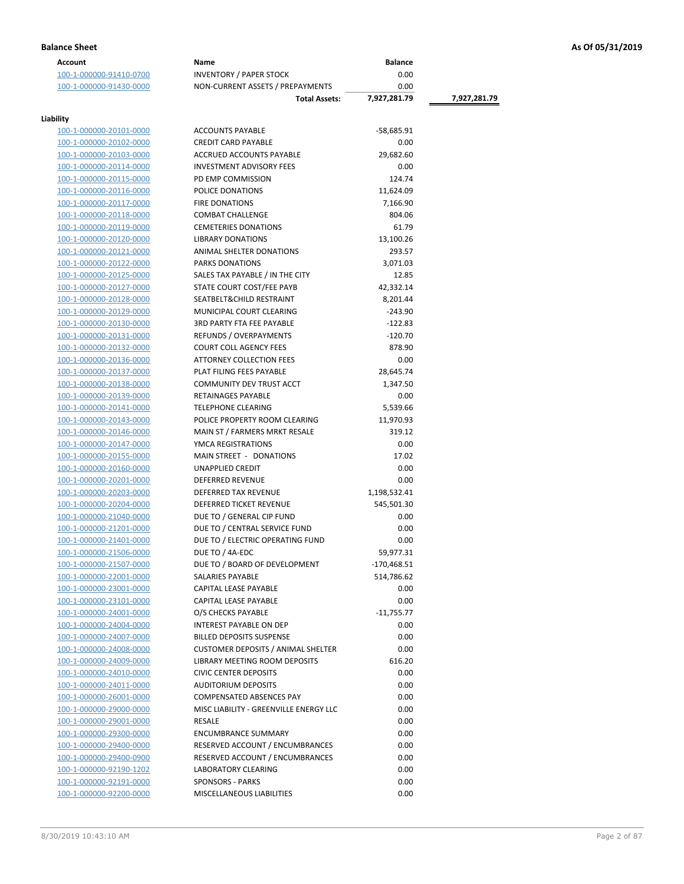| <b>Account</b>          | Name                                      | <b>Balance</b> |              |
|-------------------------|-------------------------------------------|----------------|--------------|
| 100-1-000000-91410-0700 | <b>INVENTORY / PAPER STOCK</b>            | 0.00           |              |
| 100-1-000000-91430-0000 | NON-CURRENT ASSETS / PREPAYMENTS          | 0.00           |              |
|                         | <b>Total Assets:</b>                      | 7,927,281.79   | 7,927,281.79 |
|                         |                                           |                |              |
| Liability               |                                           |                |              |
| 100-1-000000-20101-0000 | <b>ACCOUNTS PAYABLE</b>                   | -58,685.91     |              |
| 100-1-000000-20102-0000 | <b>CREDIT CARD PAYABLE</b>                | 0.00           |              |
| 100-1-000000-20103-0000 | ACCRUED ACCOUNTS PAYABLE                  | 29,682.60      |              |
| 100-1-000000-20114-0000 | <b>INVESTMENT ADVISORY FEES</b>           | 0.00           |              |
| 100-1-000000-20115-0000 | PD EMP COMMISSION                         | 124.74         |              |
| 100-1-000000-20116-0000 | POLICE DONATIONS                          | 11,624.09      |              |
| 100-1-000000-20117-0000 | <b>FIRE DONATIONS</b>                     | 7,166.90       |              |
| 100-1-000000-20118-0000 | <b>COMBAT CHALLENGE</b>                   | 804.06         |              |
| 100-1-000000-20119-0000 | <b>CEMETERIES DONATIONS</b>               | 61.79          |              |
| 100-1-000000-20120-0000 | <b>LIBRARY DONATIONS</b>                  | 13,100.26      |              |
| 100-1-000000-20121-0000 | ANIMAL SHELTER DONATIONS                  | 293.57         |              |
| 100-1-000000-20122-0000 | PARKS DONATIONS                           | 3,071.03       |              |
| 100-1-000000-20125-0000 | SALES TAX PAYABLE / IN THE CITY           | 12.85          |              |
| 100-1-000000-20127-0000 | STATE COURT COST/FEE PAYB                 | 42,332.14      |              |
| 100-1-000000-20128-0000 | SEATBELT& CHILD RESTRAINT                 | 8,201.44       |              |
| 100-1-000000-20129-0000 | MUNICIPAL COURT CLEARING                  | $-243.90$      |              |
| 100-1-000000-20130-0000 | <b>3RD PARTY FTA FEE PAYABLE</b>          | $-122.83$      |              |
| 100-1-000000-20131-0000 | <b>REFUNDS / OVERPAYMENTS</b>             | $-120.70$      |              |
| 100-1-000000-20132-0000 | <b>COURT COLL AGENCY FEES</b>             | 878.90         |              |
| 100-1-000000-20136-0000 | <b>ATTORNEY COLLECTION FEES</b>           | 0.00           |              |
| 100-1-000000-20137-0000 | PLAT FILING FEES PAYABLE                  | 28,645.74      |              |
| 100-1-000000-20138-0000 | COMMUNITY DEV TRUST ACCT                  | 1,347.50       |              |
| 100-1-000000-20139-0000 | RETAINAGES PAYABLE                        | 0.00           |              |
| 100-1-000000-20141-0000 | <b>TELEPHONE CLEARING</b>                 | 5,539.66       |              |
| 100-1-000000-20143-0000 | POLICE PROPERTY ROOM CLEARING             | 11,970.93      |              |
| 100-1-000000-20146-0000 | MAIN ST / FARMERS MRKT RESALE             | 319.12         |              |
| 100-1-000000-20147-0000 | YMCA REGISTRATIONS                        | 0.00           |              |
| 100-1-000000-20155-0000 | MAIN STREET - DONATIONS                   | 17.02          |              |
| 100-1-000000-20160-0000 | UNAPPLIED CREDIT                          | 0.00           |              |
| 100-1-000000-20201-0000 | <b>DEFERRED REVENUE</b>                   | 0.00           |              |
| 100-1-000000-20203-0000 | <b>DEFERRED TAX REVENUE</b>               | 1,198,532.41   |              |
| 100-1-000000-20204-0000 | DEFERRED TICKET REVENUE                   | 545,501.30     |              |
| 100-1-000000-21040-0000 | DUE TO / GENERAL CIP FUND                 | 0.00           |              |
| 100-1-000000-21201-0000 | DUE TO / CENTRAL SERVICE FUND             | 0.00           |              |
| 100-1-000000-21401-0000 | DUE TO / ELECTRIC OPERATING FUND          | 0.00           |              |
| 100-1-000000-21506-0000 | DUE TO / 4A-EDC                           | 59,977.31      |              |
| 100-1-000000-21507-0000 | DUE TO / BOARD OF DEVELOPMENT             | -170,468.51    |              |
| 100-1-000000-22001-0000 | SALARIES PAYABLE                          | 514,786.62     |              |
| 100-1-000000-23001-0000 | CAPITAL LEASE PAYABLE                     | 0.00           |              |
| 100-1-000000-23101-0000 | <b>CAPITAL LEASE PAYABLE</b>              | 0.00           |              |
| 100-1-000000-24001-0000 | O/S CHECKS PAYABLE                        | $-11,755.77$   |              |
| 100-1-000000-24004-0000 | <b>INTEREST PAYABLE ON DEP</b>            | 0.00           |              |
| 100-1-000000-24007-0000 | <b>BILLED DEPOSITS SUSPENSE</b>           | 0.00           |              |
| 100-1-000000-24008-0000 | <b>CUSTOMER DEPOSITS / ANIMAL SHELTER</b> | 0.00           |              |
| 100-1-000000-24009-0000 | LIBRARY MEETING ROOM DEPOSITS             | 616.20         |              |
| 100-1-000000-24010-0000 | <b>CIVIC CENTER DEPOSITS</b>              | 0.00           |              |
| 100-1-000000-24011-0000 | <b>AUDITORIUM DEPOSITS</b>                | 0.00           |              |
| 100-1-000000-26001-0000 | COMPENSATED ABSENCES PAY                  | 0.00           |              |
| 100-1-000000-29000-0000 | MISC LIABILITY - GREENVILLE ENERGY LLC    | 0.00           |              |
| 100-1-000000-29001-0000 | RESALE                                    | 0.00           |              |
| 100-1-000000-29300-0000 | <b>ENCUMBRANCE SUMMARY</b>                | 0.00           |              |
| 100-1-000000-29400-0000 | RESERVED ACCOUNT / ENCUMBRANCES           | 0.00           |              |
| 100-1-000000-29400-0900 | RESERVED ACCOUNT / ENCUMBRANCES           | 0.00           |              |
| 100-1-000000-92190-1202 | <b>LABORATORY CLEARING</b>                | 0.00           |              |
| 100-1-000000-92191-0000 | <b>SPONSORS - PARKS</b>                   | 0.00           |              |
| 100-1-000000-92200-0000 | MISCELLANEOUS LIABILITIES                 | 0.00           |              |
|                         |                                           |                |              |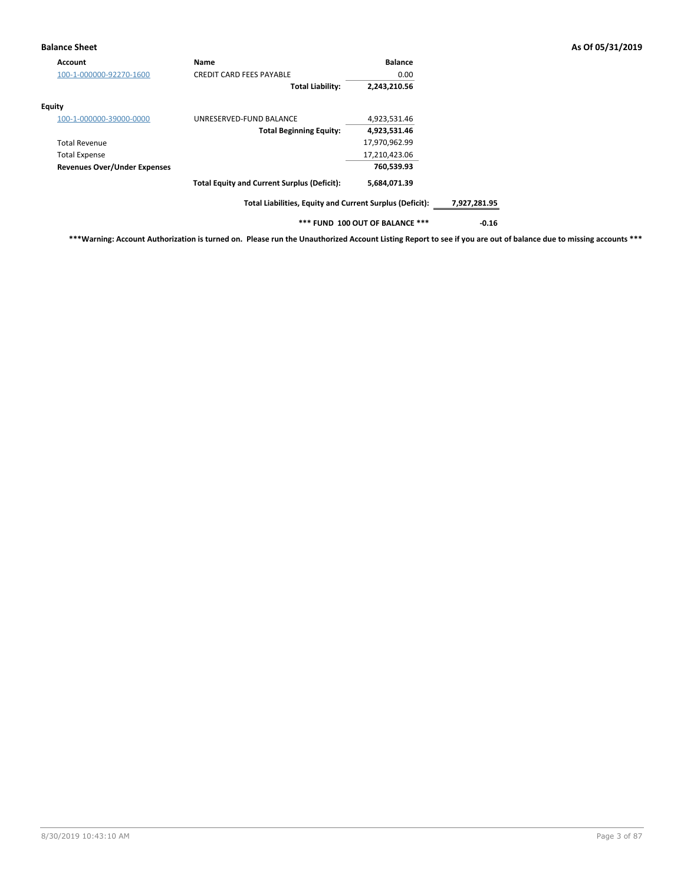## **Balance Sheet As Of 05/31/2019**

| Account                             | <b>Name</b>                                              | <b>Balance</b>                  |              |
|-------------------------------------|----------------------------------------------------------|---------------------------------|--------------|
| 100-1-000000-92270-1600             | <b>CREDIT CARD FEES PAYABLE</b>                          | 0.00                            |              |
|                                     | <b>Total Liability:</b>                                  | 2,243,210.56                    |              |
| Equity                              |                                                          |                                 |              |
| 100-1-000000-39000-0000             | UNRESERVED-FUND BALANCE                                  | 4,923,531.46                    |              |
|                                     | <b>Total Beginning Equity:</b>                           | 4,923,531.46                    |              |
| <b>Total Revenue</b>                |                                                          | 17,970,962.99                   |              |
| <b>Total Expense</b>                |                                                          | 17,210,423.06                   |              |
| <b>Revenues Over/Under Expenses</b> |                                                          | 760,539.93                      |              |
|                                     | <b>Total Equity and Current Surplus (Deficit):</b>       | 5,684,071.39                    |              |
|                                     | Total Liabilities, Equity and Current Surplus (Deficit): |                                 | 7,927,281.95 |
|                                     |                                                          | *** FUND 100 OUT OF BALANCE *** | $-0.16$      |

**\*\*\*Warning: Account Authorization is turned on. Please run the Unauthorized Account Listing Report to see if you are out of balance due to missing accounts \*\*\***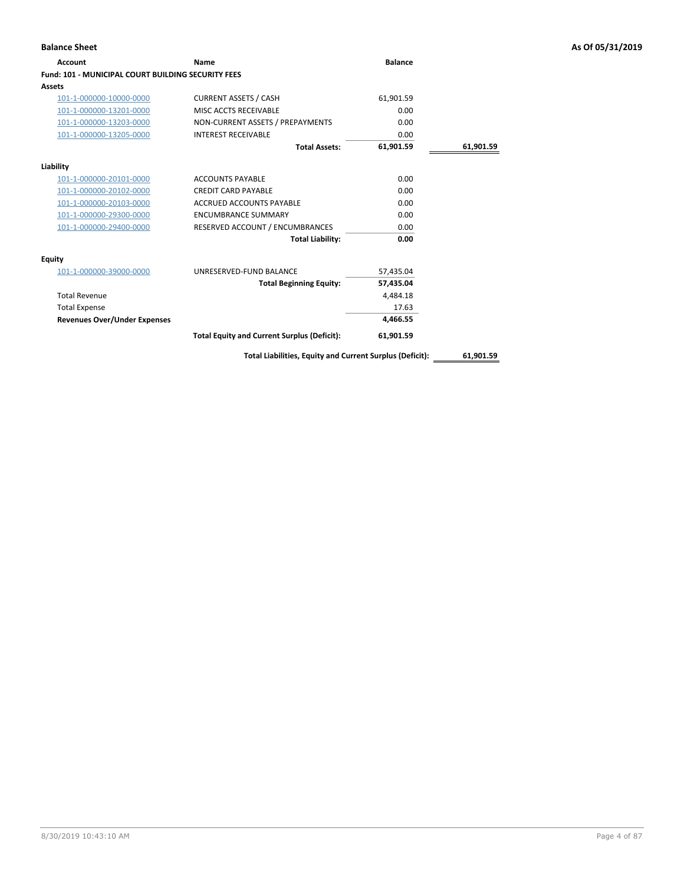# **Account Name Balance Fund: 101 - MUNICIPAL COURT BUILDING SECURITY FEES Assets** 101-1-000000-10000-0000 CURRENT ASSETS / CASH 61,901.59 101-1-000000-13201-0000 MISC ACCTS RECEIVABLE 0.00 101-1-000000-13203-0000 NON-CURRENT ASSETS / PREPAYMENTS 0.00 101-1-000000-13205-0000 INTEREST RECEIVABLE 0.00 **Total Assets: 61,901.59 61,901.59 Liability** 101-1-000000-20101-0000 ACCOUNTS PAYABLE 0.00 101-1-000000-20102-0000 CREDIT CARD PAYABLE 0.00 101-1-000000-20103-0000 ACCRUED ACCOUNTS PAYABLE 0.00 101-1-000000-29300-0000 ENCUMBRANCE SUMMARY 0.00 101-1-000000-29400-0000 RESERVED ACCOUNT / ENCUMBRANCES 0.00 **Total Liability: 0.00 Equity** 101-1-000000-39000-0000 UNRESERVED-FUND BALANCE 57,435.04 **Total Beginning Equity: 57,435.04** Total Revenue 4,484.18 Total Expense 17.63 **Revenues Over/Under Expenses 4,466.55 Total Equity and Current Surplus (Deficit): 61,901.59**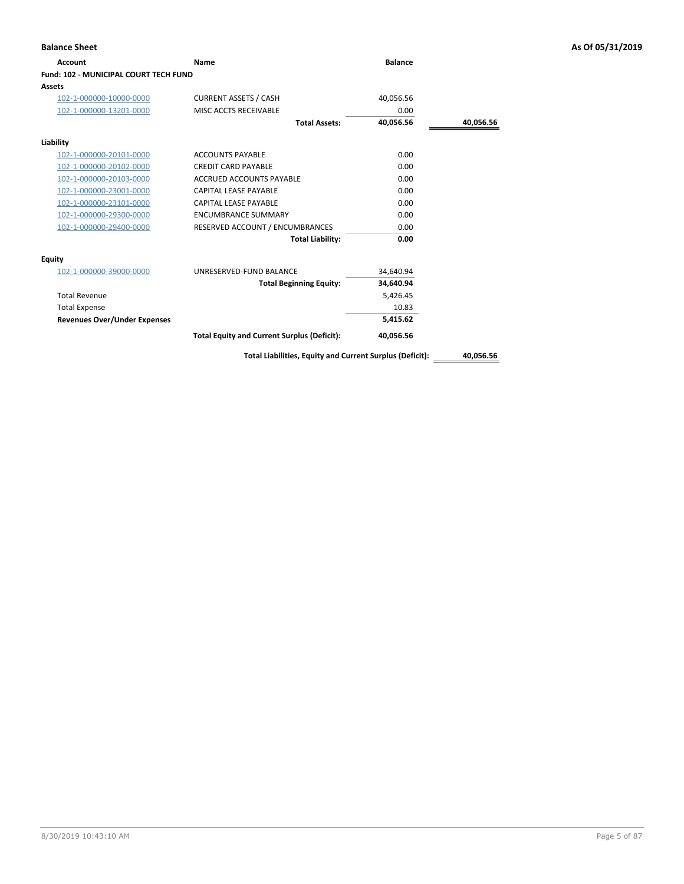| <b>Account</b>                               | Name                                               | <b>Balance</b> |           |
|----------------------------------------------|----------------------------------------------------|----------------|-----------|
| <b>Fund: 102 - MUNICIPAL COURT TECH FUND</b> |                                                    |                |           |
| Assets                                       |                                                    |                |           |
| 102-1-000000-10000-0000                      | <b>CURRENT ASSETS / CASH</b>                       | 40,056.56      |           |
| 102-1-000000-13201-0000                      | MISC ACCTS RECEIVABLE                              | 0.00           |           |
|                                              | <b>Total Assets:</b>                               | 40,056.56      | 40,056.56 |
| Liability                                    |                                                    |                |           |
| 102-1-000000-20101-0000                      | <b>ACCOUNTS PAYABLE</b>                            | 0.00           |           |
| 102-1-000000-20102-0000                      | <b>CREDIT CARD PAYABLE</b>                         | 0.00           |           |
| 102-1-000000-20103-0000                      | ACCRUED ACCOUNTS PAYABLE                           | 0.00           |           |
| 102-1-000000-23001-0000                      | <b>CAPITAL LEASE PAYABLE</b>                       | 0.00           |           |
| 102-1-000000-23101-0000                      | <b>CAPITAL LEASE PAYABLE</b>                       | 0.00           |           |
| 102-1-000000-29300-0000                      | <b>ENCUMBRANCE SUMMARY</b>                         | 0.00           |           |
| 102-1-000000-29400-0000                      | RESERVED ACCOUNT / ENCUMBRANCES                    | 0.00           |           |
|                                              | <b>Total Liability:</b>                            | 0.00           |           |
| Equity                                       |                                                    |                |           |
| 102-1-000000-39000-0000                      | UNRESERVED-FUND BALANCE                            | 34,640.94      |           |
|                                              | <b>Total Beginning Equity:</b>                     | 34,640.94      |           |
| <b>Total Revenue</b>                         |                                                    | 5,426.45       |           |
| <b>Total Expense</b>                         |                                                    | 10.83          |           |
| <b>Revenues Over/Under Expenses</b>          |                                                    | 5,415.62       |           |
|                                              | <b>Total Equity and Current Surplus (Deficit):</b> | 40,056.56      |           |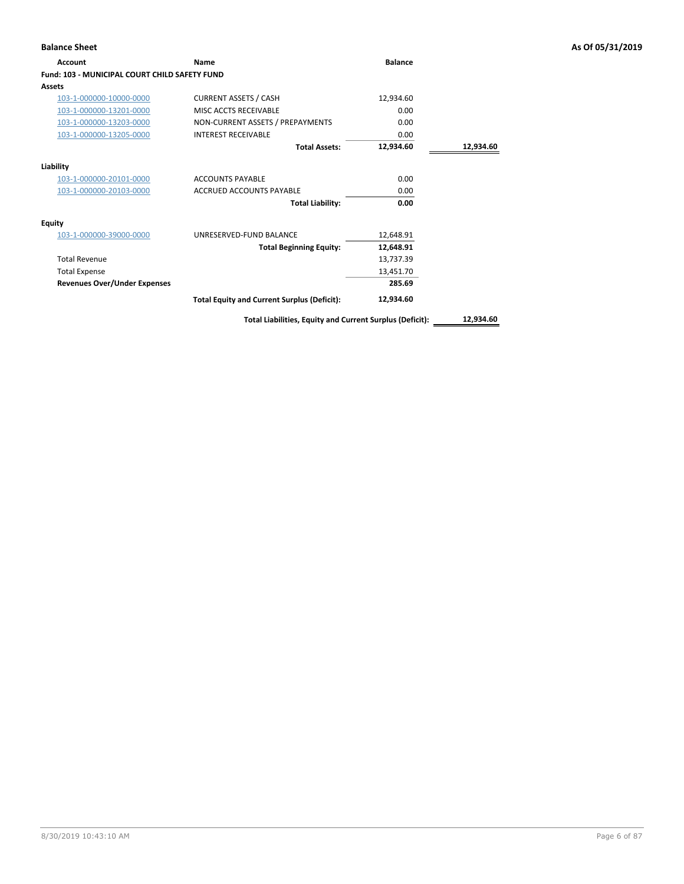| <b>Account</b>                                       | Name                                                     | <b>Balance</b> |           |
|------------------------------------------------------|----------------------------------------------------------|----------------|-----------|
| <b>Fund: 103 - MUNICIPAL COURT CHILD SAFETY FUND</b> |                                                          |                |           |
| Assets                                               |                                                          |                |           |
| 103-1-000000-10000-0000                              | <b>CURRENT ASSETS / CASH</b>                             | 12,934.60      |           |
| 103-1-000000-13201-0000                              | MISC ACCTS RECEIVABLE                                    | 0.00           |           |
| 103-1-000000-13203-0000                              | NON-CURRENT ASSETS / PREPAYMENTS                         | 0.00           |           |
| 103-1-000000-13205-0000                              | <b>INTEREST RECEIVABLE</b>                               | 0.00           |           |
|                                                      | <b>Total Assets:</b>                                     | 12,934.60      | 12,934.60 |
| Liability                                            |                                                          |                |           |
| 103-1-000000-20101-0000                              | <b>ACCOUNTS PAYABLE</b>                                  | 0.00           |           |
| 103-1-000000-20103-0000                              | <b>ACCRUED ACCOUNTS PAYABLE</b>                          | 0.00           |           |
|                                                      | <b>Total Liability:</b>                                  | 0.00           |           |
| <b>Equity</b>                                        |                                                          |                |           |
| 103-1-000000-39000-0000                              | UNRESERVED-FUND BALANCE                                  | 12,648.91      |           |
|                                                      | <b>Total Beginning Equity:</b>                           | 12,648.91      |           |
| <b>Total Revenue</b>                                 |                                                          | 13,737.39      |           |
| <b>Total Expense</b>                                 |                                                          | 13,451.70      |           |
| <b>Revenues Over/Under Expenses</b>                  |                                                          | 285.69         |           |
|                                                      | <b>Total Equity and Current Surplus (Deficit):</b>       | 12,934.60      |           |
|                                                      | Total Liabilities, Equity and Current Surplus (Deficit): |                | 12,934.60 |

**Balance Sheet As Of 05/31/2019**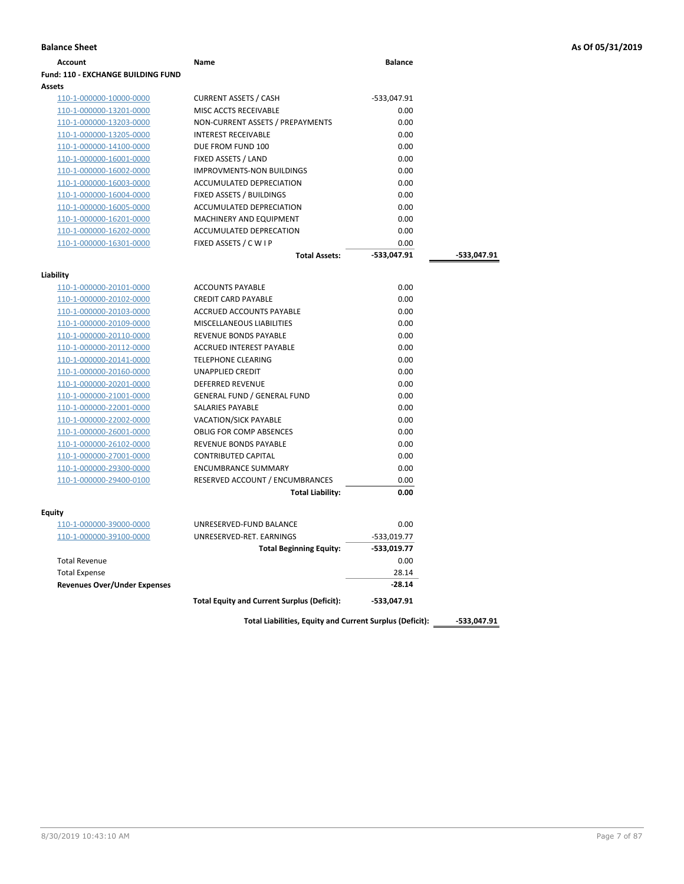| Account                                                     | <b>Name</b>                        | <b>Balance</b> |             |
|-------------------------------------------------------------|------------------------------------|----------------|-------------|
| <b>Fund: 110 - EXCHANGE BUILDING FUND</b>                   |                                    |                |             |
| Assets                                                      |                                    |                |             |
| 110-1-000000-10000-0000                                     | <b>CURRENT ASSETS / CASH</b>       | -533,047.91    |             |
| 110-1-000000-13201-0000                                     | MISC ACCTS RECEIVABLE              | 0.00           |             |
| 110-1-000000-13203-0000                                     | NON-CURRENT ASSETS / PREPAYMENTS   | 0.00           |             |
| 110-1-000000-13205-0000                                     | <b>INTEREST RECEIVABLE</b>         | 0.00           |             |
| 110-1-000000-14100-0000                                     | DUE FROM FUND 100                  | 0.00           |             |
| 110-1-000000-16001-0000                                     | FIXED ASSETS / LAND                | 0.00           |             |
| 110-1-000000-16002-0000                                     | <b>IMPROVMENTS-NON BUILDINGS</b>   | 0.00           |             |
| 110-1-000000-16003-0000                                     | ACCUMULATED DEPRECIATION           | 0.00           |             |
| 110-1-000000-16004-0000                                     | FIXED ASSETS / BUILDINGS           | 0.00           |             |
| 110-1-000000-16005-0000                                     | ACCUMULATED DEPRECIATION           | 0.00           |             |
| 110-1-000000-16201-0000                                     | MACHINERY AND EQUIPMENT            | 0.00           |             |
| 110-1-000000-16202-0000                                     | ACCUMULATED DEPRECATION            | 0.00           |             |
| 110-1-000000-16301-0000                                     | FIXED ASSETS / C W I P             | 0.00           |             |
|                                                             | <b>Total Assets:</b>               | -533,047.91    | -533,047.91 |
| Liability                                                   |                                    |                |             |
| 110-1-000000-20101-0000                                     | <b>ACCOUNTS PAYABLE</b>            | 0.00           |             |
| 110-1-000000-20102-0000                                     | <b>CREDIT CARD PAYABLE</b>         | 0.00           |             |
| 110-1-000000-20103-0000                                     | ACCRUED ACCOUNTS PAYABLE           | 0.00           |             |
| 110-1-000000-20109-0000                                     | MISCELLANEOUS LIABILITIES          | 0.00           |             |
| 110-1-000000-20110-0000                                     | <b>REVENUE BONDS PAYABLE</b>       | 0.00           |             |
| 110-1-000000-20112-0000                                     | <b>ACCRUED INTEREST PAYABLE</b>    | 0.00           |             |
| 110-1-000000-20141-0000                                     | <b>TELEPHONE CLEARING</b>          | 0.00           |             |
| 110-1-000000-20160-0000                                     | UNAPPLIED CREDIT                   | 0.00           |             |
| 110-1-000000-20201-0000                                     | <b>DEFERRED REVENUE</b>            | 0.00           |             |
| 110-1-000000-21001-0000                                     | <b>GENERAL FUND / GENERAL FUND</b> | 0.00           |             |
| 110-1-000000-22001-0000                                     | SALARIES PAYABLE                   | 0.00           |             |
| 110-1-000000-22002-0000                                     | <b>VACATION/SICK PAYABLE</b>       | 0.00           |             |
| 110-1-000000-26001-0000                                     | <b>OBLIG FOR COMP ABSENCES</b>     | 0.00           |             |
| 110-1-000000-26102-0000                                     | REVENUE BONDS PAYABLE              | 0.00           |             |
| 110-1-000000-27001-0000                                     | <b>CONTRIBUTED CAPITAL</b>         | 0.00           |             |
| 110-1-000000-29300-0000                                     | <b>ENCUMBRANCE SUMMARY</b>         | 0.00           |             |
| 110-1-000000-29400-0100                                     | RESERVED ACCOUNT / ENCUMBRANCES    | 0.00           |             |
|                                                             | <b>Total Liability:</b>            | 0.00           |             |
|                                                             |                                    |                |             |
| Equity                                                      |                                    |                |             |
| 110-1-000000-39000-0000                                     | UNRESERVED-FUND BALANCE            | 0.00           |             |
| 110-1-000000-39100-0000                                     | UNRESERVED-RET. EARNINGS           | -533,019.77    |             |
|                                                             | <b>Total Beginning Equity:</b>     | -533,019.77    |             |
| <b>Total Revenue</b>                                        |                                    | 0.00           |             |
| <b>Total Expense</b><br><b>Revenues Over/Under Expenses</b> |                                    | 28.14          |             |
|                                                             |                                    | $-28.14$       |             |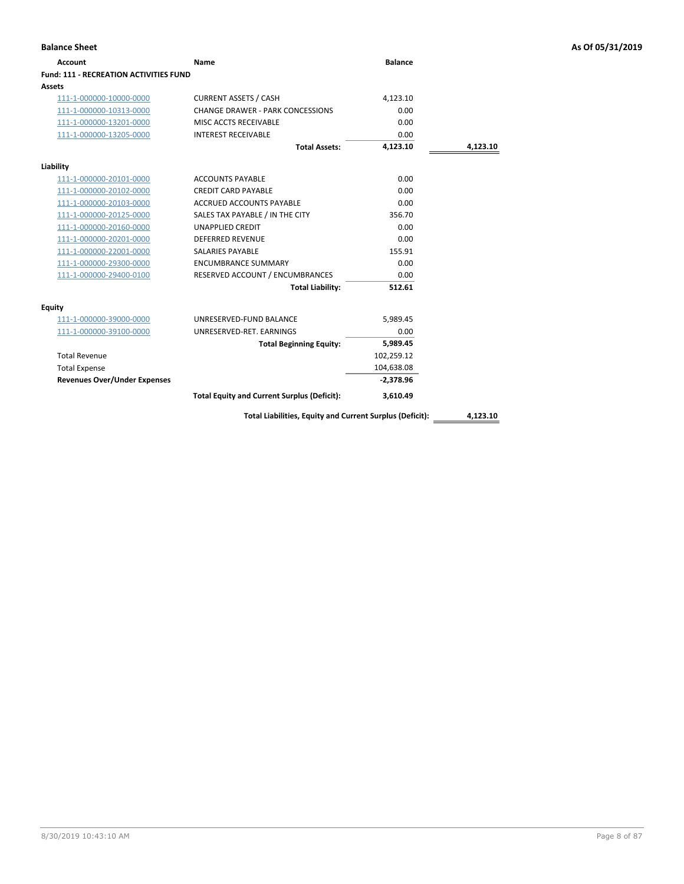| <b>Account</b>                                | Name                                                     | <b>Balance</b> |          |
|-----------------------------------------------|----------------------------------------------------------|----------------|----------|
| <b>Fund: 111 - RECREATION ACTIVITIES FUND</b> |                                                          |                |          |
| Assets                                        |                                                          |                |          |
| 111-1-000000-10000-0000                       | <b>CURRENT ASSETS / CASH</b>                             | 4,123.10       |          |
| 111-1-000000-10313-0000                       | <b>CHANGE DRAWER - PARK CONCESSIONS</b>                  | 0.00           |          |
| 111-1-000000-13201-0000                       | MISC ACCTS RECEIVABLE                                    | 0.00           |          |
| 111-1-000000-13205-0000                       | <b>INTEREST RECEIVABLE</b>                               | 0.00           |          |
|                                               | <b>Total Assets:</b>                                     | 4,123.10       | 4,123.10 |
| Liability                                     |                                                          |                |          |
| 111-1-000000-20101-0000                       | <b>ACCOUNTS PAYABLE</b>                                  | 0.00           |          |
| 111-1-000000-20102-0000                       | <b>CREDIT CARD PAYABLE</b>                               | 0.00           |          |
| 111-1-000000-20103-0000                       | <b>ACCRUED ACCOUNTS PAYABLE</b>                          | 0.00           |          |
| 111-1-000000-20125-0000                       | SALES TAX PAYABLE / IN THE CITY                          | 356.70         |          |
| 111-1-000000-20160-0000                       | <b>UNAPPLIED CREDIT</b>                                  | 0.00           |          |
| 111-1-000000-20201-0000                       | <b>DEFERRED REVENUE</b>                                  | 0.00           |          |
| 111-1-000000-22001-0000                       | <b>SALARIES PAYABLE</b>                                  | 155.91         |          |
| 111-1-000000-29300-0000                       | <b>ENCUMBRANCE SUMMARY</b>                               | 0.00           |          |
| 111-1-000000-29400-0100                       | RESERVED ACCOUNT / ENCUMBRANCES                          | 0.00           |          |
|                                               | <b>Total Liability:</b>                                  | 512.61         |          |
| Equity                                        |                                                          |                |          |
| 111-1-000000-39000-0000                       | UNRESERVED-FUND BALANCE                                  | 5,989.45       |          |
| 111-1-000000-39100-0000                       | UNRESERVED-RET. EARNINGS                                 | 0.00           |          |
|                                               | <b>Total Beginning Equity:</b>                           | 5,989.45       |          |
| <b>Total Revenue</b>                          |                                                          | 102,259.12     |          |
| <b>Total Expense</b>                          |                                                          | 104,638.08     |          |
| <b>Revenues Over/Under Expenses</b>           |                                                          | $-2,378.96$    |          |
|                                               | <b>Total Equity and Current Surplus (Deficit):</b>       | 3,610.49       |          |
|                                               | Total Liabilities, Equity and Current Surplus (Deficit): |                | 4,123.10 |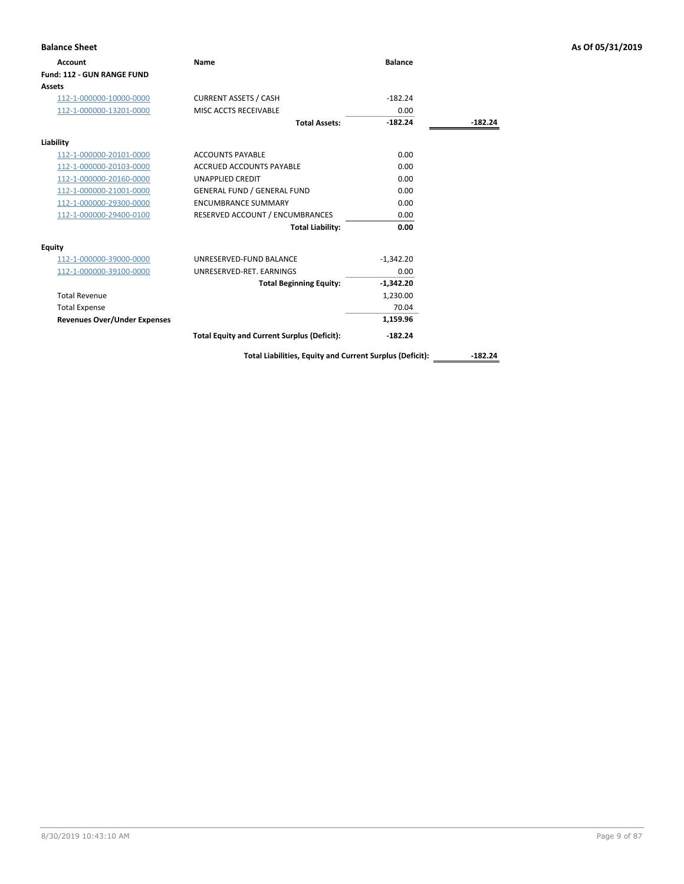| <b>Account</b>                      | Name                                               | <b>Balance</b> |           |
|-------------------------------------|----------------------------------------------------|----------------|-----------|
| Fund: 112 - GUN RANGE FUND          |                                                    |                |           |
| <b>Assets</b>                       |                                                    |                |           |
| 112-1-000000-10000-0000             | <b>CURRENT ASSETS / CASH</b>                       | $-182.24$      |           |
| 112-1-000000-13201-0000             | MISC ACCTS RECEIVABLE                              | 0.00           |           |
|                                     | <b>Total Assets:</b>                               | $-182.24$      | $-182.24$ |
| Liability                           |                                                    |                |           |
| 112-1-000000-20101-0000             | <b>ACCOUNTS PAYABLE</b>                            | 0.00           |           |
| 112-1-000000-20103-0000             | <b>ACCRUED ACCOUNTS PAYABLE</b>                    | 0.00           |           |
| 112-1-000000-20160-0000             | <b>UNAPPLIED CREDIT</b>                            | 0.00           |           |
| 112-1-000000-21001-0000             | <b>GENERAL FUND / GENERAL FUND</b>                 | 0.00           |           |
| 112-1-000000-29300-0000             | <b>ENCUMBRANCE SUMMARY</b>                         | 0.00           |           |
| 112-1-000000-29400-0100             | RESERVED ACCOUNT / ENCUMBRANCES                    | 0.00           |           |
|                                     | <b>Total Liability:</b>                            | 0.00           |           |
| <b>Equity</b>                       |                                                    |                |           |
| 112-1-000000-39000-0000             | UNRESERVED-FUND BALANCE                            | $-1,342.20$    |           |
| 112-1-000000-39100-0000             | UNRESERVED-RET. EARNINGS                           | 0.00           |           |
|                                     | <b>Total Beginning Equity:</b>                     | $-1,342.20$    |           |
| <b>Total Revenue</b>                |                                                    | 1,230.00       |           |
| <b>Total Expense</b>                |                                                    | 70.04          |           |
| <b>Revenues Over/Under Expenses</b> |                                                    | 1,159.96       |           |
|                                     | <b>Total Equity and Current Surplus (Deficit):</b> | $-182.24$      |           |

## **Balance Sheet As Of 05/31/2019**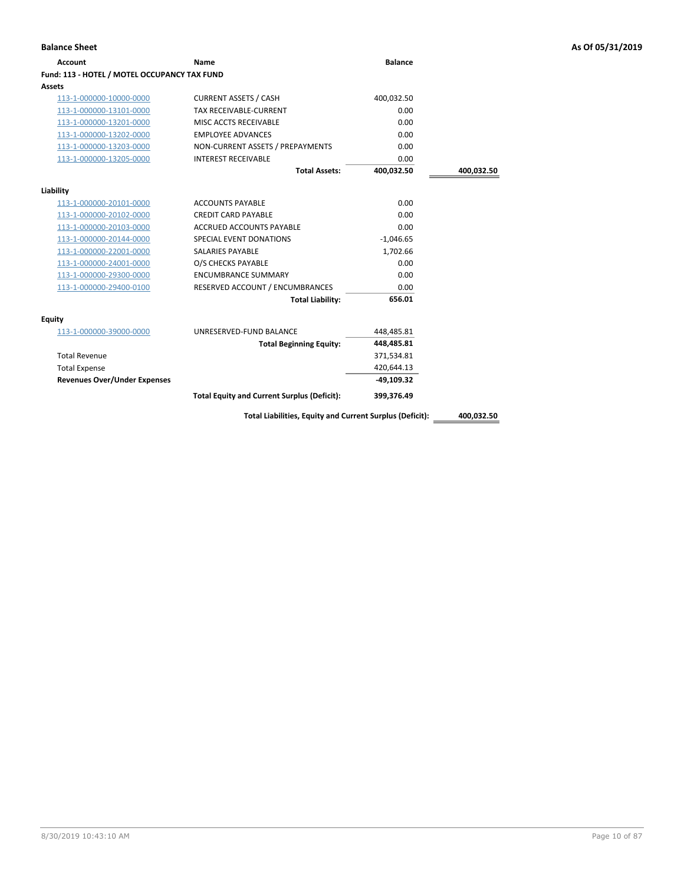| <b>Account</b>                               | Name                                                     | <b>Balance</b> |            |
|----------------------------------------------|----------------------------------------------------------|----------------|------------|
| Fund: 113 - HOTEL / MOTEL OCCUPANCY TAX FUND |                                                          |                |            |
| Assets                                       |                                                          |                |            |
| 113-1-000000-10000-0000                      | <b>CURRENT ASSETS / CASH</b>                             | 400,032.50     |            |
| 113-1-000000-13101-0000                      | <b>TAX RECEIVABLE-CURRENT</b>                            | 0.00           |            |
| 113-1-000000-13201-0000                      | MISC ACCTS RECEIVABLE                                    | 0.00           |            |
| 113-1-000000-13202-0000                      | <b>EMPLOYEE ADVANCES</b>                                 | 0.00           |            |
| 113-1-000000-13203-0000                      | NON-CURRENT ASSETS / PREPAYMENTS                         | 0.00           |            |
| 113-1-000000-13205-0000                      | <b>INTEREST RECEIVABLE</b>                               | 0.00           |            |
|                                              | <b>Total Assets:</b>                                     | 400,032.50     | 400,032.50 |
| Liability                                    |                                                          |                |            |
| 113-1-000000-20101-0000                      | <b>ACCOUNTS PAYABLE</b>                                  | 0.00           |            |
| 113-1-000000-20102-0000                      | <b>CREDIT CARD PAYABLE</b>                               | 0.00           |            |
| 113-1-000000-20103-0000                      | <b>ACCRUED ACCOUNTS PAYABLE</b>                          | 0.00           |            |
| 113-1-000000-20144-0000                      | SPECIAL EVENT DONATIONS                                  | $-1,046.65$    |            |
| 113-1-000000-22001-0000                      | <b>SALARIES PAYABLE</b>                                  | 1,702.66       |            |
| 113-1-000000-24001-0000                      | O/S CHECKS PAYABLE                                       | 0.00           |            |
| 113-1-000000-29300-0000                      | <b>ENCUMBRANCE SUMMARY</b>                               | 0.00           |            |
| 113-1-000000-29400-0100                      | RESERVED ACCOUNT / ENCUMBRANCES                          | 0.00           |            |
|                                              | <b>Total Liability:</b>                                  | 656.01         |            |
| Equity                                       |                                                          |                |            |
| 113-1-000000-39000-0000                      | UNRESERVED-FUND BALANCE                                  | 448,485.81     |            |
|                                              | <b>Total Beginning Equity:</b>                           | 448,485.81     |            |
| <b>Total Revenue</b>                         |                                                          | 371,534.81     |            |
| <b>Total Expense</b>                         |                                                          | 420,644.13     |            |
| <b>Revenues Over/Under Expenses</b>          |                                                          | $-49,109.32$   |            |
|                                              | <b>Total Equity and Current Surplus (Deficit):</b>       | 399,376.49     |            |
|                                              | Total Liabilities, Equity and Current Surplus (Deficit): |                | 400.032.50 |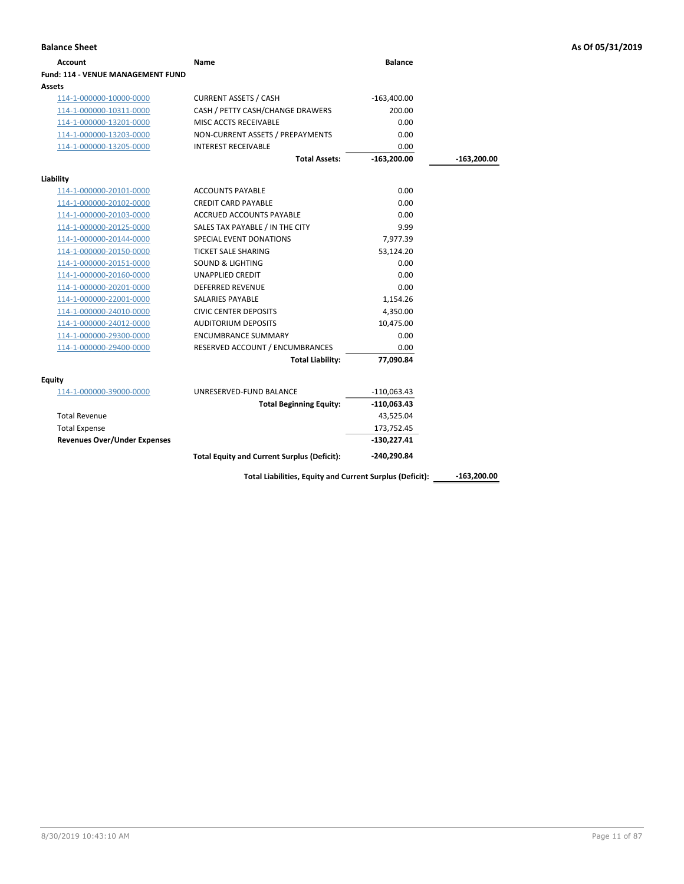| Account                                  | Name                                               | <b>Balance</b> |               |
|------------------------------------------|----------------------------------------------------|----------------|---------------|
| <b>Fund: 114 - VENUE MANAGEMENT FUND</b> |                                                    |                |               |
| Assets                                   |                                                    |                |               |
| 114-1-000000-10000-0000                  | <b>CURRENT ASSETS / CASH</b>                       | $-163,400.00$  |               |
| 114-1-000000-10311-0000                  | CASH / PETTY CASH/CHANGE DRAWERS                   | 200.00         |               |
| 114-1-000000-13201-0000                  | MISC ACCTS RECEIVABLE                              | 0.00           |               |
| 114-1-000000-13203-0000                  | NON-CURRENT ASSETS / PREPAYMENTS                   | 0.00           |               |
| 114-1-000000-13205-0000                  | <b>INTEREST RECEIVABLE</b>                         | 0.00           |               |
|                                          | <b>Total Assets:</b>                               | $-163,200.00$  | $-163,200.00$ |
| Liability                                |                                                    |                |               |
| 114-1-000000-20101-0000                  | <b>ACCOUNTS PAYABLE</b>                            | 0.00           |               |
| 114-1-000000-20102-0000                  | <b>CREDIT CARD PAYABLE</b>                         | 0.00           |               |
| 114-1-000000-20103-0000                  | <b>ACCRUED ACCOUNTS PAYABLE</b>                    | 0.00           |               |
| 114-1-000000-20125-0000                  | SALES TAX PAYABLE / IN THE CITY                    | 9.99           |               |
| 114-1-000000-20144-0000                  | SPECIAL EVENT DONATIONS                            | 7,977.39       |               |
| 114-1-000000-20150-0000                  | <b>TICKET SALE SHARING</b>                         | 53,124.20      |               |
| 114-1-000000-20151-0000                  | <b>SOUND &amp; LIGHTING</b>                        | 0.00           |               |
| 114-1-000000-20160-0000                  | <b>UNAPPLIED CREDIT</b>                            | 0.00           |               |
| 114-1-000000-20201-0000                  | <b>DEFERRED REVENUE</b>                            | 0.00           |               |
| 114-1-000000-22001-0000                  | <b>SALARIES PAYABLE</b>                            | 1,154.26       |               |
| 114-1-000000-24010-0000                  | <b>CIVIC CENTER DEPOSITS</b>                       | 4,350.00       |               |
| 114-1-000000-24012-0000                  | <b>AUDITORIUM DEPOSITS</b>                         | 10,475.00      |               |
| 114-1-000000-29300-0000                  | <b>ENCUMBRANCE SUMMARY</b>                         | 0.00           |               |
| 114-1-000000-29400-0000                  | RESERVED ACCOUNT / ENCUMBRANCES                    | 0.00           |               |
|                                          | <b>Total Liability:</b>                            | 77,090.84      |               |
| Equity                                   |                                                    |                |               |
| 114-1-000000-39000-0000                  | UNRESERVED-FUND BALANCE                            | $-110,063.43$  |               |
|                                          | <b>Total Beginning Equity:</b>                     | $-110,063.43$  |               |
| <b>Total Revenue</b>                     |                                                    | 43,525.04      |               |
| <b>Total Expense</b>                     |                                                    | 173,752.45     |               |
| <b>Revenues Over/Under Expenses</b>      |                                                    | $-130,227.41$  |               |
|                                          | <b>Total Equity and Current Surplus (Deficit):</b> | -240,290.84    |               |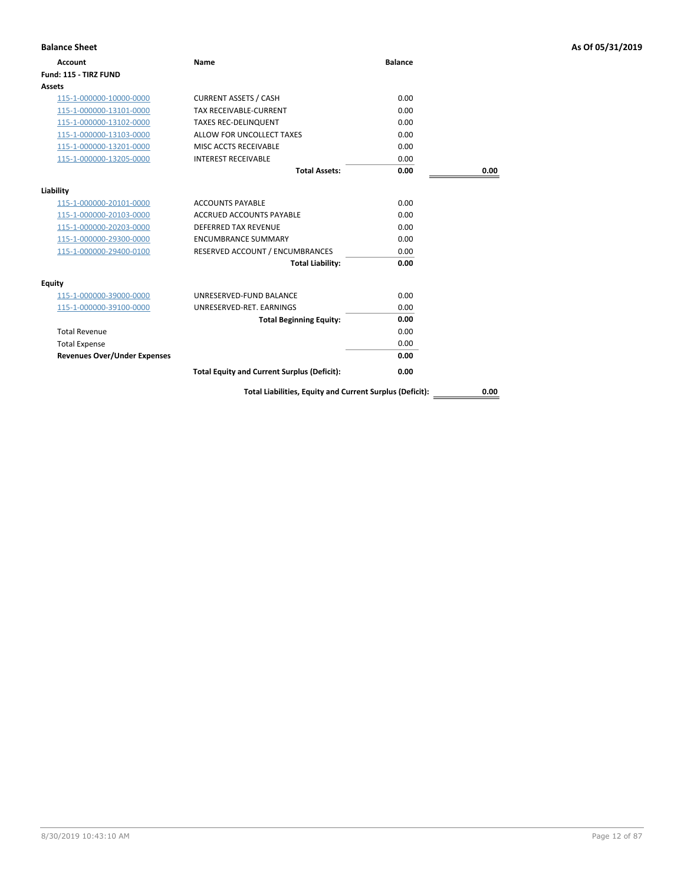| <b>Balance Sheet</b>                |                                                          |                |      | As Of 05/31/2019 |
|-------------------------------------|----------------------------------------------------------|----------------|------|------------------|
| <b>Account</b>                      | <b>Name</b>                                              | <b>Balance</b> |      |                  |
| Fund: 115 - TIRZ FUND               |                                                          |                |      |                  |
| Assets                              |                                                          |                |      |                  |
| 115-1-000000-10000-0000             | <b>CURRENT ASSETS / CASH</b>                             | 0.00           |      |                  |
| 115-1-000000-13101-0000             | <b>TAX RECEIVABLE-CURRENT</b>                            | 0.00           |      |                  |
| 115-1-000000-13102-0000             | <b>TAXES REC-DELINQUENT</b>                              | 0.00           |      |                  |
| 115-1-000000-13103-0000             | ALLOW FOR UNCOLLECT TAXES                                | 0.00           |      |                  |
| 115-1-000000-13201-0000             | MISC ACCTS RECEIVABLE                                    | 0.00           |      |                  |
| 115-1-000000-13205-0000             | <b>INTEREST RECEIVABLE</b>                               | 0.00           |      |                  |
|                                     | <b>Total Assets:</b>                                     | 0.00           | 0.00 |                  |
| Liability                           |                                                          |                |      |                  |
| 115-1-000000-20101-0000             | <b>ACCOUNTS PAYABLE</b>                                  | 0.00           |      |                  |
| 115-1-000000-20103-0000             | ACCRUED ACCOUNTS PAYABLE                                 | 0.00           |      |                  |
| 115-1-000000-20203-0000             | DEFERRED TAX REVENUE                                     | 0.00           |      |                  |
| 115-1-000000-29300-0000             | <b>ENCUMBRANCE SUMMARY</b>                               | 0.00           |      |                  |
| 115-1-000000-29400-0100             | RESERVED ACCOUNT / ENCUMBRANCES                          | 0.00           |      |                  |
|                                     | <b>Total Liability:</b>                                  | 0.00           |      |                  |
| <b>Equity</b>                       |                                                          |                |      |                  |
| 115-1-000000-39000-0000             | UNRESERVED-FUND BALANCE                                  | 0.00           |      |                  |
| 115-1-000000-39100-0000             | UNRESERVED-RET. EARNINGS                                 | 0.00           |      |                  |
|                                     | <b>Total Beginning Equity:</b>                           | 0.00           |      |                  |
| <b>Total Revenue</b>                |                                                          | 0.00           |      |                  |
| <b>Total Expense</b>                |                                                          | 0.00           |      |                  |
| <b>Revenues Over/Under Expenses</b> |                                                          | 0.00           |      |                  |
|                                     | <b>Total Equity and Current Surplus (Deficit):</b>       | 0.00           |      |                  |
|                                     | Total Liabilities, Equity and Current Surplus (Deficit): |                | 0.00 |                  |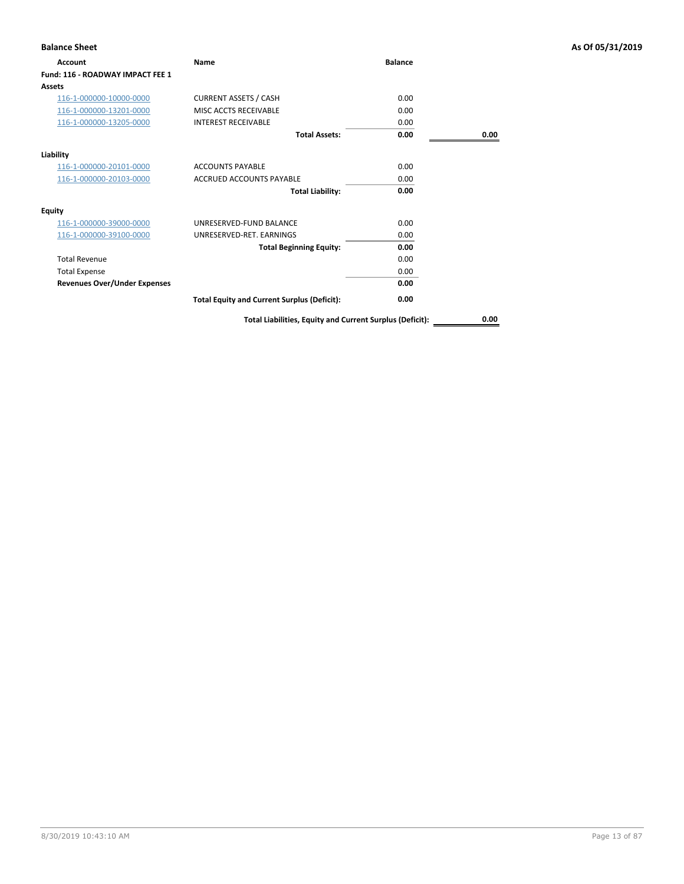| <b>Balance Sheet</b>                |                                                          |                |      | As Of 05/31/2019 |
|-------------------------------------|----------------------------------------------------------|----------------|------|------------------|
| Account                             | Name                                                     | <b>Balance</b> |      |                  |
| Fund: 116 - ROADWAY IMPACT FEE 1    |                                                          |                |      |                  |
| Assets                              |                                                          |                |      |                  |
| 116-1-000000-10000-0000             | <b>CURRENT ASSETS / CASH</b>                             | 0.00           |      |                  |
| 116-1-000000-13201-0000             | MISC ACCTS RECEIVABLE                                    | 0.00           |      |                  |
| 116-1-000000-13205-0000             | <b>INTEREST RECEIVABLE</b>                               | 0.00           |      |                  |
|                                     | <b>Total Assets:</b>                                     | 0.00           | 0.00 |                  |
| Liability                           |                                                          |                |      |                  |
| 116-1-000000-20101-0000             | <b>ACCOUNTS PAYABLE</b>                                  | 0.00           |      |                  |
| 116-1-000000-20103-0000             | <b>ACCRUED ACCOUNTS PAYABLE</b>                          | 0.00           |      |                  |
|                                     | <b>Total Liability:</b>                                  | 0.00           |      |                  |
| <b>Equity</b>                       |                                                          |                |      |                  |
| 116-1-000000-39000-0000             | UNRESERVED-FUND BALANCE                                  | 0.00           |      |                  |
| 116-1-000000-39100-0000             | UNRESERVED-RET. EARNINGS                                 | 0.00           |      |                  |
|                                     | <b>Total Beginning Equity:</b>                           | 0.00           |      |                  |
| <b>Total Revenue</b>                |                                                          | 0.00           |      |                  |
| <b>Total Expense</b>                |                                                          | 0.00           |      |                  |
| <b>Revenues Over/Under Expenses</b> |                                                          | 0.00           |      |                  |
|                                     | <b>Total Equity and Current Surplus (Deficit):</b>       | 0.00           |      |                  |
|                                     | Total Liabilities, Equity and Current Surplus (Deficit): |                | 0.00 |                  |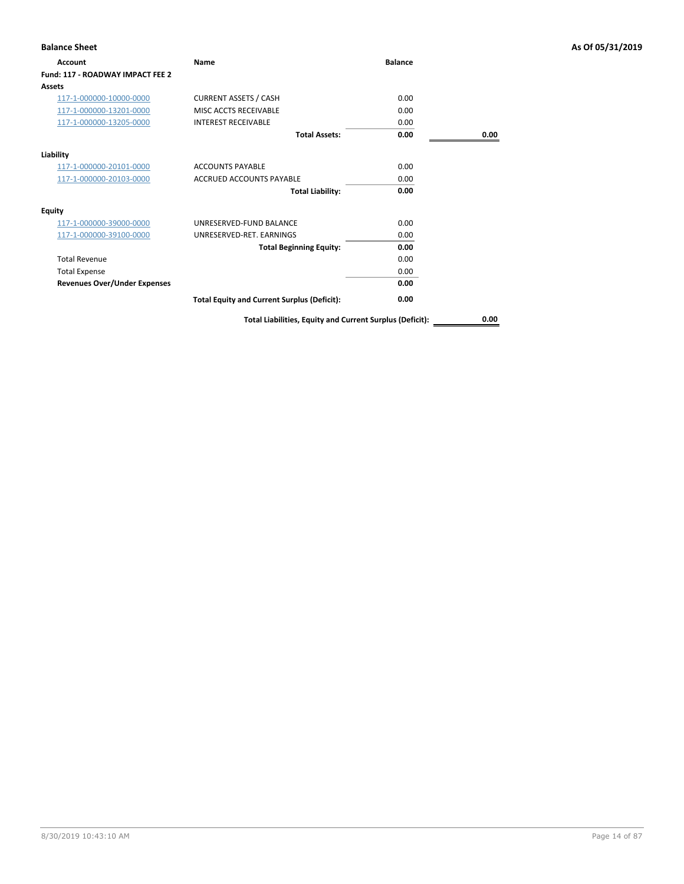| <b>Balance Sheet</b>                |                                                          |                |      | As Of 05/31/2019 |
|-------------------------------------|----------------------------------------------------------|----------------|------|------------------|
| Account                             | Name                                                     | <b>Balance</b> |      |                  |
| Fund: 117 - ROADWAY IMPACT FEE 2    |                                                          |                |      |                  |
| <b>Assets</b>                       |                                                          |                |      |                  |
| 117-1-000000-10000-0000             | <b>CURRENT ASSETS / CASH</b>                             | 0.00           |      |                  |
| 117-1-000000-13201-0000             | MISC ACCTS RECEIVABLE                                    | 0.00           |      |                  |
| 117-1-000000-13205-0000             | <b>INTEREST RECEIVABLE</b>                               | 0.00           |      |                  |
|                                     | <b>Total Assets:</b>                                     | 0.00           | 0.00 |                  |
| Liability                           |                                                          |                |      |                  |
| 117-1-000000-20101-0000             | <b>ACCOUNTS PAYABLE</b>                                  | 0.00           |      |                  |
| 117-1-000000-20103-0000             | <b>ACCRUED ACCOUNTS PAYABLE</b>                          | 0.00           |      |                  |
|                                     | <b>Total Liability:</b>                                  | 0.00           |      |                  |
| <b>Equity</b>                       |                                                          |                |      |                  |
| 117-1-000000-39000-0000             | UNRESERVED-FUND BALANCE                                  | 0.00           |      |                  |
| 117-1-000000-39100-0000             | UNRESERVED-RET. EARNINGS                                 | 0.00           |      |                  |
|                                     | <b>Total Beginning Equity:</b>                           | 0.00           |      |                  |
| <b>Total Revenue</b>                |                                                          | 0.00           |      |                  |
| <b>Total Expense</b>                |                                                          | 0.00           |      |                  |
| <b>Revenues Over/Under Expenses</b> |                                                          | 0.00           |      |                  |
|                                     | <b>Total Equity and Current Surplus (Deficit):</b>       | 0.00           |      |                  |
|                                     | Total Liabilities, Equity and Current Surplus (Deficit): |                | 0.00 |                  |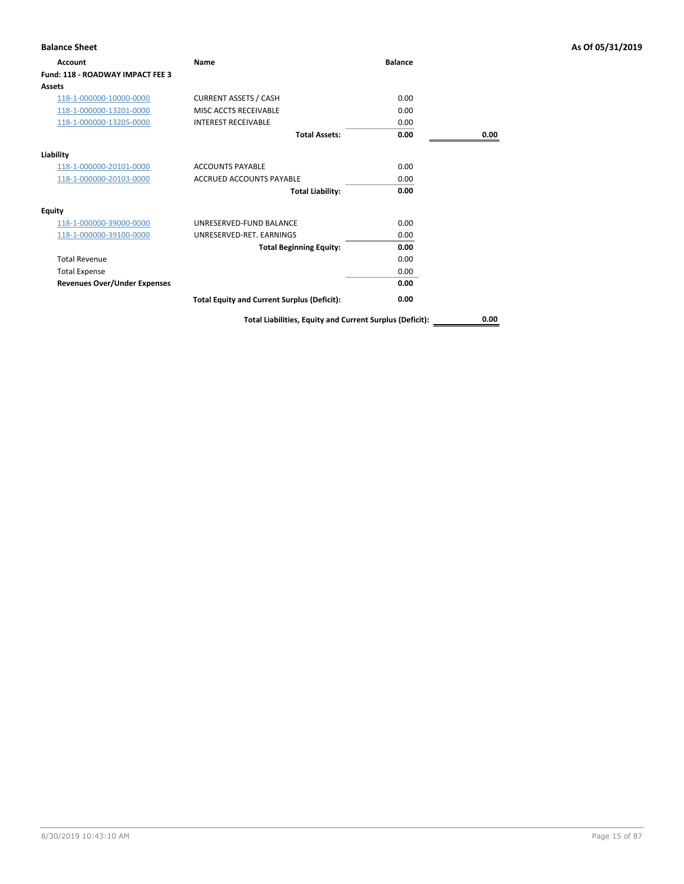| <b>Balance Sheet</b>                |                                                          |                |      | As Of 05/31/2019 |
|-------------------------------------|----------------------------------------------------------|----------------|------|------------------|
| Account                             | Name                                                     | <b>Balance</b> |      |                  |
| Fund: 118 - ROADWAY IMPACT FEE 3    |                                                          |                |      |                  |
| Assets                              |                                                          |                |      |                  |
| 118-1-000000-10000-0000             | <b>CURRENT ASSETS / CASH</b>                             | 0.00           |      |                  |
| 118-1-000000-13201-0000             | MISC ACCTS RECEIVABLE                                    | 0.00           |      |                  |
| 118-1-000000-13205-0000             | <b>INTEREST RECEIVABLE</b>                               | 0.00           |      |                  |
|                                     | <b>Total Assets:</b>                                     | 0.00           | 0.00 |                  |
| Liability                           |                                                          |                |      |                  |
| 118-1-000000-20101-0000             | <b>ACCOUNTS PAYABLE</b>                                  | 0.00           |      |                  |
| 118-1-000000-20103-0000             | <b>ACCRUED ACCOUNTS PAYABLE</b>                          | 0.00           |      |                  |
|                                     | <b>Total Liability:</b>                                  | 0.00           |      |                  |
| <b>Equity</b>                       |                                                          |                |      |                  |
| 118-1-000000-39000-0000             | UNRESERVED-FUND BALANCE                                  | 0.00           |      |                  |
| 118-1-000000-39100-0000             | UNRESERVED-RET. EARNINGS                                 | 0.00           |      |                  |
|                                     | <b>Total Beginning Equity:</b>                           | 0.00           |      |                  |
| <b>Total Revenue</b>                |                                                          | 0.00           |      |                  |
| <b>Total Expense</b>                |                                                          | 0.00           |      |                  |
| <b>Revenues Over/Under Expenses</b> |                                                          | 0.00           |      |                  |
|                                     | <b>Total Equity and Current Surplus (Deficit):</b>       | 0.00           |      |                  |
|                                     | Total Liabilities, Equity and Current Surplus (Deficit): |                | 0.00 |                  |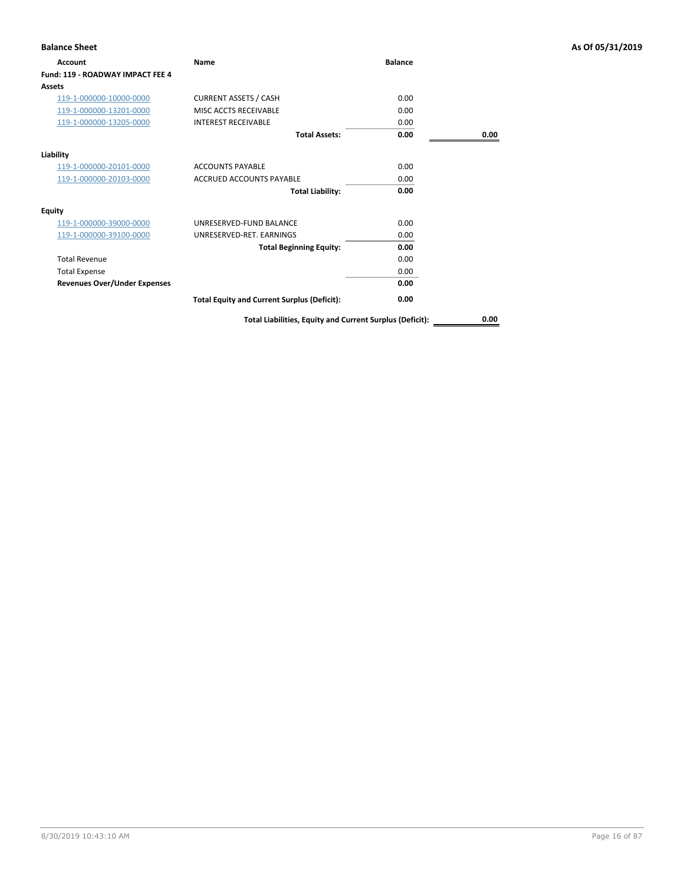| <b>Balance Sheet</b>                |                                                          |                |      | As Of 05/31/2019 |
|-------------------------------------|----------------------------------------------------------|----------------|------|------------------|
| Account                             | Name                                                     | <b>Balance</b> |      |                  |
| Fund: 119 - ROADWAY IMPACT FEE 4    |                                                          |                |      |                  |
| Assets                              |                                                          |                |      |                  |
| 119-1-000000-10000-0000             | <b>CURRENT ASSETS / CASH</b>                             | 0.00           |      |                  |
| 119-1-000000-13201-0000             | MISC ACCTS RECEIVABLE                                    | 0.00           |      |                  |
| 119-1-000000-13205-0000             | <b>INTEREST RECEIVABLE</b>                               | 0.00           |      |                  |
|                                     | <b>Total Assets:</b>                                     | 0.00           | 0.00 |                  |
| Liability                           |                                                          |                |      |                  |
| 119-1-000000-20101-0000             | <b>ACCOUNTS PAYABLE</b>                                  | 0.00           |      |                  |
| 119-1-000000-20103-0000             | <b>ACCRUED ACCOUNTS PAYABLE</b>                          | 0.00           |      |                  |
|                                     | <b>Total Liability:</b>                                  | 0.00           |      |                  |
| <b>Equity</b>                       |                                                          |                |      |                  |
| 119-1-000000-39000-0000             | UNRESERVED-FUND BALANCE                                  | 0.00           |      |                  |
| 119-1-000000-39100-0000             | UNRESERVED-RET. EARNINGS                                 | 0.00           |      |                  |
|                                     | <b>Total Beginning Equity:</b>                           | 0.00           |      |                  |
| <b>Total Revenue</b>                |                                                          | 0.00           |      |                  |
| <b>Total Expense</b>                |                                                          | 0.00           |      |                  |
| <b>Revenues Over/Under Expenses</b> |                                                          | 0.00           |      |                  |
|                                     | <b>Total Equity and Current Surplus (Deficit):</b>       | 0.00           |      |                  |
|                                     | Total Liabilities, Equity and Current Surplus (Deficit): |                | 0.00 |                  |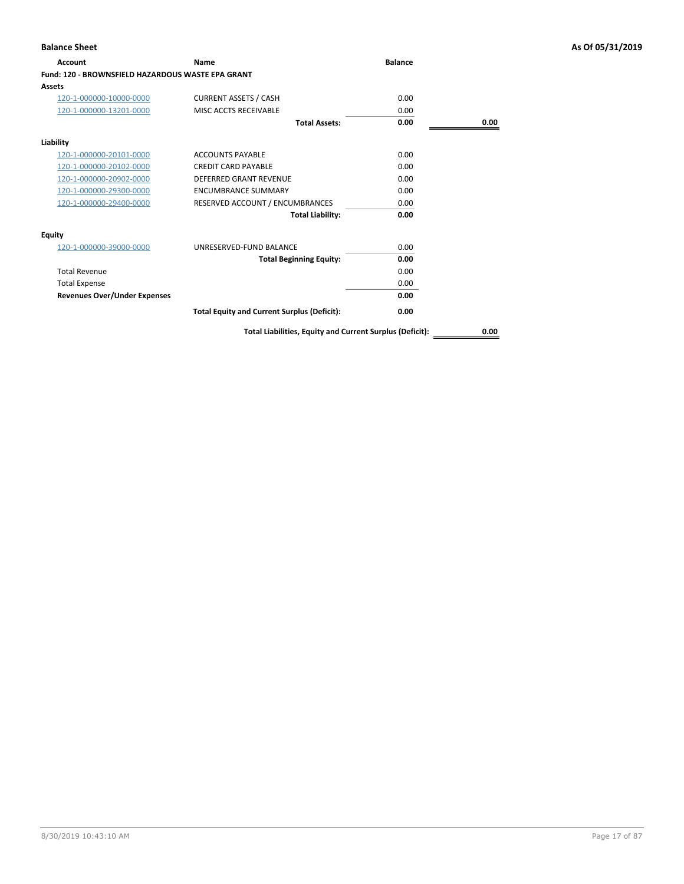| Account                                                  | Name                                               | <b>Balance</b> |      |
|----------------------------------------------------------|----------------------------------------------------|----------------|------|
| <b>Fund: 120 - BROWNSFIELD HAZARDOUS WASTE EPA GRANT</b> |                                                    |                |      |
| <b>Assets</b>                                            |                                                    |                |      |
| 120-1-000000-10000-0000                                  | <b>CURRENT ASSETS / CASH</b>                       | 0.00           |      |
| 120-1-000000-13201-0000                                  | MISC ACCTS RECEIVABLE                              | 0.00           |      |
|                                                          | <b>Total Assets:</b>                               | 0.00           | 0.00 |
| Liability                                                |                                                    |                |      |
| 120-1-000000-20101-0000                                  | <b>ACCOUNTS PAYABLE</b>                            | 0.00           |      |
| 120-1-000000-20102-0000                                  | <b>CREDIT CARD PAYABLE</b>                         | 0.00           |      |
| 120-1-000000-20902-0000                                  | <b>DEFERRED GRANT REVENUE</b>                      | 0.00           |      |
| 120-1-000000-29300-0000                                  | <b>ENCUMBRANCE SUMMARY</b>                         | 0.00           |      |
| 120-1-000000-29400-0000                                  | RESERVED ACCOUNT / ENCUMBRANCES                    | 0.00           |      |
|                                                          | <b>Total Liability:</b>                            | 0.00           |      |
| <b>Equity</b>                                            |                                                    |                |      |
| 120-1-000000-39000-0000                                  | UNRESERVED-FUND BALANCE                            | 0.00           |      |
|                                                          | <b>Total Beginning Equity:</b>                     | 0.00           |      |
| <b>Total Revenue</b>                                     |                                                    | 0.00           |      |
| <b>Total Expense</b>                                     |                                                    | 0.00           |      |
| <b>Revenues Over/Under Expenses</b>                      |                                                    | 0.00           |      |
|                                                          | <b>Total Equity and Current Surplus (Deficit):</b> | 0.00           |      |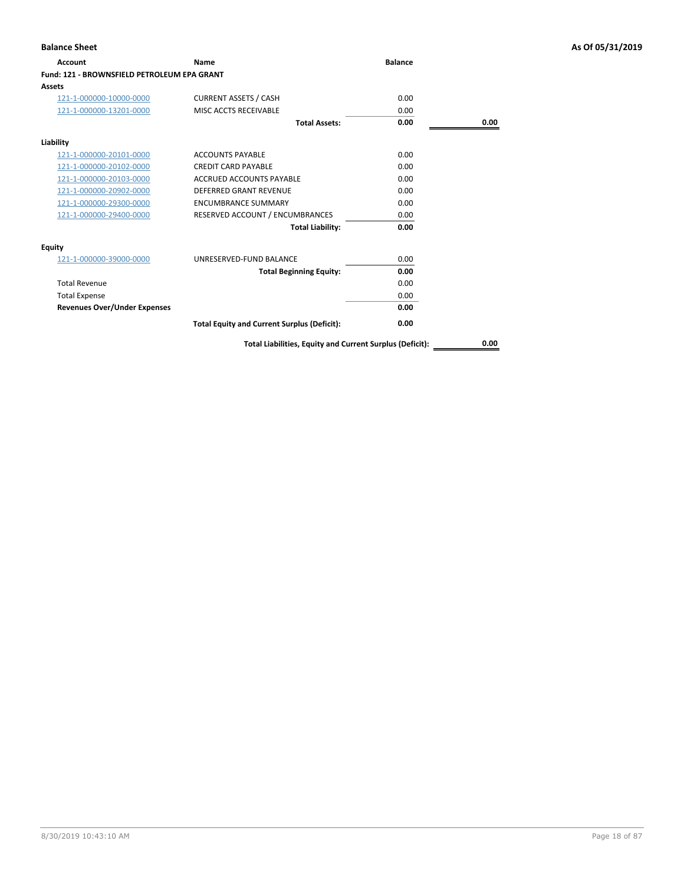| <b>Account</b>                                     | Name                                               | <b>Balance</b> |      |
|----------------------------------------------------|----------------------------------------------------|----------------|------|
| <b>Fund: 121 - BROWNSFIELD PETROLEUM EPA GRANT</b> |                                                    |                |      |
| Assets                                             |                                                    |                |      |
| 121-1-000000-10000-0000                            | <b>CURRENT ASSETS / CASH</b>                       | 0.00           |      |
| 121-1-000000-13201-0000                            | MISC ACCTS RECEIVABLE                              | 0.00           |      |
|                                                    | <b>Total Assets:</b>                               | 0.00           | 0.00 |
| Liability                                          |                                                    |                |      |
| 121-1-000000-20101-0000                            | <b>ACCOUNTS PAYABLE</b>                            | 0.00           |      |
| 121-1-000000-20102-0000                            | <b>CREDIT CARD PAYABLE</b>                         | 0.00           |      |
| 121-1-000000-20103-0000                            | ACCRUED ACCOUNTS PAYABLE                           | 0.00           |      |
| 121-1-000000-20902-0000                            | <b>DEFERRED GRANT REVENUE</b>                      | 0.00           |      |
| 121-1-000000-29300-0000                            | <b>ENCUMBRANCE SUMMARY</b>                         | 0.00           |      |
| 121-1-000000-29400-0000                            | RESERVED ACCOUNT / ENCUMBRANCES                    | 0.00           |      |
|                                                    | <b>Total Liability:</b>                            | 0.00           |      |
| <b>Equity</b>                                      |                                                    |                |      |
| 121-1-000000-39000-0000                            | UNRESERVED-FUND BALANCE                            | 0.00           |      |
|                                                    | <b>Total Beginning Equity:</b>                     | 0.00           |      |
| <b>Total Revenue</b>                               |                                                    | 0.00           |      |
| <b>Total Expense</b>                               |                                                    | 0.00           |      |
| <b>Revenues Over/Under Expenses</b>                |                                                    | 0.00           |      |
|                                                    | <b>Total Equity and Current Surplus (Deficit):</b> | 0.00           |      |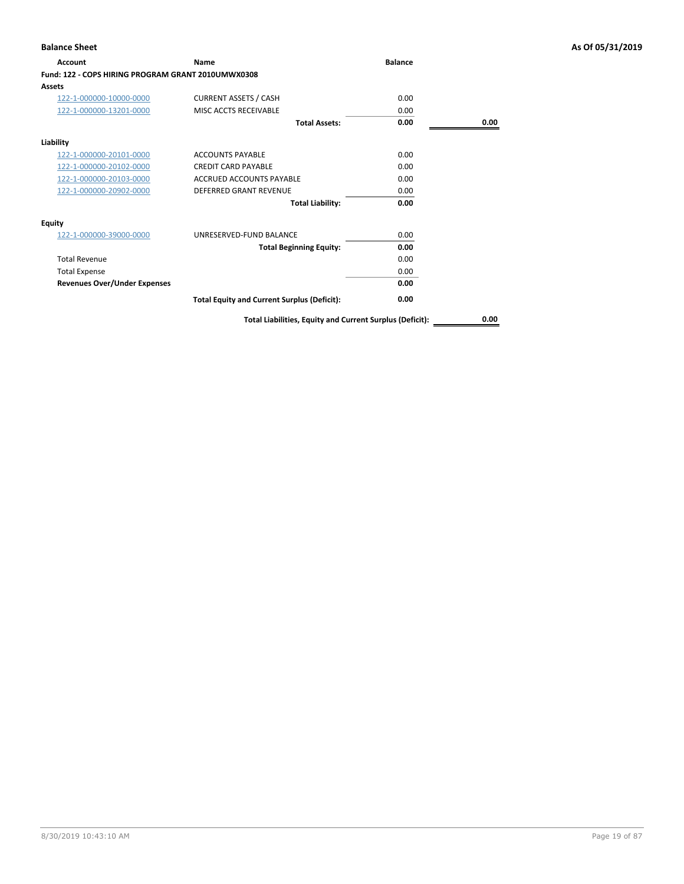| Account                                            | Name                                                     | <b>Balance</b> |      |
|----------------------------------------------------|----------------------------------------------------------|----------------|------|
| Fund: 122 - COPS HIRING PROGRAM GRANT 2010UMWX0308 |                                                          |                |      |
| Assets                                             |                                                          |                |      |
| 122-1-000000-10000-0000                            | <b>CURRENT ASSETS / CASH</b>                             | 0.00           |      |
| 122-1-000000-13201-0000                            | MISC ACCTS RECEIVABLE                                    | 0.00           |      |
|                                                    | <b>Total Assets:</b>                                     | 0.00           | 0.00 |
| Liability                                          |                                                          |                |      |
| 122-1-000000-20101-0000                            | <b>ACCOUNTS PAYABLE</b>                                  | 0.00           |      |
| 122-1-000000-20102-0000                            | <b>CREDIT CARD PAYABLE</b>                               | 0.00           |      |
| 122-1-000000-20103-0000                            | <b>ACCRUED ACCOUNTS PAYABLE</b>                          | 0.00           |      |
| 122-1-000000-20902-0000                            | <b>DEFERRED GRANT REVENUE</b>                            | 0.00           |      |
|                                                    | <b>Total Liability:</b>                                  | 0.00           |      |
| Equity                                             |                                                          |                |      |
| 122-1-000000-39000-0000                            | UNRESERVED-FUND BALANCE                                  | 0.00           |      |
|                                                    | <b>Total Beginning Equity:</b>                           | 0.00           |      |
| <b>Total Revenue</b>                               |                                                          | 0.00           |      |
| <b>Total Expense</b>                               |                                                          | 0.00           |      |
| <b>Revenues Over/Under Expenses</b>                |                                                          | 0.00           |      |
|                                                    | <b>Total Equity and Current Surplus (Deficit):</b>       | 0.00           |      |
|                                                    | Total Liabilities, Equity and Current Surplus (Deficit): |                | 0.00 |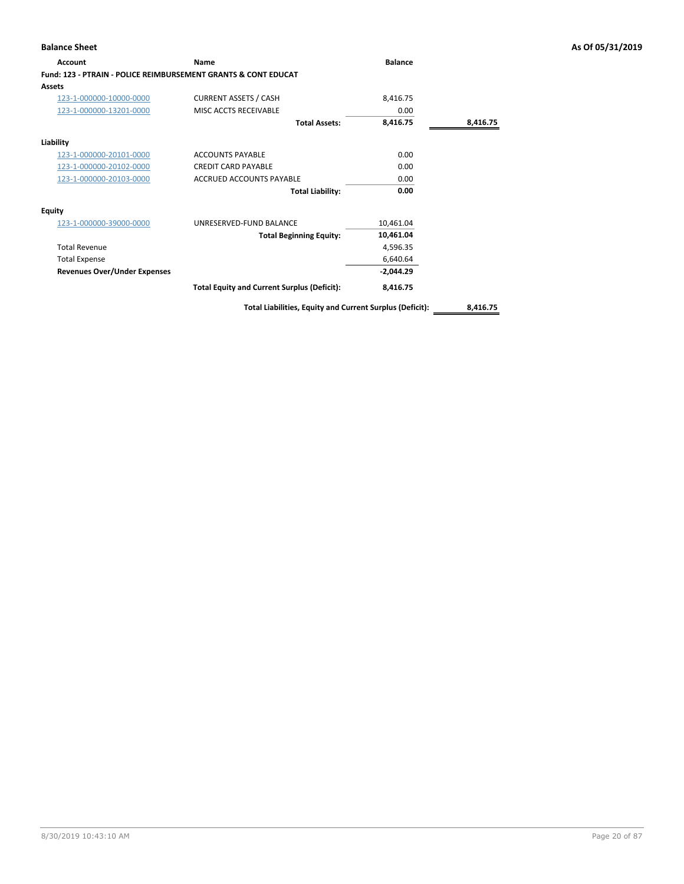| <b>Account</b>                                                 | Name                                               | <b>Balance</b> |          |
|----------------------------------------------------------------|----------------------------------------------------|----------------|----------|
| Fund: 123 - PTRAIN - POLICE REIMBURSEMENT GRANTS & CONT EDUCAT |                                                    |                |          |
| Assets                                                         |                                                    |                |          |
| 123-1-000000-10000-0000                                        | <b>CURRENT ASSETS / CASH</b>                       | 8,416.75       |          |
| 123-1-000000-13201-0000                                        | MISC ACCTS RECEIVABLE                              | 0.00           |          |
|                                                                | <b>Total Assets:</b>                               | 8,416.75       | 8,416.75 |
| Liability                                                      |                                                    |                |          |
| 123-1-000000-20101-0000                                        | <b>ACCOUNTS PAYABLE</b>                            | 0.00           |          |
| 123-1-000000-20102-0000                                        | <b>CREDIT CARD PAYABLE</b>                         | 0.00           |          |
| 123-1-000000-20103-0000                                        | ACCRUED ACCOUNTS PAYABLE                           | 0.00           |          |
|                                                                | <b>Total Liability:</b>                            | 0.00           |          |
| <b>Equity</b>                                                  |                                                    |                |          |
| 123-1-000000-39000-0000                                        | UNRESERVED-FUND BALANCE                            | 10,461.04      |          |
|                                                                | <b>Total Beginning Equity:</b>                     | 10,461.04      |          |
| <b>Total Revenue</b>                                           |                                                    | 4,596.35       |          |
| <b>Total Expense</b>                                           |                                                    | 6,640.64       |          |
| <b>Revenues Over/Under Expenses</b>                            |                                                    | $-2,044.29$    |          |
|                                                                | <b>Total Equity and Current Surplus (Deficit):</b> | 8,416.75       |          |
|                                                                |                                                    |                |          |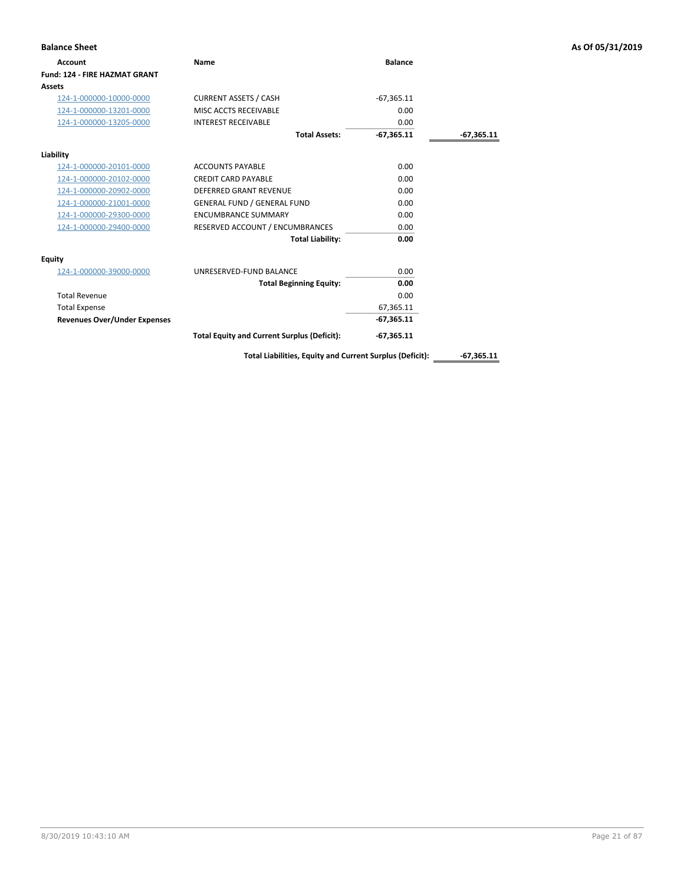| <b>Balance Sheet</b>                 |                                                    |                |              | As Of 05/31/2019 |
|--------------------------------------|----------------------------------------------------|----------------|--------------|------------------|
| <b>Account</b>                       | Name                                               | <b>Balance</b> |              |                  |
| <b>Fund: 124 - FIRE HAZMAT GRANT</b> |                                                    |                |              |                  |
| Assets                               |                                                    |                |              |                  |
| 124-1-000000-10000-0000              | <b>CURRENT ASSETS / CASH</b>                       | $-67,365.11$   |              |                  |
| 124-1-000000-13201-0000              | MISC ACCTS RECEIVABLE                              | 0.00           |              |                  |
| 124-1-000000-13205-0000              | <b>INTEREST RECEIVABLE</b>                         | 0.00           |              |                  |
|                                      | <b>Total Assets:</b>                               | $-67,365.11$   | $-67,365.11$ |                  |
| Liability                            |                                                    |                |              |                  |
| 124-1-000000-20101-0000              | <b>ACCOUNTS PAYABLE</b>                            | 0.00           |              |                  |
| 124-1-000000-20102-0000              | <b>CREDIT CARD PAYABLE</b>                         | 0.00           |              |                  |
| 124-1-000000-20902-0000              | <b>DEFERRED GRANT REVENUE</b>                      | 0.00           |              |                  |
| 124-1-000000-21001-0000              | <b>GENERAL FUND / GENERAL FUND</b>                 | 0.00           |              |                  |
| 124-1-000000-29300-0000              | <b>ENCUMBRANCE SUMMARY</b>                         | 0.00           |              |                  |
| 124-1-000000-29400-0000              | RESERVED ACCOUNT / ENCUMBRANCES                    | 0.00           |              |                  |
|                                      | <b>Total Liability:</b>                            | 0.00           |              |                  |
| <b>Equity</b>                        |                                                    |                |              |                  |
| 124-1-000000-39000-0000              | UNRESERVED-FUND BALANCE                            | 0.00           |              |                  |
|                                      | <b>Total Beginning Equity:</b>                     | 0.00           |              |                  |
| <b>Total Revenue</b>                 |                                                    | 0.00           |              |                  |
| <b>Total Expense</b>                 |                                                    | 67,365.11      |              |                  |
| <b>Revenues Over/Under Expenses</b>  |                                                    | $-67,365.11$   |              |                  |
|                                      | <b>Total Equity and Current Surplus (Deficit):</b> | $-67,365.11$   |              |                  |

Total Liabilities, Equity and Current Surplus (Deficit): \_\_\_\_\_\_\_-67,365.11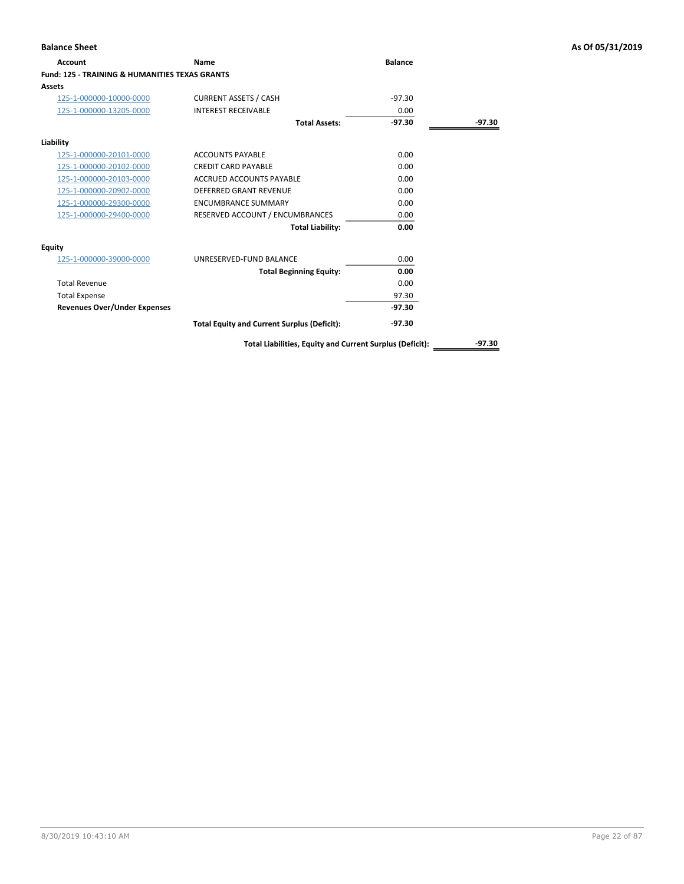| Account                                                   | Name                                               | <b>Balance</b> |        |
|-----------------------------------------------------------|----------------------------------------------------|----------------|--------|
| <b>Fund: 125 - TRAINING &amp; HUMANITIES TEXAS GRANTS</b> |                                                    |                |        |
| Assets                                                    |                                                    |                |        |
| 125-1-000000-10000-0000                                   | <b>CURRENT ASSETS / CASH</b>                       | $-97.30$       |        |
| 125-1-000000-13205-0000                                   | <b>INTEREST RECEIVABLE</b>                         | 0.00           |        |
|                                                           | <b>Total Assets:</b>                               | $-97.30$       | -97.30 |
| Liability                                                 |                                                    |                |        |
| 125-1-000000-20101-0000                                   | <b>ACCOUNTS PAYABLE</b>                            | 0.00           |        |
| 125-1-000000-20102-0000                                   | <b>CREDIT CARD PAYABLE</b>                         | 0.00           |        |
| 125-1-000000-20103-0000                                   | ACCRUED ACCOUNTS PAYABLE                           | 0.00           |        |
| 125-1-000000-20902-0000                                   | <b>DEFERRED GRANT REVENUE</b>                      | 0.00           |        |
| 125-1-000000-29300-0000                                   | <b>ENCUMBRANCE SUMMARY</b>                         | 0.00           |        |
| 125-1-000000-29400-0000                                   | RESERVED ACCOUNT / ENCUMBRANCES                    | 0.00           |        |
|                                                           | <b>Total Liability:</b>                            | 0.00           |        |
| Equity                                                    |                                                    |                |        |
| 125-1-000000-39000-0000                                   | UNRESERVED-FUND BALANCE                            | 0.00           |        |
|                                                           | <b>Total Beginning Equity:</b>                     | 0.00           |        |
| <b>Total Revenue</b>                                      |                                                    | 0.00           |        |
| <b>Total Expense</b>                                      |                                                    | 97.30          |        |
| <b>Revenues Over/Under Expenses</b>                       |                                                    | $-97.30$       |        |
|                                                           | <b>Total Equity and Current Surplus (Deficit):</b> | -97.30         |        |

**Total Liabilities, Equity and Current Surplus (Deficit):** \_\_\_\_\_\_\_\_\_\_\_\_\_-97.30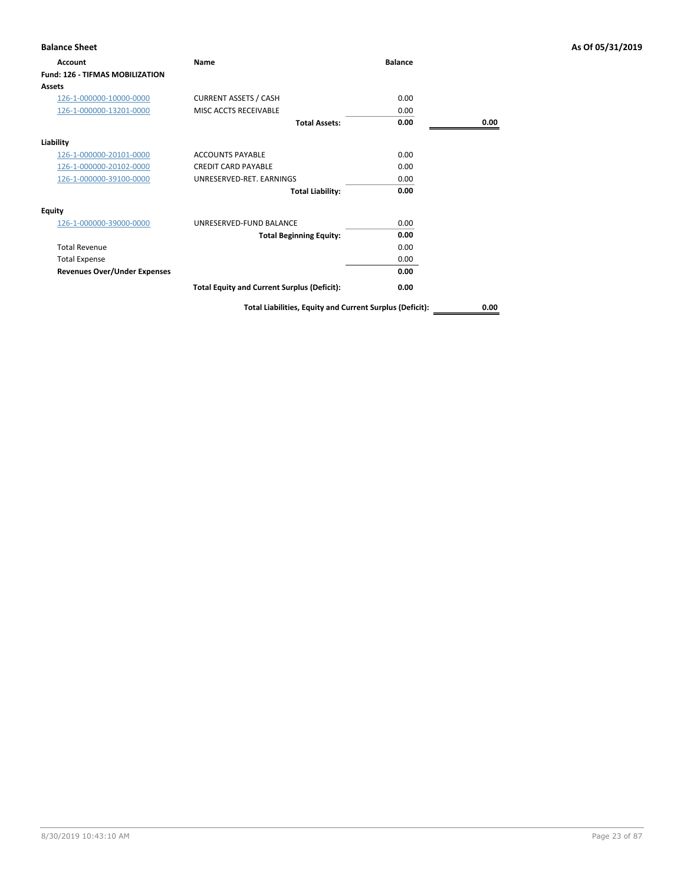| <b>Balance Sheet</b>                   |                                                          |                |      | As Of 05/31/2019 |
|----------------------------------------|----------------------------------------------------------|----------------|------|------------------|
| <b>Account</b>                         | Name                                                     | <b>Balance</b> |      |                  |
| <b>Fund: 126 - TIFMAS MOBILIZATION</b> |                                                          |                |      |                  |
| <b>Assets</b>                          |                                                          |                |      |                  |
| 126-1-000000-10000-0000                | <b>CURRENT ASSETS / CASH</b>                             | 0.00           |      |                  |
| 126-1-000000-13201-0000                | MISC ACCTS RECEIVABLE                                    | 0.00           |      |                  |
|                                        | <b>Total Assets:</b>                                     | 0.00           | 0.00 |                  |
| Liability                              |                                                          |                |      |                  |
| 126-1-000000-20101-0000                | <b>ACCOUNTS PAYABLE</b>                                  | 0.00           |      |                  |
| 126-1-000000-20102-0000                | <b>CREDIT CARD PAYABLE</b>                               | 0.00           |      |                  |
| 126-1-000000-39100-0000                | UNRESERVED-RET. EARNINGS                                 | 0.00           |      |                  |
|                                        | <b>Total Liability:</b>                                  | 0.00           |      |                  |
| Equity                                 |                                                          |                |      |                  |
| 126-1-000000-39000-0000                | UNRESERVED-FUND BALANCE                                  | 0.00           |      |                  |
|                                        | <b>Total Beginning Equity:</b>                           | 0.00           |      |                  |
| <b>Total Revenue</b>                   |                                                          | 0.00           |      |                  |
| <b>Total Expense</b>                   |                                                          | 0.00           |      |                  |
| <b>Revenues Over/Under Expenses</b>    |                                                          | 0.00           |      |                  |
|                                        | <b>Total Equity and Current Surplus (Deficit):</b>       | 0.00           |      |                  |
|                                        | Total Liabilities, Equity and Current Surplus (Deficit): |                | 0.00 |                  |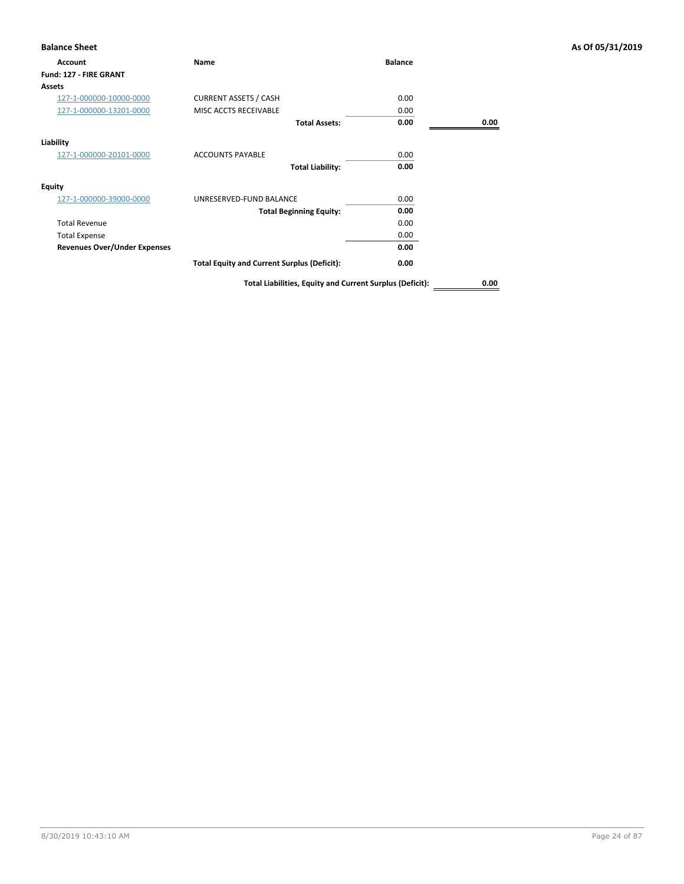| <b>Account</b>                      | Name                                               | <b>Balance</b> |      |
|-------------------------------------|----------------------------------------------------|----------------|------|
| Fund: 127 - FIRE GRANT              |                                                    |                |      |
| Assets                              |                                                    |                |      |
| 127-1-000000-10000-0000             | <b>CURRENT ASSETS / CASH</b>                       | 0.00           |      |
| 127-1-000000-13201-0000             | MISC ACCTS RECEIVABLE                              | 0.00           |      |
|                                     | <b>Total Assets:</b>                               | 0.00           | 0.00 |
| Liability                           |                                                    |                |      |
| 127-1-000000-20101-0000             | <b>ACCOUNTS PAYABLE</b>                            | 0.00           |      |
|                                     | <b>Total Liability:</b>                            | 0.00           |      |
| <b>Equity</b>                       |                                                    |                |      |
| 127-1-000000-39000-0000             | UNRESERVED-FUND BALANCE                            | 0.00           |      |
|                                     | <b>Total Beginning Equity:</b>                     | 0.00           |      |
| <b>Total Revenue</b>                |                                                    | 0.00           |      |
| <b>Total Expense</b>                |                                                    | 0.00           |      |
| <b>Revenues Over/Under Expenses</b> |                                                    | 0.00           |      |
|                                     | <b>Total Equity and Current Surplus (Deficit):</b> | 0.00           |      |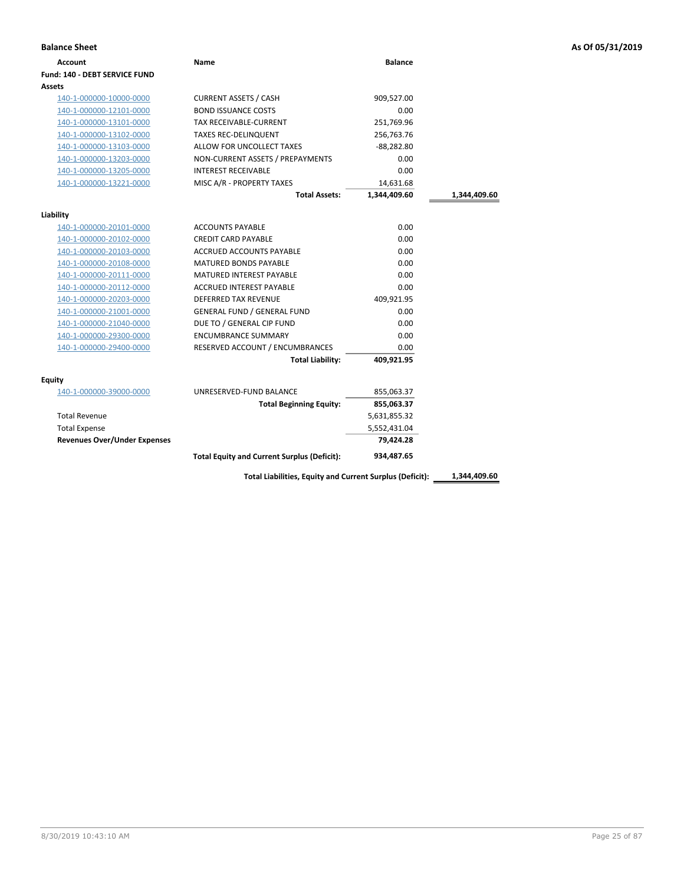| <b>Balance Sheet</b>                 |                                                    |                |              | As Of 05/31/2019 |
|--------------------------------------|----------------------------------------------------|----------------|--------------|------------------|
| <b>Account</b>                       | Name                                               | <b>Balance</b> |              |                  |
| <b>Fund: 140 - DEBT SERVICE FUND</b> |                                                    |                |              |                  |
| Assets                               |                                                    |                |              |                  |
| 140-1-000000-10000-0000              | <b>CURRENT ASSETS / CASH</b>                       | 909,527.00     |              |                  |
| 140-1-000000-12101-0000              | <b>BOND ISSUANCE COSTS</b>                         | 0.00           |              |                  |
| 140-1-000000-13101-0000              | TAX RECEIVABLE-CURRENT                             | 251,769.96     |              |                  |
| 140-1-000000-13102-0000              | <b>TAXES REC-DELINQUENT</b>                        | 256,763.76     |              |                  |
| 140-1-000000-13103-0000              | ALLOW FOR UNCOLLECT TAXES                          | $-88,282.80$   |              |                  |
| 140-1-000000-13203-0000              | NON-CURRENT ASSETS / PREPAYMENTS                   | 0.00           |              |                  |
| 140-1-000000-13205-0000              | <b>INTEREST RECEIVABLE</b>                         | 0.00           |              |                  |
| 140-1-000000-13221-0000              | MISC A/R - PROPERTY TAXES                          | 14,631.68      |              |                  |
|                                      | <b>Total Assets:</b>                               | 1,344,409.60   | 1,344,409.60 |                  |
| Liability                            |                                                    |                |              |                  |
| 140-1-000000-20101-0000              | <b>ACCOUNTS PAYABLE</b>                            | 0.00           |              |                  |
| 140-1-000000-20102-0000              | <b>CREDIT CARD PAYABLE</b>                         | 0.00           |              |                  |
| 140-1-000000-20103-0000              | ACCRUED ACCOUNTS PAYABLE                           | 0.00           |              |                  |
| 140-1-000000-20108-0000              | <b>MATURED BONDS PAYABLE</b>                       | 0.00           |              |                  |
| 140-1-000000-20111-0000              | <b>MATURED INTEREST PAYABLE</b>                    | 0.00           |              |                  |
| 140-1-000000-20112-0000              | ACCRUED INTEREST PAYABLE                           | 0.00           |              |                  |
| 140-1-000000-20203-0000              | DEFERRED TAX REVENUE                               | 409,921.95     |              |                  |
| 140-1-000000-21001-0000              | <b>GENERAL FUND / GENERAL FUND</b>                 | 0.00           |              |                  |
| 140-1-000000-21040-0000              | DUE TO / GENERAL CIP FUND                          | 0.00           |              |                  |
| 140-1-000000-29300-0000              | <b>ENCUMBRANCE SUMMARY</b>                         | 0.00           |              |                  |
| 140-1-000000-29400-0000              | RESERVED ACCOUNT / ENCUMBRANCES                    | 0.00           |              |                  |
|                                      | <b>Total Liability:</b>                            | 409,921.95     |              |                  |
| <b>Equity</b>                        |                                                    |                |              |                  |
| 140-1-000000-39000-0000              | UNRESERVED-FUND BALANCE                            | 855,063.37     |              |                  |
|                                      | <b>Total Beginning Equity:</b>                     | 855,063.37     |              |                  |
| <b>Total Revenue</b>                 |                                                    | 5,631,855.32   |              |                  |
| <b>Total Expense</b>                 |                                                    | 5,552,431.04   |              |                  |
| <b>Revenues Over/Under Expenses</b>  |                                                    | 79,424.28      |              |                  |
|                                      | <b>Total Equity and Current Surplus (Deficit):</b> | 934,487.65     |              |                  |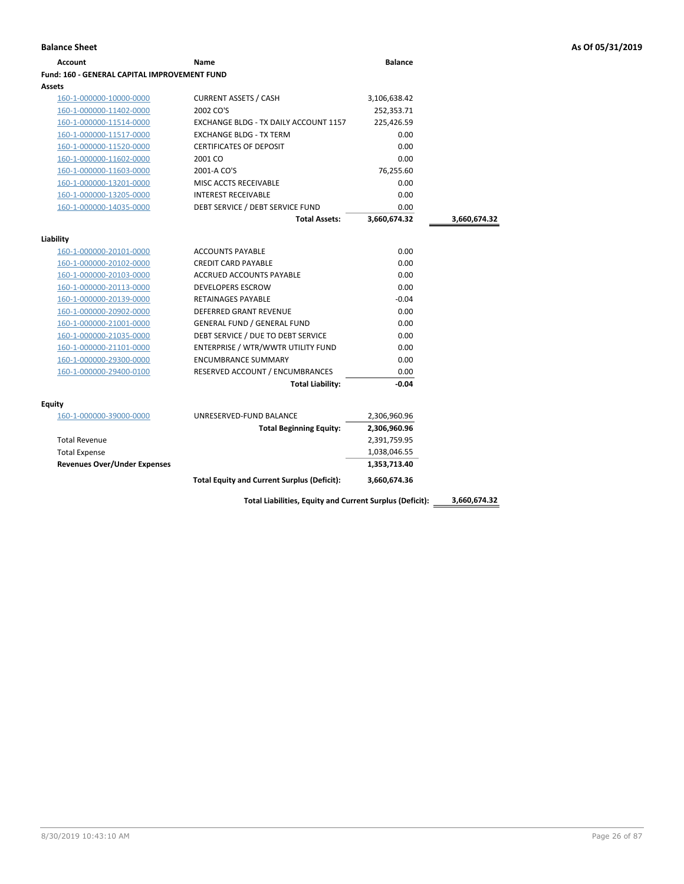| <b>Account</b>                                      | Name                                               | <b>Balance</b> |              |
|-----------------------------------------------------|----------------------------------------------------|----------------|--------------|
| <b>Fund: 160 - GENERAL CAPITAL IMPROVEMENT FUND</b> |                                                    |                |              |
| Assets                                              |                                                    |                |              |
| 160-1-000000-10000-0000                             | <b>CURRENT ASSETS / CASH</b>                       | 3,106,638.42   |              |
| 160-1-000000-11402-0000                             | 2002 CO'S                                          | 252,353.71     |              |
| 160-1-000000-11514-0000                             | EXCHANGE BLDG - TX DAILY ACCOUNT 1157              | 225,426.59     |              |
| 160-1-000000-11517-0000                             | <b>EXCHANGE BLDG - TX TERM</b>                     | 0.00           |              |
| 160-1-000000-11520-0000                             | <b>CERTIFICATES OF DEPOSIT</b>                     | 0.00           |              |
| 160-1-000000-11602-0000                             | 2001 CO                                            | 0.00           |              |
| 160-1-000000-11603-0000                             | 2001-A CO'S                                        | 76,255.60      |              |
| 160-1-000000-13201-0000                             | MISC ACCTS RECEIVABLE                              | 0.00           |              |
| 160-1-000000-13205-0000                             | <b>INTEREST RECEIVABLE</b>                         | 0.00           |              |
| 160-1-000000-14035-0000                             | DEBT SERVICE / DEBT SERVICE FUND                   | 0.00           |              |
|                                                     | <b>Total Assets:</b>                               | 3,660,674.32   | 3,660,674.32 |
| Liability                                           |                                                    |                |              |
| 160-1-000000-20101-0000                             | <b>ACCOUNTS PAYABLE</b>                            | 0.00           |              |
| 160-1-000000-20102-0000                             | <b>CREDIT CARD PAYABLE</b>                         | 0.00           |              |
| 160-1-000000-20103-0000                             | <b>ACCRUED ACCOUNTS PAYABLE</b>                    | 0.00           |              |
| 160-1-000000-20113-0000                             | DEVELOPERS ESCROW                                  | 0.00           |              |
| 160-1-000000-20139-0000                             | <b>RETAINAGES PAYABLE</b>                          | $-0.04$        |              |
| 160-1-000000-20902-0000                             | <b>DEFERRED GRANT REVENUE</b>                      | 0.00           |              |
| 160-1-000000-21001-0000                             | <b>GENERAL FUND / GENERAL FUND</b>                 | 0.00           |              |
| 160-1-000000-21035-0000                             | DEBT SERVICE / DUE TO DEBT SERVICE                 | 0.00           |              |
| 160-1-000000-21101-0000                             | ENTERPRISE / WTR/WWTR UTILITY FUND                 | 0.00           |              |
| 160-1-000000-29300-0000                             | <b>ENCUMBRANCE SUMMARY</b>                         | 0.00           |              |
| 160-1-000000-29400-0100                             | RESERVED ACCOUNT / ENCUMBRANCES                    | 0.00           |              |
|                                                     | <b>Total Liability:</b>                            | $-0.04$        |              |
|                                                     |                                                    |                |              |
| Equity                                              |                                                    |                |              |
| 160-1-000000-39000-0000                             | UNRESERVED-FUND BALANCE                            | 2,306,960.96   |              |
|                                                     | <b>Total Beginning Equity:</b>                     | 2,306,960.96   |              |
| <b>Total Revenue</b>                                |                                                    | 2,391,759.95   |              |
| <b>Total Expense</b>                                |                                                    | 1,038,046.55   |              |
| <b>Revenues Over/Under Expenses</b>                 |                                                    | 1,353,713.40   |              |
|                                                     | <b>Total Equity and Current Surplus (Deficit):</b> | 3,660,674.36   |              |

8/30/2019 10:43:10 AM Page 26 of 87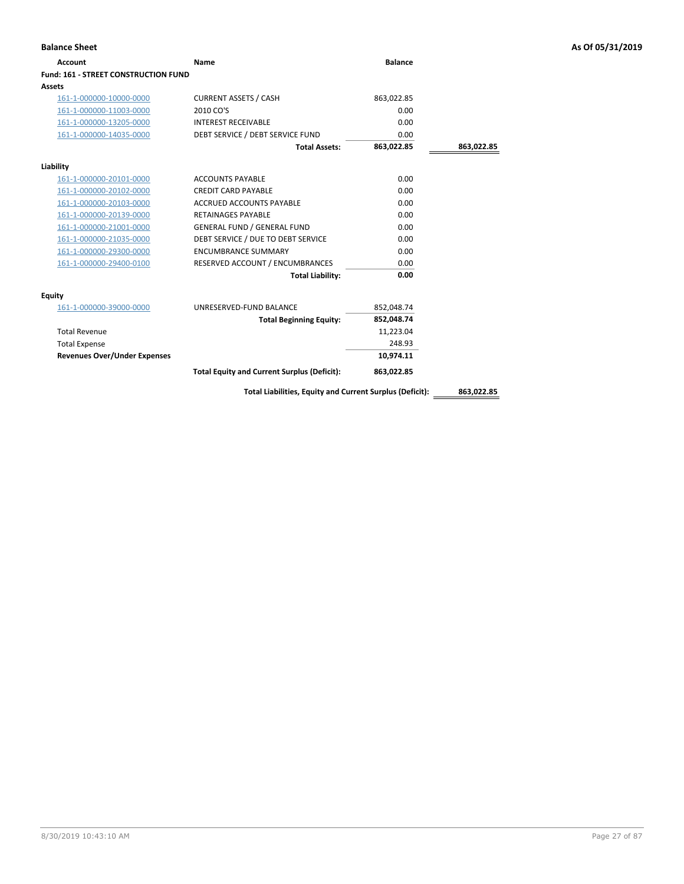| <b>Balance Sheet</b>                        |                                                          |                |            | As Of 05/31/2019 |
|---------------------------------------------|----------------------------------------------------------|----------------|------------|------------------|
| <b>Account</b>                              | <b>Name</b>                                              | <b>Balance</b> |            |                  |
| <b>Fund: 161 - STREET CONSTRUCTION FUND</b> |                                                          |                |            |                  |
| <b>Assets</b>                               |                                                          |                |            |                  |
| 161-1-000000-10000-0000                     | <b>CURRENT ASSETS / CASH</b>                             | 863,022.85     |            |                  |
| 161-1-000000-11003-0000                     | 2010 CO'S                                                | 0.00           |            |                  |
| 161-1-000000-13205-0000                     | <b>INTEREST RECEIVABLE</b>                               | 0.00           |            |                  |
| 161-1-000000-14035-0000                     | DEBT SERVICE / DEBT SERVICE FUND                         | 0.00           |            |                  |
|                                             | <b>Total Assets:</b>                                     | 863,022.85     | 863,022.85 |                  |
| Liability                                   |                                                          |                |            |                  |
| 161-1-000000-20101-0000                     | <b>ACCOUNTS PAYABLE</b>                                  | 0.00           |            |                  |
| 161-1-000000-20102-0000                     | <b>CREDIT CARD PAYABLE</b>                               | 0.00           |            |                  |
| 161-1-000000-20103-0000                     | ACCRUED ACCOUNTS PAYABLE                                 | 0.00           |            |                  |
| 161-1-000000-20139-0000                     | <b>RETAINAGES PAYABLE</b>                                | 0.00           |            |                  |
| 161-1-000000-21001-0000                     | <b>GENERAL FUND / GENERAL FUND</b>                       | 0.00           |            |                  |
| 161-1-000000-21035-0000                     | DEBT SERVICE / DUE TO DEBT SERVICE                       | 0.00           |            |                  |
| 161-1-000000-29300-0000                     | <b>ENCUMBRANCE SUMMARY</b>                               | 0.00           |            |                  |
| 161-1-000000-29400-0100                     | RESERVED ACCOUNT / ENCUMBRANCES                          | 0.00           |            |                  |
|                                             | <b>Total Liability:</b>                                  | 0.00           |            |                  |
| <b>Equity</b>                               |                                                          |                |            |                  |
| 161-1-000000-39000-0000                     | UNRESERVED-FUND BALANCE                                  | 852,048.74     |            |                  |
|                                             | <b>Total Beginning Equity:</b>                           | 852,048.74     |            |                  |
| <b>Total Revenue</b>                        |                                                          | 11,223.04      |            |                  |
| <b>Total Expense</b>                        |                                                          | 248.93         |            |                  |
| <b>Revenues Over/Under Expenses</b>         |                                                          | 10,974.11      |            |                  |
|                                             | <b>Total Equity and Current Surplus (Deficit):</b>       | 863,022.85     |            |                  |
|                                             | Total Liabilities, Equity and Current Surplus (Deficit): |                | 863,022.85 |                  |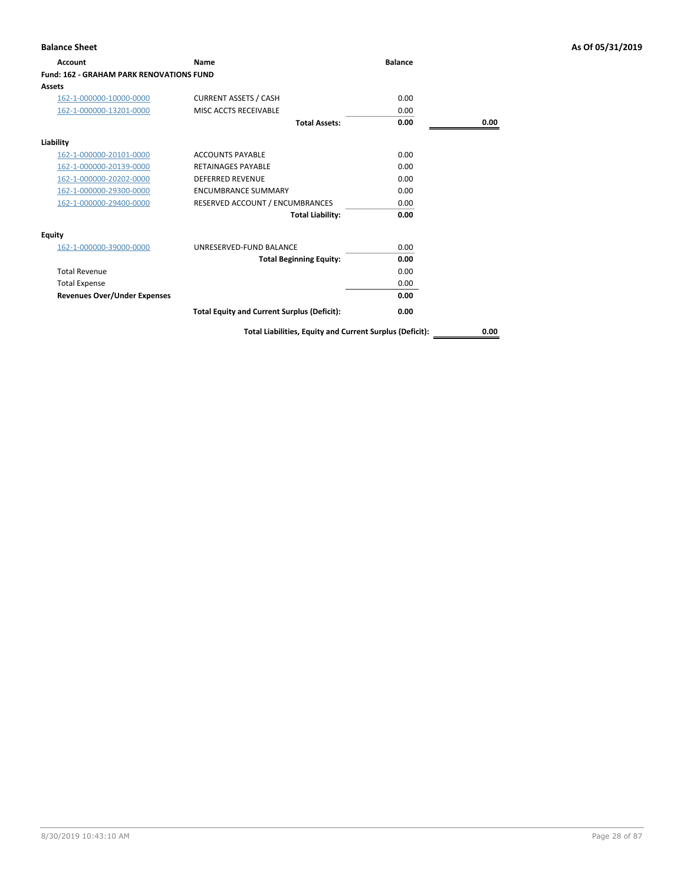| <b>Account</b>                                  | Name                                               | <b>Balance</b> |      |
|-------------------------------------------------|----------------------------------------------------|----------------|------|
| <b>Fund: 162 - GRAHAM PARK RENOVATIONS FUND</b> |                                                    |                |      |
| Assets                                          |                                                    |                |      |
| 162-1-000000-10000-0000                         | <b>CURRENT ASSETS / CASH</b>                       | 0.00           |      |
| 162-1-000000-13201-0000                         | MISC ACCTS RECEIVABLE                              | 0.00           |      |
|                                                 | <b>Total Assets:</b>                               | 0.00           | 0.00 |
| Liability                                       |                                                    |                |      |
| 162-1-000000-20101-0000                         | <b>ACCOUNTS PAYABLE</b>                            | 0.00           |      |
| 162-1-000000-20139-0000                         | <b>RETAINAGES PAYABLE</b>                          | 0.00           |      |
| 162-1-000000-20202-0000                         | <b>DEFERRED REVENUE</b>                            | 0.00           |      |
| 162-1-000000-29300-0000                         | <b>ENCUMBRANCE SUMMARY</b>                         | 0.00           |      |
| 162-1-000000-29400-0000                         | RESERVED ACCOUNT / ENCUMBRANCES                    | 0.00           |      |
|                                                 | <b>Total Liability:</b>                            | 0.00           |      |
| <b>Equity</b>                                   |                                                    |                |      |
| 162-1-000000-39000-0000                         | UNRESERVED-FUND BALANCE                            | 0.00           |      |
|                                                 | <b>Total Beginning Equity:</b>                     | 0.00           |      |
| <b>Total Revenue</b>                            |                                                    | 0.00           |      |
| <b>Total Expense</b>                            |                                                    | 0.00           |      |
| <b>Revenues Over/Under Expenses</b>             |                                                    | 0.00           |      |
|                                                 | <b>Total Equity and Current Surplus (Deficit):</b> | 0.00           |      |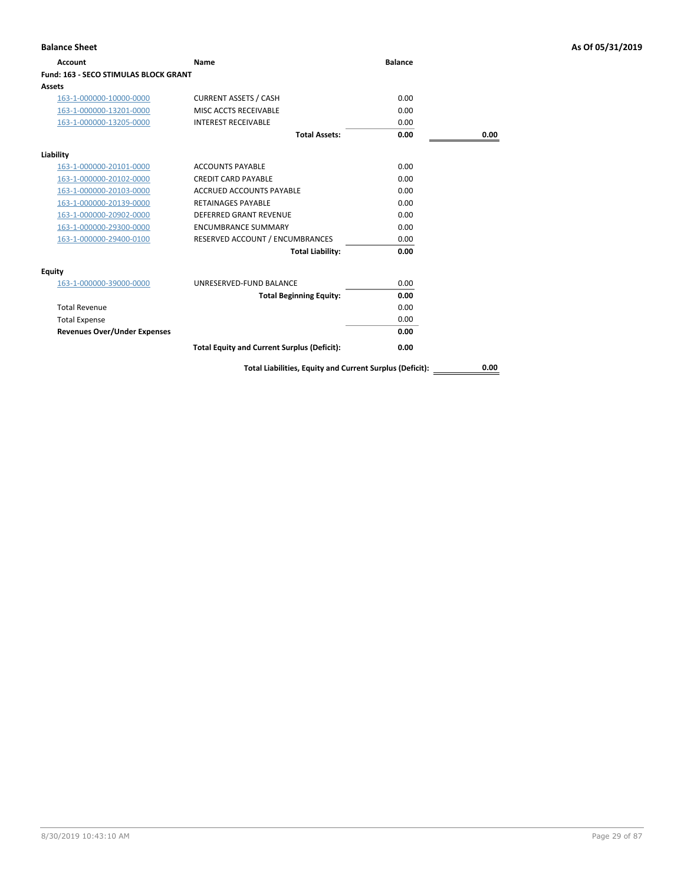| Account                                      | Name                                                     | <b>Balance</b> |      |
|----------------------------------------------|----------------------------------------------------------|----------------|------|
| <b>Fund: 163 - SECO STIMULAS BLOCK GRANT</b> |                                                          |                |      |
| Assets                                       |                                                          |                |      |
| 163-1-000000-10000-0000                      | <b>CURRENT ASSETS / CASH</b>                             | 0.00           |      |
| 163-1-000000-13201-0000                      | MISC ACCTS RECEIVABLE                                    | 0.00           |      |
| 163-1-000000-13205-0000                      | <b>INTEREST RECEIVABLE</b>                               | 0.00           |      |
|                                              | <b>Total Assets:</b>                                     | 0.00           | 0.00 |
| Liability                                    |                                                          |                |      |
| 163-1-000000-20101-0000                      | <b>ACCOUNTS PAYABLE</b>                                  | 0.00           |      |
| 163-1-000000-20102-0000                      | <b>CREDIT CARD PAYABLE</b>                               | 0.00           |      |
| 163-1-000000-20103-0000                      | <b>ACCRUED ACCOUNTS PAYABLE</b>                          | 0.00           |      |
| 163-1-000000-20139-0000                      | <b>RETAINAGES PAYABLE</b>                                | 0.00           |      |
| 163-1-000000-20902-0000                      | <b>DEFERRED GRANT REVENUE</b>                            | 0.00           |      |
| 163-1-000000-29300-0000                      | <b>ENCUMBRANCE SUMMARY</b>                               | 0.00           |      |
| 163-1-000000-29400-0100                      | RESERVED ACCOUNT / ENCUMBRANCES                          | 0.00           |      |
|                                              | <b>Total Liability:</b>                                  | 0.00           |      |
| Equity                                       |                                                          |                |      |
| 163-1-000000-39000-0000                      | UNRESERVED-FUND BALANCE                                  | 0.00           |      |
|                                              | <b>Total Beginning Equity:</b>                           | 0.00           |      |
| <b>Total Revenue</b>                         |                                                          | 0.00           |      |
| <b>Total Expense</b>                         |                                                          | 0.00           |      |
| <b>Revenues Over/Under Expenses</b>          |                                                          | 0.00           |      |
|                                              | <b>Total Equity and Current Surplus (Deficit):</b>       | 0.00           |      |
|                                              | Total Liabilities, Equity and Current Surplus (Deficit): |                | 0.00 |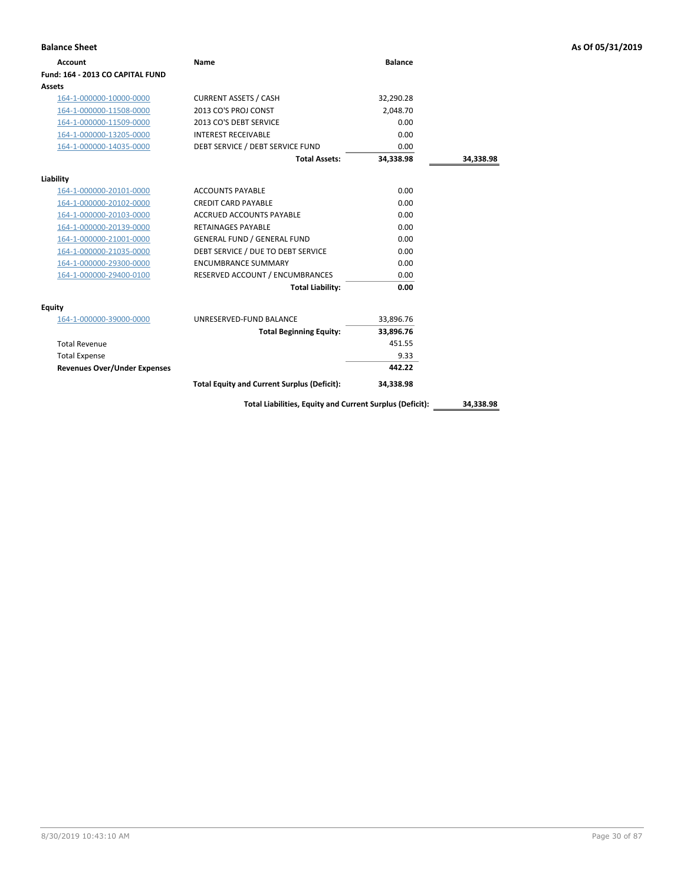| <b>Balance Sheet</b>                |                                                          |                |           | As Of 05/31/2019 |
|-------------------------------------|----------------------------------------------------------|----------------|-----------|------------------|
| <b>Account</b>                      | Name                                                     | <b>Balance</b> |           |                  |
| Fund: 164 - 2013 CO CAPITAL FUND    |                                                          |                |           |                  |
| <b>Assets</b>                       |                                                          |                |           |                  |
| 164-1-000000-10000-0000             | <b>CURRENT ASSETS / CASH</b>                             | 32,290.28      |           |                  |
| 164-1-000000-11508-0000             | 2013 CO'S PROJ CONST                                     | 2,048.70       |           |                  |
| 164-1-000000-11509-0000             | 2013 CO'S DEBT SERVICE                                   | 0.00           |           |                  |
| 164-1-000000-13205-0000             | <b>INTEREST RECEIVABLE</b>                               | 0.00           |           |                  |
| 164-1-000000-14035-0000             | DEBT SERVICE / DEBT SERVICE FUND                         | 0.00           |           |                  |
|                                     | <b>Total Assets:</b>                                     | 34,338.98      | 34,338.98 |                  |
| Liability                           |                                                          |                |           |                  |
| 164-1-000000-20101-0000             | <b>ACCOUNTS PAYABLE</b>                                  | 0.00           |           |                  |
| 164-1-000000-20102-0000             | <b>CREDIT CARD PAYABLE</b>                               | 0.00           |           |                  |
| 164-1-000000-20103-0000             | ACCRUED ACCOUNTS PAYABLE                                 | 0.00           |           |                  |
| 164-1-000000-20139-0000             | <b>RETAINAGES PAYABLE</b>                                | 0.00           |           |                  |
| 164-1-000000-21001-0000             | <b>GENERAL FUND / GENERAL FUND</b>                       | 0.00           |           |                  |
| 164-1-000000-21035-0000             | DEBT SERVICE / DUE TO DEBT SERVICE                       | 0.00           |           |                  |
| 164-1-000000-29300-0000             | <b>ENCUMBRANCE SUMMARY</b>                               | 0.00           |           |                  |
| 164-1-000000-29400-0100             | RESERVED ACCOUNT / ENCUMBRANCES                          | 0.00           |           |                  |
|                                     | <b>Total Liability:</b>                                  | 0.00           |           |                  |
| <b>Equity</b>                       |                                                          |                |           |                  |
| 164-1-000000-39000-0000             | UNRESERVED-FUND BALANCE                                  | 33,896.76      |           |                  |
|                                     | <b>Total Beginning Equity:</b>                           | 33,896.76      |           |                  |
| <b>Total Revenue</b>                |                                                          | 451.55         |           |                  |
| <b>Total Expense</b>                |                                                          | 9.33           |           |                  |
| <b>Revenues Over/Under Expenses</b> |                                                          | 442.22         |           |                  |
|                                     | <b>Total Equity and Current Surplus (Deficit):</b>       | 34,338.98      |           |                  |
|                                     | Total Liabilities, Equity and Current Surplus (Deficit): |                | 34,338.98 |                  |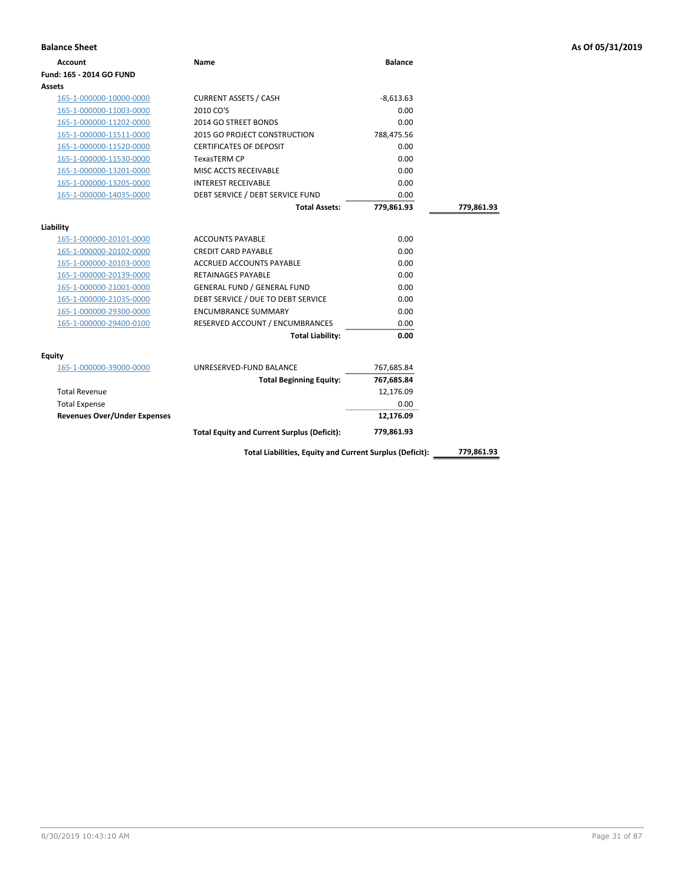| <b>Account</b>                      | Name                                               | <b>Balance</b> |            |
|-------------------------------------|----------------------------------------------------|----------------|------------|
| Fund: 165 - 2014 GO FUND            |                                                    |                |            |
| Assets                              |                                                    |                |            |
| 165-1-000000-10000-0000             | <b>CURRENT ASSETS / CASH</b>                       | $-8,613.63$    |            |
| 165-1-000000-11003-0000             | 2010 CO'S                                          | 0.00           |            |
| 165-1-000000-11202-0000             | 2014 GO STREET BONDS                               | 0.00           |            |
| 165-1-000000-11511-0000             | 2015 GO PROJECT CONSTRUCTION                       | 788,475.56     |            |
| 165-1-000000-11520-0000             | <b>CERTIFICATES OF DEPOSIT</b>                     | 0.00           |            |
| 165-1-000000-11530-0000             | <b>TexasTERM CP</b>                                | 0.00           |            |
| 165-1-000000-13201-0000             | MISC ACCTS RECEIVABLE                              | 0.00           |            |
| 165-1-000000-13205-0000             | <b>INTEREST RECEIVABLE</b>                         | 0.00           |            |
| 165-1-000000-14035-0000             | DEBT SERVICE / DEBT SERVICE FUND                   | 0.00           |            |
|                                     | <b>Total Assets:</b>                               | 779,861.93     | 779,861.93 |
|                                     |                                                    |                |            |
| Liability                           |                                                    |                |            |
| 165-1-000000-20101-0000             | ACCOUNTS PAYABLE                                   | 0.00           |            |
| 165-1-000000-20102-0000             | <b>CREDIT CARD PAYABLE</b>                         | 0.00           |            |
| 165-1-000000-20103-0000             | <b>ACCRUED ACCOUNTS PAYABLE</b>                    | 0.00           |            |
| 165-1-000000-20139-0000             | <b>RETAINAGES PAYABLE</b>                          | 0.00           |            |
| 165-1-000000-21001-0000             | <b>GENERAL FUND / GENERAL FUND</b>                 | 0.00           |            |
| 165-1-000000-21035-0000             | DEBT SERVICE / DUE TO DEBT SERVICE                 | 0.00           |            |
| 165-1-000000-29300-0000             | <b>ENCUMBRANCE SUMMARY</b>                         | 0.00           |            |
| 165-1-000000-29400-0100             | RESERVED ACCOUNT / ENCUMBRANCES                    | 0.00           |            |
|                                     | <b>Total Liability:</b>                            | 0.00           |            |
| Equity                              |                                                    |                |            |
| 165-1-000000-39000-0000             | UNRESERVED-FUND BALANCE                            | 767,685.84     |            |
|                                     | <b>Total Beginning Equity:</b>                     | 767,685.84     |            |
| <b>Total Revenue</b>                |                                                    | 12,176.09      |            |
| <b>Total Expense</b>                |                                                    | 0.00           |            |
| <b>Revenues Over/Under Expenses</b> |                                                    | 12,176.09      |            |
|                                     | <b>Total Equity and Current Surplus (Deficit):</b> | 779,861.93     |            |

**Balance Sheet As Of 05/31/2019**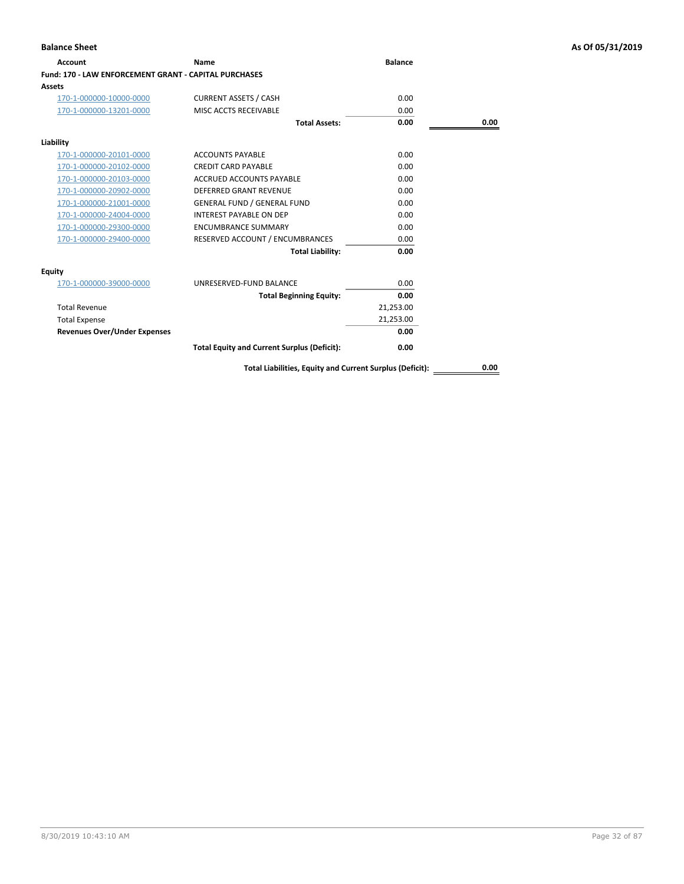| <b>Account</b>                                               | Name                                                     | <b>Balance</b> |      |
|--------------------------------------------------------------|----------------------------------------------------------|----------------|------|
| <b>Fund: 170 - LAW ENFORCEMENT GRANT - CAPITAL PURCHASES</b> |                                                          |                |      |
| <b>Assets</b>                                                |                                                          |                |      |
| 170-1-000000-10000-0000                                      | <b>CURRENT ASSETS / CASH</b>                             | 0.00           |      |
| 170-1-000000-13201-0000                                      | MISC ACCTS RECEIVABLE                                    | 0.00           |      |
|                                                              | <b>Total Assets:</b>                                     | 0.00           | 0.00 |
| Liability                                                    |                                                          |                |      |
| 170-1-000000-20101-0000                                      | <b>ACCOUNTS PAYABLE</b>                                  | 0.00           |      |
| 170-1-000000-20102-0000                                      | <b>CREDIT CARD PAYABLE</b>                               | 0.00           |      |
| 170-1-000000-20103-0000                                      | <b>ACCRUED ACCOUNTS PAYABLE</b>                          | 0.00           |      |
| 170-1-000000-20902-0000                                      | <b>DEFERRED GRANT REVENUE</b>                            | 0.00           |      |
| 170-1-000000-21001-0000                                      | <b>GENERAL FUND / GENERAL FUND</b>                       | 0.00           |      |
| 170-1-000000-24004-0000                                      | <b>INTEREST PAYABLE ON DEP</b>                           | 0.00           |      |
| 170-1-000000-29300-0000                                      | <b>ENCUMBRANCE SUMMARY</b>                               | 0.00           |      |
| 170-1-000000-29400-0000                                      | RESERVED ACCOUNT / ENCUMBRANCES                          | 0.00           |      |
|                                                              | <b>Total Liability:</b>                                  | 0.00           |      |
| Equity                                                       |                                                          |                |      |
| 170-1-000000-39000-0000                                      | UNRESERVED-FUND BALANCE                                  | 0.00           |      |
|                                                              | <b>Total Beginning Equity:</b>                           | 0.00           |      |
| <b>Total Revenue</b>                                         |                                                          | 21,253.00      |      |
| <b>Total Expense</b>                                         |                                                          | 21,253.00      |      |
| <b>Revenues Over/Under Expenses</b>                          |                                                          | 0.00           |      |
|                                                              | <b>Total Equity and Current Surplus (Deficit):</b>       | 0.00           |      |
|                                                              | Total Liabilities, Equity and Current Surplus (Deficit): |                | 0.00 |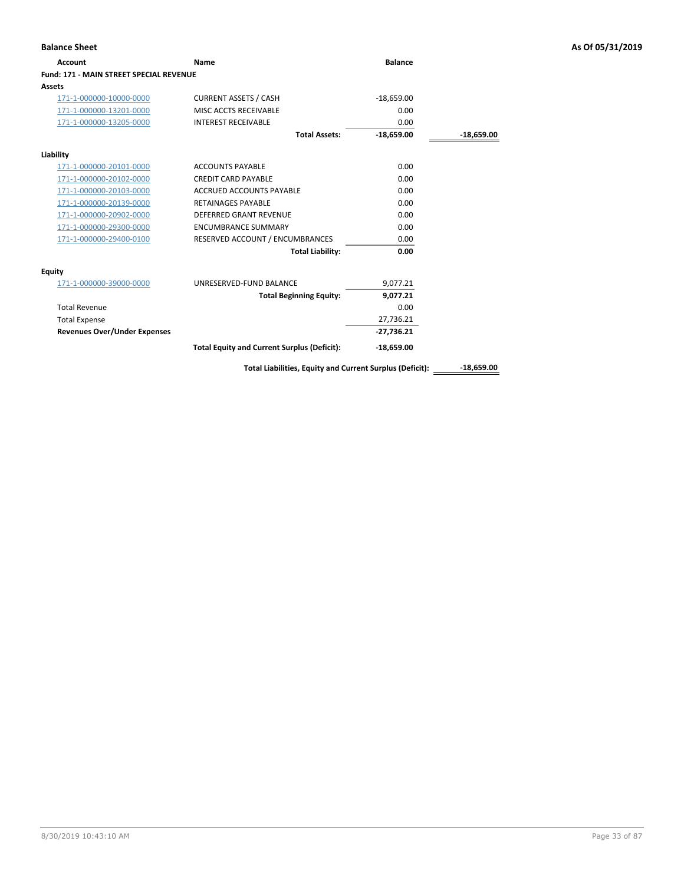| <b>Balance Sheet</b>                    |                                                          |                |              | As Of 05/31/2019 |
|-----------------------------------------|----------------------------------------------------------|----------------|--------------|------------------|
| <b>Account</b>                          | Name                                                     | <b>Balance</b> |              |                  |
| Fund: 171 - MAIN STREET SPECIAL REVENUE |                                                          |                |              |                  |
| <b>Assets</b>                           |                                                          |                |              |                  |
| 171-1-000000-10000-0000                 | <b>CURRENT ASSETS / CASH</b>                             | $-18,659.00$   |              |                  |
| 171-1-000000-13201-0000                 | MISC ACCTS RECEIVABLE                                    | 0.00           |              |                  |
| 171-1-000000-13205-0000                 | <b>INTEREST RECEIVABLE</b>                               | 0.00           |              |                  |
|                                         | <b>Total Assets:</b>                                     | $-18,659.00$   | $-18,659.00$ |                  |
| Liability                               |                                                          |                |              |                  |
| 171-1-000000-20101-0000                 | <b>ACCOUNTS PAYABLE</b>                                  | 0.00           |              |                  |
| 171-1-000000-20102-0000                 | <b>CREDIT CARD PAYABLE</b>                               | 0.00           |              |                  |
| 171-1-000000-20103-0000                 | ACCRUED ACCOUNTS PAYABLE                                 | 0.00           |              |                  |
| 171-1-000000-20139-0000                 | <b>RETAINAGES PAYABLE</b>                                | 0.00           |              |                  |
| 171-1-000000-20902-0000                 | DEFERRED GRANT REVENUE                                   | 0.00           |              |                  |
| 171-1-000000-29300-0000                 | <b>ENCUMBRANCE SUMMARY</b>                               | 0.00           |              |                  |
| 171-1-000000-29400-0100                 | RESERVED ACCOUNT / ENCUMBRANCES                          | 0.00           |              |                  |
|                                         | <b>Total Liability:</b>                                  | 0.00           |              |                  |
| <b>Equity</b>                           |                                                          |                |              |                  |
| 171-1-000000-39000-0000                 | UNRESERVED-FUND BALANCE                                  | 9,077.21       |              |                  |
|                                         | <b>Total Beginning Equity:</b>                           | 9,077.21       |              |                  |
| <b>Total Revenue</b>                    |                                                          | 0.00           |              |                  |
| <b>Total Expense</b>                    |                                                          | 27,736.21      |              |                  |
| <b>Revenues Over/Under Expenses</b>     |                                                          | $-27,736.21$   |              |                  |
|                                         | <b>Total Equity and Current Surplus (Deficit):</b>       | $-18,659.00$   |              |                  |
|                                         | Total Liabilities, Equity and Current Surplus (Deficit): |                | $-18,659.00$ |                  |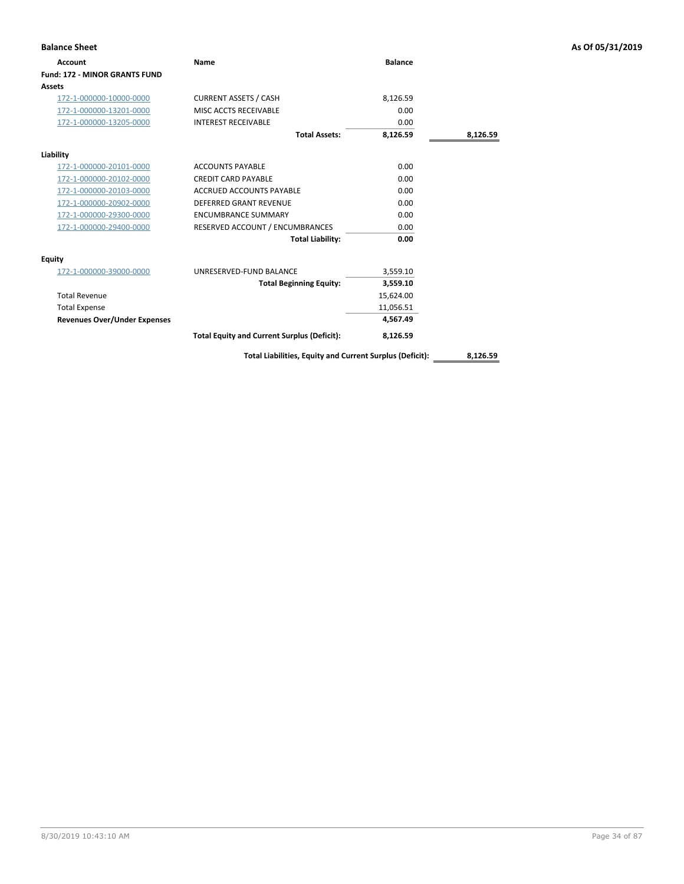| <b>Balance Sheet</b>                 |                                                    |                |          | As Of 05/31/2019 |
|--------------------------------------|----------------------------------------------------|----------------|----------|------------------|
| <b>Account</b>                       | Name                                               | <b>Balance</b> |          |                  |
| <b>Fund: 172 - MINOR GRANTS FUND</b> |                                                    |                |          |                  |
| <b>Assets</b>                        |                                                    |                |          |                  |
| 172-1-000000-10000-0000              | <b>CURRENT ASSETS / CASH</b>                       | 8,126.59       |          |                  |
| 172-1-000000-13201-0000              | MISC ACCTS RECEIVABLE                              | 0.00           |          |                  |
| 172-1-000000-13205-0000              | <b>INTEREST RECEIVABLE</b>                         | 0.00           |          |                  |
|                                      | <b>Total Assets:</b>                               | 8,126.59       | 8,126.59 |                  |
| Liability                            |                                                    |                |          |                  |
| 172-1-000000-20101-0000              | <b>ACCOUNTS PAYABLE</b>                            | 0.00           |          |                  |
| 172-1-000000-20102-0000              | <b>CREDIT CARD PAYABLE</b>                         | 0.00           |          |                  |
| 172-1-000000-20103-0000              | <b>ACCRUED ACCOUNTS PAYABLE</b>                    | 0.00           |          |                  |
| 172-1-000000-20902-0000              | <b>DEFERRED GRANT REVENUE</b>                      | 0.00           |          |                  |
| 172-1-000000-29300-0000              | <b>ENCUMBRANCE SUMMARY</b>                         | 0.00           |          |                  |
| 172-1-000000-29400-0000              | RESERVED ACCOUNT / ENCUMBRANCES                    | 0.00           |          |                  |
|                                      | <b>Total Liability:</b>                            | 0.00           |          |                  |
| <b>Equity</b>                        |                                                    |                |          |                  |
| 172-1-000000-39000-0000              | UNRESERVED-FUND BALANCE                            | 3,559.10       |          |                  |
|                                      | <b>Total Beginning Equity:</b>                     | 3,559.10       |          |                  |
| <b>Total Revenue</b>                 |                                                    | 15,624.00      |          |                  |
| <b>Total Expense</b>                 |                                                    | 11,056.51      |          |                  |
| <b>Revenues Over/Under Expenses</b>  |                                                    | 4,567.49       |          |                  |
|                                      | <b>Total Equity and Current Surplus (Deficit):</b> | 8,126.59       |          |                  |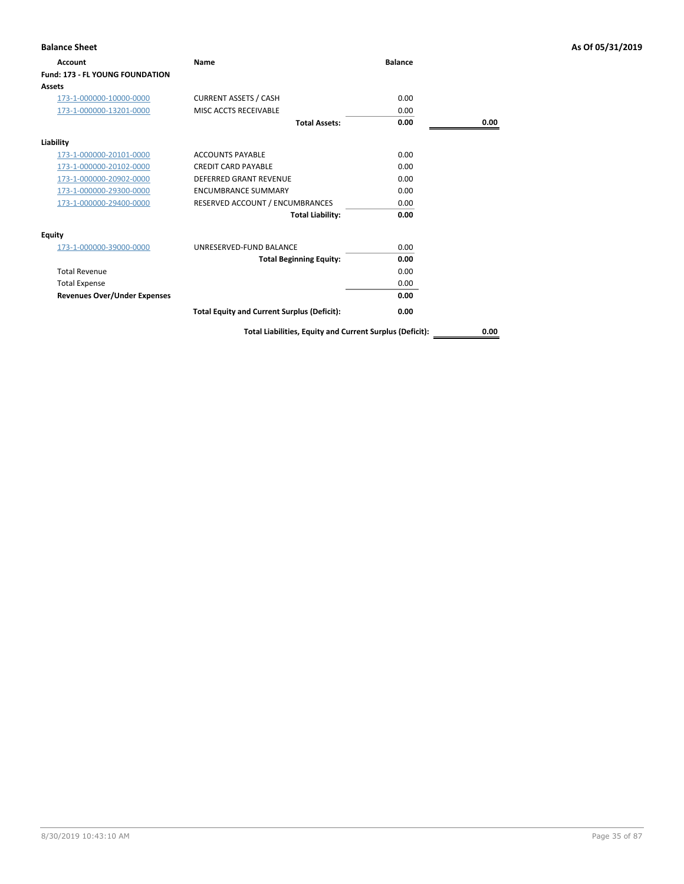| <b>Balance Sheet</b>                   |                                                          |                |      | As Of 05/31/2019 |
|----------------------------------------|----------------------------------------------------------|----------------|------|------------------|
| Account                                | Name                                                     | <b>Balance</b> |      |                  |
| <b>Fund: 173 - FL YOUNG FOUNDATION</b> |                                                          |                |      |                  |
| Assets                                 |                                                          |                |      |                  |
| 173-1-000000-10000-0000                | <b>CURRENT ASSETS / CASH</b>                             | 0.00           |      |                  |
| 173-1-000000-13201-0000                | MISC ACCTS RECEIVABLE                                    | 0.00           |      |                  |
|                                        | <b>Total Assets:</b>                                     | 0.00           | 0.00 |                  |
| Liability                              |                                                          |                |      |                  |
| 173-1-000000-20101-0000                | <b>ACCOUNTS PAYABLE</b>                                  | 0.00           |      |                  |
| 173-1-000000-20102-0000                | <b>CREDIT CARD PAYABLE</b>                               | 0.00           |      |                  |
| 173-1-000000-20902-0000                | <b>DEFERRED GRANT REVENUE</b>                            | 0.00           |      |                  |
| 173-1-000000-29300-0000                | <b>ENCUMBRANCE SUMMARY</b>                               | 0.00           |      |                  |
| 173-1-000000-29400-0000                | RESERVED ACCOUNT / ENCUMBRANCES                          | 0.00           |      |                  |
|                                        | <b>Total Liability:</b>                                  | 0.00           |      |                  |
| <b>Equity</b>                          |                                                          |                |      |                  |
| 173-1-000000-39000-0000                | UNRESERVED-FUND BALANCE                                  | 0.00           |      |                  |
|                                        | <b>Total Beginning Equity:</b>                           | 0.00           |      |                  |
| <b>Total Revenue</b>                   |                                                          | 0.00           |      |                  |
| <b>Total Expense</b>                   |                                                          | 0.00           |      |                  |
| <b>Revenues Over/Under Expenses</b>    |                                                          | 0.00           |      |                  |
|                                        | <b>Total Equity and Current Surplus (Deficit):</b>       | 0.00           |      |                  |
|                                        | Total Liabilities, Equity and Current Surplus (Deficit): |                | 0.00 |                  |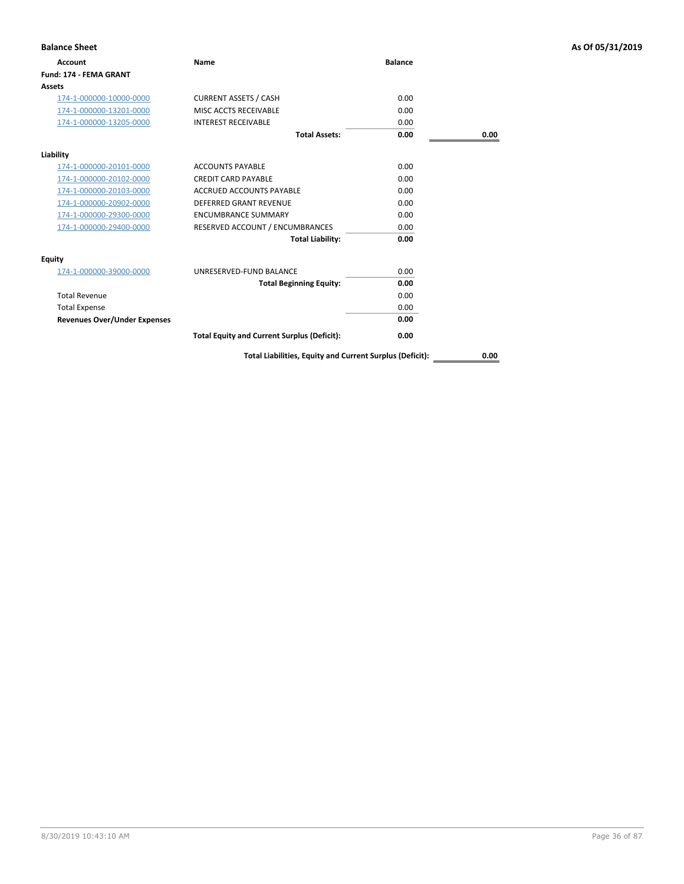| <b>Balance Sheet</b>                |                                                    |                |      | As Of 05/31/2019 |
|-------------------------------------|----------------------------------------------------|----------------|------|------------------|
| <b>Account</b>                      | Name                                               | <b>Balance</b> |      |                  |
| Fund: 174 - FEMA GRANT              |                                                    |                |      |                  |
| <b>Assets</b>                       |                                                    |                |      |                  |
| 174-1-000000-10000-0000             | <b>CURRENT ASSETS / CASH</b>                       | 0.00           |      |                  |
| 174-1-000000-13201-0000             | MISC ACCTS RECEIVABLE                              | 0.00           |      |                  |
| 174-1-000000-13205-0000             | <b>INTEREST RECEIVABLE</b>                         | 0.00           |      |                  |
|                                     | <b>Total Assets:</b>                               | 0.00           | 0.00 |                  |
| Liability                           |                                                    |                |      |                  |
| 174-1-000000-20101-0000             | <b>ACCOUNTS PAYABLE</b>                            | 0.00           |      |                  |
| 174-1-000000-20102-0000             | <b>CREDIT CARD PAYABLE</b>                         | 0.00           |      |                  |
| 174-1-000000-20103-0000             | <b>ACCRUED ACCOUNTS PAYABLE</b>                    | 0.00           |      |                  |
| 174-1-000000-20902-0000             | DEFERRED GRANT REVENUE                             | 0.00           |      |                  |
| 174-1-000000-29300-0000             | <b>ENCUMBRANCE SUMMARY</b>                         | 0.00           |      |                  |
| 174-1-000000-29400-0000             | RESERVED ACCOUNT / ENCUMBRANCES                    | 0.00           |      |                  |
|                                     | <b>Total Liability:</b>                            | 0.00           |      |                  |
| <b>Equity</b>                       |                                                    |                |      |                  |
| 174-1-000000-39000-0000             | UNRESERVED-FUND BALANCE                            | 0.00           |      |                  |
|                                     | <b>Total Beginning Equity:</b>                     | 0.00           |      |                  |
| <b>Total Revenue</b>                |                                                    | 0.00           |      |                  |
| <b>Total Expense</b>                |                                                    | 0.00           |      |                  |
| <b>Revenues Over/Under Expenses</b> |                                                    | 0.00           |      |                  |
|                                     | <b>Total Equity and Current Surplus (Deficit):</b> | 0.00           |      |                  |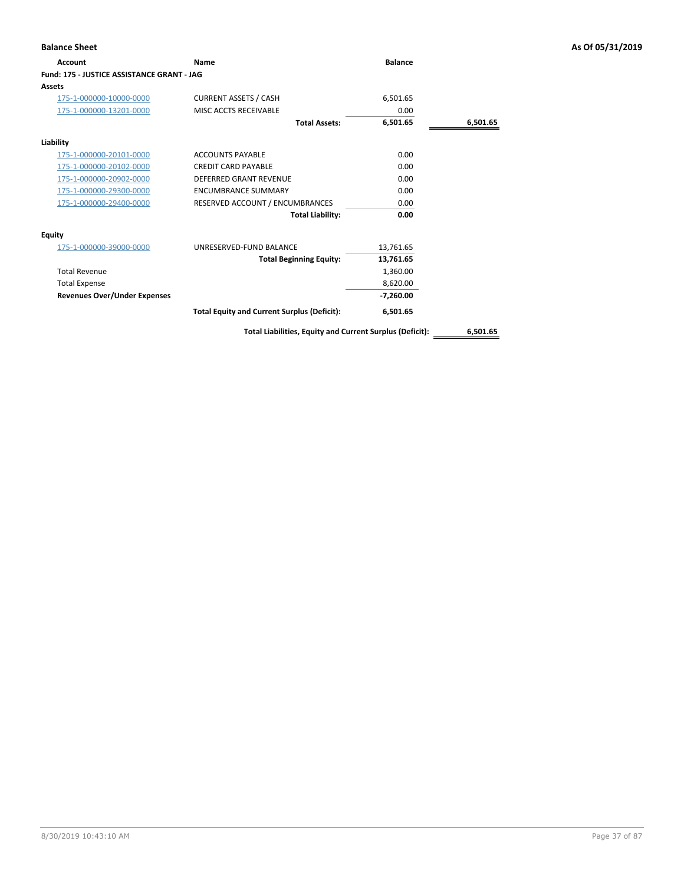| <b>Balance Sheet</b>                       |                                                    |                |          | As Of 05/31/2019 |
|--------------------------------------------|----------------------------------------------------|----------------|----------|------------------|
| <b>Account</b>                             | Name                                               | <b>Balance</b> |          |                  |
| Fund: 175 - JUSTICE ASSISTANCE GRANT - JAG |                                                    |                |          |                  |
| <b>Assets</b>                              |                                                    |                |          |                  |
| 175-1-000000-10000-0000                    | <b>CURRENT ASSETS / CASH</b>                       | 6,501.65       |          |                  |
| 175-1-000000-13201-0000                    | MISC ACCTS RECEIVABLE                              | 0.00           |          |                  |
|                                            | <b>Total Assets:</b>                               | 6,501.65       | 6,501.65 |                  |
| Liability                                  |                                                    |                |          |                  |
| 175-1-000000-20101-0000                    | <b>ACCOUNTS PAYABLE</b>                            | 0.00           |          |                  |
| 175-1-000000-20102-0000                    | <b>CREDIT CARD PAYABLE</b>                         | 0.00           |          |                  |
| 175-1-000000-20902-0000                    | <b>DEFERRED GRANT REVENUE</b>                      | 0.00           |          |                  |
| 175-1-000000-29300-0000                    | <b>ENCUMBRANCE SUMMARY</b>                         | 0.00           |          |                  |
| 175-1-000000-29400-0000                    | RESERVED ACCOUNT / ENCUMBRANCES                    | 0.00           |          |                  |
|                                            | <b>Total Liability:</b>                            | 0.00           |          |                  |
| <b>Equity</b>                              |                                                    |                |          |                  |
| 175-1-000000-39000-0000                    | UNRESERVED-FUND BALANCE                            | 13,761.65      |          |                  |
|                                            | <b>Total Beginning Equity:</b>                     | 13,761.65      |          |                  |
| <b>Total Revenue</b>                       |                                                    | 1,360.00       |          |                  |
| <b>Total Expense</b>                       |                                                    | 8,620.00       |          |                  |
| <b>Revenues Over/Under Expenses</b>        |                                                    | $-7,260.00$    |          |                  |
|                                            | <b>Total Equity and Current Surplus (Deficit):</b> | 6,501.65       |          |                  |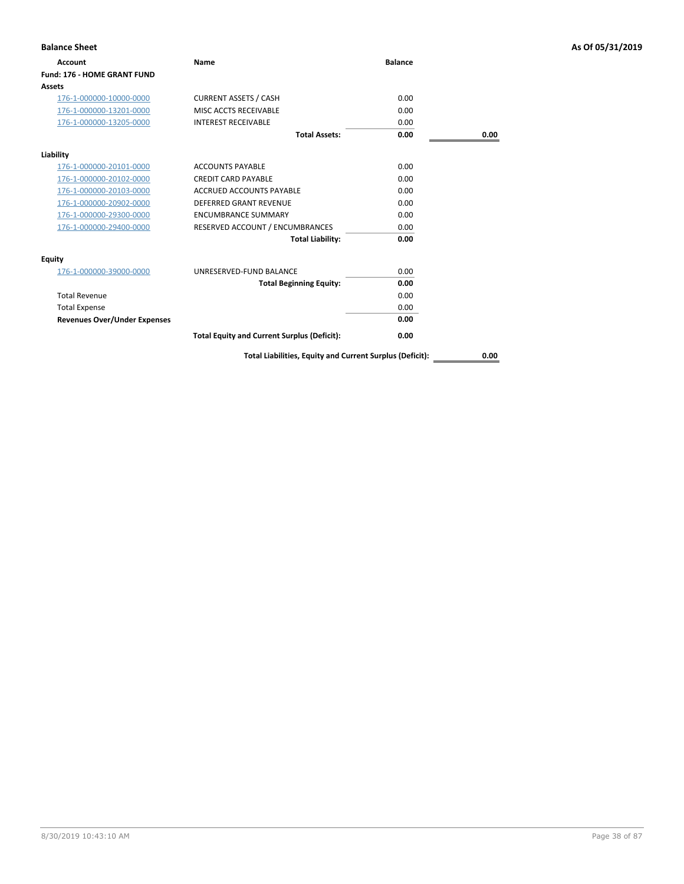| <b>Balance Sheet</b>                |                                                    |                |      | As Of 05/31/2019 |
|-------------------------------------|----------------------------------------------------|----------------|------|------------------|
| <b>Account</b>                      | Name                                               | <b>Balance</b> |      |                  |
| <b>Fund: 176 - HOME GRANT FUND</b>  |                                                    |                |      |                  |
| <b>Assets</b>                       |                                                    |                |      |                  |
| 176-1-000000-10000-0000             | <b>CURRENT ASSETS / CASH</b>                       | 0.00           |      |                  |
| 176-1-000000-13201-0000             | MISC ACCTS RECEIVABLE                              | 0.00           |      |                  |
| 176-1-000000-13205-0000             | <b>INTEREST RECEIVABLE</b>                         | 0.00           |      |                  |
|                                     | <b>Total Assets:</b>                               | 0.00           | 0.00 |                  |
| Liability                           |                                                    |                |      |                  |
| 176-1-000000-20101-0000             | <b>ACCOUNTS PAYABLE</b>                            | 0.00           |      |                  |
| 176-1-000000-20102-0000             | <b>CREDIT CARD PAYABLE</b>                         | 0.00           |      |                  |
| 176-1-000000-20103-0000             | ACCRUED ACCOUNTS PAYABLE                           | 0.00           |      |                  |
| 176-1-000000-20902-0000             | <b>DEFERRED GRANT REVENUE</b>                      | 0.00           |      |                  |
| 176-1-000000-29300-0000             | <b>ENCUMBRANCE SUMMARY</b>                         | 0.00           |      |                  |
| 176-1-000000-29400-0000             | RESERVED ACCOUNT / ENCUMBRANCES                    | 0.00           |      |                  |
|                                     | <b>Total Liability:</b>                            | 0.00           |      |                  |
| Equity                              |                                                    |                |      |                  |
| 176-1-000000-39000-0000             | UNRESERVED-FUND BALANCE                            | 0.00           |      |                  |
|                                     | <b>Total Beginning Equity:</b>                     | 0.00           |      |                  |
| <b>Total Revenue</b>                |                                                    | 0.00           |      |                  |
| <b>Total Expense</b>                |                                                    | 0.00           |      |                  |
| <b>Revenues Over/Under Expenses</b> |                                                    | 0.00           |      |                  |
|                                     | <b>Total Equity and Current Surplus (Deficit):</b> | 0.00           |      |                  |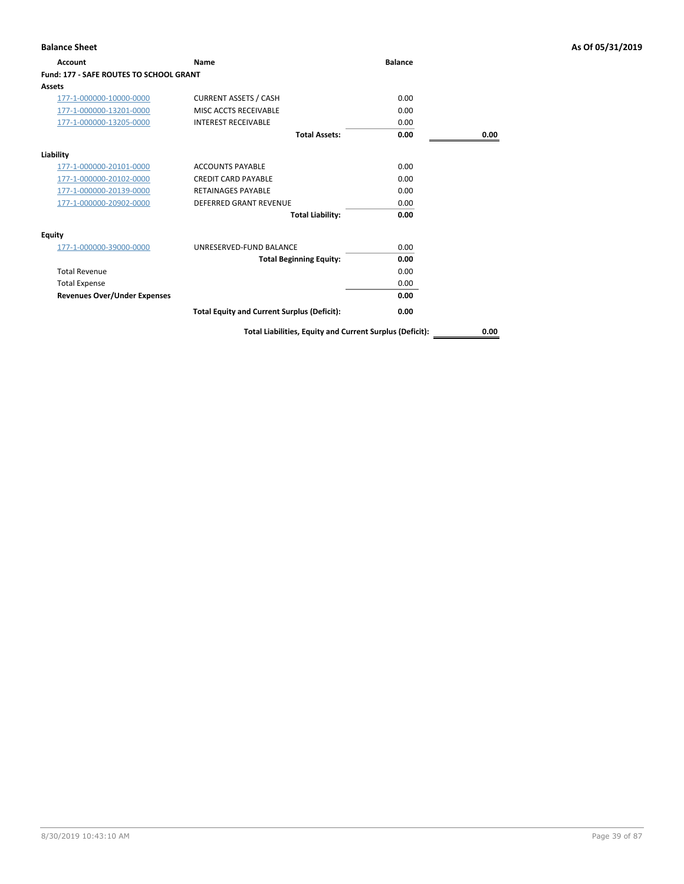| Account                                        | <b>Name</b>                                        | <b>Balance</b> |      |
|------------------------------------------------|----------------------------------------------------|----------------|------|
| <b>Fund: 177 - SAFE ROUTES TO SCHOOL GRANT</b> |                                                    |                |      |
| Assets                                         |                                                    |                |      |
| 177-1-000000-10000-0000                        | <b>CURRENT ASSETS / CASH</b>                       | 0.00           |      |
| 177-1-000000-13201-0000                        | MISC ACCTS RECEIVABLE                              | 0.00           |      |
| 177-1-000000-13205-0000                        | <b>INTEREST RECEIVABLE</b>                         | 0.00           |      |
|                                                | <b>Total Assets:</b>                               | 0.00           | 0.00 |
| Liability                                      |                                                    |                |      |
| 177-1-000000-20101-0000                        | <b>ACCOUNTS PAYABLE</b>                            | 0.00           |      |
| 177-1-000000-20102-0000                        | <b>CREDIT CARD PAYABLE</b>                         | 0.00           |      |
| 177-1-000000-20139-0000                        | <b>RETAINAGES PAYABLE</b>                          | 0.00           |      |
| 177-1-000000-20902-0000                        | <b>DEFERRED GRANT REVENUE</b>                      | 0.00           |      |
|                                                | <b>Total Liability:</b>                            | 0.00           |      |
| Equity                                         |                                                    |                |      |
| 177-1-000000-39000-0000                        | UNRESERVED-FUND BALANCE                            | 0.00           |      |
|                                                | <b>Total Beginning Equity:</b>                     | 0.00           |      |
| <b>Total Revenue</b>                           |                                                    | 0.00           |      |
| <b>Total Expense</b>                           |                                                    | 0.00           |      |
| <b>Revenues Over/Under Expenses</b>            |                                                    | 0.00           |      |
|                                                | <b>Total Equity and Current Surplus (Deficit):</b> | 0.00           |      |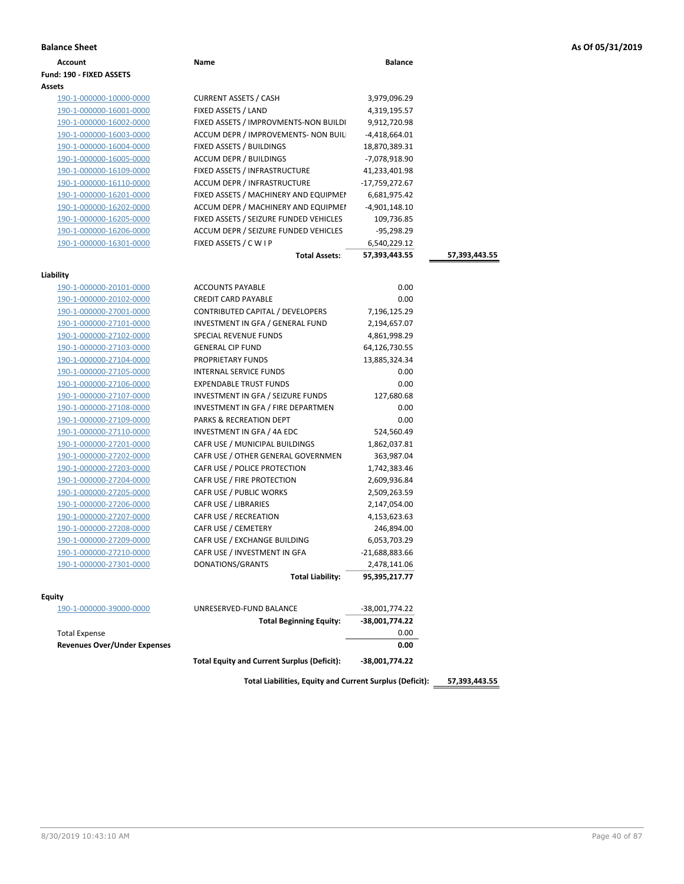|  |  |  |  | As Of 05/31/2019 |
|--|--|--|--|------------------|
|--|--|--|--|------------------|

| <b>Balance Sheet</b>                |                                                    |                  |               | As Of 05/31/2019 |
|-------------------------------------|----------------------------------------------------|------------------|---------------|------------------|
| <b>Account</b>                      | Name                                               | <b>Balance</b>   |               |                  |
| Fund: 190 - FIXED ASSETS            |                                                    |                  |               |                  |
| Assets                              |                                                    |                  |               |                  |
| 190-1-000000-10000-0000             | <b>CURRENT ASSETS / CASH</b>                       | 3,979,096.29     |               |                  |
| 190-1-000000-16001-0000             | FIXED ASSETS / LAND                                | 4,319,195.57     |               |                  |
| 190-1-000000-16002-0000             | FIXED ASSETS / IMPROVMENTS-NON BUILDI              | 9,912,720.98     |               |                  |
| 190-1-000000-16003-0000             | ACCUM DEPR / IMPROVEMENTS- NON BUIL                | -4,418,664.01    |               |                  |
| 190-1-000000-16004-0000             | FIXED ASSETS / BUILDINGS                           | 18,870,389.31    |               |                  |
| 190-1-000000-16005-0000             | ACCUM DEPR / BUILDINGS                             | -7,078,918.90    |               |                  |
| 190-1-000000-16109-0000             | FIXED ASSETS / INFRASTRUCTURE                      | 41,233,401.98    |               |                  |
| 190-1-000000-16110-0000             | ACCUM DEPR / INFRASTRUCTURE                        | -17,759,272.67   |               |                  |
| 190-1-000000-16201-0000             | FIXED ASSETS / MACHINERY AND EQUIPMEN              | 6,681,975.42     |               |                  |
| 190-1-000000-16202-0000             | ACCUM DEPR / MACHINERY AND EQUIPMEI                | -4,901,148.10    |               |                  |
| 190-1-000000-16205-0000             | FIXED ASSETS / SEIZURE FUNDED VEHICLES             | 109,736.85       |               |                  |
| 190-1-000000-16206-0000             | ACCUM DEPR / SEIZURE FUNDED VEHICLES               | $-95,298.29$     |               |                  |
| 190-1-000000-16301-0000             | FIXED ASSETS / C W I P                             | 6,540,229.12     |               |                  |
|                                     | <b>Total Assets:</b>                               | 57,393,443.55    | 57,393,443.55 |                  |
|                                     |                                                    |                  |               |                  |
| Liability                           |                                                    |                  |               |                  |
| 190-1-000000-20101-0000             | <b>ACCOUNTS PAYABLE</b>                            | 0.00             |               |                  |
| 190-1-000000-20102-0000             | <b>CREDIT CARD PAYABLE</b>                         | 0.00             |               |                  |
| 190-1-000000-27001-0000             | CONTRIBUTED CAPITAL / DEVELOPERS                   | 7,196,125.29     |               |                  |
| 190-1-000000-27101-0000             | INVESTMENT IN GFA / GENERAL FUND                   | 2,194,657.07     |               |                  |
| 190-1-000000-27102-0000             | <b>SPECIAL REVENUE FUNDS</b>                       | 4,861,998.29     |               |                  |
| 190-1-000000-27103-0000             | <b>GENERAL CIP FUND</b>                            | 64,126,730.55    |               |                  |
| 190-1-000000-27104-0000             | PROPRIETARY FUNDS                                  | 13,885,324.34    |               |                  |
| 190-1-000000-27105-0000             | INTERNAL SERVICE FUNDS                             | 0.00             |               |                  |
| 190-1-000000-27106-0000             | <b>EXPENDABLE TRUST FUNDS</b>                      | 0.00             |               |                  |
| 190-1-000000-27107-0000             | INVESTMENT IN GFA / SEIZURE FUNDS                  | 127,680.68       |               |                  |
| 190-1-000000-27108-0000             | INVESTMENT IN GFA / FIRE DEPARTMEN                 | 0.00             |               |                  |
| 190-1-000000-27109-0000             | PARKS & RECREATION DEPT                            | 0.00             |               |                  |
| 190-1-000000-27110-0000             | INVESTMENT IN GFA / 4A EDC                         | 524,560.49       |               |                  |
| 190-1-000000-27201-0000             | CAFR USE / MUNICIPAL BUILDINGS                     | 1,862,037.81     |               |                  |
| 190-1-000000-27202-0000             | CAFR USE / OTHER GENERAL GOVERNMEN                 | 363,987.04       |               |                  |
| 190-1-000000-27203-0000             | CAFR USE / POLICE PROTECTION                       | 1,742,383.46     |               |                  |
| 190-1-000000-27204-0000             | CAFR USE / FIRE PROTECTION                         | 2,609,936.84     |               |                  |
| 190-1-000000-27205-0000             | CAFR USE / PUBLIC WORKS                            | 2,509,263.59     |               |                  |
| 190-1-000000-27206-0000             | <b>CAFR USE / LIBRARIES</b>                        | 2,147,054.00     |               |                  |
| 190-1-000000-27207-0000             | CAFR USE / RECREATION                              | 4,153,623.63     |               |                  |
| 190-1-000000-27208-0000             | CAFR USE / CEMETERY                                | 246,894.00       |               |                  |
| 190-1-000000-27209-0000             | CAFR USE / EXCHANGE BUILDING                       | 6,053,703.29     |               |                  |
| 190-1-000000-27210-0000             | CAFR USE / INVESTMENT IN GFA                       | $-21,688,883.66$ |               |                  |
| 190-1-000000-27301-0000             | DONATIONS/GRANTS                                   | 2,478,141.06     |               |                  |
|                                     | <b>Total Liability:</b>                            | 95,395,217.77    |               |                  |
| Equity                              |                                                    |                  |               |                  |
| 190-1-000000-39000-0000             | UNRESERVED-FUND BALANCE                            | -38,001,774.22   |               |                  |
|                                     | <b>Total Beginning Equity:</b>                     | -38,001,774.22   |               |                  |
| <b>Total Expense</b>                |                                                    | 0.00             |               |                  |
| <b>Revenues Over/Under Expenses</b> |                                                    | 0.00             |               |                  |
|                                     | <b>Total Equity and Current Surplus (Deficit):</b> | -38,001,774.22   |               |                  |
|                                     |                                                    |                  |               |                  |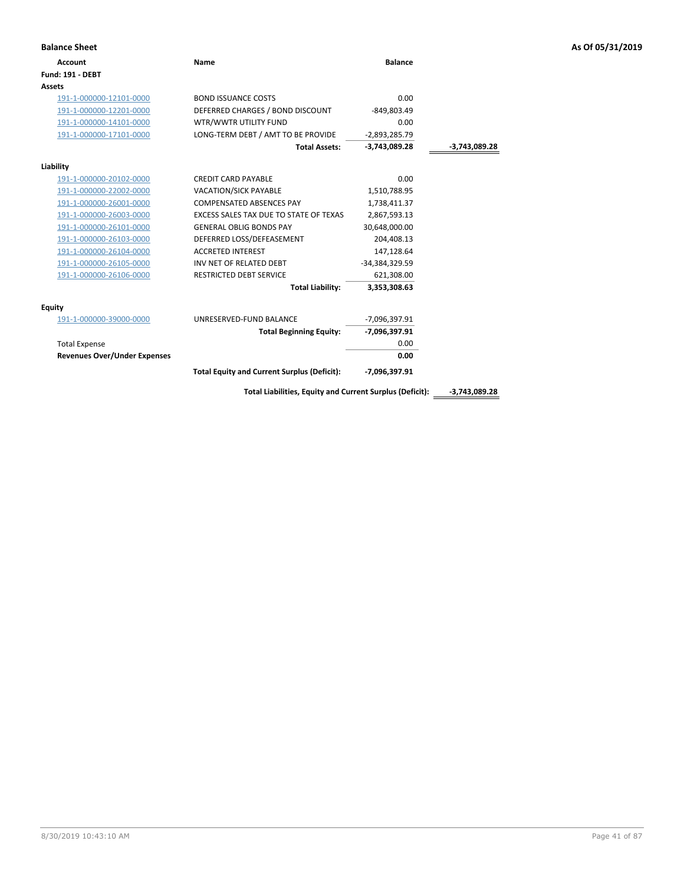| As Of 05/31/2019 |  |  |  |  |  |
|------------------|--|--|--|--|--|
|------------------|--|--|--|--|--|

| <b>Balance Sheet</b>                |                                                          |                 |                 | As Of 05/31/2019 |
|-------------------------------------|----------------------------------------------------------|-----------------|-----------------|------------------|
| <b>Account</b>                      | Name                                                     | <b>Balance</b>  |                 |                  |
| <b>Fund: 191 - DEBT</b>             |                                                          |                 |                 |                  |
| <b>Assets</b>                       |                                                          |                 |                 |                  |
| 191-1-000000-12101-0000             | <b>BOND ISSUANCE COSTS</b>                               | 0.00            |                 |                  |
| 191-1-000000-12201-0000             | DEFERRED CHARGES / BOND DISCOUNT                         | $-849,803.49$   |                 |                  |
| 191-1-000000-14101-0000             | WTR/WWTR UTILITY FUND                                    | 0.00            |                 |                  |
| 191-1-000000-17101-0000             | LONG-TERM DEBT / AMT TO BE PROVIDE                       | $-2,893,285.79$ |                 |                  |
|                                     | <b>Total Assets:</b>                                     | $-3,743,089.28$ | $-3,743,089.28$ |                  |
| Liability                           |                                                          |                 |                 |                  |
| 191-1-000000-20102-0000             | <b>CREDIT CARD PAYABLE</b>                               | 0.00            |                 |                  |
| 191-1-000000-22002-0000             | VACATION/SICK PAYABLE                                    | 1,510,788.95    |                 |                  |
| 191-1-000000-26001-0000             | COMPENSATED ABSENCES PAY                                 | 1,738,411.37    |                 |                  |
| 191-1-000000-26003-0000             | EXCESS SALES TAX DUE TO STATE OF TEXAS                   | 2,867,593.13    |                 |                  |
| 191-1-000000-26101-0000             | <b>GENERAL OBLIG BONDS PAY</b>                           | 30,648,000.00   |                 |                  |
| 191-1-000000-26103-0000             | DEFERRED LOSS/DEFEASEMENT                                | 204,408.13      |                 |                  |
| 191-1-000000-26104-0000             | <b>ACCRETED INTEREST</b>                                 | 147,128.64      |                 |                  |
| 191-1-000000-26105-0000             | INV NET OF RELATED DEBT                                  | -34,384,329.59  |                 |                  |
| 191-1-000000-26106-0000             | RESTRICTED DEBT SERVICE                                  | 621,308.00      |                 |                  |
|                                     | <b>Total Liability:</b>                                  | 3,353,308.63    |                 |                  |
| <b>Equity</b>                       |                                                          |                 |                 |                  |
| 191-1-000000-39000-0000             | UNRESERVED-FUND BALANCE                                  | -7,096,397.91   |                 |                  |
|                                     | <b>Total Beginning Equity:</b>                           | -7,096,397.91   |                 |                  |
| <b>Total Expense</b>                |                                                          | 0.00            |                 |                  |
| <b>Revenues Over/Under Expenses</b> |                                                          | 0.00            |                 |                  |
|                                     | <b>Total Equity and Current Surplus (Deficit):</b>       | -7,096,397.91   |                 |                  |
|                                     | Total Liabilities, Equity and Current Surplus (Deficit): |                 | -3,743,089.28   |                  |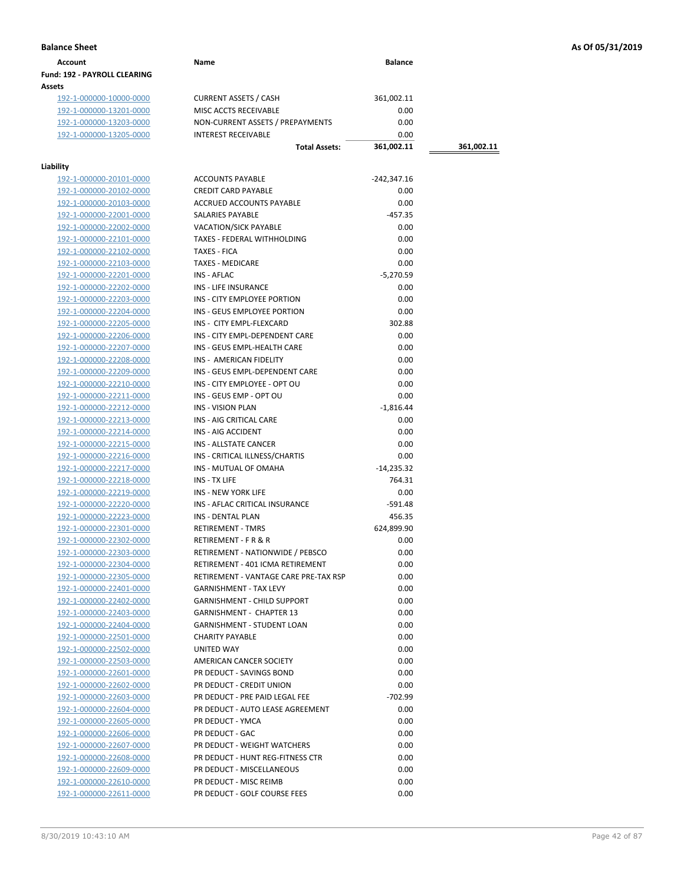| Account                             | Name | <b>Balance</b> |
|-------------------------------------|------|----------------|
| <b>Fund: 192 - PAYROLL CLEARING</b> |      |                |
| Assets                              |      |                |

192-1-000000-10000-0000 CURRENT ASSETS / CASH 361,002.11<br>192-1-000000-13201-0000 MISC ACCTS RECEIVABLE 0.00 192-1-000000-13201-0000 192-1-000000-13203-0000 NON-CURRENT ASSETS / PREPAYMENTS 0.00 192-1-000000-13205-0000 INTEREST RECEIVABLE 0.00

# **Liability**

| lity<br>192-1-000000-20101-0000 | <b>ACCOUNTS PAYABLE</b>               | $-242,347.16$ |
|---------------------------------|---------------------------------------|---------------|
| 192-1-000000-20102-0000         | <b>CREDIT CARD PAYABLE</b>            | 0.00          |
|                                 |                                       |               |
| 192-1-000000-20103-0000         | ACCRUED ACCOUNTS PAYABLE              | 0.00          |
| 192-1-000000-22001-0000         | <b>SALARIES PAYABLE</b>               | $-457.35$     |
| 192-1-000000-22002-0000         | <b>VACATION/SICK PAYABLE</b>          | 0.00          |
| 192-1-000000-22101-0000         | TAXES - FEDERAL WITHHOLDING           | 0.00          |
| 192-1-000000-22102-0000         | <b>TAXES - FICA</b>                   | 0.00          |
| 192-1-000000-22103-0000         | <b>TAXES - MEDICARE</b>               | 0.00          |
| 192-1-000000-22201-0000         | INS - AFLAC                           | $-5,270.59$   |
| 192-1-000000-22202-0000         | <b>INS - LIFE INSURANCE</b>           | 0.00          |
| 192-1-000000-22203-0000         | INS - CITY EMPLOYEE PORTION           | 0.00          |
| 192-1-000000-22204-0000         | INS - GEUS EMPLOYEE PORTION           | 0.00          |
| 192-1-000000-22205-0000         | INS - CITY EMPL-FLEXCARD              | 302.88        |
| 192-1-000000-22206-0000         | INS - CITY EMPL-DEPENDENT CARE        | 0.00          |
| 192-1-000000-22207-0000         | INS - GEUS EMPL-HEALTH CARE           | 0.00          |
| 192-1-000000-22208-0000         | INS - AMERICAN FIDELITY               | 0.00          |
| 192-1-000000-22209-0000         | INS - GEUS EMPL-DEPENDENT CARE        | 0.00          |
| 192-1-000000-22210-0000         | INS - CITY EMPLOYEE - OPT OU          | 0.00          |
| 192-1-000000-22211-0000         | INS - GEUS EMP - OPT OU               | 0.00          |
| 192-1-000000-22212-0000         | <b>INS - VISION PLAN</b>              | $-1,816.44$   |
| 192-1-000000-22213-0000         | INS - AIG CRITICAL CARE               | 0.00          |
| 192-1-000000-22214-0000         | INS - AIG ACCIDENT                    | 0.00          |
| 192-1-000000-22215-0000         | INS - ALLSTATE CANCER                 | 0.00          |
| 192-1-000000-22216-0000         | INS - CRITICAL ILLNESS/CHARTIS        | 0.00          |
| 192-1-000000-22217-0000         | INS - MUTUAL OF OMAHA                 | $-14.235.32$  |
| 192-1-000000-22218-0000         | INS - TX LIFE                         | 764.31        |
| 192-1-000000-22219-0000         | <b>INS - NEW YORK LIFE</b>            | 0.00          |
|                                 | INS - AFLAC CRITICAL INSURANCE        | $-591.48$     |
| 192-1-000000-22220-0000         |                                       |               |
| <u>192-1-000000-22223-0000</u>  | INS - DENTAL PLAN                     | 456.35        |
| 192-1-000000-22301-0000         | <b>RETIREMENT - TMRS</b>              | 624,899.90    |
| 192-1-000000-22302-0000         | RETIREMENT - F R & R                  | 0.00          |
| 192-1-000000-22303-0000         | RETIREMENT - NATIONWIDE / PEBSCO      | 0.00          |
| 192-1-000000-22304-0000         | RETIREMENT - 401 ICMA RETIREMENT      | 0.00          |
| 192-1-000000-22305-0000         | RETIREMENT - VANTAGE CARE PRE-TAX RSP | 0.00          |
| 192-1-000000-22401-0000         | <b>GARNISHMENT - TAX LEVY</b>         | 0.00          |
| 192-1-000000-22402-0000         | <b>GARNISHMENT - CHILD SUPPORT</b>    | 0.00          |
| 192-1-000000-22403-0000         | <b>GARNISHMENT - CHAPTER 13</b>       | 0.00          |
| 192-1-000000-22404-0000         | <b>GARNISHMENT - STUDENT LOAN</b>     | 0.00          |
| 192-1-000000-22501-0000         | <b>CHARITY PAYABLE</b>                | 0.00          |
| 192-1-000000-22502-0000         | <b>UNITED WAY</b>                     | 0.00          |
| 192-1-000000-22503-0000         | AMERICAN CANCER SOCIETY               | 0.00          |
| 192-1-000000-22601-0000         | PR DEDUCT - SAVINGS BOND              | 0.00          |
| 192-1-000000-22602-0000         | PR DEDUCT - CREDIT UNION              | 0.00          |
| 192-1-000000-22603-0000         | PR DEDUCT - PRE PAID LEGAL FEE        | $-702.99$     |
| 192-1-000000-22604-0000         | PR DEDUCT - AUTO LEASE AGREEMENT      | 0.00          |
| 192-1-000000-22605-0000         | PR DEDUCT - YMCA                      | 0.00          |
| 192-1-000000-22606-0000         | PR DEDUCT - GAC                       | 0.00          |
| 192-1-000000-22607-0000         | PR DEDUCT - WEIGHT WATCHERS           | 0.00          |
| 192-1-000000-22608-0000         | PR DEDUCT - HUNT REG-FITNESS CTR      | 0.00          |
| 192-1-000000-22609-0000         | PR DEDUCT - MISCELLANEOUS             | 0.00          |
| 192-1-000000-22610-0000         | PR DEDUCT - MISC REIMB                | 0.00          |
| 192-1-000000-22611-0000         | PR DEDUCT - GOLF COURSE FEES          | 0.00          |
|                                 |                                       |               |

**Total Assets: 361,002.11 361,002.11**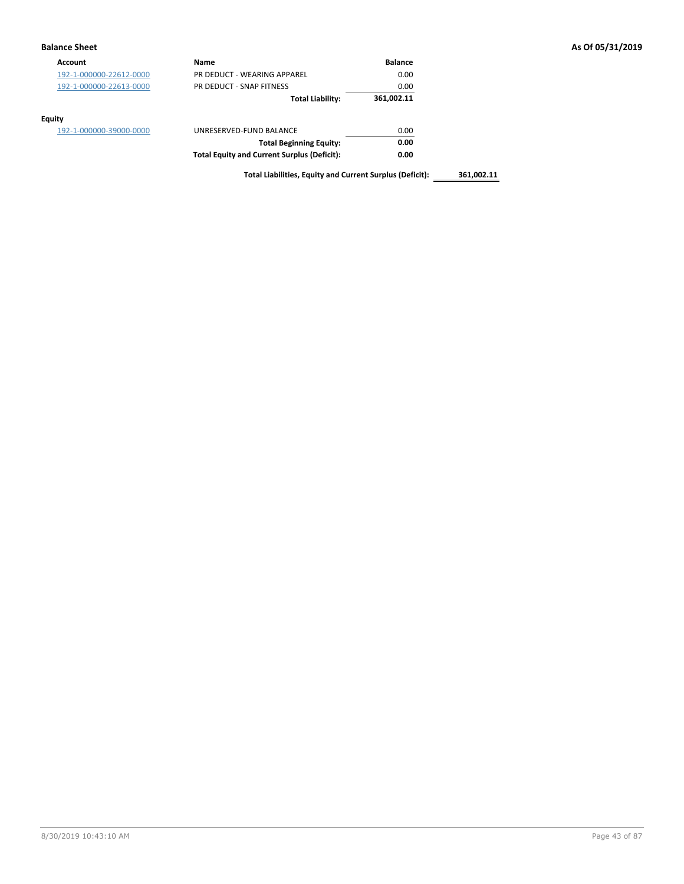## **Balance Sheet As Of 05/31/2019**

| <b>Account</b>          | Name                                               | <b>Balance</b> |
|-------------------------|----------------------------------------------------|----------------|
| 192-1-000000-22612-0000 | PR DEDUCT - WEARING APPAREL                        | 0.00           |
| 192-1-000000-22613-0000 | PR DEDUCT - SNAP FITNESS                           | 0.00           |
|                         | <b>Total Liability:</b>                            | 361,002.11     |
| <b>Equity</b>           |                                                    |                |
| 192-1-000000-39000-0000 | UNRESERVED-FUND BALANCE                            | 0.00           |
|                         | <b>Total Beginning Equity:</b>                     | 0.00           |
|                         | <b>Total Equity and Current Surplus (Deficit):</b> | 0.00           |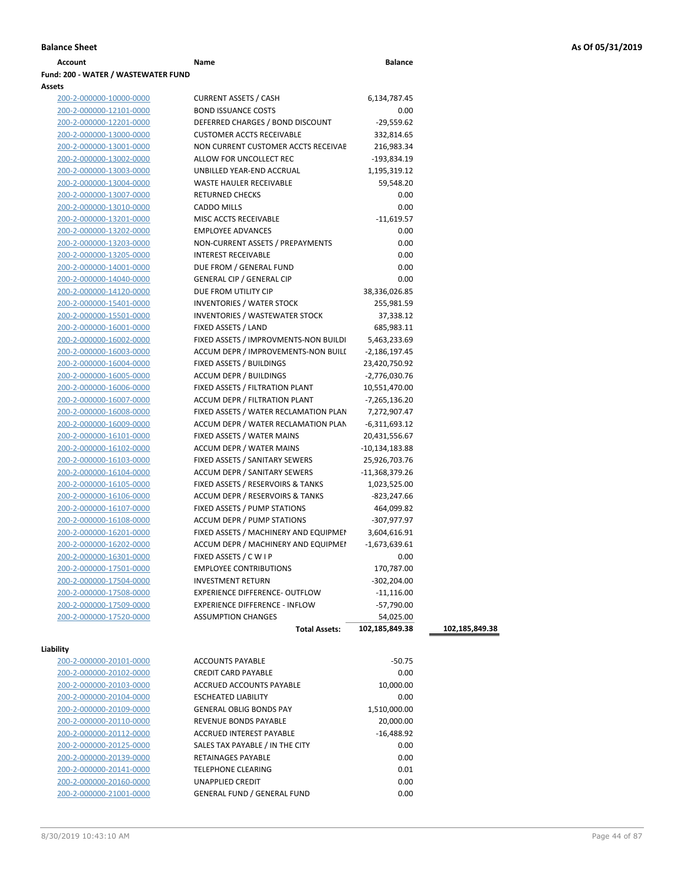| Name                                | <b>Balance</b> |
|-------------------------------------|----------------|
| Fund: 200 - WATER / WASTEWATER FUND |                |
|                                     |                |

### **Assets**

| ets                            |                                                              |                  |                |
|--------------------------------|--------------------------------------------------------------|------------------|----------------|
| 200-2-000000-10000-0000        | <b>CURRENT ASSETS / CASH</b>                                 | 6,134,787.45     |                |
| 200-2-000000-12101-0000        | <b>BOND ISSUANCE COSTS</b>                                   | 0.00             |                |
| 200-2-000000-12201-0000        | DEFERRED CHARGES / BOND DISCOUNT                             | $-29,559.62$     |                |
| 200-2-000000-13000-0000        | <b>CUSTOMER ACCTS RECEIVABLE</b>                             | 332,814.65       |                |
| 200-2-000000-13001-0000        | NON CURRENT CUSTOMER ACCTS RECEIVAE                          | 216,983.34       |                |
| 200-2-000000-13002-0000        | ALLOW FOR UNCOLLECT REC                                      | -193,834.19      |                |
| 200-2-000000-13003-0000        | UNBILLED YEAR-END ACCRUAL                                    | 1,195,319.12     |                |
| 200-2-000000-13004-0000        | WASTE HAULER RECEIVABLE                                      | 59,548.20        |                |
| 200-2-000000-13007-0000        | <b>RETURNED CHECKS</b>                                       | 0.00             |                |
| 200-2-000000-13010-0000        | <b>CADDO MILLS</b>                                           | 0.00             |                |
| 200-2-000000-13201-0000        | MISC ACCTS RECEIVABLE                                        | $-11,619.57$     |                |
| 200-2-000000-13202-0000        | <b>EMPLOYEE ADVANCES</b>                                     | 0.00             |                |
| 200-2-000000-13203-0000        | NON-CURRENT ASSETS / PREPAYMENTS                             | 0.00             |                |
| 200-2-000000-13205-0000        | <b>INTEREST RECEIVABLE</b>                                   | 0.00             |                |
| 200-2-000000-14001-0000        | DUE FROM / GENERAL FUND                                      | 0.00             |                |
| 200-2-000000-14040-0000        | <b>GENERAL CIP / GENERAL CIP</b>                             | 0.00             |                |
|                                | DUE FROM UTILITY CIP                                         | 38,336,026.85    |                |
| 200-2-000000-14120-0000        | INVENTORIES / WATER STOCK                                    |                  |                |
| 200-2-000000-15401-0000        |                                                              | 255,981.59       |                |
| 200-2-000000-15501-0000        | <b>INVENTORIES / WASTEWATER STOCK</b><br>FIXED ASSETS / LAND | 37,338.12        |                |
| 200-2-000000-16001-0000        |                                                              | 685,983.11       |                |
| 200-2-000000-16002-0000        | FIXED ASSETS / IMPROVMENTS-NON BUILDI                        | 5,463,233.69     |                |
| 200-2-000000-16003-0000        | ACCUM DEPR / IMPROVEMENTS-NON BUILI                          | $-2,186,197.45$  |                |
| 200-2-000000-16004-0000        | FIXED ASSETS / BUILDINGS                                     | 23,420,750.92    |                |
| 200-2-000000-16005-0000        | <b>ACCUM DEPR / BUILDINGS</b>                                | $-2,776,030.76$  |                |
| 200-2-000000-16006-0000        | FIXED ASSETS / FILTRATION PLANT                              | 10,551,470.00    |                |
| 200-2-000000-16007-0000        | ACCUM DEPR / FILTRATION PLANT                                | -7,265,136.20    |                |
| 200-2-000000-16008-0000        | FIXED ASSETS / WATER RECLAMATION PLAN                        | 7,272,907.47     |                |
| 200-2-000000-16009-0000        | ACCUM DEPR / WATER RECLAMATION PLAN                          | $-6,311,693.12$  |                |
| 200-2-000000-16101-0000        | FIXED ASSETS / WATER MAINS                                   | 20,431,556.67    |                |
| 200-2-000000-16102-0000        | ACCUM DEPR / WATER MAINS                                     | $-10,134,183.88$ |                |
| 200-2-000000-16103-0000        | FIXED ASSETS / SANITARY SEWERS                               | 25,926,703.76    |                |
| 200-2-000000-16104-0000        | ACCUM DEPR / SANITARY SEWERS                                 | $-11,368,379.26$ |                |
| 200-2-000000-16105-0000        | FIXED ASSETS / RESERVOIRS & TANKS                            | 1,023,525.00     |                |
| 200-2-000000-16106-0000        | ACCUM DEPR / RESERVOIRS & TANKS                              | $-823,247.66$    |                |
| 200-2-000000-16107-0000        | FIXED ASSETS / PUMP STATIONS                                 | 464,099.82       |                |
| 200-2-000000-16108-0000        | <b>ACCUM DEPR / PUMP STATIONS</b>                            | -307,977.97      |                |
| 200-2-000000-16201-0000        | FIXED ASSETS / MACHINERY AND EQUIPMEN                        | 3,604,616.91     |                |
| 200-2-000000-16202-0000        | ACCUM DEPR / MACHINERY AND EQUIPMEI                          | -1,673,639.61    |                |
| 200-2-000000-16301-0000        | FIXED ASSETS / C W I P                                       | 0.00             |                |
| 200-2-000000-17501-0000        | <b>EMPLOYEE CONTRIBUTIONS</b>                                | 170,787.00       |                |
| 200-2-000000-17504-0000        | <b>INVESTMENT RETURN</b>                                     | $-302,204.00$    |                |
| 200-2-000000-17508-0000        | EXPERIENCE DIFFERENCE- OUTFLOW                               | $-11,116.00$     |                |
| 200-2-000000-17509-0000        | EXPERIENCE DIFFERENCE - INFLOW                               | $-57,790.00$     |                |
| 200-2-000000-17520-0000        | <b>ASSUMPTION CHANGES</b>                                    | 54,025.00        |                |
|                                | <b>Total Assets:</b>                                         | 102,185,849.38   | 102,185,849.38 |
|                                |                                                              |                  |                |
| ility                          |                                                              |                  |                |
| 200-2-000000-20101-0000        | <b>ACCOUNTS PAYABLE</b>                                      | $-50.75$         |                |
| <u>200-2-000000-20102-0000</u> | <b>CREDIT CARD PAYABLE</b>                                   | 0.00             |                |
| <u>200-2-000000-20103-0000</u> | <b>ACCRUED ACCOUNTS PAYABLE</b>                              | 10,000.00        |                |
| 200-2-000000-20104-0000        | <b>ESCHEATED LIABILITY</b>                                   | 0.00             |                |
| 200-2-000000-20109-0000        | <b>GENERAL OBLIG BONDS PAY</b>                               | 1,510,000.00     |                |
| 200-2-000000-20110-0000        | REVENUE BONDS PAYABLE                                        | 20,000.00        |                |
| 200-2-000000-20112-0000        | ACCRUED INTEREST PAYABLE                                     | $-16,488.92$     |                |
| 200-2-000000-20125-0000        | SALES TAX PAYABLE / IN THE CITY                              | 0.00             |                |
| 200-2-000000-20139-0000        | RETAINAGES PAYABLE                                           | 0.00             |                |
| 200-2-000000-20141-0000        | <b>TELEPHONE CLEARING</b>                                    | 0.01             |                |

200-2-000000-20160-0000 UNAPPLIED CREDIT 0.00 200-2-000000-21001-0000 GENERAL FUND / GENERAL FUND 0.00

**Liability**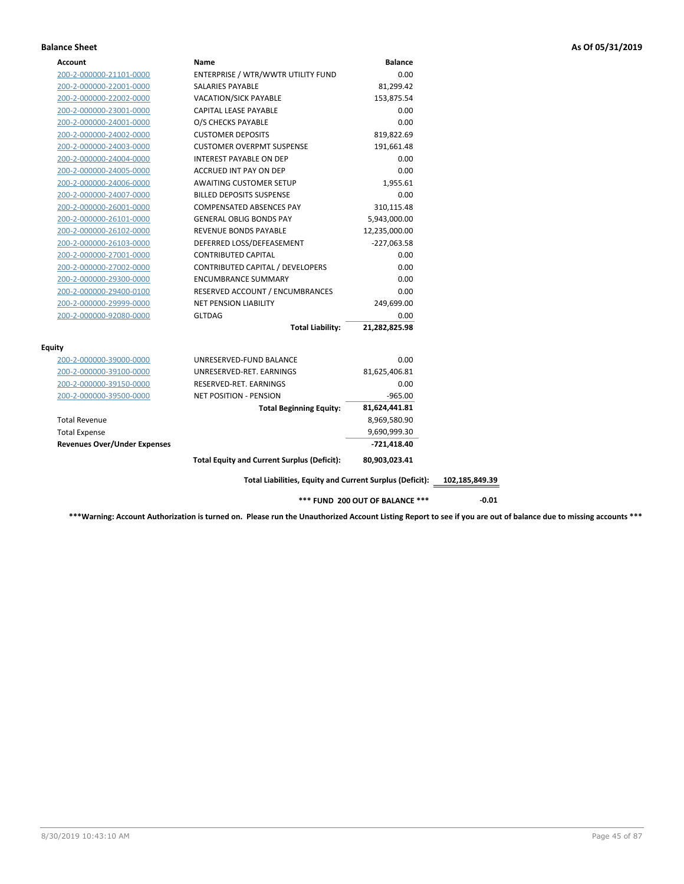## **Balance Sheet As Of 05/31/2019**

| Account                             | Name                                                     | <b>Balance</b>                  |                |
|-------------------------------------|----------------------------------------------------------|---------------------------------|----------------|
| 200-2-000000-21101-0000             | ENTERPRISE / WTR/WWTR UTILITY FUND                       | 0.00                            |                |
| 200-2-000000-22001-0000             | SALARIES PAYABLE                                         | 81,299.42                       |                |
| 200-2-000000-22002-0000             | <b>VACATION/SICK PAYABLE</b>                             | 153,875.54                      |                |
| 200-2-000000-23001-0000             | CAPITAL LEASE PAYABLE                                    | 0.00                            |                |
| 200-2-000000-24001-0000             | O/S CHECKS PAYABLE                                       | 0.00                            |                |
| 200-2-000000-24002-0000             | <b>CUSTOMER DEPOSITS</b>                                 | 819,822.69                      |                |
| 200-2-000000-24003-0000             | <b>CUSTOMER OVERPMT SUSPENSE</b>                         | 191,661.48                      |                |
| 200-2-000000-24004-0000             | <b>INTEREST PAYABLE ON DEP</b>                           | 0.00                            |                |
| 200-2-000000-24005-0000             | ACCRUED INT PAY ON DEP                                   | 0.00                            |                |
| 200-2-000000-24006-0000             | <b>AWAITING CUSTOMER SETUP</b>                           | 1,955.61                        |                |
| 200-2-000000-24007-0000             | <b>BILLED DEPOSITS SUSPENSE</b>                          | 0.00                            |                |
| 200-2-000000-26001-0000             | <b>COMPENSATED ABSENCES PAY</b>                          | 310,115.48                      |                |
| 200-2-000000-26101-0000             | <b>GENERAL OBLIG BONDS PAY</b>                           | 5,943,000.00                    |                |
| 200-2-000000-26102-0000             | REVENUE BONDS PAYABLE                                    | 12,235,000.00                   |                |
| 200-2-000000-26103-0000             | DEFERRED LOSS/DEFEASEMENT                                | $-227,063.58$                   |                |
| 200-2-000000-27001-0000             | <b>CONTRIBUTED CAPITAL</b>                               | 0.00                            |                |
| 200-2-000000-27002-0000             | CONTRIBUTED CAPITAL / DEVELOPERS                         | 0.00                            |                |
| 200-2-000000-29300-0000             | <b>ENCUMBRANCE SUMMARY</b>                               | 0.00                            |                |
| 200-2-000000-29400-0100             | RESERVED ACCOUNT / ENCUMBRANCES                          | 0.00                            |                |
| 200-2-000000-29999-0000             | <b>NET PENSION LIABILITY</b>                             | 249,699.00                      |                |
| 200-2-000000-92080-0000             | <b>GLTDAG</b>                                            | 0.00                            |                |
|                                     | <b>Total Liability:</b>                                  | 21,282,825.98                   |                |
| <b>Equity</b>                       |                                                          |                                 |                |
| 200-2-000000-39000-0000             | UNRESERVED-FUND BALANCE                                  | 0.00                            |                |
| 200-2-000000-39100-0000             | UNRESERVED-RET. EARNINGS                                 | 81,625,406.81                   |                |
| 200-2-000000-39150-0000             | RESERVED-RET. EARNINGS                                   | 0.00                            |                |
| 200-2-000000-39500-0000             | <b>NET POSITION - PENSION</b>                            | $-965.00$                       |                |
|                                     | <b>Total Beginning Equity:</b>                           | 81,624,441.81                   |                |
| <b>Total Revenue</b>                |                                                          | 8,969,580.90                    |                |
| <b>Total Expense</b>                |                                                          | 9,690,999.30                    |                |
| <b>Revenues Over/Under Expenses</b> |                                                          | -721,418.40                     |                |
|                                     | <b>Total Equity and Current Surplus (Deficit):</b>       | 80,903,023.41                   |                |
|                                     | Total Liabilities, Equity and Current Surplus (Deficit): |                                 | 102,185,849.39 |
|                                     |                                                          | *** FUND 200 OUT OF BALANCE *** |                |
|                                     |                                                          |                                 | $-0.01$        |

**\*\*\*Warning: Account Authorization is turned on. Please run the Unauthorized Account Listing Report to see if you are out of balance due to missing accounts \*\*\***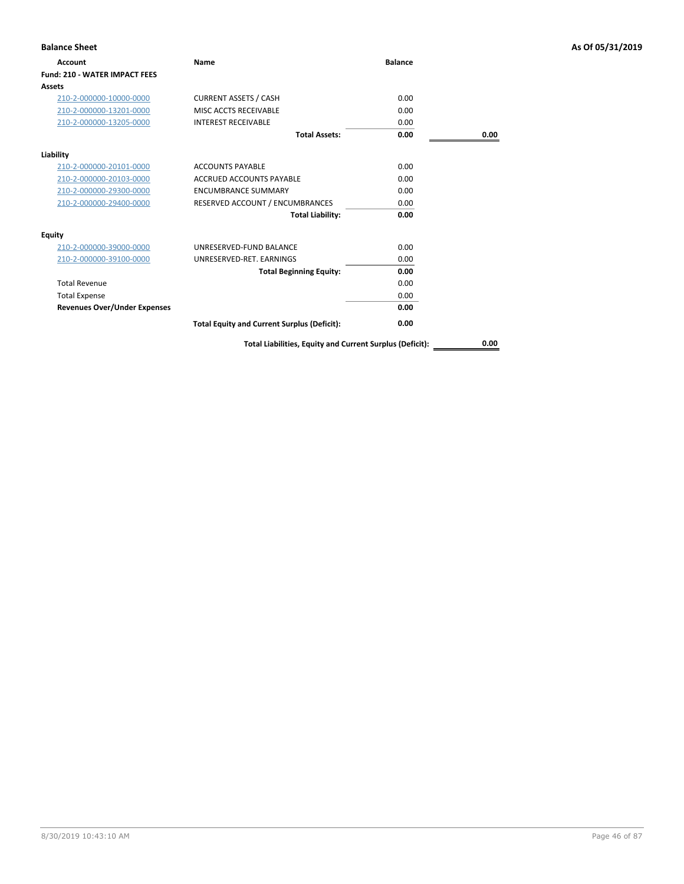| <b>Balance Sheet</b>                 |                                                    |                |      | As Of 05/31/2019 |
|--------------------------------------|----------------------------------------------------|----------------|------|------------------|
| <b>Account</b>                       | Name                                               | <b>Balance</b> |      |                  |
| <b>Fund: 210 - WATER IMPACT FEES</b> |                                                    |                |      |                  |
| Assets                               |                                                    |                |      |                  |
| 210-2-000000-10000-0000              | <b>CURRENT ASSETS / CASH</b>                       | 0.00           |      |                  |
| 210-2-000000-13201-0000              | MISC ACCTS RECEIVABLE                              | 0.00           |      |                  |
| 210-2-000000-13205-0000              | <b>INTEREST RECEIVABLE</b>                         | 0.00           |      |                  |
|                                      | <b>Total Assets:</b>                               | 0.00           | 0.00 |                  |
| Liability                            |                                                    |                |      |                  |
| 210-2-000000-20101-0000              | <b>ACCOUNTS PAYABLE</b>                            | 0.00           |      |                  |
| 210-2-000000-20103-0000              | <b>ACCRUED ACCOUNTS PAYABLE</b>                    | 0.00           |      |                  |
| 210-2-000000-29300-0000              | <b>ENCUMBRANCE SUMMARY</b>                         | 0.00           |      |                  |
| 210-2-000000-29400-0000              | RESERVED ACCOUNT / ENCUMBRANCES                    | 0.00           |      |                  |
|                                      | <b>Total Liability:</b>                            | 0.00           |      |                  |
| <b>Equity</b>                        |                                                    |                |      |                  |
| 210-2-000000-39000-0000              | UNRESERVED-FUND BALANCE                            | 0.00           |      |                  |
| 210-2-000000-39100-0000              | UNRESERVED-RET. EARNINGS                           | 0.00           |      |                  |
|                                      | <b>Total Beginning Equity:</b>                     | 0.00           |      |                  |
| <b>Total Revenue</b>                 |                                                    | 0.00           |      |                  |
| <b>Total Expense</b>                 |                                                    | 0.00           |      |                  |
| <b>Revenues Over/Under Expenses</b>  |                                                    | 0.00           |      |                  |
|                                      | <b>Total Equity and Current Surplus (Deficit):</b> | 0.00           |      |                  |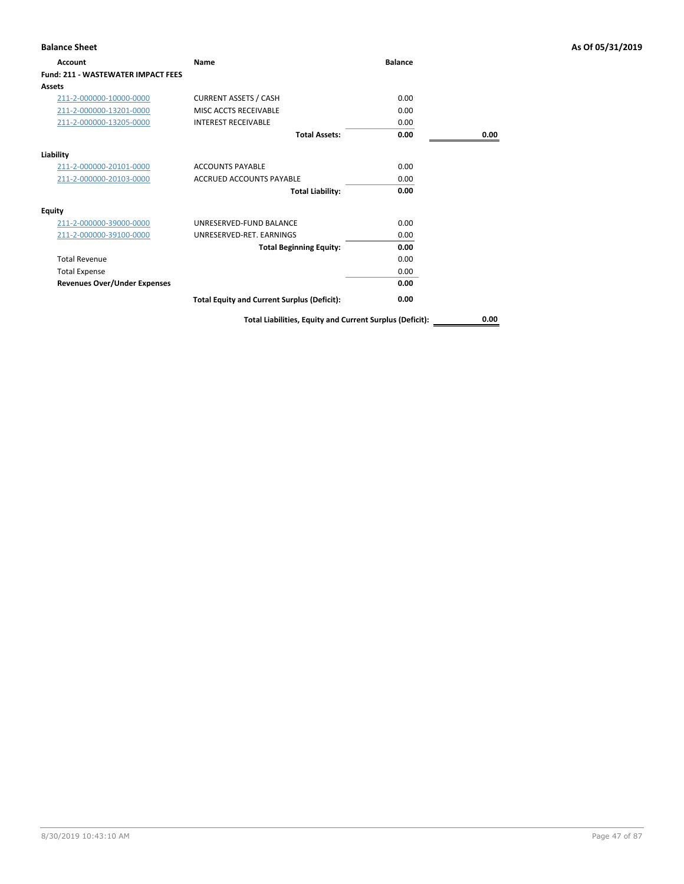| <b>Balance Sheet</b>                      |                                                          |                |      | As Of 05/31/2019 |
|-------------------------------------------|----------------------------------------------------------|----------------|------|------------------|
| Account                                   | Name                                                     | <b>Balance</b> |      |                  |
| <b>Fund: 211 - WASTEWATER IMPACT FEES</b> |                                                          |                |      |                  |
| Assets                                    |                                                          |                |      |                  |
| 211-2-000000-10000-0000                   | <b>CURRENT ASSETS / CASH</b>                             | 0.00           |      |                  |
| 211-2-000000-13201-0000                   | MISC ACCTS RECEIVABLE                                    | 0.00           |      |                  |
| 211-2-000000-13205-0000                   | <b>INTEREST RECEIVABLE</b>                               | 0.00           |      |                  |
|                                           | <b>Total Assets:</b>                                     | 0.00           | 0.00 |                  |
| Liability                                 |                                                          |                |      |                  |
| 211-2-000000-20101-0000                   | <b>ACCOUNTS PAYABLE</b>                                  | 0.00           |      |                  |
| 211-2-000000-20103-0000                   | <b>ACCRUED ACCOUNTS PAYABLE</b>                          | 0.00           |      |                  |
|                                           | <b>Total Liability:</b>                                  | 0.00           |      |                  |
| <b>Equity</b>                             |                                                          |                |      |                  |
| 211-2-000000-39000-0000                   | UNRESERVED-FUND BALANCE                                  | 0.00           |      |                  |
| 211-2-000000-39100-0000                   | UNRESERVED-RET. EARNINGS                                 | 0.00           |      |                  |
|                                           | <b>Total Beginning Equity:</b>                           | 0.00           |      |                  |
| <b>Total Revenue</b>                      |                                                          | 0.00           |      |                  |
| <b>Total Expense</b>                      |                                                          | 0.00           |      |                  |
| <b>Revenues Over/Under Expenses</b>       |                                                          | 0.00           |      |                  |
|                                           | <b>Total Equity and Current Surplus (Deficit):</b>       | 0.00           |      |                  |
|                                           | Total Liabilities, Equity and Current Surplus (Deficit): |                | 0.00 |                  |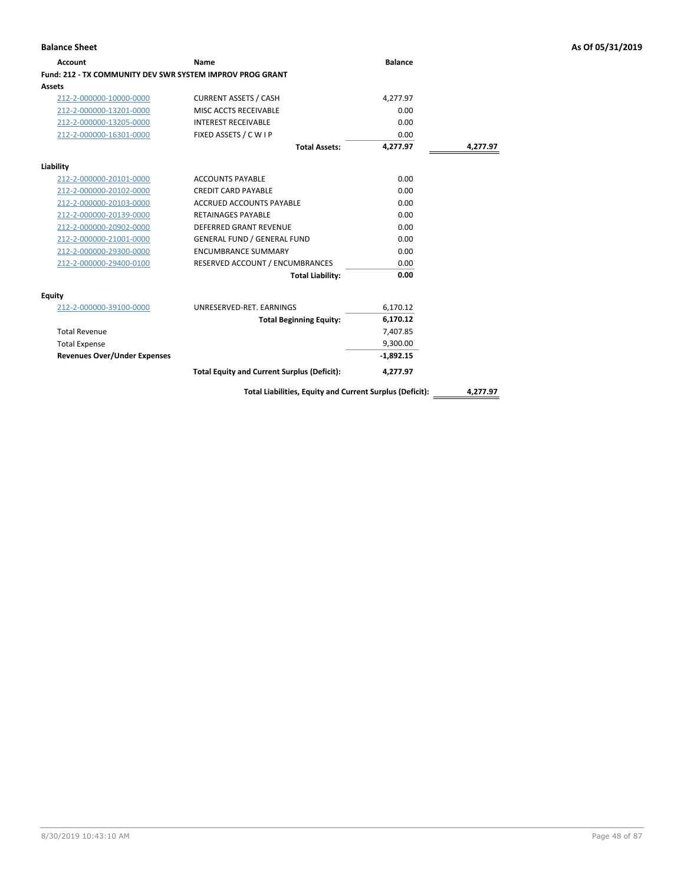| <b>Account</b>                                            | Name                                                     | <b>Balance</b> |          |
|-----------------------------------------------------------|----------------------------------------------------------|----------------|----------|
| Fund: 212 - TX COMMUNITY DEV SWR SYSTEM IMPROV PROG GRANT |                                                          |                |          |
| <b>Assets</b>                                             |                                                          |                |          |
| 212-2-000000-10000-0000                                   | <b>CURRENT ASSETS / CASH</b>                             | 4,277.97       |          |
| 212-2-000000-13201-0000                                   | MISC ACCTS RECEIVABLE                                    | 0.00           |          |
| 212-2-000000-13205-0000                                   | <b>INTEREST RECEIVABLE</b>                               | 0.00           |          |
| 212-2-000000-16301-0000                                   | FIXED ASSETS / C W I P                                   | 0.00           |          |
|                                                           | <b>Total Assets:</b>                                     | 4,277.97       | 4,277.97 |
| Liability                                                 |                                                          |                |          |
| 212-2-000000-20101-0000                                   | <b>ACCOUNTS PAYABLE</b>                                  | 0.00           |          |
| 212-2-000000-20102-0000                                   | <b>CREDIT CARD PAYABLE</b>                               | 0.00           |          |
| 212-2-000000-20103-0000                                   | <b>ACCRUED ACCOUNTS PAYABLE</b>                          | 0.00           |          |
| 212-2-000000-20139-0000                                   | <b>RETAINAGES PAYABLE</b>                                | 0.00           |          |
| 212-2-000000-20902-0000                                   | <b>DEFERRED GRANT REVENUE</b>                            | 0.00           |          |
| 212-2-000000-21001-0000                                   | <b>GENERAL FUND / GENERAL FUND</b>                       | 0.00           |          |
| 212-2-000000-29300-0000                                   | <b>ENCUMBRANCE SUMMARY</b>                               | 0.00           |          |
| 212-2-000000-29400-0100                                   | RESERVED ACCOUNT / ENCUMBRANCES                          | 0.00           |          |
|                                                           | <b>Total Liability:</b>                                  | 0.00           |          |
| <b>Equity</b>                                             |                                                          |                |          |
| 212-2-000000-39100-0000                                   | UNRESERVED-RET. EARNINGS                                 | 6,170.12       |          |
|                                                           | <b>Total Beginning Equity:</b>                           | 6,170.12       |          |
| <b>Total Revenue</b>                                      |                                                          | 7,407.85       |          |
| <b>Total Expense</b>                                      |                                                          | 9,300.00       |          |
| <b>Revenues Over/Under Expenses</b>                       |                                                          | $-1,892.15$    |          |
|                                                           | <b>Total Equity and Current Surplus (Deficit):</b>       | 4,277.97       |          |
|                                                           | Total Liabilities, Equity and Current Surplus (Deficit): |                | 4,277.97 |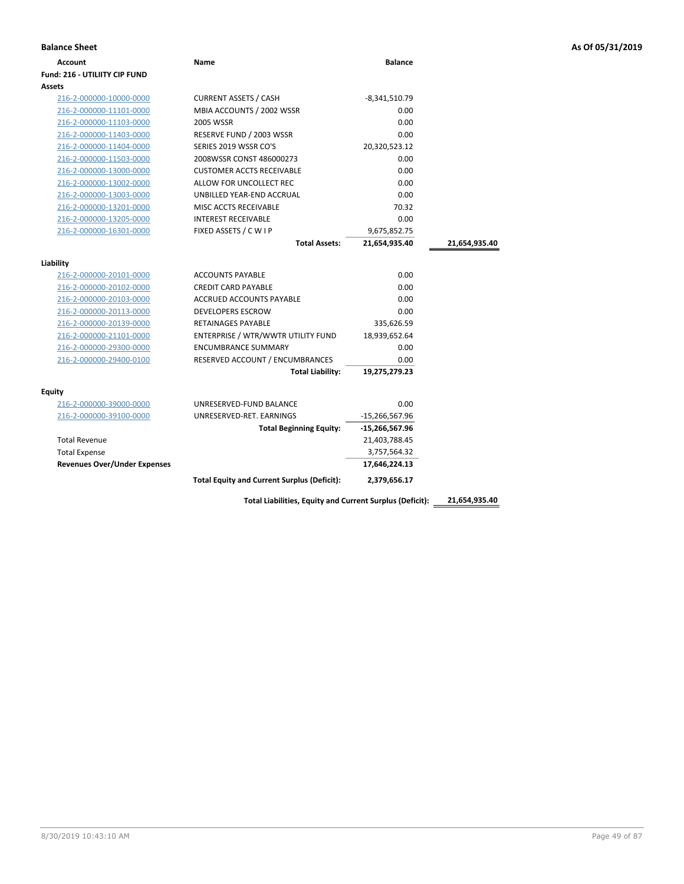| <b>Balance Sheet</b>                 |                                                    |                  |               | As Of 05/31/2019 |
|--------------------------------------|----------------------------------------------------|------------------|---------------|------------------|
| <b>Account</b>                       | Name                                               | <b>Balance</b>   |               |                  |
| <b>Fund: 216 - UTILIITY CIP FUND</b> |                                                    |                  |               |                  |
| Assets                               |                                                    |                  |               |                  |
| 216-2-000000-10000-0000              | <b>CURRENT ASSETS / CASH</b>                       | $-8,341,510.79$  |               |                  |
| 216-2-000000-11101-0000              | MBIA ACCOUNTS / 2002 WSSR                          | 0.00             |               |                  |
| 216-2-000000-11103-0000              | 2005 WSSR                                          | 0.00             |               |                  |
| 216-2-000000-11403-0000              | RESERVE FUND / 2003 WSSR                           | 0.00             |               |                  |
| 216-2-000000-11404-0000              | SERIES 2019 WSSR CO'S                              | 20,320,523.12    |               |                  |
| 216-2-000000-11503-0000              | 2008WSSR CONST 486000273                           | 0.00             |               |                  |
| 216-2-000000-13000-0000              | <b>CUSTOMER ACCTS RECEIVABLE</b>                   | 0.00             |               |                  |
| 216-2-000000-13002-0000              | ALLOW FOR UNCOLLECT REC                            | 0.00             |               |                  |
| 216-2-000000-13003-0000              | UNBILLED YEAR-END ACCRUAL                          | 0.00             |               |                  |
| 216-2-000000-13201-0000              | MISC ACCTS RECEIVABLE                              | 70.32            |               |                  |
| 216-2-000000-13205-0000              | <b>INTEREST RECEIVABLE</b>                         | 0.00             |               |                  |
| 216-2-000000-16301-0000              | FIXED ASSETS / C W I P                             | 9,675,852.75     |               |                  |
|                                      | <b>Total Assets:</b>                               | 21,654,935.40    | 21,654,935.40 |                  |
| Liability                            |                                                    |                  |               |                  |
| 216-2-000000-20101-0000              | <b>ACCOUNTS PAYABLE</b>                            | 0.00             |               |                  |
| 216-2-000000-20102-0000              | <b>CREDIT CARD PAYABLE</b>                         | 0.00             |               |                  |
| 216-2-000000-20103-0000              | ACCRUED ACCOUNTS PAYABLE                           | 0.00             |               |                  |
| 216-2-000000-20113-0000              | <b>DEVELOPERS ESCROW</b>                           | 0.00             |               |                  |
| 216-2-000000-20139-0000              | <b>RETAINAGES PAYABLE</b>                          | 335,626.59       |               |                  |
| 216-2-000000-21101-0000              | ENTERPRISE / WTR/WWTR UTILITY FUND                 | 18,939,652.64    |               |                  |
| 216-2-000000-29300-0000              | <b>ENCUMBRANCE SUMMARY</b>                         | 0.00             |               |                  |
| 216-2-000000-29400-0100              | RESERVED ACCOUNT / ENCUMBRANCES                    | 0.00             |               |                  |
|                                      | <b>Total Liability:</b>                            | 19,275,279.23    |               |                  |
| <b>Equity</b>                        |                                                    |                  |               |                  |
| 216-2-000000-39000-0000              | UNRESERVED-FUND BALANCE                            | 0.00             |               |                  |
| 216-2-000000-39100-0000              | UNRESERVED-RET. EARNINGS                           | $-15,266,567.96$ |               |                  |
|                                      | <b>Total Beginning Equity:</b>                     | -15,266,567.96   |               |                  |
| <b>Total Revenue</b>                 |                                                    | 21,403,788.45    |               |                  |
| <b>Total Expense</b>                 |                                                    | 3,757,564.32     |               |                  |
| <b>Revenues Over/Under Expenses</b>  |                                                    | 17,646,224.13    |               |                  |
|                                      | <b>Total Equity and Current Surplus (Deficit):</b> | 2,379,656.17     |               |                  |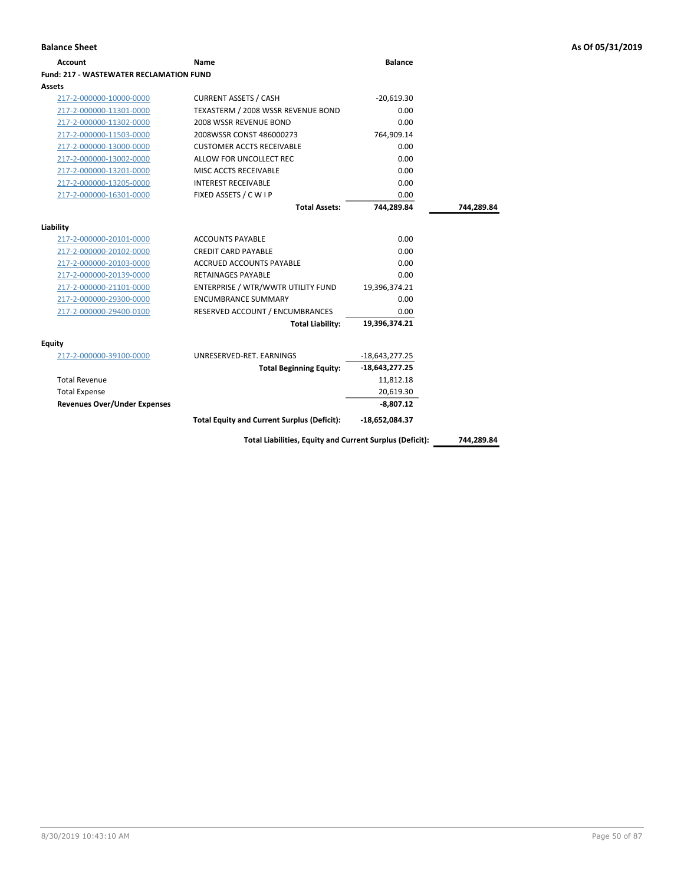| Name                                               | <b>Balance</b>                                                                                                                                                                                                                                          |                                                                                                                                            |
|----------------------------------------------------|---------------------------------------------------------------------------------------------------------------------------------------------------------------------------------------------------------------------------------------------------------|--------------------------------------------------------------------------------------------------------------------------------------------|
| Fund: 217 - WASTEWATER RECLAMATION FUND            |                                                                                                                                                                                                                                                         |                                                                                                                                            |
|                                                    |                                                                                                                                                                                                                                                         |                                                                                                                                            |
| <b>CURRENT ASSETS / CASH</b>                       | $-20,619.30$                                                                                                                                                                                                                                            |                                                                                                                                            |
| TEXASTERM / 2008 WSSR REVENUE BOND                 | 0.00                                                                                                                                                                                                                                                    |                                                                                                                                            |
| 2008 WSSR REVENUE BOND                             | 0.00                                                                                                                                                                                                                                                    |                                                                                                                                            |
| 2008WSSR CONST 486000273                           | 764,909.14                                                                                                                                                                                                                                              |                                                                                                                                            |
| <b>CUSTOMER ACCTS RECEIVABLE</b>                   | 0.00                                                                                                                                                                                                                                                    |                                                                                                                                            |
| ALLOW FOR UNCOLLECT REC                            | 0.00                                                                                                                                                                                                                                                    |                                                                                                                                            |
| MISC ACCTS RECEIVABLE                              | 0.00                                                                                                                                                                                                                                                    |                                                                                                                                            |
| <b>INTEREST RECEIVABLE</b>                         | 0.00                                                                                                                                                                                                                                                    |                                                                                                                                            |
| FIXED ASSETS / C W I P                             | 0.00                                                                                                                                                                                                                                                    |                                                                                                                                            |
| <b>Total Assets:</b>                               | 744,289.84                                                                                                                                                                                                                                              | 744,289.84                                                                                                                                 |
|                                                    |                                                                                                                                                                                                                                                         |                                                                                                                                            |
|                                                    |                                                                                                                                                                                                                                                         |                                                                                                                                            |
|                                                    |                                                                                                                                                                                                                                                         |                                                                                                                                            |
|                                                    |                                                                                                                                                                                                                                                         |                                                                                                                                            |
|                                                    |                                                                                                                                                                                                                                                         |                                                                                                                                            |
|                                                    |                                                                                                                                                                                                                                                         |                                                                                                                                            |
|                                                    |                                                                                                                                                                                                                                                         |                                                                                                                                            |
|                                                    |                                                                                                                                                                                                                                                         |                                                                                                                                            |
|                                                    |                                                                                                                                                                                                                                                         |                                                                                                                                            |
|                                                    |                                                                                                                                                                                                                                                         |                                                                                                                                            |
|                                                    |                                                                                                                                                                                                                                                         |                                                                                                                                            |
| UNRESERVED-RET. EARNINGS                           | $-18,643,277.25$                                                                                                                                                                                                                                        |                                                                                                                                            |
| <b>Total Beginning Equity:</b>                     | -18,643,277.25                                                                                                                                                                                                                                          |                                                                                                                                            |
|                                                    | 11,812.18                                                                                                                                                                                                                                               |                                                                                                                                            |
|                                                    | 20,619.30                                                                                                                                                                                                                                               |                                                                                                                                            |
|                                                    | $-8,807.12$                                                                                                                                                                                                                                             |                                                                                                                                            |
| <b>Total Equity and Current Surplus (Deficit):</b> | $-18,652,084.37$                                                                                                                                                                                                                                        |                                                                                                                                            |
|                                                    |                                                                                                                                                                                                                                                         | 744,289.84                                                                                                                                 |
|                                                    | <b>ACCOUNTS PAYABLE</b><br><b>CREDIT CARD PAYABLE</b><br><b>ACCRUED ACCOUNTS PAYABLE</b><br><b>RETAINAGES PAYABLE</b><br>ENTERPRISE / WTR/WWTR UTILITY FUND<br><b>ENCUMBRANCE SUMMARY</b><br>RESERVED ACCOUNT / ENCUMBRANCES<br><b>Total Liability:</b> | 0.00<br>0.00<br>0.00<br>0.00<br>19,396,374.21<br>0.00<br>0.00<br>19,396,374.21<br>Total Liabilities, Equity and Current Surplus (Deficit): |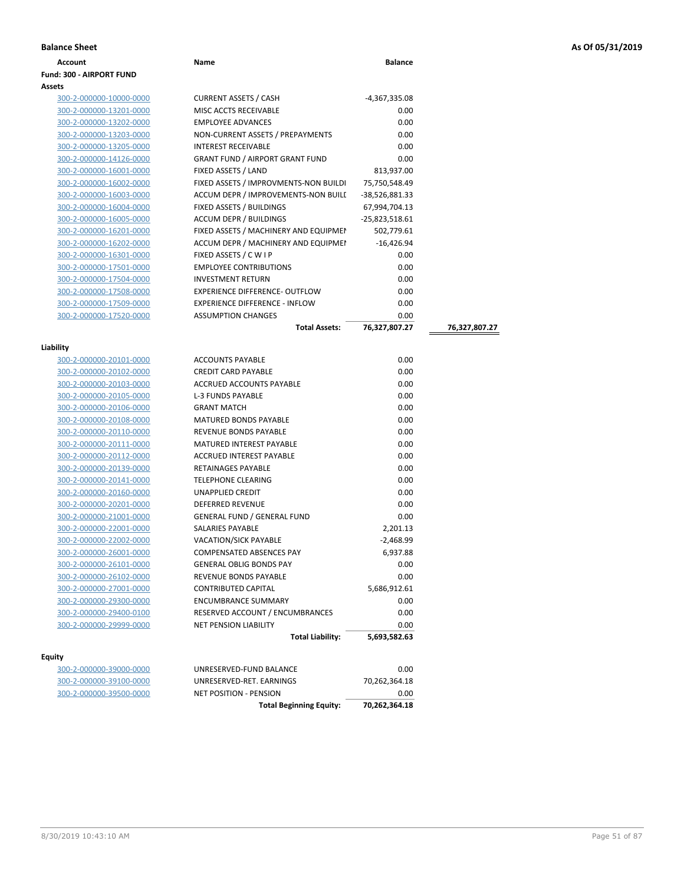|  |  |  |  | As Of 05/31/2019 |
|--|--|--|--|------------------|
|--|--|--|--|------------------|

| <b>Balance Sheet</b>                               |                                                               |                       |               | As Of 05/31/2019 |
|----------------------------------------------------|---------------------------------------------------------------|-----------------------|---------------|------------------|
| <b>Account</b>                                     | Name                                                          | <b>Balance</b>        |               |                  |
| Fund: 300 - AIRPORT FUND                           |                                                               |                       |               |                  |
| <b>Assets</b>                                      |                                                               |                       |               |                  |
| 300-2-000000-10000-0000                            | <b>CURRENT ASSETS / CASH</b>                                  | -4,367,335.08         |               |                  |
| 300-2-000000-13201-0000                            | MISC ACCTS RECEIVABLE                                         | 0.00                  |               |                  |
| 300-2-000000-13202-0000                            | <b>EMPLOYEE ADVANCES</b>                                      | 0.00                  |               |                  |
| 300-2-000000-13203-0000                            | NON-CURRENT ASSETS / PREPAYMENTS                              | 0.00                  |               |                  |
| 300-2-000000-13205-0000                            | <b>INTEREST RECEIVABLE</b>                                    | 0.00                  |               |                  |
| 300-2-000000-14126-0000                            | <b>GRANT FUND / AIRPORT GRANT FUND</b>                        | 0.00                  |               |                  |
| 300-2-000000-16001-0000                            | FIXED ASSETS / LAND                                           | 813,937.00            |               |                  |
| 300-2-000000-16002-0000                            | FIXED ASSETS / IMPROVMENTS-NON BUILDI                         | 75,750,548.49         |               |                  |
| 300-2-000000-16003-0000                            | ACCUM DEPR / IMPROVEMENTS-NON BUILI                           | -38,526,881.33        |               |                  |
| 300-2-000000-16004-0000                            | FIXED ASSETS / BUILDINGS                                      | 67,994,704.13         |               |                  |
| 300-2-000000-16005-0000                            | ACCUM DEPR / BUILDINGS                                        | -25,823,518.61        |               |                  |
| 300-2-000000-16201-0000                            | FIXED ASSETS / MACHINERY AND EQUIPMEN                         | 502,779.61            |               |                  |
| 300-2-000000-16202-0000                            | ACCUM DEPR / MACHINERY AND EQUIPMEI                           | $-16,426.94$          |               |                  |
| 300-2-000000-16301-0000                            | FIXED ASSETS / C W I P                                        | 0.00                  |               |                  |
| 300-2-000000-17501-0000                            | <b>EMPLOYEE CONTRIBUTIONS</b>                                 | 0.00                  |               |                  |
| <u>300-2-000000-17504-0000</u>                     | <b>INVESTMENT RETURN</b>                                      | 0.00                  |               |                  |
| 300-2-000000-17508-0000                            | EXPERIENCE DIFFERENCE- OUTFLOW                                | 0.00                  |               |                  |
| 300-2-000000-17509-0000                            | <b>EXPERIENCE DIFFERENCE - INFLOW</b>                         | 0.00                  |               |                  |
| 300-2-000000-17520-0000                            | <b>ASSUMPTION CHANGES</b>                                     | 0.00                  |               |                  |
|                                                    | <b>Total Assets:</b>                                          | 76,327,807.27         | 76,327,807.27 |                  |
|                                                    |                                                               |                       |               |                  |
| Liability                                          |                                                               |                       |               |                  |
| 300-2-000000-20101-0000                            | <b>ACCOUNTS PAYABLE</b>                                       | 0.00                  |               |                  |
| 300-2-000000-20102-0000                            | <b>CREDIT CARD PAYABLE</b>                                    | 0.00                  |               |                  |
| 300-2-000000-20103-0000                            | ACCRUED ACCOUNTS PAYABLE                                      | 0.00                  |               |                  |
| 300-2-000000-20105-0000                            | L-3 FUNDS PAYABLE                                             | 0.00                  |               |                  |
| 300-2-000000-20106-0000                            | <b>GRANT MATCH</b>                                            | 0.00                  |               |                  |
| 300-2-000000-20108-0000                            | <b>MATURED BONDS PAYABLE</b>                                  | 0.00                  |               |                  |
| 300-2-000000-20110-0000                            | REVENUE BONDS PAYABLE                                         | 0.00                  |               |                  |
| 300-2-000000-20111-0000                            | MATURED INTEREST PAYABLE                                      | 0.00                  |               |                  |
| 300-2-000000-20112-0000                            | ACCRUED INTEREST PAYABLE                                      | 0.00                  |               |                  |
| 300-2-000000-20139-0000                            | RETAINAGES PAYABLE                                            | 0.00                  |               |                  |
| 300-2-000000-20141-0000                            | <b>TELEPHONE CLEARING</b>                                     | 0.00                  |               |                  |
| 300-2-000000-20160-0000                            | UNAPPLIED CREDIT<br><b>DEFERRED REVENUE</b>                   | 0.00<br>0.00          |               |                  |
| 300-2-000000-20201-0000                            |                                                               | 0.00                  |               |                  |
| 300-2-000000-21001-0000<br>300-2-000000-22001-0000 | <b>GENERAL FUND / GENERAL FUND</b><br><b>SALARIES PAYABLE</b> | 2,201.13              |               |                  |
|                                                    | VACATION/SICK PAYABLE                                         |                       |               |                  |
| 300-2-000000-22002-0000<br>300-2-000000-26001-0000 | COMPENSATED ABSENCES PAY                                      | -2,468.99<br>6,937.88 |               |                  |
| 300-2-000000-26101-0000                            | <b>GENERAL OBLIG BONDS PAY</b>                                | 0.00                  |               |                  |
| 300-2-000000-26102-0000                            | REVENUE BONDS PAYABLE                                         | 0.00                  |               |                  |
| 300-2-000000-27001-0000                            | <b>CONTRIBUTED CAPITAL</b>                                    | 5,686,912.61          |               |                  |
| 300-2-000000-29300-0000                            | <b>ENCUMBRANCE SUMMARY</b>                                    | 0.00                  |               |                  |
| 300-2-000000-29400-0100                            | RESERVED ACCOUNT / ENCUMBRANCES                               | 0.00                  |               |                  |
| 300-2-000000-29999-0000                            | NET PENSION LIABILITY                                         | 0.00                  |               |                  |
|                                                    | <b>Total Liability:</b>                                       | 5,693,582.63          |               |                  |
|                                                    |                                                               |                       |               |                  |
| Equity                                             |                                                               |                       |               |                  |
| 300-2-000000-39000-0000                            | UNRESERVED-FUND BALANCE                                       | 0.00                  |               |                  |
| 300-2-000000-39100-0000                            | UNRESERVED-RET. EARNINGS                                      | 70,262,364.18         |               |                  |

|                         | <b>Total Beginning Equity:</b> | 70,262,364.18 |
|-------------------------|--------------------------------|---------------|
| 300-2-000000-39500-0000 | NET POSITION - PENSION         | 0.00          |
| 300-2-000000-39100-0000 | UNRESERVED-RET. EARNINGS       | 70.262.364.18 |
|                         |                                |               |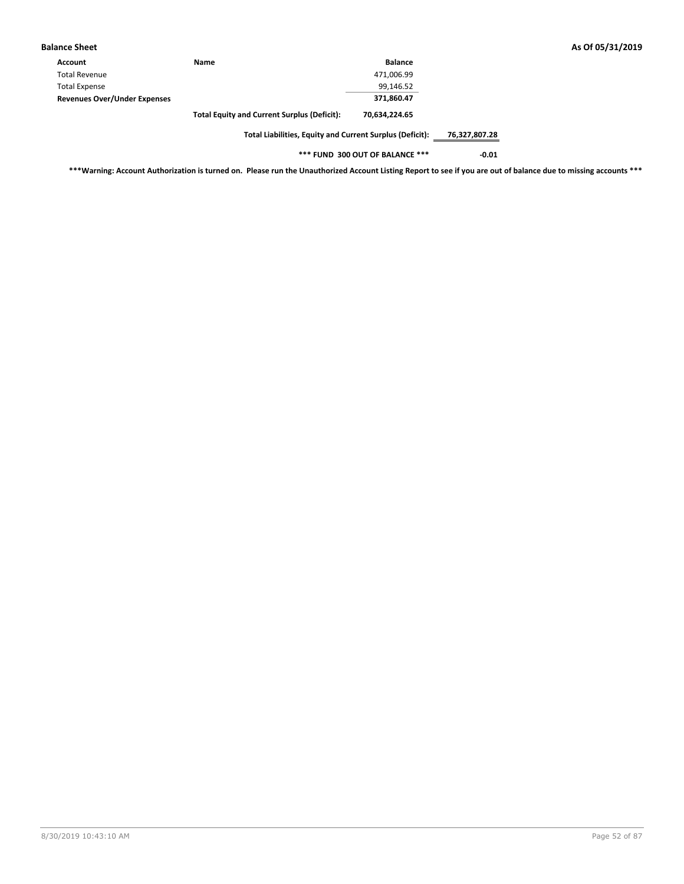| Name                                               | <b>Balance</b> |
|----------------------------------------------------|----------------|
|                                                    | 471,006.99     |
|                                                    | 99,146.52      |
|                                                    | 371.860.47     |
| <b>Total Equity and Current Surplus (Deficit):</b> | 70,634,224.65  |
|                                                    |                |

**\*\*\* FUND 300 OUT OF BALANCE \*\*\* -0.01**

**\*\*\*Warning: Account Authorization is turned on. Please run the Unauthorized Account Listing Report to see if you are out of balance due to missing accounts \*\*\***

**Balance Sheet As Of 05/31/2019**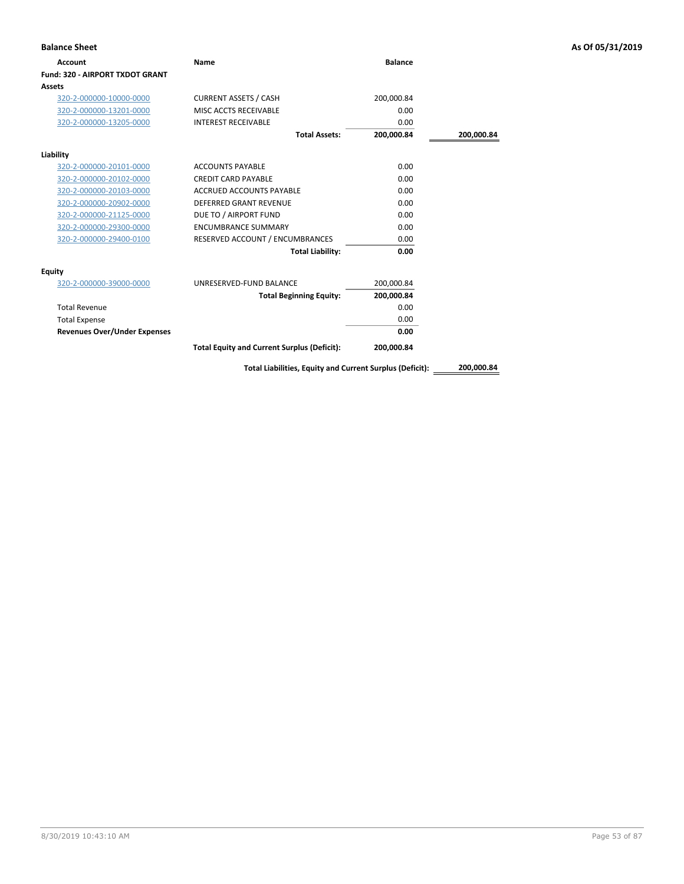| <b>Balance Sheet</b>                |                                                          |                |            | As Of 05/31/2019 |
|-------------------------------------|----------------------------------------------------------|----------------|------------|------------------|
| Account                             | Name                                                     | <b>Balance</b> |            |                  |
| Fund: 320 - AIRPORT TXDOT GRANT     |                                                          |                |            |                  |
| Assets                              |                                                          |                |            |                  |
| 320-2-000000-10000-0000             | <b>CURRENT ASSETS / CASH</b>                             | 200,000.84     |            |                  |
| 320-2-000000-13201-0000             | MISC ACCTS RECEIVABLE                                    | 0.00           |            |                  |
| 320-2-000000-13205-0000             | <b>INTEREST RECEIVABLE</b>                               | 0.00           |            |                  |
|                                     | <b>Total Assets:</b>                                     | 200,000.84     | 200,000.84 |                  |
| Liability                           |                                                          |                |            |                  |
| 320-2-000000-20101-0000             | <b>ACCOUNTS PAYABLE</b>                                  | 0.00           |            |                  |
| 320-2-000000-20102-0000             | <b>CREDIT CARD PAYABLE</b>                               | 0.00           |            |                  |
| 320-2-000000-20103-0000             | <b>ACCRUED ACCOUNTS PAYABLE</b>                          | 0.00           |            |                  |
| 320-2-000000-20902-0000             | <b>DEFERRED GRANT REVENUE</b>                            | 0.00           |            |                  |
| 320-2-000000-21125-0000             | DUE TO / AIRPORT FUND                                    | 0.00           |            |                  |
| 320-2-000000-29300-0000             | <b>ENCUMBRANCE SUMMARY</b>                               | 0.00           |            |                  |
| 320-2-000000-29400-0100             | RESERVED ACCOUNT / ENCUMBRANCES                          | 0.00           |            |                  |
|                                     | <b>Total Liability:</b>                                  | 0.00           |            |                  |
| <b>Equity</b>                       |                                                          |                |            |                  |
| 320-2-000000-39000-0000             | UNRESERVED-FUND BALANCE                                  | 200,000.84     |            |                  |
|                                     | <b>Total Beginning Equity:</b>                           | 200,000.84     |            |                  |
| <b>Total Revenue</b>                |                                                          | 0.00           |            |                  |
| <b>Total Expense</b>                |                                                          | 0.00           |            |                  |
| <b>Revenues Over/Under Expenses</b> |                                                          | 0.00           |            |                  |
|                                     | <b>Total Equity and Current Surplus (Deficit):</b>       | 200,000.84     |            |                  |
|                                     | Total Liabilities, Faujty and Current Surplus (Deficit): |                | 200.000.84 |                  |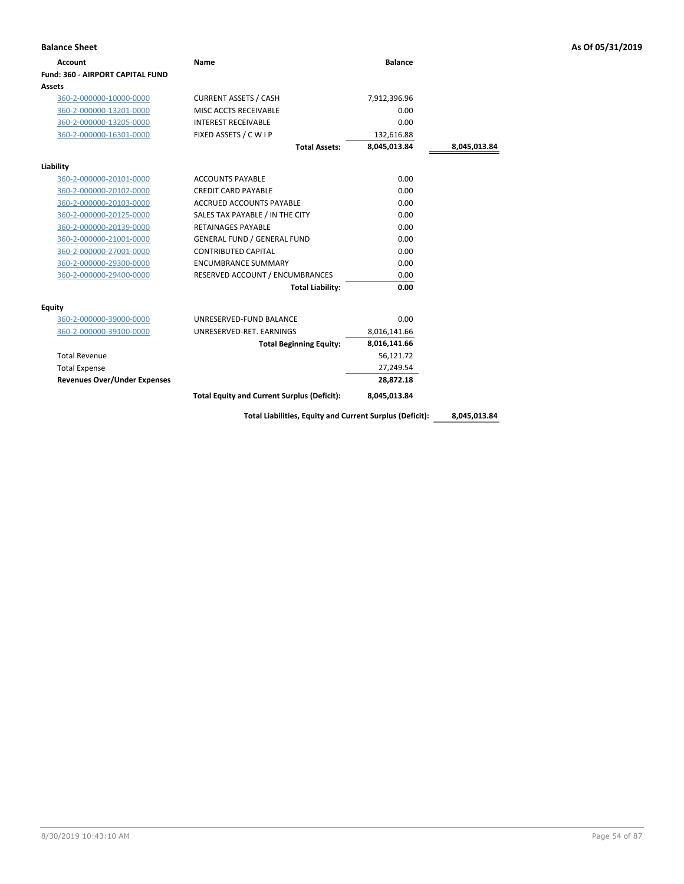| <b>Account</b>                          | Name                                                     | <b>Balance</b> |              |
|-----------------------------------------|----------------------------------------------------------|----------------|--------------|
| <b>Fund: 360 - AIRPORT CAPITAL FUND</b> |                                                          |                |              |
| Assets                                  |                                                          |                |              |
| 360-2-000000-10000-0000                 | <b>CURRENT ASSETS / CASH</b>                             | 7,912,396.96   |              |
| 360-2-000000-13201-0000                 | MISC ACCTS RECEIVABLE                                    | 0.00           |              |
| 360-2-000000-13205-0000                 | <b>INTEREST RECEIVABLE</b>                               | 0.00           |              |
| 360-2-000000-16301-0000                 | FIXED ASSETS / C W I P                                   | 132,616.88     |              |
|                                         | <b>Total Assets:</b>                                     | 8,045,013.84   | 8,045,013.84 |
| Liability                               |                                                          |                |              |
| 360-2-000000-20101-0000                 | <b>ACCOUNTS PAYABLE</b>                                  | 0.00           |              |
| 360-2-000000-20102-0000                 | <b>CREDIT CARD PAYABLE</b>                               | 0.00           |              |
| 360-2-000000-20103-0000                 | <b>ACCRUED ACCOUNTS PAYABLE</b>                          | 0.00           |              |
| 360-2-000000-20125-0000                 | SALES TAX PAYABLE / IN THE CITY                          | 0.00           |              |
| 360-2-000000-20139-0000                 | <b>RETAINAGES PAYABLE</b>                                | 0.00           |              |
| 360-2-000000-21001-0000                 | <b>GENERAL FUND / GENERAL FUND</b>                       | 0.00           |              |
| 360-2-000000-27001-0000                 | <b>CONTRIBUTED CAPITAL</b>                               | 0.00           |              |
| 360-2-000000-29300-0000                 | <b>ENCUMBRANCE SUMMARY</b>                               | 0.00           |              |
| 360-2-000000-29400-0000                 | RESERVED ACCOUNT / ENCUMBRANCES                          | 0.00           |              |
|                                         | <b>Total Liability:</b>                                  | 0.00           |              |
| Equity                                  |                                                          |                |              |
| 360-2-000000-39000-0000                 | UNRESERVED-FUND BALANCE                                  | 0.00           |              |
| 360-2-000000-39100-0000                 | UNRESERVED-RET. EARNINGS                                 | 8,016,141.66   |              |
|                                         | <b>Total Beginning Equity:</b>                           | 8,016,141.66   |              |
| <b>Total Revenue</b>                    |                                                          | 56,121.72      |              |
| <b>Total Expense</b>                    |                                                          | 27,249.54      |              |
| <b>Revenues Over/Under Expenses</b>     |                                                          | 28,872.18      |              |
|                                         | <b>Total Equity and Current Surplus (Deficit):</b>       | 8,045,013.84   |              |
|                                         | Total Liabilities, Equity and Current Surplus (Deficit): |                | 8,045,013.84 |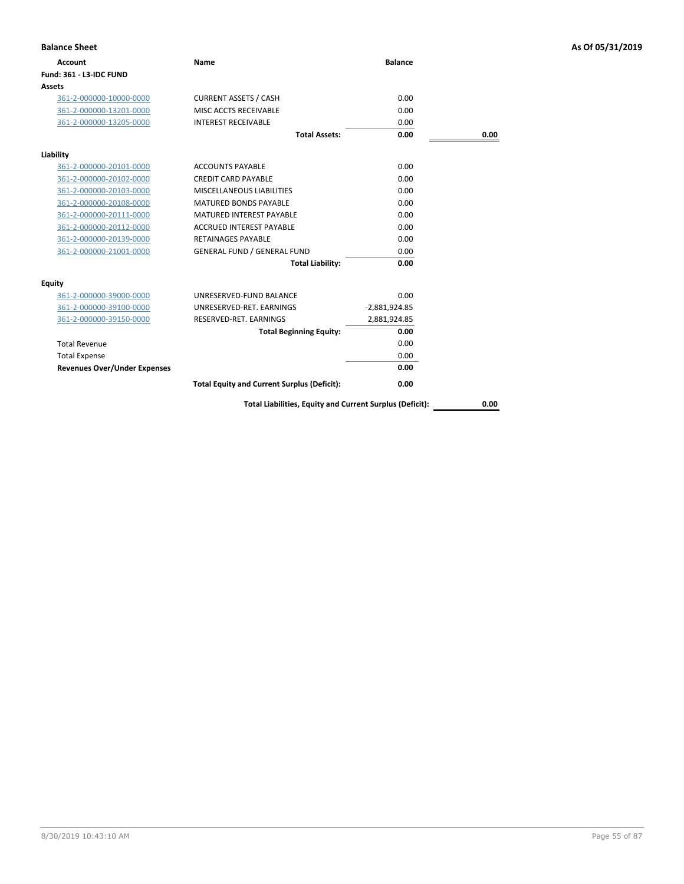| <b>Balance Sheet</b>                |                                                          |                 |      | As Of 05/31/2019 |
|-------------------------------------|----------------------------------------------------------|-----------------|------|------------------|
| <b>Account</b>                      | Name                                                     | <b>Balance</b>  |      |                  |
| Fund: 361 - L3-IDC FUND             |                                                          |                 |      |                  |
| Assets                              |                                                          |                 |      |                  |
| 361-2-000000-10000-0000             | <b>CURRENT ASSETS / CASH</b>                             | 0.00            |      |                  |
| 361-2-000000-13201-0000             | MISC ACCTS RECEIVABLE                                    | 0.00            |      |                  |
| 361-2-000000-13205-0000             | <b>INTEREST RECEIVABLE</b>                               | 0.00            |      |                  |
|                                     | <b>Total Assets:</b>                                     | 0.00            | 0.00 |                  |
| Liability                           |                                                          |                 |      |                  |
| 361-2-000000-20101-0000             | <b>ACCOUNTS PAYABLE</b>                                  | 0.00            |      |                  |
| 361-2-000000-20102-0000             | <b>CREDIT CARD PAYABLE</b>                               | 0.00            |      |                  |
| 361-2-000000-20103-0000             | MISCELLANEOUS LIABILITIES                                | 0.00            |      |                  |
| 361-2-000000-20108-0000             | MATURED BONDS PAYABLE                                    | 0.00            |      |                  |
| 361-2-000000-20111-0000             | MATURED INTEREST PAYABLE                                 | 0.00            |      |                  |
| 361-2-000000-20112-0000             | <b>ACCRUED INTEREST PAYABLE</b>                          | 0.00            |      |                  |
| 361-2-000000-20139-0000             | <b>RETAINAGES PAYABLE</b>                                | 0.00            |      |                  |
| 361-2-000000-21001-0000             | <b>GENERAL FUND / GENERAL FUND</b>                       | 0.00            |      |                  |
|                                     | <b>Total Liability:</b>                                  | 0.00            |      |                  |
| <b>Equity</b>                       |                                                          |                 |      |                  |
| 361-2-000000-39000-0000             | UNRESERVED-FUND BALANCE                                  | 0.00            |      |                  |
| 361-2-000000-39100-0000             | UNRESERVED-RET. EARNINGS                                 | $-2,881,924.85$ |      |                  |
| 361-2-000000-39150-0000             | RESERVED-RET. EARNINGS                                   | 2,881,924.85    |      |                  |
|                                     | <b>Total Beginning Equity:</b>                           | 0.00            |      |                  |
| <b>Total Revenue</b>                |                                                          | 0.00            |      |                  |
| <b>Total Expense</b>                |                                                          | 0.00            |      |                  |
| <b>Revenues Over/Under Expenses</b> |                                                          | 0.00            |      |                  |
|                                     | <b>Total Equity and Current Surplus (Deficit):</b>       | 0.00            |      |                  |
|                                     | Total Liabilities, Equity and Current Surplus (Deficit): |                 | 0.00 |                  |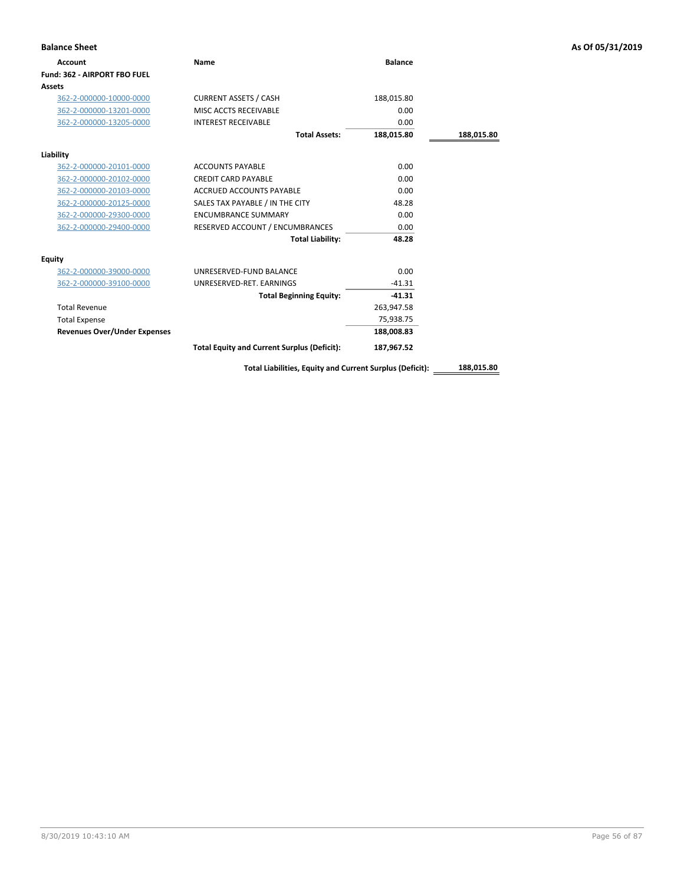| <b>Balance Sheet</b>                |                                                          |                |            | As Of 05/31/2019 |
|-------------------------------------|----------------------------------------------------------|----------------|------------|------------------|
| <b>Account</b>                      | Name                                                     | <b>Balance</b> |            |                  |
| Fund: 362 - AIRPORT FBO FUEL        |                                                          |                |            |                  |
| Assets                              |                                                          |                |            |                  |
| 362-2-000000-10000-0000             | <b>CURRENT ASSETS / CASH</b>                             | 188,015.80     |            |                  |
| 362-2-000000-13201-0000             | MISC ACCTS RECEIVABLE                                    | 0.00           |            |                  |
| 362-2-000000-13205-0000             | <b>INTEREST RECEIVABLE</b>                               | 0.00           |            |                  |
|                                     | <b>Total Assets:</b>                                     | 188,015.80     | 188,015.80 |                  |
| Liability                           |                                                          |                |            |                  |
| 362-2-000000-20101-0000             | <b>ACCOUNTS PAYABLE</b>                                  | 0.00           |            |                  |
| 362-2-000000-20102-0000             | <b>CREDIT CARD PAYABLE</b>                               | 0.00           |            |                  |
| 362-2-000000-20103-0000             | ACCRUED ACCOUNTS PAYABLE                                 | 0.00           |            |                  |
| 362-2-000000-20125-0000             | SALES TAX PAYABLE / IN THE CITY                          | 48.28          |            |                  |
| 362-2-000000-29300-0000             | <b>ENCUMBRANCE SUMMARY</b>                               | 0.00           |            |                  |
| 362-2-000000-29400-0000             | RESERVED ACCOUNT / ENCUMBRANCES                          | 0.00           |            |                  |
|                                     | <b>Total Liability:</b>                                  | 48.28          |            |                  |
| Equity                              |                                                          |                |            |                  |
| 362-2-000000-39000-0000             | UNRESERVED-FUND BALANCE                                  | 0.00           |            |                  |
| 362-2-000000-39100-0000             | UNRESERVED-RET. EARNINGS                                 | $-41.31$       |            |                  |
|                                     | <b>Total Beginning Equity:</b>                           | $-41.31$       |            |                  |
| <b>Total Revenue</b>                |                                                          | 263,947.58     |            |                  |
| <b>Total Expense</b>                |                                                          | 75,938.75      |            |                  |
| <b>Revenues Over/Under Expenses</b> |                                                          | 188,008.83     |            |                  |
|                                     | <b>Total Equity and Current Surplus (Deficit):</b>       | 187,967.52     |            |                  |
|                                     | Total Liabilities, Equity and Current Surplus (Deficit): |                | 188,015.80 |                  |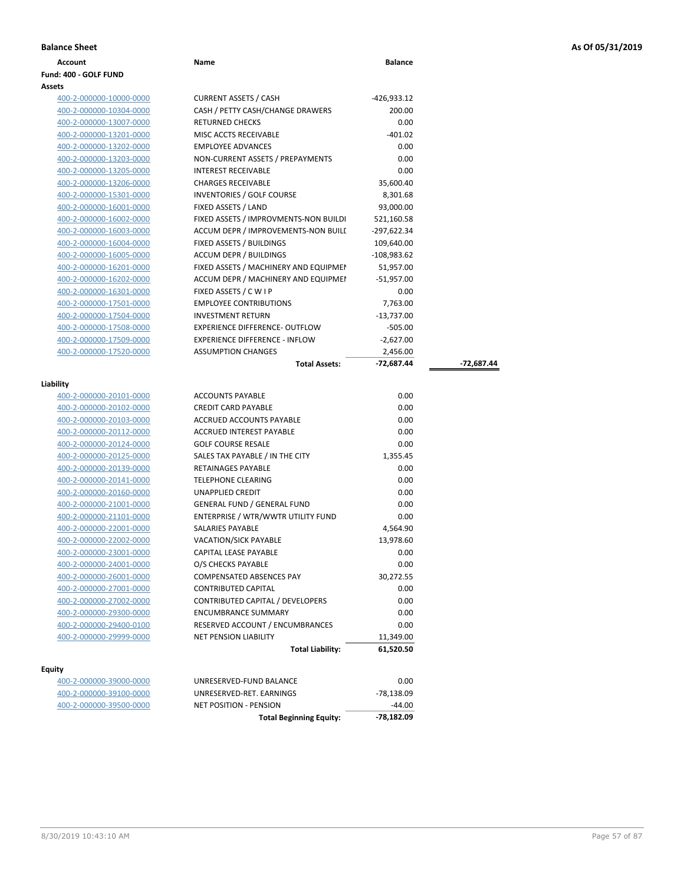### **Balance Sheet As Of 05/31/2019**

| <b>Daldlice Slieet</b> |      |                |
|------------------------|------|----------------|
| Account                | Name | <b>Balance</b> |
| Fund: 400 - GOLF FUND  |      |                |

### **Assets**

**Liability**

**Equity**

# 400-2-000000-10000-0000 CURRENT ASSETS / CASH -426,933.12 400-2-000000-10304-0000 CASH / PETTY CASH/CHANGE DRAWERS 200.00 400-2-000000-13007-0000 RETURNED CHECKS 0.00 400-2-000000-13201-0000 MISC ACCTS RECEIVABLE -401.02 400-2-000000-13202-0000 EMPLOYEE ADVANCES 0.00 400-2-000000-13203-0000 NON-CURRENT ASSETS / PREPAYMENTS 0.00 400-2-000000-13205-0000 INTEREST RECEIVABLE 0.00 400-2-000000-13206-0000 CHARGES RECEIVABLE 35,600.40 400-2-000000-15301-0000 INVENTORIES / GOLF COURSE 8,301.68 400-2-000000-16001-0000 FIXED ASSETS / LAND 93,000.00 400-2-000000-16002-0000 FIXED ASSETS / IMPROVMENTS-NON BUILDI 521,160.58 400-2-000000-16003-0000 **ACCUM DEPR / IMPROVEMENTS-NON BUILI** - 297,622.34 400-2-000000-16004-0000 FIXED ASSETS / BUILDINGS 109,640.00 400-2-000000-16005-0000 ACCUM DEPR / BUILDINGS -108,983.62 400-2-000000-16201-0000 FIXED ASSETS / MACHINERY AND EQUIPMENT 51,957.00 400-2-000000-16202-0000 ACCUM DEPR / MACHINERY AND EQUIPMENT -51,957.00 400-2-000000-16301-0000 FIXED ASSETS / C W I P 0.00 400-2-000000-17501-0000 EMPLOYEE CONTRIBUTIONS 7,763.00 400-2-000000-17504-0000 INVESTMENT RETURN -13,737.00 400-2-000000-17508-0000 EXPERIENCE DIFFERENCE- OUTFLOW -505.00 400-2-000000-17509-0000 EXPERIENCE DIFFERENCE - INFLOW -2,627.00 400-2-000000-17520-0000 ASSUMPTION CHANGES 2,456.00 **Total Assets: -72,687.44 -72,687.44** 400-2-000000-20101-0000 ACCOUNTS PAYABLE 0.00 400-2-000000-20102-0000 CREDIT CARD PAYABLE 0.00 400-2-000000-20103-0000 ACCRUED ACCOUNTS PAYABLE 0.00

| tν                      |                                    |           |
|-------------------------|------------------------------------|-----------|
|                         | <b>Total Liability:</b>            | 61,520.50 |
| 400-2-000000-29999-0000 | <b>NET PENSION LIABILITY</b>       | 11,349.00 |
| 400-2-000000-29400-0100 | RESERVED ACCOUNT / ENCUMBRANCES    | 0.00      |
| 400-2-000000-29300-0000 | <b>ENCUMBRANCE SUMMARY</b>         | 0.00      |
| 400-2-000000-27002-0000 | CONTRIBUTED CAPITAL / DEVELOPERS   | 0.00      |
| 400-2-000000-27001-0000 | <b>CONTRIBUTED CAPITAL</b>         | 0.00      |
| 400-2-000000-26001-0000 | <b>COMPENSATED ABSENCES PAY</b>    | 30,272.55 |
| 400-2-000000-24001-0000 | O/S CHECKS PAYABLE                 | 0.00      |
| 400-2-000000-23001-0000 | <b>CAPITAL LEASE PAYABLE</b>       | 0.00      |
| 400-2-000000-22002-0000 | <b>VACATION/SICK PAYABLE</b>       | 13,978.60 |
| 400-2-000000-22001-0000 | <b>SALARIES PAYABLE</b>            | 4,564.90  |
| 400-2-000000-21101-0000 | ENTERPRISE / WTR/WWTR UTILITY FUND | 0.00      |
| 400-2-000000-21001-0000 | <b>GENERAL FUND / GENERAL FUND</b> | 0.00      |
| 400-2-000000-20160-0000 | <b>UNAPPLIED CREDIT</b>            | 0.00      |
| 400-2-000000-20141-0000 | <b>TELEPHONE CLEARING</b>          | 0.00      |
| 400-2-000000-20139-0000 | <b>RETAINAGES PAYABLE</b>          | 0.00      |
| 400-2-000000-20125-0000 | SALES TAX PAYABLE / IN THE CITY    | 1,355.45  |
| 400-2-000000-20124-0000 | <b>GOLF COURSE RESALE</b>          | 0.00      |
| 400-2-000000-20112-0000 | ACCRUED INTEREST PAYABLE           | 0.00      |
| 400-2-000000-20103-0000 | ALLRUED ALLUUNTS PAYABLE           | U.UU      |

|                         | <b>Total Beginning Equity:</b> | -78.182.09 |
|-------------------------|--------------------------------|------------|
| 400-2-000000-39500-0000 | NET POSITION - PENSION         | -44.00     |
| 400-2-000000-39100-0000 | UNRESERVED-RET. EARNINGS       | -78.138.09 |
| 400-2-000000-39000-0000 | UNRESERVED-FUND BALANCE        | 0.00       |
|                         |                                |            |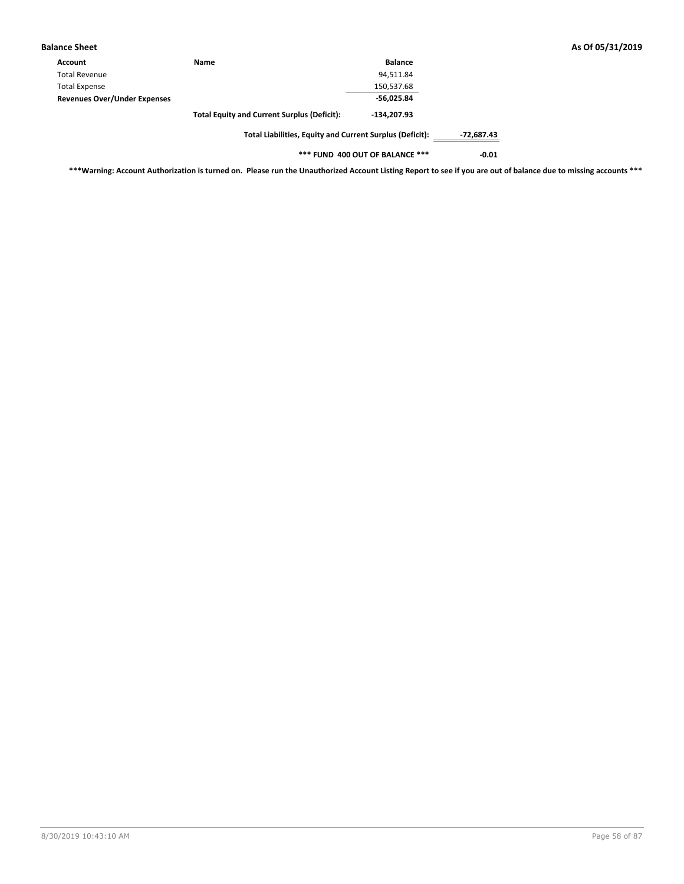| <b>Balance Sheet</b>                |                                                          |                |            | As Of 05/31/2019 |
|-------------------------------------|----------------------------------------------------------|----------------|------------|------------------|
| Account                             | Name                                                     | <b>Balance</b> |            |                  |
| <b>Total Revenue</b>                |                                                          | 94,511.84      |            |                  |
| <b>Total Expense</b>                |                                                          | 150,537.68     |            |                  |
| <b>Revenues Over/Under Expenses</b> |                                                          | $-56,025.84$   |            |                  |
|                                     | <b>Total Equity and Current Surplus (Deficit):</b>       | $-134.207.93$  |            |                  |
|                                     | Total Liabilities, Equity and Current Surplus (Deficit): |                | -72,687.43 |                  |

**\*\*\* FUND 400 OUT OF BALANCE \*\*\* -0.01**

**\*\*\*Warning: Account Authorization is turned on. Please run the Unauthorized Account Listing Report to see if you are out of balance due to missing accounts \*\*\***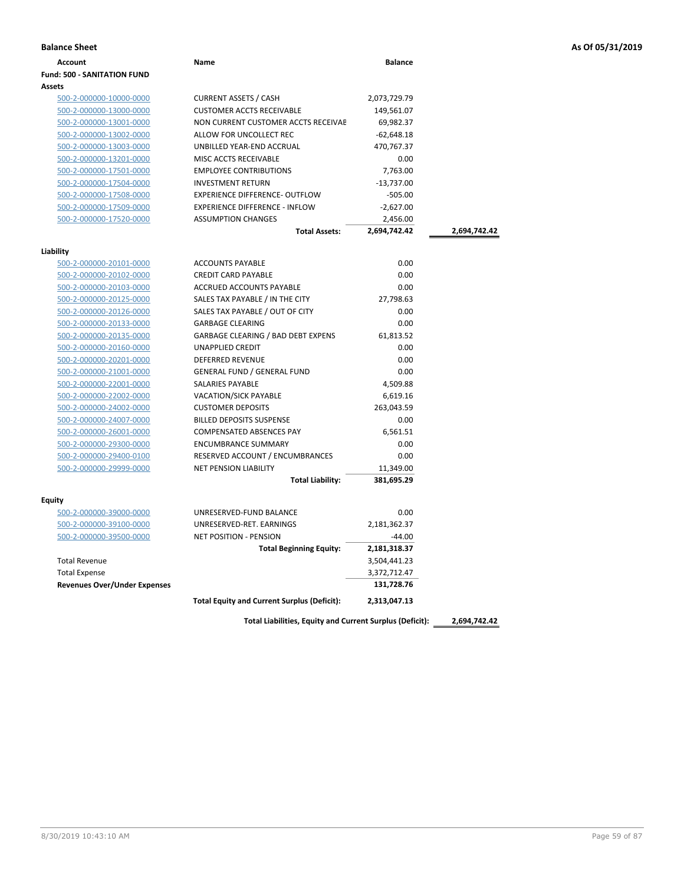|  | As Of 05/31/2019 |  |
|--|------------------|--|
|--|------------------|--|

| <b>Balance Sheet</b>                 |                                                    |                |              | As Of 05/31/2019 |
|--------------------------------------|----------------------------------------------------|----------------|--------------|------------------|
| <b>Account</b>                       | Name                                               | <b>Balance</b> |              |                  |
| <b>Fund: 500 - SANITATION FUND</b>   |                                                    |                |              |                  |
| <b>Assets</b>                        |                                                    |                |              |                  |
| 500-2-000000-10000-0000              | <b>CURRENT ASSETS / CASH</b>                       | 2,073,729.79   |              |                  |
| 500-2-000000-13000-0000              | <b>CUSTOMER ACCTS RECEIVABLE</b>                   | 149,561.07     |              |                  |
| 500-2-000000-13001-0000              | NON CURRENT CUSTOMER ACCTS RECEIVAE                | 69,982.37      |              |                  |
| 500-2-000000-13002-0000              | ALLOW FOR UNCOLLECT REC                            | $-62,648.18$   |              |                  |
| 500-2-000000-13003-0000              | UNBILLED YEAR-END ACCRUAL                          | 470,767.37     |              |                  |
| 500-2-000000-13201-0000              | MISC ACCTS RECEIVABLE                              | 0.00           |              |                  |
| 500-2-000000-17501-0000              | <b>EMPLOYEE CONTRIBUTIONS</b>                      | 7,763.00       |              |                  |
| 500-2-000000-17504-0000              | <b>INVESTMENT RETURN</b>                           | $-13,737.00$   |              |                  |
| 500-2-000000-17508-0000              | <b>EXPERIENCE DIFFERENCE- OUTFLOW</b>              | $-505.00$      |              |                  |
| 500-2-000000-17509-0000              | <b>EXPERIENCE DIFFERENCE - INFLOW</b>              | $-2,627.00$    |              |                  |
| 500-2-000000-17520-0000              | <b>ASSUMPTION CHANGES</b>                          | 2,456.00       |              |                  |
|                                      | <b>Total Assets:</b>                               | 2,694,742.42   | 2,694,742.42 |                  |
|                                      |                                                    |                |              |                  |
| Liability<br>500-2-000000-20101-0000 | <b>ACCOUNTS PAYABLE</b>                            | 0.00           |              |                  |
| 500-2-000000-20102-0000              | <b>CREDIT CARD PAYABLE</b>                         | 0.00           |              |                  |
| 500-2-000000-20103-0000              | ACCRUED ACCOUNTS PAYABLE                           | 0.00           |              |                  |
| 500-2-000000-20125-0000              | SALES TAX PAYABLE / IN THE CITY                    | 27,798.63      |              |                  |
| 500-2-000000-20126-0000              | SALES TAX PAYABLE / OUT OF CITY                    | 0.00           |              |                  |
| 500-2-000000-20133-0000              | <b>GARBAGE CLEARING</b>                            | 0.00           |              |                  |
| 500-2-000000-20135-0000              | GARBAGE CLEARING / BAD DEBT EXPENS                 | 61,813.52      |              |                  |
| 500-2-000000-20160-0000              | <b>UNAPPLIED CREDIT</b>                            | 0.00           |              |                  |
| 500-2-000000-20201-0000              | DEFERRED REVENUE                                   | 0.00           |              |                  |
| 500-2-000000-21001-0000              | <b>GENERAL FUND / GENERAL FUND</b>                 | 0.00           |              |                  |
| 500-2-000000-22001-0000              | SALARIES PAYABLE                                   | 4,509.88       |              |                  |
| 500-2-000000-22002-0000              | VACATION/SICK PAYABLE                              | 6,619.16       |              |                  |
| 500-2-000000-24002-0000              | <b>CUSTOMER DEPOSITS</b>                           | 263,043.59     |              |                  |
| 500-2-000000-24007-0000              | <b>BILLED DEPOSITS SUSPENSE</b>                    | 0.00           |              |                  |
| 500-2-000000-26001-0000              | <b>COMPENSATED ABSENCES PAY</b>                    | 6,561.51       |              |                  |
| 500-2-000000-29300-0000              | <b>ENCUMBRANCE SUMMARY</b>                         | 0.00           |              |                  |
| 500-2-000000-29400-0100              | RESERVED ACCOUNT / ENCUMBRANCES                    | 0.00           |              |                  |
| 500-2-000000-29999-0000              | <b>NET PENSION LIABILITY</b>                       | 11,349.00      |              |                  |
|                                      | <b>Total Liability:</b>                            | 381,695.29     |              |                  |
|                                      |                                                    |                |              |                  |
| <b>Equity</b>                        |                                                    |                |              |                  |
| 500-2-000000-39000-0000              | UNRESERVED-FUND BALANCE                            | 0.00           |              |                  |
| 500-2-000000-39100-0000              | UNRESERVED-RET. EARNINGS                           | 2,181,362.37   |              |                  |
| 500-2-000000-39500-0000              | <b>NET POSITION - PENSION</b>                      | $-44.00$       |              |                  |
|                                      | <b>Total Beginning Equity:</b>                     | 2,181,318.37   |              |                  |
| <b>Total Revenue</b>                 |                                                    | 3,504,441.23   |              |                  |
| <b>Total Expense</b>                 |                                                    | 3,372,712.47   |              |                  |
| <b>Revenues Over/Under Expenses</b>  |                                                    | 131,728.76     |              |                  |
|                                      | <b>Total Equity and Current Surplus (Deficit):</b> | 2,313,047.13   |              |                  |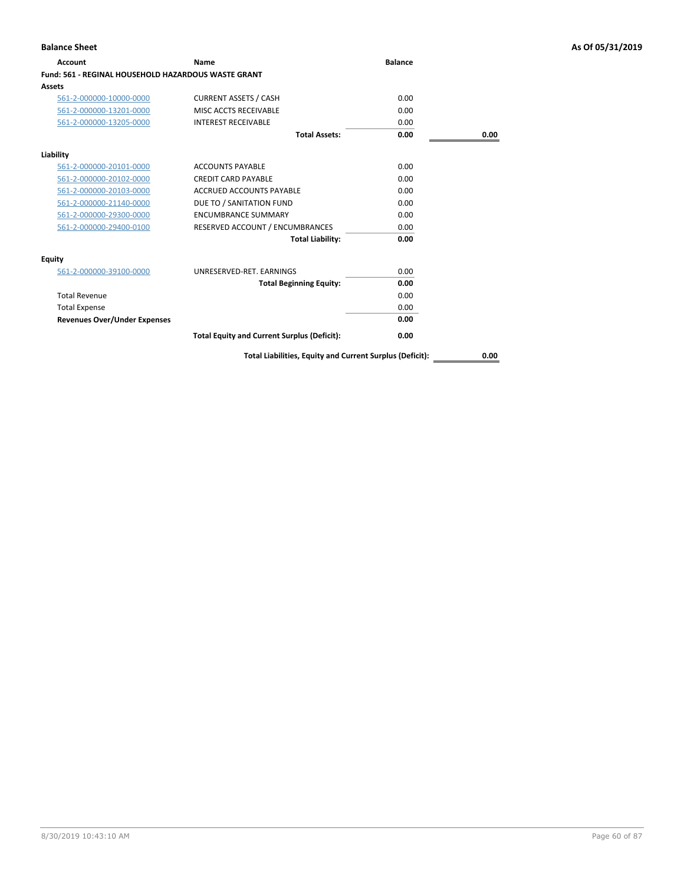| <b>Account</b>                                      | Name                                               | <b>Balance</b> |      |
|-----------------------------------------------------|----------------------------------------------------|----------------|------|
| Fund: 561 - REGINAL HOUSEHOLD HAZARDOUS WASTE GRANT |                                                    |                |      |
| Assets                                              |                                                    |                |      |
| 561-2-000000-10000-0000                             | <b>CURRENT ASSETS / CASH</b>                       | 0.00           |      |
| 561-2-000000-13201-0000                             | MISC ACCTS RECEIVABLE                              | 0.00           |      |
| 561-2-000000-13205-0000                             | <b>INTEREST RECEIVABLE</b>                         | 0.00           |      |
|                                                     | <b>Total Assets:</b>                               | 0.00           | 0.00 |
| Liability                                           |                                                    |                |      |
| 561-2-000000-20101-0000                             | <b>ACCOUNTS PAYABLE</b>                            | 0.00           |      |
| 561-2-000000-20102-0000                             | <b>CREDIT CARD PAYABLE</b>                         | 0.00           |      |
| 561-2-000000-20103-0000                             | <b>ACCRUED ACCOUNTS PAYABLE</b>                    | 0.00           |      |
| 561-2-000000-21140-0000                             | DUE TO / SANITATION FUND                           | 0.00           |      |
| 561-2-000000-29300-0000                             | <b>ENCUMBRANCE SUMMARY</b>                         | 0.00           |      |
| 561-2-000000-29400-0100                             | RESERVED ACCOUNT / ENCUMBRANCES                    | 0.00           |      |
|                                                     | <b>Total Liability:</b>                            | 0.00           |      |
| Equity                                              |                                                    |                |      |
| 561-2-000000-39100-0000                             | UNRESERVED-RET, EARNINGS                           | 0.00           |      |
|                                                     | <b>Total Beginning Equity:</b>                     | 0.00           |      |
| <b>Total Revenue</b>                                |                                                    | 0.00           |      |
| <b>Total Expense</b>                                |                                                    | 0.00           |      |
| <b>Revenues Over/Under Expenses</b>                 |                                                    | 0.00           |      |
|                                                     | <b>Total Equity and Current Surplus (Deficit):</b> | 0.00           |      |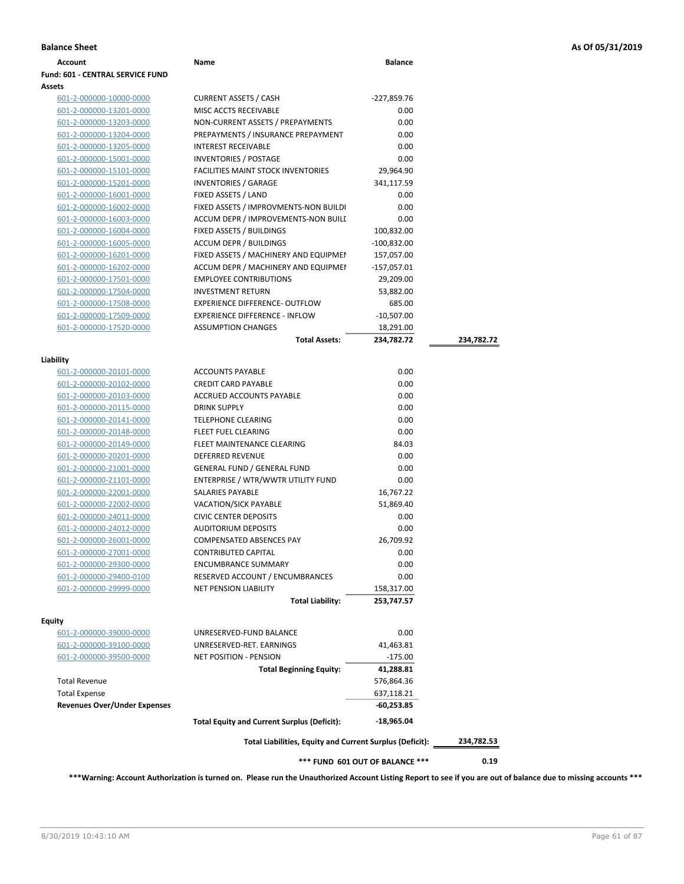| <b>Balance Sheet</b> | As Of 05/31/2019 |
|----------------------|------------------|
|----------------------|------------------|

| Account                                            | Name                                                       | <b>Balance</b>                  |            |
|----------------------------------------------------|------------------------------------------------------------|---------------------------------|------------|
| <b>Fund: 601 - CENTRAL SERVICE FUND</b>            |                                                            |                                 |            |
| Assets                                             |                                                            |                                 |            |
| 601-2-000000-10000-0000                            | <b>CURRENT ASSETS / CASH</b>                               | -227,859.76                     |            |
| 601-2-000000-13201-0000                            | MISC ACCTS RECEIVABLE                                      | 0.00                            |            |
| 601-2-000000-13203-0000                            | NON-CURRENT ASSETS / PREPAYMENTS                           | 0.00                            |            |
| 601-2-000000-13204-0000                            | PREPAYMENTS / INSURANCE PREPAYMENT                         | 0.00                            |            |
| 601-2-000000-13205-0000                            | <b>INTEREST RECEIVABLE</b>                                 | 0.00                            |            |
| 601-2-000000-15001-0000                            | <b>INVENTORIES / POSTAGE</b>                               | 0.00                            |            |
| 601-2-000000-15101-0000                            | <b>FACILITIES MAINT STOCK INVENTORIES</b>                  | 29,964.90                       |            |
| 601-2-000000-15201-0000                            | <b>INVENTORIES / GARAGE</b>                                | 341,117.59                      |            |
| 601-2-000000-16001-0000                            | FIXED ASSETS / LAND                                        | 0.00                            |            |
| 601-2-000000-16002-0000                            | FIXED ASSETS / IMPROVMENTS-NON BUILDI                      | 0.00                            |            |
| 601-2-000000-16003-0000                            | ACCUM DEPR / IMPROVEMENTS-NON BUILL                        | 0.00                            |            |
| 601-2-000000-16004-0000                            | FIXED ASSETS / BUILDINGS                                   | 100,832.00                      |            |
| 601-2-000000-16005-0000                            | <b>ACCUM DEPR / BUILDINGS</b>                              | -100,832.00                     |            |
| 601-2-000000-16201-0000                            | FIXED ASSETS / MACHINERY AND EQUIPMEN                      | 157,057.00                      |            |
| 601-2-000000-16202-0000                            | ACCUM DEPR / MACHINERY AND EQUIPMEI                        | $-157,057.01$                   |            |
| 601-2-000000-17501-0000                            | <b>EMPLOYEE CONTRIBUTIONS</b>                              | 29,209.00                       |            |
| 601-2-000000-17504-0000                            | <b>INVESTMENT RETURN</b>                                   | 53,882.00                       |            |
| 601-2-000000-17508-0000                            | EXPERIENCE DIFFERENCE- OUTFLOW                             | 685.00                          |            |
| 601-2-000000-17509-0000                            | <b>EXPERIENCE DIFFERENCE - INFLOW</b>                      | $-10,507.00$                    |            |
| 601-2-000000-17520-0000                            | <b>ASSUMPTION CHANGES</b>                                  | 18,291.00                       |            |
|                                                    | <b>Total Assets:</b>                                       | 234,782.72                      | 234,782.72 |
|                                                    |                                                            |                                 |            |
| Liability                                          |                                                            |                                 |            |
| 601-2-000000-20101-0000                            | <b>ACCOUNTS PAYABLE</b>                                    | 0.00                            |            |
| 601-2-000000-20102-0000                            | <b>CREDIT CARD PAYABLE</b>                                 | 0.00                            |            |
| 601-2-000000-20103-0000                            | ACCRUED ACCOUNTS PAYABLE                                   | 0.00                            |            |
| 601-2-000000-20115-0000                            | <b>DRINK SUPPLY</b>                                        | 0.00                            |            |
| 601-2-000000-20141-0000                            | <b>TELEPHONE CLEARING</b>                                  | 0.00                            |            |
| 601-2-000000-20148-0000                            | FLEET FUEL CLEARING                                        | 0.00                            |            |
| 601-2-000000-20149-0000                            | FLEET MAINTENANCE CLEARING                                 | 84.03                           |            |
| 601-2-000000-20201-0000                            | <b>DEFERRED REVENUE</b>                                    | 0.00                            |            |
| 601-2-000000-21001-0000                            | <b>GENERAL FUND / GENERAL FUND</b>                         | 0.00                            |            |
| 601-2-000000-21101-0000                            | ENTERPRISE / WTR/WWTR UTILITY FUND                         | 0.00                            |            |
| 601-2-000000-22001-0000                            | SALARIES PAYABLE<br><b>VACATION/SICK PAYABLE</b>           | 16,767.22                       |            |
| 601-2-000000-22002-0000                            |                                                            | 51,869.40                       |            |
| 601-2-000000-24011-0000<br>601-2-000000-24012-0000 | <b>CIVIC CENTER DEPOSITS</b><br><b>AUDITORIUM DEPOSITS</b> | 0.00<br>0.00                    |            |
|                                                    | <b>COMPENSATED ABSENCES PAY</b>                            |                                 |            |
| 601-2-000000-26001-0000<br>601-2-000000-27001-0000 | <b>CONTRIBUTED CAPITAL</b>                                 | 26,709.92<br>0.00               |            |
| 601-2-000000-29300-0000                            | <b>ENCUMBRANCE SUMMARY</b>                                 | 0.00                            |            |
| 601-2-000000-29400-0100                            | RESERVED ACCOUNT / ENCUMBRANCES                            | 0.00                            |            |
| 601-2-000000-29999-0000                            | <b>NET PENSION LIABILITY</b>                               | 158,317.00                      |            |
|                                                    | <b>Total Liability:</b>                                    | 253,747.57                      |            |
|                                                    |                                                            |                                 |            |
| <b>Equity</b>                                      |                                                            |                                 |            |
| 601-2-000000-39000-0000                            | UNRESERVED-FUND BALANCE                                    | 0.00                            |            |
| 601-2-000000-39100-0000                            | UNRESERVED-RET. EARNINGS                                   | 41,463.81                       |            |
| 601-2-000000-39500-0000                            | NET POSITION - PENSION                                     | $-175.00$                       |            |
|                                                    | <b>Total Beginning Equity:</b>                             | 41,288.81                       |            |
| <b>Total Revenue</b>                               |                                                            | 576,864.36                      |            |
| <b>Total Expense</b>                               |                                                            | 637,118.21                      |            |
| <b>Revenues Over/Under Expenses</b>                |                                                            | $-60,253.85$                    |            |
|                                                    | <b>Total Equity and Current Surplus (Deficit):</b>         | $-18,965.04$                    |            |
|                                                    | Total Liabilities, Equity and Current Surplus (Deficit):   |                                 | 234,782.53 |
|                                                    |                                                            | *** FUND 601 OUT OF BALANCE *** | 0.19       |
|                                                    |                                                            |                                 |            |

**\*\*\*Warning: Account Authorization is turned on. Please run the Unauthorized Account Listing Report to see if you are out of balance due to missing accounts \*\*\***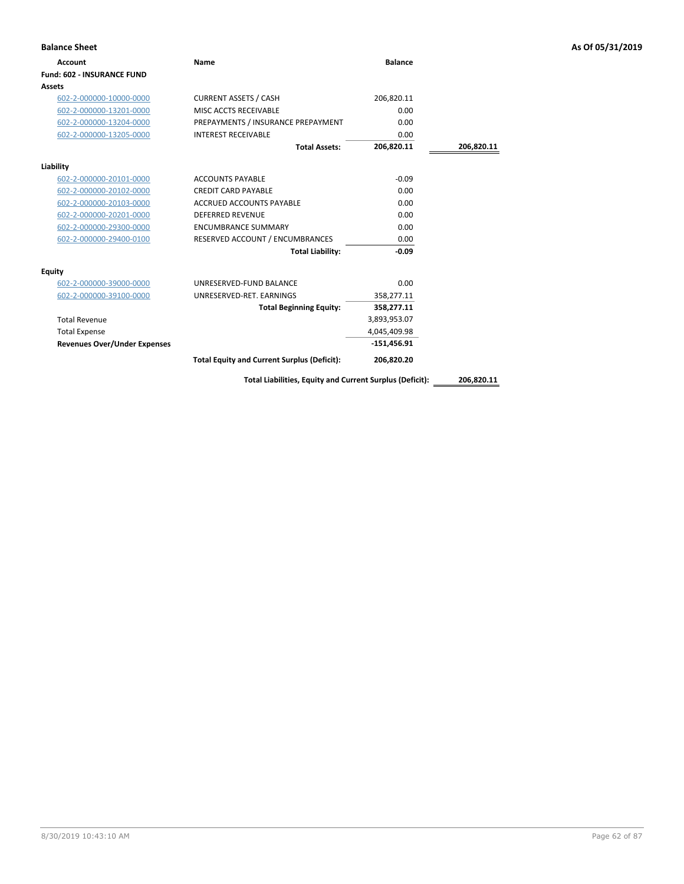| <b>Balance Sheet</b>                |                                                    |                |            | As Of 05/31/2019 |
|-------------------------------------|----------------------------------------------------|----------------|------------|------------------|
| Account                             | Name                                               | <b>Balance</b> |            |                  |
| Fund: 602 - INSURANCE FUND          |                                                    |                |            |                  |
| <b>Assets</b>                       |                                                    |                |            |                  |
| 602-2-000000-10000-0000             | <b>CURRENT ASSETS / CASH</b>                       | 206,820.11     |            |                  |
| 602-2-000000-13201-0000             | MISC ACCTS RECEIVABLE                              | 0.00           |            |                  |
| 602-2-000000-13204-0000             | PREPAYMENTS / INSURANCE PREPAYMENT                 | 0.00           |            |                  |
| 602-2-000000-13205-0000             | <b>INTEREST RECEIVABLE</b>                         | 0.00           |            |                  |
|                                     | <b>Total Assets:</b>                               | 206,820.11     | 206,820.11 |                  |
| Liability                           |                                                    |                |            |                  |
| 602-2-000000-20101-0000             | <b>ACCOUNTS PAYABLE</b>                            | $-0.09$        |            |                  |
| 602-2-000000-20102-0000             | <b>CREDIT CARD PAYABLE</b>                         | 0.00           |            |                  |
| 602-2-000000-20103-0000             | <b>ACCRUED ACCOUNTS PAYABLE</b>                    | 0.00           |            |                  |
| 602-2-000000-20201-0000             | <b>DEFERRED REVENUE</b>                            | 0.00           |            |                  |
| 602-2-000000-29300-0000             | <b>ENCUMBRANCE SUMMARY</b>                         | 0.00           |            |                  |
| 602-2-000000-29400-0100             | RESERVED ACCOUNT / ENCUMBRANCES                    | 0.00           |            |                  |
|                                     | <b>Total Liability:</b>                            | $-0.09$        |            |                  |
| Equity                              |                                                    |                |            |                  |
| 602-2-000000-39000-0000             | UNRESERVED-FUND BALANCE                            | 0.00           |            |                  |
| 602-2-000000-39100-0000             | UNRESERVED-RET. EARNINGS                           | 358,277.11     |            |                  |
|                                     | <b>Total Beginning Equity:</b>                     | 358,277.11     |            |                  |
| <b>Total Revenue</b>                |                                                    | 3,893,953.07   |            |                  |
| <b>Total Expense</b>                |                                                    | 4,045,409.98   |            |                  |
| <b>Revenues Over/Under Expenses</b> |                                                    | $-151,456.91$  |            |                  |
|                                     | <b>Total Equity and Current Surplus (Deficit):</b> | 206,820.20     |            |                  |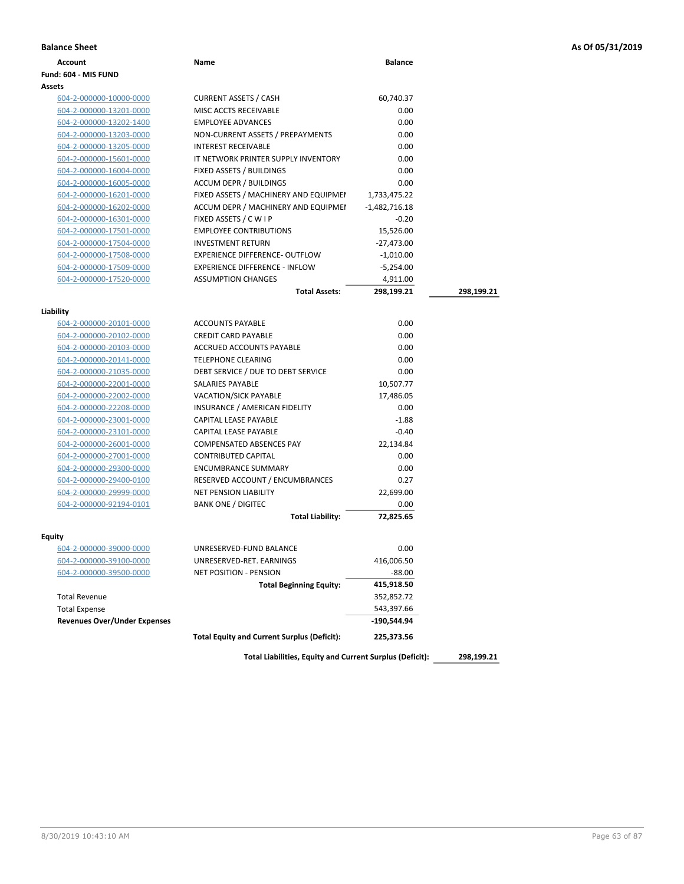| As Of 05/31/2019 |  |  |  |  |  |
|------------------|--|--|--|--|--|
|------------------|--|--|--|--|--|

| <b>Balance Sheet</b>                |                                                          |                 |            | As Of 05/31/2019 |
|-------------------------------------|----------------------------------------------------------|-----------------|------------|------------------|
| <b>Account</b>                      | Name                                                     | <b>Balance</b>  |            |                  |
| Fund: 604 - MIS FUND                |                                                          |                 |            |                  |
| Assets                              |                                                          |                 |            |                  |
| 604-2-000000-10000-0000             | <b>CURRENT ASSETS / CASH</b>                             | 60,740.37       |            |                  |
| 604-2-000000-13201-0000             | MISC ACCTS RECEIVABLE                                    | 0.00            |            |                  |
| 604-2-000000-13202-1400             | <b>EMPLOYEE ADVANCES</b>                                 | 0.00            |            |                  |
| 604-2-000000-13203-0000             | NON-CURRENT ASSETS / PREPAYMENTS                         | 0.00            |            |                  |
| 604-2-000000-13205-0000             | <b>INTEREST RECEIVABLE</b>                               | 0.00            |            |                  |
| 604-2-000000-15601-0000             | IT NETWORK PRINTER SUPPLY INVENTORY                      | 0.00            |            |                  |
| 604-2-000000-16004-0000             | FIXED ASSETS / BUILDINGS                                 | 0.00            |            |                  |
| 604-2-000000-16005-0000             | <b>ACCUM DEPR / BUILDINGS</b>                            | 0.00            |            |                  |
| 604-2-000000-16201-0000             | FIXED ASSETS / MACHINERY AND EQUIPMEN                    | 1,733,475.22    |            |                  |
| 604-2-000000-16202-0000             | ACCUM DEPR / MACHINERY AND EQUIPMEI                      | $-1,482,716.18$ |            |                  |
| 604-2-000000-16301-0000             | FIXED ASSETS / C W I P                                   | $-0.20$         |            |                  |
| 604-2-000000-17501-0000             | <b>EMPLOYEE CONTRIBUTIONS</b>                            | 15,526.00       |            |                  |
| 604-2-000000-17504-0000             | <b>INVESTMENT RETURN</b>                                 | -27,473.00      |            |                  |
| 604-2-000000-17508-0000             | EXPERIENCE DIFFERENCE- OUTFLOW                           | $-1,010.00$     |            |                  |
| 604-2-000000-17509-0000             | <b>EXPERIENCE DIFFERENCE - INFLOW</b>                    | $-5,254.00$     |            |                  |
| 604-2-000000-17520-0000             | <b>ASSUMPTION CHANGES</b>                                | 4,911.00        |            |                  |
|                                     | <b>Total Assets:</b>                                     | 298,199.21      | 298,199.21 |                  |
|                                     |                                                          |                 |            |                  |
| Liability                           |                                                          |                 |            |                  |
| 604-2-000000-20101-0000             | <b>ACCOUNTS PAYABLE</b>                                  | 0.00            |            |                  |
| 604-2-000000-20102-0000             | <b>CREDIT CARD PAYABLE</b>                               | 0.00            |            |                  |
| 604-2-000000-20103-0000             | <b>ACCRUED ACCOUNTS PAYABLE</b>                          | 0.00            |            |                  |
| 604-2-000000-20141-0000             | <b>TELEPHONE CLEARING</b>                                | 0.00            |            |                  |
| 604-2-000000-21035-0000             | DEBT SERVICE / DUE TO DEBT SERVICE                       | 0.00            |            |                  |
| 604-2-000000-22001-0000             | SALARIES PAYABLE                                         | 10,507.77       |            |                  |
| 604-2-000000-22002-0000             | VACATION/SICK PAYABLE                                    | 17,486.05       |            |                  |
| 604-2-000000-22208-0000             | INSURANCE / AMERICAN FIDELITY                            | 0.00            |            |                  |
| 604-2-000000-23001-0000             | CAPITAL LEASE PAYABLE                                    | $-1.88$         |            |                  |
| 604-2-000000-23101-0000             | CAPITAL LEASE PAYABLE                                    | $-0.40$         |            |                  |
| 604-2-000000-26001-0000             | <b>COMPENSATED ABSENCES PAY</b>                          | 22,134.84       |            |                  |
| 604-2-000000-27001-0000             | <b>CONTRIBUTED CAPITAL</b>                               | 0.00            |            |                  |
| 604-2-000000-29300-0000             | <b>ENCUMBRANCE SUMMARY</b>                               | 0.00            |            |                  |
| 604-2-000000-29400-0100             | RESERVED ACCOUNT / ENCUMBRANCES                          | 0.27            |            |                  |
| 604-2-000000-29999-0000             | <b>NET PENSION LIABILITY</b>                             | 22,699.00       |            |                  |
| 604-2-000000-92194-0101             | <b>BANK ONE / DIGITEC</b>                                | 0.00            |            |                  |
|                                     | <b>Total Liability:</b>                                  | 72,825.65       |            |                  |
| Equity                              |                                                          |                 |            |                  |
| 604-2-000000-39000-0000             | UNRESERVED-FUND BALANCE                                  | 0.00            |            |                  |
| 604-2-000000-39100-0000             | UNRESERVED-RET. EARNINGS                                 | 416,006.50      |            |                  |
| 604-2-000000-39500-0000             | NET POSITION - PENSION                                   | $-88.00$        |            |                  |
|                                     | <b>Total Beginning Equity:</b>                           | 415,918.50      |            |                  |
| <b>Total Revenue</b>                |                                                          | 352,852.72      |            |                  |
| <b>Total Expense</b>                |                                                          | 543,397.66      |            |                  |
| <b>Revenues Over/Under Expenses</b> |                                                          | -190,544.94     |            |                  |
|                                     | <b>Total Equity and Current Surplus (Deficit):</b>       | 225,373.56      |            |                  |
|                                     |                                                          |                 |            |                  |
|                                     | Total Liabilities, Equity and Current Surplus (Deficit): |                 | 298,199.21 |                  |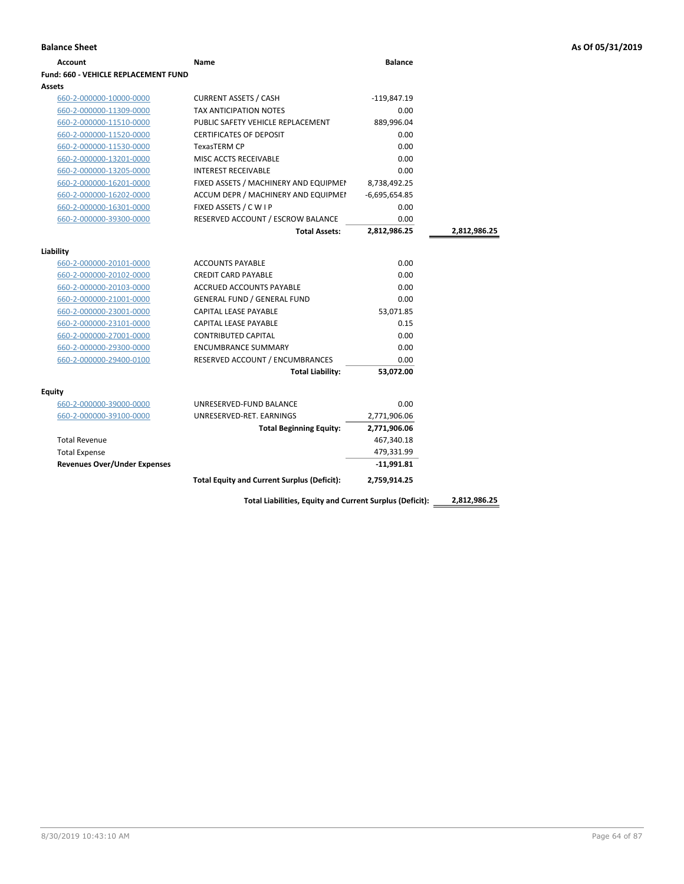| Account                              | Name                                  | <b>Balance</b>  |              |
|--------------------------------------|---------------------------------------|-----------------|--------------|
| Fund: 660 - VEHICLE REPLACEMENT FUND |                                       |                 |              |
| Assets                               |                                       |                 |              |
| 660-2-000000-10000-0000              | <b>CURRENT ASSETS / CASH</b>          | $-119,847.19$   |              |
| 660-2-000000-11309-0000              | <b>TAX ANTICIPATION NOTES</b>         | 0.00            |              |
| 660-2-000000-11510-0000              | PUBLIC SAFETY VEHICLE REPLACEMENT     | 889,996.04      |              |
| 660-2-000000-11520-0000              | <b>CERTIFICATES OF DEPOSIT</b>        | 0.00            |              |
| 660-2-000000-11530-0000              | <b>TexasTERM CP</b>                   | 0.00            |              |
| 660-2-000000-13201-0000              | MISC ACCTS RECEIVABLE                 | 0.00            |              |
| 660-2-000000-13205-0000              | <b>INTEREST RECEIVABLE</b>            | 0.00            |              |
| 660-2-000000-16201-0000              | FIXED ASSETS / MACHINERY AND EQUIPMEN | 8,738,492.25    |              |
| 660-2-000000-16202-0000              | ACCUM DEPR / MACHINERY AND EQUIPMEI   | $-6,695,654.85$ |              |
| 660-2-000000-16301-0000              | FIXED ASSETS / C W I P                | 0.00            |              |
| 660-2-000000-39300-0000              | RESERVED ACCOUNT / ESCROW BALANCE     | 0.00            |              |
|                                      | <b>Total Assets:</b>                  | 2,812,986.25    | 2,812,986.25 |
|                                      |                                       |                 |              |
| Liability                            |                                       |                 |              |
| 660-2-000000-20101-0000              | <b>ACCOUNTS PAYABLE</b>               | 0.00            |              |
| 660-2-000000-20102-0000              | <b>CREDIT CARD PAYABLE</b>            | 0.00            |              |
| 660-2-000000-20103-0000              | ACCRUED ACCOUNTS PAYABLE              | 0.00            |              |
| 660-2-000000-21001-0000              | <b>GENERAL FUND / GENERAL FUND</b>    | 0.00            |              |
| 660-2-000000-23001-0000              | CAPITAL LEASE PAYABLE                 | 53,071.85       |              |
| 660-2-000000-23101-0000              | <b>CAPITAL LEASE PAYABLE</b>          | 0.15            |              |
| 660-2-000000-27001-0000              | <b>CONTRIBUTED CAPITAL</b>            | 0.00            |              |
| 660-2-000000-29300-0000              | <b>ENCUMBRANCE SUMMARY</b>            | 0.00            |              |
| 660-2-000000-29400-0100              | RESERVED ACCOUNT / ENCUMBRANCES       | 0.00            |              |
|                                      | <b>Total Liability:</b>               | 53,072.00       |              |
| Equity                               |                                       |                 |              |
| 660-2-000000-39000-0000              | UNRESERVED-FUND BALANCE               | 0.00            |              |
| 660-2-000000-39100-0000              | UNRESERVED-RET. EARNINGS              | 2,771,906.06    |              |
|                                      | <b>Total Beginning Equity:</b>        | 2,771,906.06    |              |
| <b>Total Revenue</b>                 |                                       | 467,340.18      |              |
| <b>Total Expense</b>                 |                                       | 479,331.99      |              |
| <b>Revenues Over/Under Expenses</b>  |                                       | $-11,991.81$    |              |
|                                      |                                       |                 |              |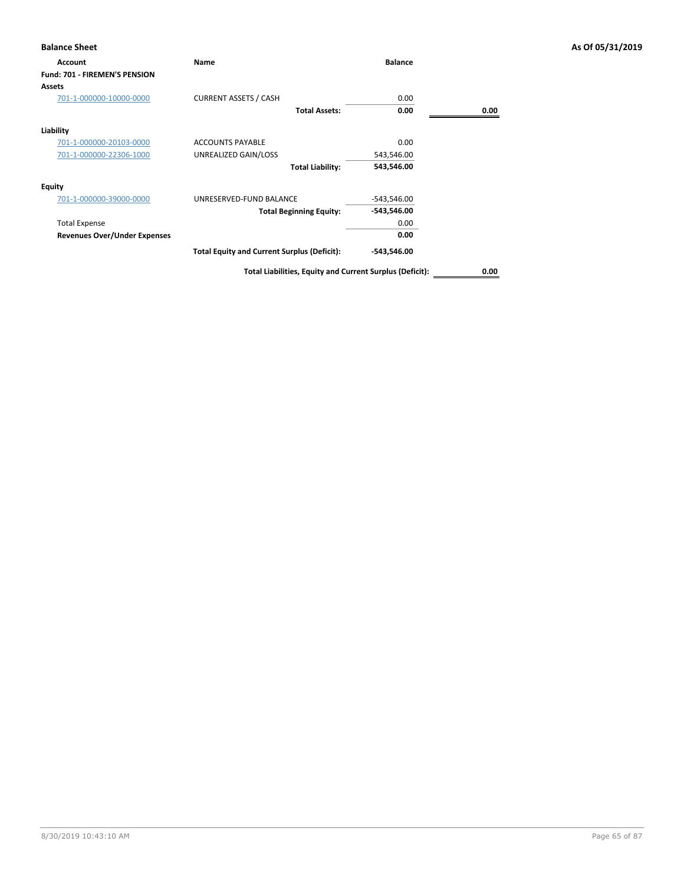| <b>Balance Sheet</b>                 |                                                    |                |      | As Of 05/31/2019 |
|--------------------------------------|----------------------------------------------------|----------------|------|------------------|
| Account                              | Name                                               | <b>Balance</b> |      |                  |
| <b>Fund: 701 - FIREMEN'S PENSION</b> |                                                    |                |      |                  |
| Assets                               |                                                    |                |      |                  |
| 701-1-000000-10000-0000              | <b>CURRENT ASSETS / CASH</b>                       | 0.00           |      |                  |
|                                      | <b>Total Assets:</b>                               | 0.00           | 0.00 |                  |
| Liability                            |                                                    |                |      |                  |
| 701-1-000000-20103-0000              | <b>ACCOUNTS PAYABLE</b>                            | 0.00           |      |                  |
| 701-1-000000-22306-1000              | UNREALIZED GAIN/LOSS                               | 543,546.00     |      |                  |
|                                      | <b>Total Liability:</b>                            | 543,546.00     |      |                  |
| <b>Equity</b>                        |                                                    |                |      |                  |
| 701-1-000000-39000-0000              | UNRESERVED-FUND BALANCE                            | $-543,546.00$  |      |                  |
|                                      | <b>Total Beginning Equity:</b>                     | $-543,546.00$  |      |                  |
| <b>Total Expense</b>                 |                                                    | 0.00           |      |                  |
| <b>Revenues Over/Under Expenses</b>  |                                                    | 0.00           |      |                  |
|                                      | <b>Total Equity and Current Surplus (Deficit):</b> | $-543,546.00$  |      |                  |
|                                      |                                                    |                |      |                  |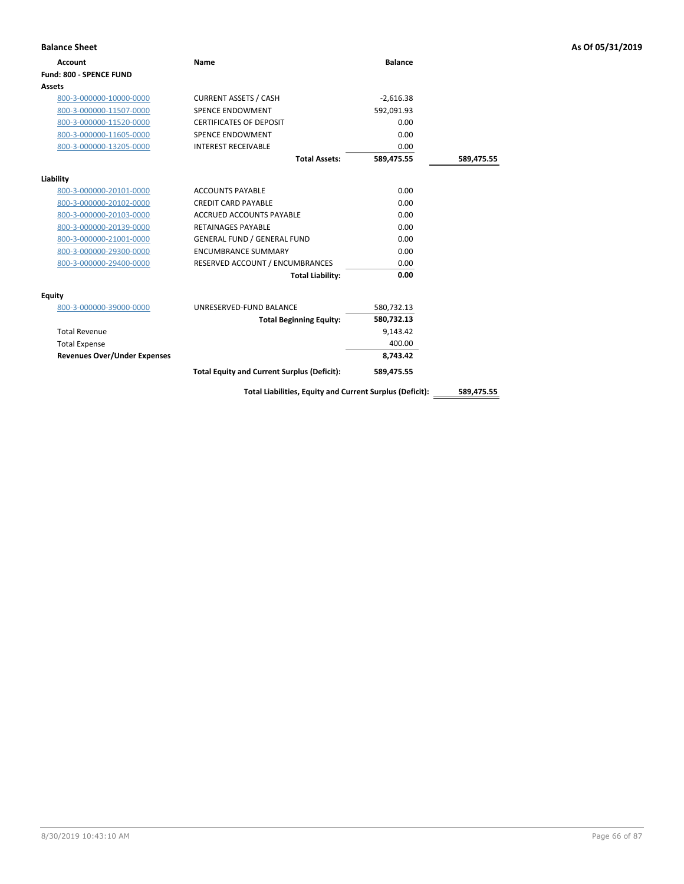| <b>Balance Sheet</b>                |                                                          |                |            | As Of 05/31/2019 |
|-------------------------------------|----------------------------------------------------------|----------------|------------|------------------|
| <b>Account</b>                      | Name                                                     | <b>Balance</b> |            |                  |
| Fund: 800 - SPENCE FUND             |                                                          |                |            |                  |
| Assets                              |                                                          |                |            |                  |
| 800-3-000000-10000-0000             | <b>CURRENT ASSETS / CASH</b>                             | $-2,616.38$    |            |                  |
| 800-3-000000-11507-0000             | <b>SPENCE ENDOWMENT</b>                                  | 592,091.93     |            |                  |
| 800-3-000000-11520-0000             | <b>CERTIFICATES OF DEPOSIT</b>                           | 0.00           |            |                  |
| 800-3-000000-11605-0000             | SPENCE ENDOWMENT                                         | 0.00           |            |                  |
| 800-3-000000-13205-0000             | <b>INTEREST RECEIVABLE</b>                               | 0.00           |            |                  |
|                                     | <b>Total Assets:</b>                                     | 589,475.55     | 589,475.55 |                  |
| Liability                           |                                                          |                |            |                  |
| 800-3-000000-20101-0000             | <b>ACCOUNTS PAYABLE</b>                                  | 0.00           |            |                  |
| 800-3-000000-20102-0000             | <b>CREDIT CARD PAYABLE</b>                               | 0.00           |            |                  |
| 800-3-000000-20103-0000             | <b>ACCRUED ACCOUNTS PAYABLE</b>                          | 0.00           |            |                  |
| 800-3-000000-20139-0000             | <b>RETAINAGES PAYABLE</b>                                | 0.00           |            |                  |
| 800-3-000000-21001-0000             | <b>GENERAL FUND / GENERAL FUND</b>                       | 0.00           |            |                  |
| 800-3-000000-29300-0000             | <b>ENCUMBRANCE SUMMARY</b>                               | 0.00           |            |                  |
| 800-3-000000-29400-0000             | RESERVED ACCOUNT / ENCUMBRANCES                          | 0.00           |            |                  |
|                                     | <b>Total Liability:</b>                                  | 0.00           |            |                  |
| <b>Equity</b>                       |                                                          |                |            |                  |
| 800-3-000000-39000-0000             | UNRESERVED-FUND BALANCE                                  | 580,732.13     |            |                  |
|                                     | <b>Total Beginning Equity:</b>                           | 580,732.13     |            |                  |
| <b>Total Revenue</b>                |                                                          | 9,143.42       |            |                  |
| <b>Total Expense</b>                |                                                          | 400.00         |            |                  |
| <b>Revenues Over/Under Expenses</b> |                                                          | 8,743.42       |            |                  |
|                                     | <b>Total Equity and Current Surplus (Deficit):</b>       | 589,475.55     |            |                  |
|                                     | Total Liabilities, Equity and Current Surplus (Deficit): |                | 589,475.55 |                  |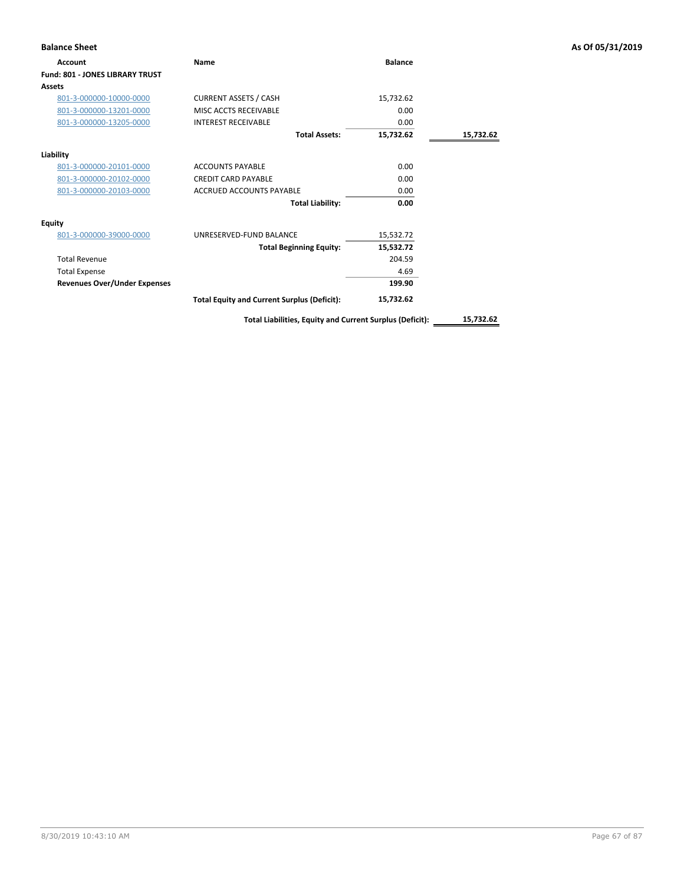| <b>Balance Sheet</b>                   |                                                          |                |           | As Of 05/31/2019 |
|----------------------------------------|----------------------------------------------------------|----------------|-----------|------------------|
| Account                                | Name                                                     | <b>Balance</b> |           |                  |
| <b>Fund: 801 - JONES LIBRARY TRUST</b> |                                                          |                |           |                  |
| Assets                                 |                                                          |                |           |                  |
| 801-3-000000-10000-0000                | <b>CURRENT ASSETS / CASH</b>                             | 15,732.62      |           |                  |
| 801-3-000000-13201-0000                | MISC ACCTS RECEIVABLE                                    | 0.00           |           |                  |
| 801-3-000000-13205-0000                | <b>INTEREST RECEIVABLE</b>                               | 0.00           |           |                  |
|                                        | <b>Total Assets:</b>                                     | 15,732.62      | 15,732.62 |                  |
| Liability                              |                                                          |                |           |                  |
| 801-3-000000-20101-0000                | <b>ACCOUNTS PAYABLE</b>                                  | 0.00           |           |                  |
| 801-3-000000-20102-0000                | <b>CREDIT CARD PAYABLE</b>                               | 0.00           |           |                  |
| 801-3-000000-20103-0000                | ACCRUED ACCOUNTS PAYABLE                                 | 0.00           |           |                  |
|                                        | <b>Total Liability:</b>                                  | 0.00           |           |                  |
| <b>Equity</b>                          |                                                          |                |           |                  |
| 801-3-000000-39000-0000                | UNRESERVED-FUND BALANCE                                  | 15,532.72      |           |                  |
|                                        | <b>Total Beginning Equity:</b>                           | 15,532.72      |           |                  |
| <b>Total Revenue</b>                   |                                                          | 204.59         |           |                  |
| <b>Total Expense</b>                   |                                                          | 4.69           |           |                  |
| <b>Revenues Over/Under Expenses</b>    |                                                          | 199.90         |           |                  |
|                                        | <b>Total Equity and Current Surplus (Deficit):</b>       | 15,732.62      |           |                  |
|                                        | Total Liabilities, Equity and Current Surplus (Deficit): |                | 15,732.62 |                  |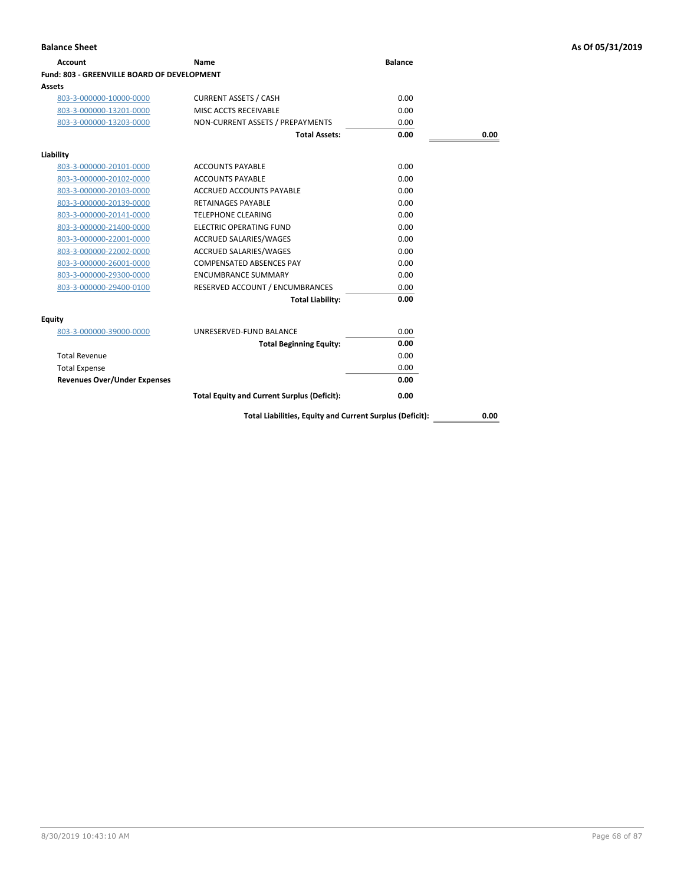| Account                                     | Name                                                     | <b>Balance</b> |      |
|---------------------------------------------|----------------------------------------------------------|----------------|------|
| Fund: 803 - GREENVILLE BOARD OF DEVELOPMENT |                                                          |                |      |
| Assets                                      |                                                          |                |      |
| 803-3-000000-10000-0000                     | <b>CURRENT ASSETS / CASH</b>                             | 0.00           |      |
| 803-3-000000-13201-0000                     | MISC ACCTS RECEIVABLE                                    | 0.00           |      |
| 803-3-000000-13203-0000                     | NON-CURRENT ASSETS / PREPAYMENTS                         | 0.00           |      |
|                                             | <b>Total Assets:</b>                                     | 0.00           | 0.00 |
| Liability                                   |                                                          |                |      |
| 803-3-000000-20101-0000                     | <b>ACCOUNTS PAYABLE</b>                                  | 0.00           |      |
| 803-3-000000-20102-0000                     | <b>ACCOUNTS PAYABLE</b>                                  | 0.00           |      |
| 803-3-000000-20103-0000                     | ACCRUED ACCOUNTS PAYABLE                                 | 0.00           |      |
| 803-3-000000-20139-0000                     | <b>RETAINAGES PAYABLE</b>                                | 0.00           |      |
| 803-3-000000-20141-0000                     | <b>TELEPHONE CLEARING</b>                                | 0.00           |      |
| 803-3-000000-21400-0000                     | <b>ELECTRIC OPERATING FUND</b>                           | 0.00           |      |
| 803-3-000000-22001-0000                     | ACCRUED SALARIES/WAGES                                   | 0.00           |      |
| 803-3-000000-22002-0000                     | ACCRUED SALARIES/WAGES                                   | 0.00           |      |
| 803-3-000000-26001-0000                     | <b>COMPENSATED ABSENCES PAY</b>                          | 0.00           |      |
| 803-3-000000-29300-0000                     | <b>ENCUMBRANCE SUMMARY</b>                               | 0.00           |      |
| 803-3-000000-29400-0100                     | RESERVED ACCOUNT / ENCUMBRANCES                          | 0.00           |      |
|                                             | <b>Total Liability:</b>                                  | 0.00           |      |
| <b>Equity</b>                               |                                                          |                |      |
| 803-3-000000-39000-0000                     | UNRESERVED-FUND BALANCE                                  | 0.00           |      |
|                                             | <b>Total Beginning Equity:</b>                           | 0.00           |      |
| <b>Total Revenue</b>                        |                                                          | 0.00           |      |
| <b>Total Expense</b>                        |                                                          | 0.00           |      |
| <b>Revenues Over/Under Expenses</b>         |                                                          | 0.00           |      |
|                                             | <b>Total Equity and Current Surplus (Deficit):</b>       | 0.00           |      |
|                                             | Total Liabilities, Equity and Current Surplus (Deficit): |                | 0.00 |

8/30/2019 10:43:10 AM Page 68 of 87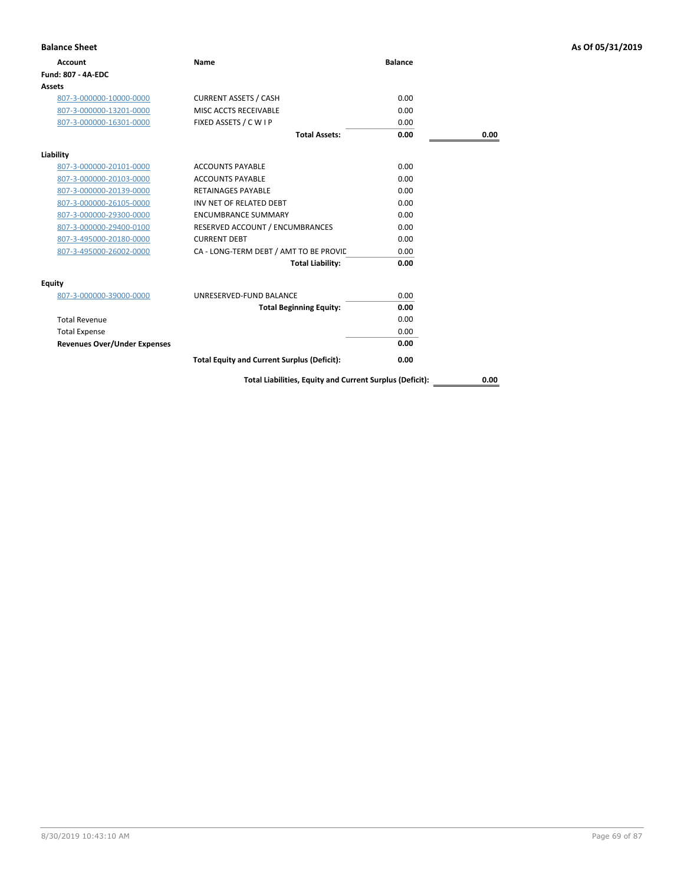| <b>Balance Sheet</b>                |                                                          |                |      | As Of 05/31/2019 |
|-------------------------------------|----------------------------------------------------------|----------------|------|------------------|
| <b>Account</b>                      | Name                                                     | <b>Balance</b> |      |                  |
| <b>Fund: 807 - 4A-EDC</b>           |                                                          |                |      |                  |
| Assets                              |                                                          |                |      |                  |
| 807-3-000000-10000-0000             | <b>CURRENT ASSETS / CASH</b>                             | 0.00           |      |                  |
| 807-3-000000-13201-0000             | MISC ACCTS RECEIVABLE                                    | 0.00           |      |                  |
| 807-3-000000-16301-0000             | FIXED ASSETS / C W I P                                   | 0.00           |      |                  |
|                                     | <b>Total Assets:</b>                                     | 0.00           | 0.00 |                  |
| Liability                           |                                                          |                |      |                  |
| 807-3-000000-20101-0000             | <b>ACCOUNTS PAYABLE</b>                                  | 0.00           |      |                  |
| 807-3-000000-20103-0000             | <b>ACCOUNTS PAYABLE</b>                                  | 0.00           |      |                  |
| 807-3-000000-20139-0000             | <b>RETAINAGES PAYABLE</b>                                | 0.00           |      |                  |
| 807-3-000000-26105-0000             | INV NET OF RELATED DEBT                                  | 0.00           |      |                  |
| 807-3-000000-29300-0000             | <b>ENCUMBRANCE SUMMARY</b>                               | 0.00           |      |                  |
| 807-3-000000-29400-0100             | RESERVED ACCOUNT / ENCUMBRANCES                          | 0.00           |      |                  |
| 807-3-495000-20180-0000             | <b>CURRENT DEBT</b>                                      | 0.00           |      |                  |
| 807-3-495000-26002-0000             | CA - LONG-TERM DEBT / AMT TO BE PROVIL                   | 0.00           |      |                  |
|                                     | <b>Total Liability:</b>                                  | 0.00           |      |                  |
| Equity                              |                                                          |                |      |                  |
| 807-3-000000-39000-0000             | UNRESERVED-FUND BALANCE                                  | 0.00           |      |                  |
|                                     | <b>Total Beginning Equity:</b>                           | 0.00           |      |                  |
| <b>Total Revenue</b>                |                                                          | 0.00           |      |                  |
| <b>Total Expense</b>                |                                                          | 0.00           |      |                  |
| <b>Revenues Over/Under Expenses</b> |                                                          | 0.00           |      |                  |
|                                     | <b>Total Equity and Current Surplus (Deficit):</b>       | 0.00           |      |                  |
|                                     | Total Liabilities, Equity and Current Surplus (Deficit): |                | 0.00 |                  |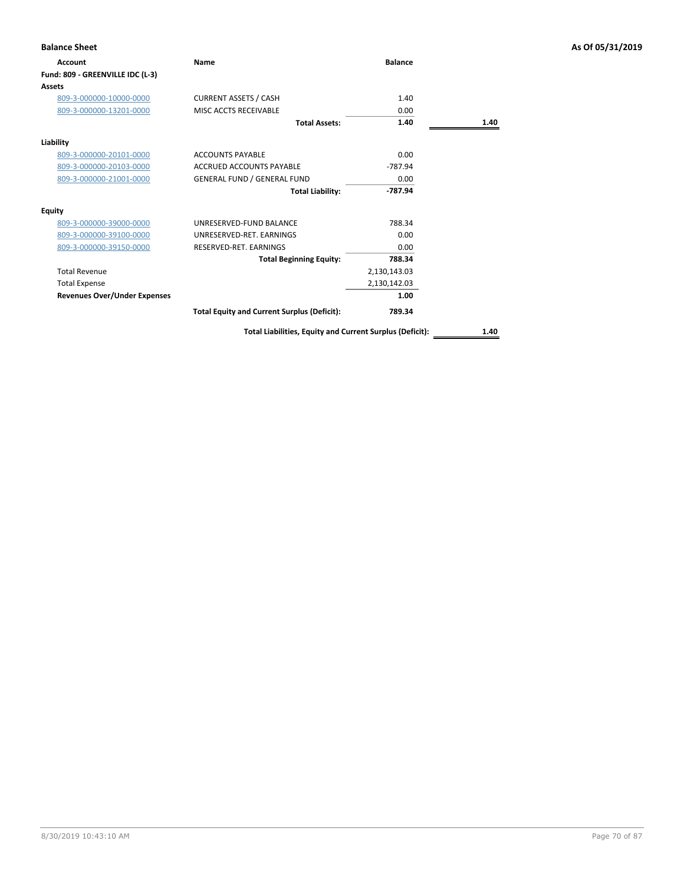| <b>Balance Sheet</b>                |                                                          |                |      | As Of 05/31/2019 |
|-------------------------------------|----------------------------------------------------------|----------------|------|------------------|
| Account                             | Name                                                     | <b>Balance</b> |      |                  |
| Fund: 809 - GREENVILLE IDC (L-3)    |                                                          |                |      |                  |
| <b>Assets</b>                       |                                                          |                |      |                  |
| 809-3-000000-10000-0000             | <b>CURRENT ASSETS / CASH</b>                             | 1.40           |      |                  |
| 809-3-000000-13201-0000             | MISC ACCTS RECEIVABLE                                    | 0.00           |      |                  |
|                                     | <b>Total Assets:</b>                                     | 1.40           | 1.40 |                  |
| Liability                           |                                                          |                |      |                  |
| 809-3-000000-20101-0000             | <b>ACCOUNTS PAYABLE</b>                                  | 0.00           |      |                  |
| 809-3-000000-20103-0000             | <b>ACCRUED ACCOUNTS PAYABLE</b>                          | $-787.94$      |      |                  |
| 809-3-000000-21001-0000             | <b>GENERAL FUND / GENERAL FUND</b>                       | 0.00           |      |                  |
|                                     | <b>Total Liability:</b>                                  | $-787.94$      |      |                  |
| <b>Equity</b>                       |                                                          |                |      |                  |
| 809-3-000000-39000-0000             | UNRESERVED-FUND BALANCE                                  | 788.34         |      |                  |
| 809-3-000000-39100-0000             | UNRESERVED-RET. EARNINGS                                 | 0.00           |      |                  |
| 809-3-000000-39150-0000             | RESERVED-RET. EARNINGS                                   | 0.00           |      |                  |
|                                     | <b>Total Beginning Equity:</b>                           | 788.34         |      |                  |
| <b>Total Revenue</b>                |                                                          | 2,130,143.03   |      |                  |
| <b>Total Expense</b>                |                                                          | 2,130,142.03   |      |                  |
| <b>Revenues Over/Under Expenses</b> |                                                          | 1.00           |      |                  |
|                                     | <b>Total Equity and Current Surplus (Deficit):</b>       | 789.34         |      |                  |
|                                     | Total Liabilities, Equity and Current Surplus (Deficit): |                | 1.40 |                  |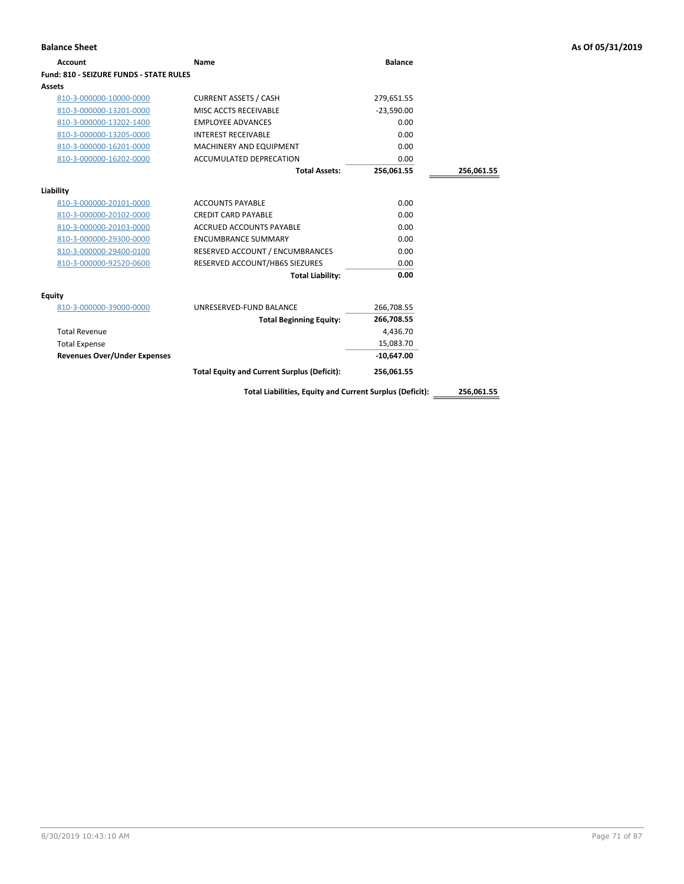| <b>Balance Sheet</b>                           |                                                          |                |            | As Of 05/31/2019 |
|------------------------------------------------|----------------------------------------------------------|----------------|------------|------------------|
| <b>Account</b>                                 | Name                                                     | <b>Balance</b> |            |                  |
| <b>Fund: 810 - SEIZURE FUNDS - STATE RULES</b> |                                                          |                |            |                  |
| Assets                                         |                                                          |                |            |                  |
| 810-3-000000-10000-0000                        | <b>CURRENT ASSETS / CASH</b>                             | 279,651.55     |            |                  |
| 810-3-000000-13201-0000                        | MISC ACCTS RECEIVABLE                                    | $-23,590.00$   |            |                  |
| 810-3-000000-13202-1400                        | <b>EMPLOYEE ADVANCES</b>                                 | 0.00           |            |                  |
| 810-3-000000-13205-0000                        | <b>INTEREST RECEIVABLE</b>                               | 0.00           |            |                  |
| 810-3-000000-16201-0000                        | MACHINERY AND EQUIPMENT                                  | 0.00           |            |                  |
| 810-3-000000-16202-0000                        | ACCUMULATED DEPRECATION                                  | 0.00           |            |                  |
|                                                | <b>Total Assets:</b>                                     | 256,061.55     | 256,061.55 |                  |
| Liability                                      |                                                          |                |            |                  |
| 810-3-000000-20101-0000                        | <b>ACCOUNTS PAYABLE</b>                                  | 0.00           |            |                  |
| 810-3-000000-20102-0000                        | <b>CREDIT CARD PAYABLE</b>                               | 0.00           |            |                  |
| 810-3-000000-20103-0000                        | ACCRUED ACCOUNTS PAYABLE                                 | 0.00           |            |                  |
| 810-3-000000-29300-0000                        | <b>ENCUMBRANCE SUMMARY</b>                               | 0.00           |            |                  |
| 810-3-000000-29400-0100                        | RESERVED ACCOUNT / ENCUMBRANCES                          | 0.00           |            |                  |
| 810-3-000000-92520-0600                        | RESERVED ACCOUNT/HB65 SIEZURES                           | 0.00           |            |                  |
|                                                | <b>Total Liability:</b>                                  | 0.00           |            |                  |
| Equity                                         |                                                          |                |            |                  |
| 810-3-000000-39000-0000                        | UNRESERVED-FUND BALANCE                                  | 266,708.55     |            |                  |
|                                                | <b>Total Beginning Equity:</b>                           | 266,708.55     |            |                  |
| <b>Total Revenue</b>                           |                                                          | 4,436.70       |            |                  |
| <b>Total Expense</b>                           |                                                          | 15,083.70      |            |                  |
| <b>Revenues Over/Under Expenses</b>            |                                                          | $-10,647.00$   |            |                  |
|                                                | <b>Total Equity and Current Surplus (Deficit):</b>       | 256,061.55     |            |                  |
|                                                | Total Liabilities, Equity and Current Surplus (Deficit): |                | 256,061.55 |                  |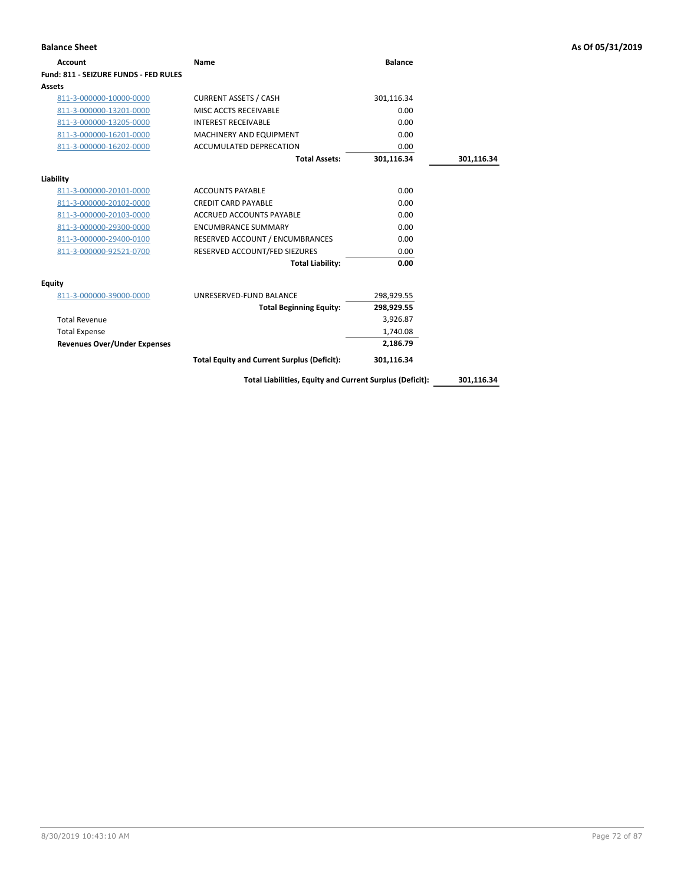| <b>Account</b>                        | Name                                                     | <b>Balance</b> |            |
|---------------------------------------|----------------------------------------------------------|----------------|------------|
| Fund: 811 - SEIZURE FUNDS - FED RULES |                                                          |                |            |
| Assets                                |                                                          |                |            |
| 811-3-000000-10000-0000               | <b>CURRENT ASSETS / CASH</b>                             | 301,116.34     |            |
| 811-3-000000-13201-0000               | MISC ACCTS RECEIVABLE                                    | 0.00           |            |
| 811-3-000000-13205-0000               | <b>INTEREST RECEIVABLE</b>                               | 0.00           |            |
| 811-3-000000-16201-0000               | <b>MACHINERY AND EQUIPMENT</b>                           | 0.00           |            |
| 811-3-000000-16202-0000               | ACCUMULATED DEPRECATION                                  | 0.00           |            |
|                                       | <b>Total Assets:</b>                                     | 301,116.34     | 301,116.34 |
| Liability                             |                                                          |                |            |
| 811-3-000000-20101-0000               | <b>ACCOUNTS PAYABLE</b>                                  | 0.00           |            |
| 811-3-000000-20102-0000               | <b>CREDIT CARD PAYABLE</b>                               | 0.00           |            |
| 811-3-000000-20103-0000               | <b>ACCRUED ACCOUNTS PAYABLE</b>                          | 0.00           |            |
| 811-3-000000-29300-0000               | <b>ENCUMBRANCE SUMMARY</b>                               | 0.00           |            |
| 811-3-000000-29400-0100               | RESERVED ACCOUNT / ENCUMBRANCES                          | 0.00           |            |
| 811-3-000000-92521-0700               | RESERVED ACCOUNT/FED SIEZURES                            | 0.00           |            |
|                                       | <b>Total Liability:</b>                                  | 0.00           |            |
| <b>Equity</b>                         |                                                          |                |            |
| 811-3-000000-39000-0000               | UNRESERVED-FUND BALANCE                                  | 298,929.55     |            |
|                                       | <b>Total Beginning Equity:</b>                           | 298,929.55     |            |
| <b>Total Revenue</b>                  |                                                          | 3,926.87       |            |
| <b>Total Expense</b>                  |                                                          | 1,740.08       |            |
| <b>Revenues Over/Under Expenses</b>   |                                                          | 2,186.79       |            |
|                                       | <b>Total Equity and Current Surplus (Deficit):</b>       | 301,116.34     |            |
|                                       | Total Liabilities, Equity and Current Surplus (Deficit): |                | 301,116.34 |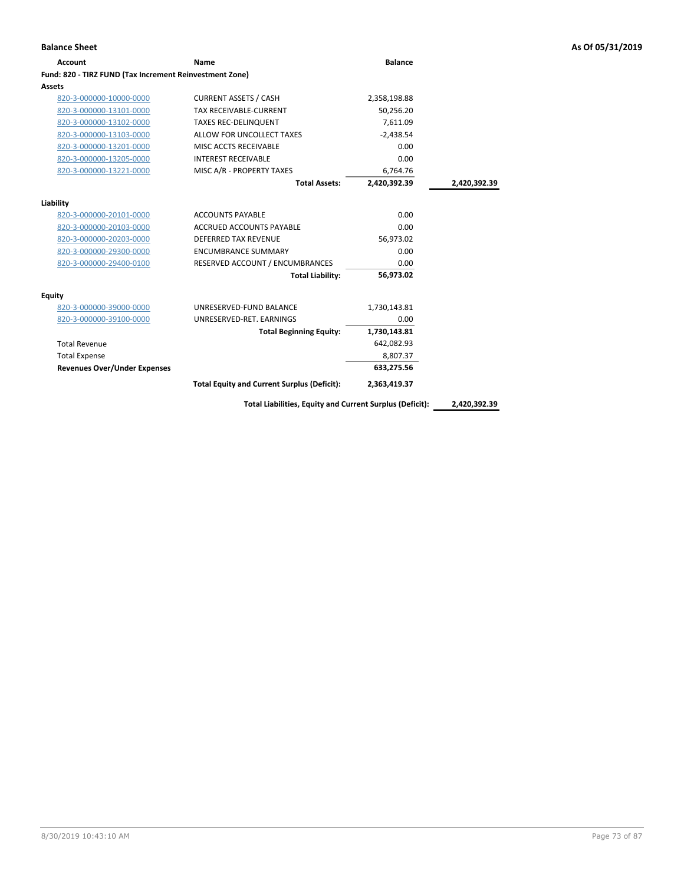| <b>Account</b>                                          | Name                                               | <b>Balance</b> |              |
|---------------------------------------------------------|----------------------------------------------------|----------------|--------------|
| Fund: 820 - TIRZ FUND (Tax Increment Reinvestment Zone) |                                                    |                |              |
| <b>Assets</b>                                           |                                                    |                |              |
| 820-3-000000-10000-0000                                 | <b>CURRENT ASSETS / CASH</b>                       | 2,358,198.88   |              |
| 820-3-000000-13101-0000                                 | TAX RECEIVABLE-CURRENT                             | 50,256.20      |              |
| 820-3-000000-13102-0000                                 | <b>TAXES REC-DELINQUENT</b>                        | 7,611.09       |              |
| 820-3-000000-13103-0000                                 | ALLOW FOR UNCOLLECT TAXES                          | $-2,438.54$    |              |
| 820-3-000000-13201-0000                                 | MISC ACCTS RECEIVABLE                              | 0.00           |              |
| 820-3-000000-13205-0000                                 | <b>INTEREST RECEIVABLE</b>                         | 0.00           |              |
| 820-3-000000-13221-0000                                 | MISC A/R - PROPERTY TAXES                          | 6,764.76       |              |
|                                                         | <b>Total Assets:</b>                               | 2.420.392.39   | 2,420,392.39 |
| Liability                                               |                                                    |                |              |
| 820-3-000000-20101-0000                                 | <b>ACCOUNTS PAYABLE</b>                            | 0.00           |              |
| 820-3-000000-20103-0000                                 | <b>ACCRUED ACCOUNTS PAYABLE</b>                    | 0.00           |              |
| 820-3-000000-20203-0000                                 | <b>DEFERRED TAX REVENUE</b>                        | 56,973.02      |              |
| 820-3-000000-29300-0000                                 | <b>ENCUMBRANCE SUMMARY</b>                         | 0.00           |              |
| 820-3-000000-29400-0100                                 | RESERVED ACCOUNT / ENCUMBRANCES                    | 0.00           |              |
|                                                         | <b>Total Liability:</b>                            | 56.973.02      |              |
| Equity                                                  |                                                    |                |              |
| 820-3-000000-39000-0000                                 | UNRESERVED-FUND BALANCE                            | 1,730,143.81   |              |
| 820-3-000000-39100-0000                                 | UNRESERVED-RET, EARNINGS                           | 0.00           |              |
|                                                         | <b>Total Beginning Equity:</b>                     | 1,730,143.81   |              |
| <b>Total Revenue</b>                                    |                                                    | 642,082.93     |              |
| <b>Total Expense</b>                                    |                                                    | 8,807.37       |              |
| <b>Revenues Over/Under Expenses</b>                     |                                                    | 633,275.56     |              |
|                                                         | <b>Total Equity and Current Surplus (Deficit):</b> | 2,363,419.37   |              |
|                                                         |                                                    |                |              |

**Total Liabilities, Equity and Current Surplus (Deficit): 2,420,392.39**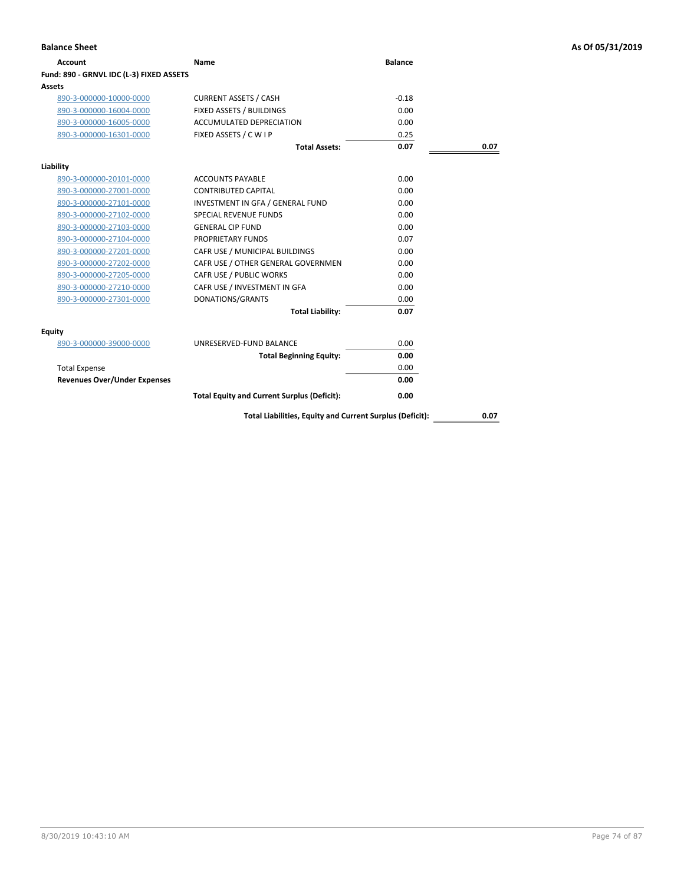| Account                                  | Name                                                     | <b>Balance</b> |      |
|------------------------------------------|----------------------------------------------------------|----------------|------|
| Fund: 890 - GRNVL IDC (L-3) FIXED ASSETS |                                                          |                |      |
| Assets                                   |                                                          |                |      |
| 890-3-000000-10000-0000                  | <b>CURRENT ASSETS / CASH</b>                             | $-0.18$        |      |
| 890-3-000000-16004-0000                  | FIXED ASSETS / BUILDINGS                                 | 0.00           |      |
| 890-3-000000-16005-0000                  | <b>ACCUMULATED DEPRECIATION</b>                          | 0.00           |      |
| 890-3-000000-16301-0000                  | FIXED ASSETS / C W I P                                   | 0.25           |      |
|                                          | <b>Total Assets:</b>                                     | 0.07           | 0.07 |
| Liability                                |                                                          |                |      |
| 890-3-000000-20101-0000                  | <b>ACCOUNTS PAYABLE</b>                                  | 0.00           |      |
| 890-3-000000-27001-0000                  | <b>CONTRIBUTED CAPITAL</b>                               | 0.00           |      |
| 890-3-000000-27101-0000                  | INVESTMENT IN GFA / GENERAL FUND                         | 0.00           |      |
| 890-3-000000-27102-0000                  | <b>SPECIAL REVENUE FUNDS</b>                             | 0.00           |      |
| 890-3-000000-27103-0000                  | <b>GENERAL CIP FUND</b>                                  | 0.00           |      |
| 890-3-000000-27104-0000                  | PROPRIETARY FUNDS                                        | 0.07           |      |
| 890-3-000000-27201-0000                  | CAFR USE / MUNICIPAL BUILDINGS                           | 0.00           |      |
| 890-3-000000-27202-0000                  | CAFR USE / OTHER GENERAL GOVERNMEN                       | 0.00           |      |
| 890-3-000000-27205-0000                  | CAFR USE / PUBLIC WORKS                                  | 0.00           |      |
| 890-3-000000-27210-0000                  | CAFR USE / INVESTMENT IN GFA                             | 0.00           |      |
| 890-3-000000-27301-0000                  | DONATIONS/GRANTS                                         | 0.00           |      |
|                                          | <b>Total Liability:</b>                                  | 0.07           |      |
| Equity                                   |                                                          |                |      |
| 890-3-000000-39000-0000                  | UNRESERVED-FUND BALANCE                                  | 0.00           |      |
|                                          | <b>Total Beginning Equity:</b>                           | 0.00           |      |
| <b>Total Expense</b>                     |                                                          | 0.00           |      |
| <b>Revenues Over/Under Expenses</b>      |                                                          | 0.00           |      |
|                                          | <b>Total Equity and Current Surplus (Deficit):</b>       | 0.00           |      |
|                                          | Total Liabilities, Equity and Current Surplus (Deficit): |                | 0.07 |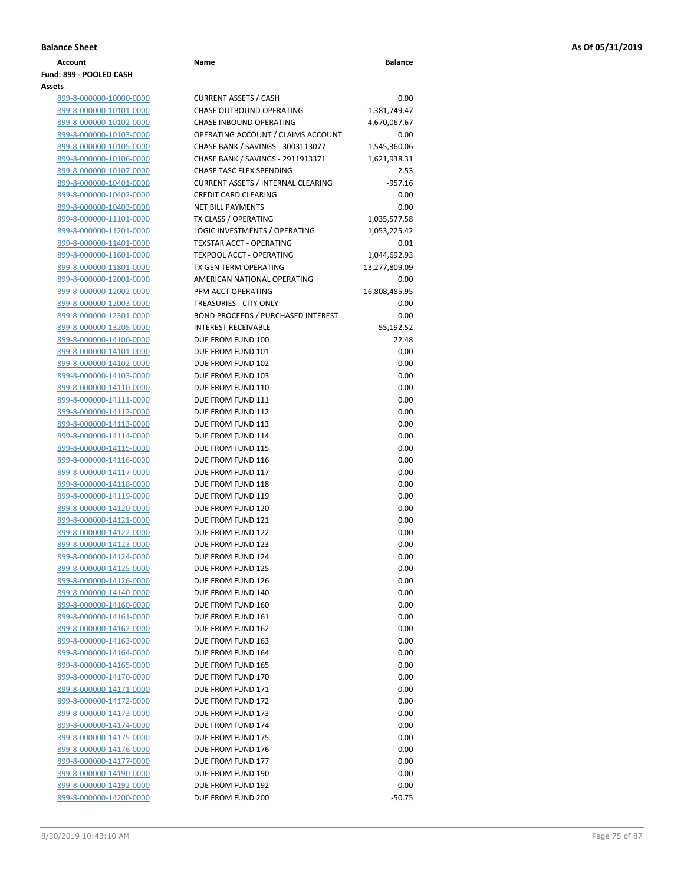| Account                 | Name | <b>Balance</b> |
|-------------------------|------|----------------|
| Fund: 899 - POOLED CASH |      |                |
| Assets                  |      |                |

| <u>899-8-000000-10000-0000</u> |  |
|--------------------------------|--|
| <u>899-8-000000-10101-0000</u> |  |
| 899-8-000000-10102-0000        |  |
| <u>899-8-000000-10103-0000</u> |  |
| <u>899-8-000000-10105-0000</u> |  |
| <u>899-8-000000-10106-0000</u> |  |
| 899-8-000000-10107-0000        |  |
| 899-8-000000-10401-0000        |  |
| <u>899-8-000000-10402-0000</u> |  |
| <u>899-8-000000-10403-0000</u> |  |
| 899-8-000000-11101-0000        |  |
| 899-8-000000-11201-0000        |  |
| 899-8-000000-11401-0000        |  |
| 899-8-000000-11601-0000        |  |
| 899-8-000000-11801-0000        |  |
| 899-8-000000-12001-0000        |  |
| 899-8-000000-12002-0000        |  |
| 899-8-000000-12003-0000        |  |
| 899-8-000000-12301-0000        |  |
| <u>899-8-000000-13205-0000</u> |  |
| <u>899-8-000000-14100-0000</u> |  |
| 899-8-000000-14101-0000        |  |
| 899-8-000000-14102-0000        |  |
| <u>899-8-000000-14103-0000</u> |  |
| 899-8-000000-14110-0000        |  |
| 899-8-000000-14111-0000        |  |
| 899-8-000000-14112-0000        |  |
| 899-8-000000-14113-0000        |  |
| 899-8-000000-14114-0000        |  |
| <u>899-8-000000-14115-0000</u> |  |
| 899-8-000000-14116-0000        |  |
| 899-8-000000-14117-0000        |  |
| 899-8-000000-14118-0000        |  |
| 899-8-000000-14119-0000        |  |
| 899-8-000000-14120-0000        |  |
| 899-8-000000-14121-0000        |  |
| 899-8-000000-14122-0000        |  |
| 899-8-000000-14123-0000        |  |
| 899-8-000000-14124-0000        |  |
| <u>899-8-000000-14125-0000</u> |  |
| 899-8-000000-14126-0000        |  |
| 899-8-000000-14140-0000        |  |
| 899-8-000000-14160-0000        |  |
| 899-8-000000-14161-0000        |  |
| 899-8-000000-14162-0000        |  |
| <u>899-8-000000-14163-0000</u> |  |
| 899-8-000000-14164-0000        |  |
| 899-8-000000-14165-0000        |  |
| 899-8-000000-14170-0000        |  |
| 899-8-000000-14171-0000        |  |
| 899-8-000000-14172-0000        |  |
| 899-8-000000-14173-0000        |  |
| 899-8-000000-14174-0000        |  |
| 899-8-000000-14175-0000        |  |
| <u>899-8-000000-14176-0000</u> |  |
| <u>899-8-000000-14177-0000</u> |  |
| 899-8-000000-14190-0000        |  |
| 899-8-000000-14192-0000        |  |
| 899-8-000000-14200-0000        |  |

| ts                      |                                           |                 |
|-------------------------|-------------------------------------------|-----------------|
| 899-8-000000-10000-0000 | <b>CURRENT ASSETS / CASH</b>              | 0.00            |
| 899-8-000000-10101-0000 | <b>CHASE OUTBOUND OPERATING</b>           | $-1,381,749.47$ |
| 899-8-000000-10102-0000 | <b>CHASE INBOUND OPERATING</b>            | 4,670,067.67    |
| 899-8-000000-10103-0000 | OPERATING ACCOUNT / CLAIMS ACCOUNT        | 0.00            |
| 899-8-000000-10105-0000 | CHASE BANK / SAVINGS - 3003113077         | 1,545,360.06    |
| 899-8-000000-10106-0000 | CHASE BANK / SAVINGS - 2911913371         | 1,621,938.31    |
| 899-8-000000-10107-0000 | CHASE TASC FLEX SPENDING                  | 2.53            |
| 899-8-000000-10401-0000 | <b>CURRENT ASSETS / INTERNAL CLEARING</b> | $-957.16$       |
| 899-8-000000-10402-0000 | <b>CREDIT CARD CLEARING</b>               | 0.00            |
| 899-8-000000-10403-0000 | <b>NET BILL PAYMENTS</b>                  | 0.00            |
| 899-8-000000-11101-0000 | TX CLASS / OPERATING                      | 1,035,577.58    |
| 899-8-000000-11201-0000 | LOGIC INVESTMENTS / OPERATING             | 1,053,225.42    |
| 899-8-000000-11401-0000 | <b>TEXSTAR ACCT - OPERATING</b>           | 0.01            |
| 899-8-000000-11601-0000 | <b>TEXPOOL ACCT - OPERATING</b>           | 1,044,692.93    |
| 899-8-000000-11801-0000 | TX GEN TERM OPERATING                     | 13,277,809.09   |
| 899-8-000000-12001-0000 | AMERICAN NATIONAL OPERATING               | 0.00            |
| 899-8-000000-12002-0000 | PFM ACCT OPERATING                        | 16,808,485.95   |
| 899-8-000000-12003-0000 | <b>TREASURIES - CITY ONLY</b>             | 0.00            |
| 899-8-000000-12301-0000 | <b>BOND PROCEEDS / PURCHASED INTEREST</b> | 0.00            |
| 899-8-000000-13205-0000 | <b>INTEREST RECEIVABLE</b>                | 55,192.52       |
| 899-8-000000-14100-0000 | DUE FROM FUND 100                         | 22.48           |
| 899-8-000000-14101-0000 | DUE FROM FUND 101                         | 0.00            |
| 899-8-000000-14102-0000 | DUE FROM FUND 102                         | 0.00            |
| 899-8-000000-14103-0000 | DUE FROM FUND 103                         | 0.00            |
| 899-8-000000-14110-0000 | DUE FROM FUND 110                         | 0.00            |
| 899-8-000000-14111-0000 | DUE FROM FUND 111                         | 0.00            |
| 899-8-000000-14112-0000 | DUE FROM FUND 112                         | 0.00            |
| 899-8-000000-14113-0000 | DUE FROM FUND 113                         | 0.00            |
| 899-8-000000-14114-0000 | DUE FROM FUND 114                         | 0.00            |
| 899-8-000000-14115-0000 | DUE FROM FUND 115                         | 0.00            |
| 899-8-000000-14116-0000 | DUE FROM FUND 116                         | 0.00            |
| 899-8-000000-14117-0000 | DUE FROM FUND 117                         | 0.00            |
| 899-8-000000-14118-0000 | DUE FROM FUND 118                         | 0.00            |
| 899-8-000000-14119-0000 | DUE FROM FUND 119                         | 0.00            |
| 899-8-000000-14120-0000 | DUE FROM FUND 120                         | 0.00            |
| 899-8-000000-14121-0000 | DUE FROM FUND 121                         | 0.00            |
| 899-8-000000-14122-0000 | DUE FROM FUND 122                         | 0.00            |
| 899-8-000000-14123-0000 | DUE FROM FUND 123                         | 0.00            |
| 899-8-000000-14124-0000 | DUE FROM FUND 124                         | 0.00            |
| 899-8-000000-14125-0000 | DUE FROM FUND 125                         | 0.00            |
| 899-8-000000-14126-0000 | DUE FROM FUND 126                         | 0.00            |
| 899-8-000000-14140-0000 | DUE FROM FUND 140                         | 0.00            |
| 899-8-000000-14160-0000 | DUE FROM FUND 160                         | 0.00            |
| 899-8-000000-14161-0000 | DUE FROM FUND 161                         | 0.00            |
| 899-8-000000-14162-0000 | DUE FROM FUND 162                         | 0.00            |
| 899-8-000000-14163-0000 | DUE FROM FUND 163                         | 0.00            |
| 899-8-000000-14164-0000 | DUE FROM FUND 164                         | 0.00            |
| 899-8-000000-14165-0000 | DUE FROM FUND 165                         | 0.00            |
| 899-8-000000-14170-0000 | DUE FROM FUND 170                         | 0.00            |
| 899-8-000000-14171-0000 | DUE FROM FUND 171                         | 0.00            |
| 899-8-000000-14172-0000 | DUE FROM FUND 172                         | 0.00            |
| 899-8-000000-14173-0000 | DUE FROM FUND 173                         | 0.00            |
| 899-8-000000-14174-0000 | DUE FROM FUND 174                         | 0.00            |
| 899-8-000000-14175-0000 | DUE FROM FUND 175                         | 0.00            |
| 899-8-000000-14176-0000 | DUE FROM FUND 176                         | 0.00            |
| 899-8-000000-14177-0000 | DUE FROM FUND 177                         | 0.00            |
| 899-8-000000-14190-0000 | DUE FROM FUND 190                         | 0.00            |
| 899-8-000000-14192-0000 | DUE FROM FUND 192                         | 0.00            |
| 899-8-000000-14200-0000 | DUE FROM FUND 200                         | $-50.75$        |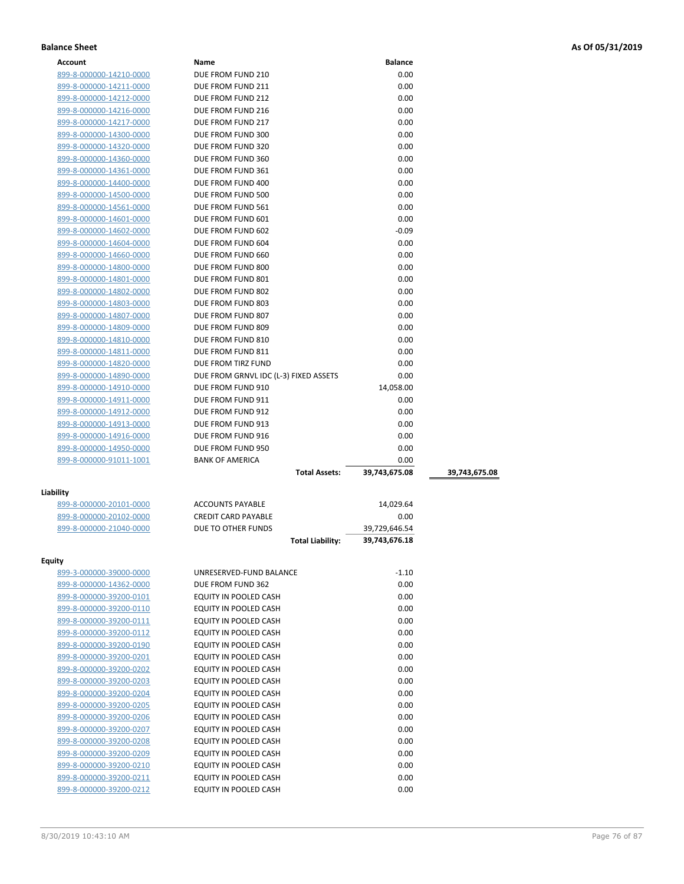| Account        |
|----------------|
| 9-8-0<br>ນ ນາມ |

| Name                                           | <b>Balance</b>                                                                                                                                                                                                                                                                                                                                        |                                                                                                                                                                                |
|------------------------------------------------|-------------------------------------------------------------------------------------------------------------------------------------------------------------------------------------------------------------------------------------------------------------------------------------------------------------------------------------------------------|--------------------------------------------------------------------------------------------------------------------------------------------------------------------------------|
| DUE FROM FUND 210                              | 0.00                                                                                                                                                                                                                                                                                                                                                  |                                                                                                                                                                                |
| DUE FROM FUND 211                              | 0.00                                                                                                                                                                                                                                                                                                                                                  |                                                                                                                                                                                |
| DUE FROM FUND 212                              | 0.00                                                                                                                                                                                                                                                                                                                                                  |                                                                                                                                                                                |
| DUE FROM FUND 216                              | 0.00                                                                                                                                                                                                                                                                                                                                                  |                                                                                                                                                                                |
| DUE FROM FUND 217                              | 0.00                                                                                                                                                                                                                                                                                                                                                  |                                                                                                                                                                                |
| DUE FROM FUND 300                              | 0.00                                                                                                                                                                                                                                                                                                                                                  |                                                                                                                                                                                |
| DUE FROM FUND 320                              | 0.00                                                                                                                                                                                                                                                                                                                                                  |                                                                                                                                                                                |
| DUE FROM FUND 360                              | 0.00                                                                                                                                                                                                                                                                                                                                                  |                                                                                                                                                                                |
| DUE FROM FUND 361                              | 0.00                                                                                                                                                                                                                                                                                                                                                  |                                                                                                                                                                                |
| DUE FROM FUND 400                              | 0.00                                                                                                                                                                                                                                                                                                                                                  |                                                                                                                                                                                |
| DUE FROM FUND 500                              | 0.00                                                                                                                                                                                                                                                                                                                                                  |                                                                                                                                                                                |
| DUE FROM FUND 561                              | 0.00                                                                                                                                                                                                                                                                                                                                                  |                                                                                                                                                                                |
| DUE FROM FUND 601                              | 0.00                                                                                                                                                                                                                                                                                                                                                  |                                                                                                                                                                                |
| DUE FROM FUND 602                              | $-0.09$                                                                                                                                                                                                                                                                                                                                               |                                                                                                                                                                                |
| DUE FROM FUND 604                              | 0.00                                                                                                                                                                                                                                                                                                                                                  |                                                                                                                                                                                |
| DUE FROM FUND 660                              | 0.00                                                                                                                                                                                                                                                                                                                                                  |                                                                                                                                                                                |
| DUE FROM FUND 800                              | 0.00                                                                                                                                                                                                                                                                                                                                                  |                                                                                                                                                                                |
| DUE FROM FUND 801                              | 0.00                                                                                                                                                                                                                                                                                                                                                  |                                                                                                                                                                                |
| DUE FROM FUND 802                              | 0.00                                                                                                                                                                                                                                                                                                                                                  |                                                                                                                                                                                |
| DUE FROM FUND 803                              | 0.00                                                                                                                                                                                                                                                                                                                                                  |                                                                                                                                                                                |
| DUE FROM FUND 807                              |                                                                                                                                                                                                                                                                                                                                                       |                                                                                                                                                                                |
| DUE FROM FUND 809                              |                                                                                                                                                                                                                                                                                                                                                       |                                                                                                                                                                                |
|                                                |                                                                                                                                                                                                                                                                                                                                                       |                                                                                                                                                                                |
| DUE FROM FUND 811                              |                                                                                                                                                                                                                                                                                                                                                       |                                                                                                                                                                                |
|                                                |                                                                                                                                                                                                                                                                                                                                                       |                                                                                                                                                                                |
| DUE FROM GRNVL IDC (L-3) FIXED ASSETS          | 0.00                                                                                                                                                                                                                                                                                                                                                  |                                                                                                                                                                                |
| DUE FROM FUND 910                              |                                                                                                                                                                                                                                                                                                                                                       |                                                                                                                                                                                |
| DUE FROM FUND 911                              |                                                                                                                                                                                                                                                                                                                                                       |                                                                                                                                                                                |
| DUE FROM FUND 912                              | 0.00                                                                                                                                                                                                                                                                                                                                                  |                                                                                                                                                                                |
| DUE FROM FUND 913                              | 0.00                                                                                                                                                                                                                                                                                                                                                  |                                                                                                                                                                                |
| DUE FROM FUND 916                              | 0.00                                                                                                                                                                                                                                                                                                                                                  |                                                                                                                                                                                |
| DUE FROM FUND 950                              | 0.00                                                                                                                                                                                                                                                                                                                                                  |                                                                                                                                                                                |
| <b>BANK OF AMERICA</b>                         | 0.00                                                                                                                                                                                                                                                                                                                                                  |                                                                                                                                                                                |
| <b>Total Assets:</b>                           | 39,743,675.08                                                                                                                                                                                                                                                                                                                                         | 39,743,675.08                                                                                                                                                                  |
|                                                |                                                                                                                                                                                                                                                                                                                                                       |                                                                                                                                                                                |
|                                                |                                                                                                                                                                                                                                                                                                                                                       |                                                                                                                                                                                |
| <b>ACCOUNTS PAYABLE</b>                        | 14,029.64                                                                                                                                                                                                                                                                                                                                             |                                                                                                                                                                                |
|                                                |                                                                                                                                                                                                                                                                                                                                                       |                                                                                                                                                                                |
|                                                |                                                                                                                                                                                                                                                                                                                                                       |                                                                                                                                                                                |
|                                                |                                                                                                                                                                                                                                                                                                                                                       |                                                                                                                                                                                |
|                                                |                                                                                                                                                                                                                                                                                                                                                       |                                                                                                                                                                                |
|                                                |                                                                                                                                                                                                                                                                                                                                                       |                                                                                                                                                                                |
|                                                |                                                                                                                                                                                                                                                                                                                                                       |                                                                                                                                                                                |
|                                                |                                                                                                                                                                                                                                                                                                                                                       |                                                                                                                                                                                |
|                                                |                                                                                                                                                                                                                                                                                                                                                       |                                                                                                                                                                                |
|                                                |                                                                                                                                                                                                                                                                                                                                                       |                                                                                                                                                                                |
|                                                |                                                                                                                                                                                                                                                                                                                                                       |                                                                                                                                                                                |
|                                                |                                                                                                                                                                                                                                                                                                                                                       |                                                                                                                                                                                |
|                                                |                                                                                                                                                                                                                                                                                                                                                       |                                                                                                                                                                                |
|                                                |                                                                                                                                                                                                                                                                                                                                                       |                                                                                                                                                                                |
|                                                |                                                                                                                                                                                                                                                                                                                                                       |                                                                                                                                                                                |
|                                                |                                                                                                                                                                                                                                                                                                                                                       |                                                                                                                                                                                |
| EQUITY IN POOLED CASH                          | 0.00                                                                                                                                                                                                                                                                                                                                                  |                                                                                                                                                                                |
| EQUITY IN POOLED CASH                          | 0.00                                                                                                                                                                                                                                                                                                                                                  |                                                                                                                                                                                |
| EQUITY IN POOLED CASH                          | 0.00                                                                                                                                                                                                                                                                                                                                                  |                                                                                                                                                                                |
| EQUITY IN POOLED CASH                          | 0.00                                                                                                                                                                                                                                                                                                                                                  |                                                                                                                                                                                |
| EQUITY IN POOLED CASH                          | 0.00                                                                                                                                                                                                                                                                                                                                                  |                                                                                                                                                                                |
| EQUITY IN POOLED CASH<br>EQUITY IN POOLED CASH | 0.00<br>0.00                                                                                                                                                                                                                                                                                                                                          |                                                                                                                                                                                |
|                                                | DUE FROM FUND 810<br>DUE FROM TIRZ FUND<br><b>CREDIT CARD PAYABLE</b><br>DUE TO OTHER FUNDS<br><b>Total Liability:</b><br>UNRESERVED-FUND BALANCE<br>DUE FROM FUND 362<br>EQUITY IN POOLED CASH<br>EQUITY IN POOLED CASH<br>EQUITY IN POOLED CASH<br>EQUITY IN POOLED CASH<br>EQUITY IN POOLED CASH<br>EQUITY IN POOLED CASH<br>EQUITY IN POOLED CASH | 0.00<br>0.00<br>0.00<br>0.00<br>0.00<br>14,058.00<br>0.00<br>0.00<br>39,729,646.54<br>39,743,676.18<br>$-1.10$<br>0.00<br>0.00<br>0.00<br>0.00<br>0.00<br>0.00<br>0.00<br>0.00 |

899-8-000000-39200-0211 EQUITY IN POOLED CASH 0.00 899-8-000000-39200-0212 EQUITY IN POOLED CASH 0.00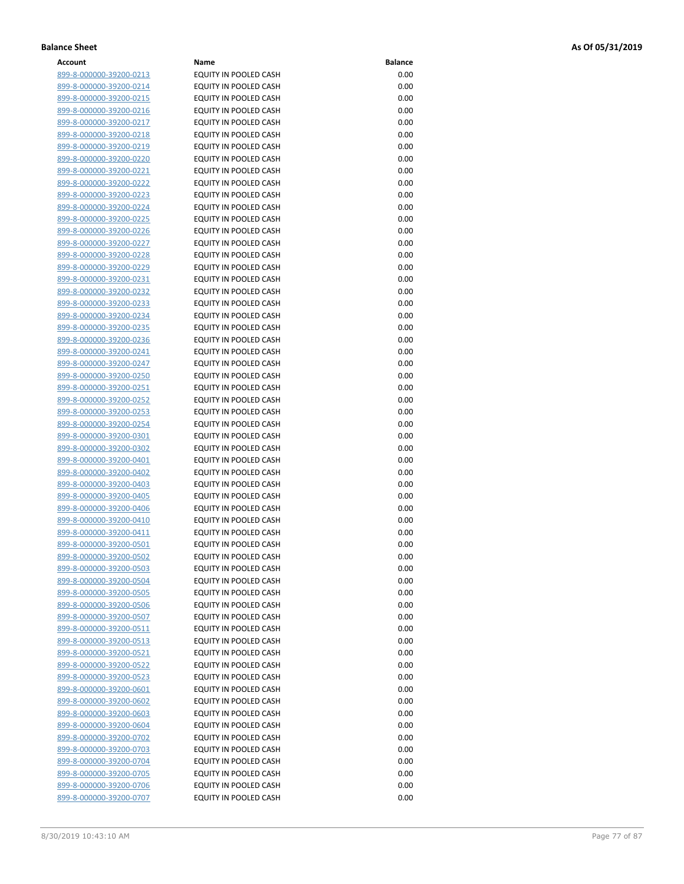| Account                        | Name                         | <b>Balance</b> |
|--------------------------------|------------------------------|----------------|
| 899-8-000000-39200-0213        | EQUITY IN POOLED CASH        | 0.00           |
| 899-8-000000-39200-0214        | EQUITY IN POOLED CASH        | 0.00           |
| 899-8-000000-39200-0215        | EQUITY IN POOLED CASH        | 0.00           |
| 899-8-000000-39200-0216        | EQUITY IN POOLED CASH        | 0.00           |
| 899-8-000000-39200-0217        | EQUITY IN POOLED CASH        | 0.00           |
|                                | <b>EQUITY IN POOLED CASH</b> | 0.00           |
| 899-8-000000-39200-0218        |                              |                |
| 899-8-000000-39200-0219        | EQUITY IN POOLED CASH        | 0.00           |
| 899-8-000000-39200-0220        | EQUITY IN POOLED CASH        | 0.00           |
| 899-8-000000-39200-0221        | EQUITY IN POOLED CASH        | 0.00           |
| 899-8-000000-39200-0222        | EQUITY IN POOLED CASH        | 0.00           |
| 899-8-000000-39200-0223        | EQUITY IN POOLED CASH        | 0.00           |
| 899-8-000000-39200-0224        | EQUITY IN POOLED CASH        | 0.00           |
| 899-8-000000-39200-0225        | EQUITY IN POOLED CASH        | 0.00           |
| 899-8-000000-39200-0226        | EQUITY IN POOLED CASH        | 0.00           |
| 899-8-000000-39200-0227        | EQUITY IN POOLED CASH        | 0.00           |
| 899-8-000000-39200-0228        | EQUITY IN POOLED CASH        | 0.00           |
| 899-8-000000-39200-0229        | EQUITY IN POOLED CASH        | 0.00           |
| 899-8-000000-39200-0231        | EQUITY IN POOLED CASH        | 0.00           |
| 899-8-000000-39200-0232        | EQUITY IN POOLED CASH        | 0.00           |
| 899-8-000000-39200-0233        | EQUITY IN POOLED CASH        | 0.00           |
| 899-8-000000-39200-0234        | <b>EQUITY IN POOLED CASH</b> | 0.00           |
| 899-8-000000-39200-0235        | EQUITY IN POOLED CASH        | 0.00           |
| 899-8-000000-39200-0236        | EQUITY IN POOLED CASH        | 0.00           |
| 899-8-000000-39200-0241        | <b>EQUITY IN POOLED CASH</b> | 0.00           |
| 899-8-000000-39200-0247        | EQUITY IN POOLED CASH        | 0.00           |
| 899-8-000000-39200-0250        | <b>EQUITY IN POOLED CASH</b> | 0.00           |
| 899-8-000000-39200-0251        | EQUITY IN POOLED CASH        | 0.00           |
|                                | EQUITY IN POOLED CASH        | 0.00           |
| 899-8-000000-39200-0252        |                              | 0.00           |
| 899-8-000000-39200-0253        | EQUITY IN POOLED CASH        |                |
| 899-8-000000-39200-0254        | EQUITY IN POOLED CASH        | 0.00           |
| 899-8-000000-39200-0301        | EQUITY IN POOLED CASH        | 0.00           |
| 899-8-000000-39200-0302        | EQUITY IN POOLED CASH        | 0.00           |
| 899-8-000000-39200-0401        | EQUITY IN POOLED CASH        | 0.00           |
| 899-8-000000-39200-0402        | EQUITY IN POOLED CASH        | 0.00           |
| 899-8-000000-39200-0403        | EQUITY IN POOLED CASH        | 0.00           |
| 899-8-000000-39200-0405        | <b>EQUITY IN POOLED CASH</b> | 0.00           |
| 899-8-000000-39200-0406        | <b>EQUITY IN POOLED CASH</b> | 0.00           |
| 899-8-000000-39200-0410        | EQUITY IN POOLED CASH        | 0.00           |
| 899-8-000000-39200-0411        | EQUITY IN POOLED CASH        | 0.00           |
| 899-8-000000-39200-0501        | EQUITY IN POOLED CASH        | 0.00           |
| <u>899-8-000000-39200-0502</u> | EQUITY IN POOLED CASH        | 0.00           |
| 899-8-000000-39200-0503        | EQUITY IN POOLED CASH        | 0.00           |
| 899-8-000000-39200-0504        | EQUITY IN POOLED CASH        | 0.00           |
| 899-8-000000-39200-0505        | EQUITY IN POOLED CASH        | 0.00           |
| 899-8-000000-39200-0506        | EQUITY IN POOLED CASH        | 0.00           |
| 899-8-000000-39200-0507        | EQUITY IN POOLED CASH        | 0.00           |
| 899-8-000000-39200-0511        | EQUITY IN POOLED CASH        | 0.00           |
| <u>899-8-000000-39200-0513</u> | EQUITY IN POOLED CASH        | 0.00           |
| 899-8-000000-39200-0521        | EQUITY IN POOLED CASH        | 0.00           |
| 899-8-000000-39200-0522        | EQUITY IN POOLED CASH        | 0.00           |
| <u>899-8-000000-39200-0523</u> | EQUITY IN POOLED CASH        | 0.00           |
| 899-8-000000-39200-0601        | EQUITY IN POOLED CASH        | 0.00           |
| <u>899-8-000000-39200-0602</u> | EQUITY IN POOLED CASH        | 0.00           |
| 899-8-000000-39200-0603        | EQUITY IN POOLED CASH        | 0.00           |
| 899-8-000000-39200-0604        | EQUITY IN POOLED CASH        | 0.00           |
| 899-8-000000-39200-0702        | EQUITY IN POOLED CASH        | 0.00           |
| 899-8-000000-39200-0703        | EQUITY IN POOLED CASH        | 0.00           |
|                                | EQUITY IN POOLED CASH        | 0.00           |
| <u>899-8-000000-39200-0704</u> |                              |                |
| 899-8-000000-39200-0705        | EQUITY IN POOLED CASH        | 0.00           |
| 899-8-000000-39200-0706        | EQUITY IN POOLED CASH        | 0.00           |
| 899-8-000000-39200-0707        | EQUITY IN POOLED CASH        | 0.00           |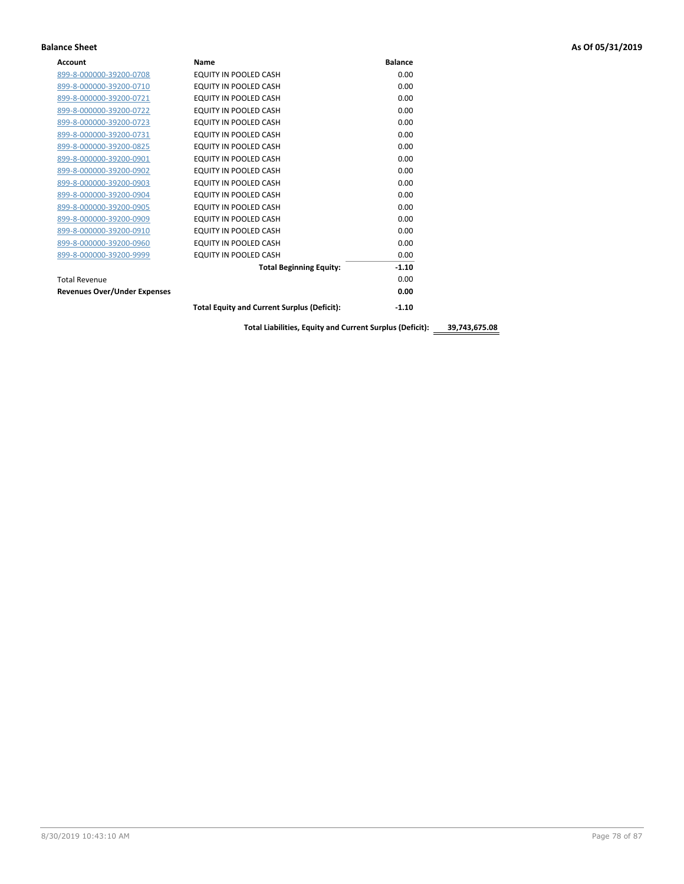| <b>Account</b>                      | Name                                               | <b>Balance</b> |
|-------------------------------------|----------------------------------------------------|----------------|
| 899-8-000000-39200-0708             | EQUITY IN POOLED CASH                              | 0.00           |
| 899-8-000000-39200-0710             | EQUITY IN POOLED CASH                              | 0.00           |
| 899-8-000000-39200-0721             | EQUITY IN POOLED CASH                              | 0.00           |
| 899-8-000000-39200-0722             | EQUITY IN POOLED CASH                              | 0.00           |
| 899-8-000000-39200-0723             | EQUITY IN POOLED CASH                              | 0.00           |
| 899-8-000000-39200-0731             | <b>EQUITY IN POOLED CASH</b>                       | 0.00           |
| 899-8-000000-39200-0825             | EQUITY IN POOLED CASH                              | 0.00           |
| 899-8-000000-39200-0901             | EQUITY IN POOLED CASH                              | 0.00           |
| 899-8-000000-39200-0902             | EQUITY IN POOLED CASH                              | 0.00           |
| 899-8-000000-39200-0903             | EQUITY IN POOLED CASH                              | 0.00           |
| 899-8-000000-39200-0904             | <b>EQUITY IN POOLED CASH</b>                       | 0.00           |
| 899-8-000000-39200-0905             | <b>EQUITY IN POOLED CASH</b>                       | 0.00           |
| 899-8-000000-39200-0909             | EQUITY IN POOLED CASH                              | 0.00           |
| 899-8-000000-39200-0910             | <b>EQUITY IN POOLED CASH</b>                       | 0.00           |
| 899-8-000000-39200-0960             | <b>EQUITY IN POOLED CASH</b>                       | 0.00           |
| 899-8-000000-39200-9999             | <b>EQUITY IN POOLED CASH</b>                       | 0.00           |
|                                     | <b>Total Beginning Equity:</b>                     | $-1.10$        |
| <b>Total Revenue</b>                |                                                    | 0.00           |
| <b>Revenues Over/Under Expenses</b> |                                                    | 0.00           |
|                                     | <b>Total Equity and Current Surplus (Deficit):</b> | $-1.10$        |

**Total Liabilities, Equity and Current Surplus (Deficit): 39,743,675.08**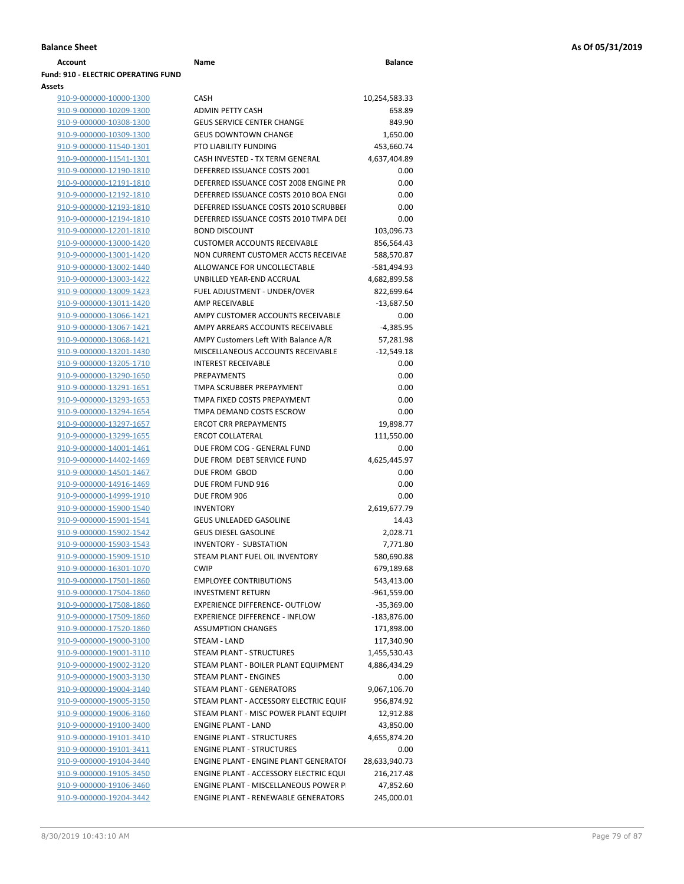| Account                                    | Name                                        | <b>Balance</b> |
|--------------------------------------------|---------------------------------------------|----------------|
| <b>Fund: 910 - ELECTRIC OPERATING FUND</b> |                                             |                |
| Assets                                     |                                             |                |
| 910-9-000000-10000-1300                    | CASH                                        | 10,254,583.33  |
| 910-9-000000-10209-1300                    | <b>ADMIN PETTY CASH</b>                     | 658.89         |
| 910-9-000000-10308-1300                    | <b>GEUS SERVICE CENTER CHANGE</b>           | 849.90         |
| 910-9-000000-10309-1300                    | <b>GEUS DOWNTOWN CHANGE</b>                 | 1,650.00       |
| 910-9-000000-11540-1301                    | PTO LIABILITY FUNDING                       | 453,660.74     |
| 910-9-000000-11541-1301                    | CASH INVESTED - TX TERM GENERAL             | 4,637,404.89   |
| 910-9-000000-12190-1810                    | DEFERRED ISSUANCE COSTS 2001                | 0.00           |
| 910-9-000000-12191-1810                    | DEFERRED ISSUANCE COST 2008 ENGINE PR       | 0.00           |
| 910-9-000000-12192-1810                    | DEFERRED ISSUANCE COSTS 2010 BOA ENGI       | 0.00           |
| 910-9-000000-12193-1810                    | DEFERRED ISSUANCE COSTS 2010 SCRUBBEI       | 0.00           |
| 910-9-000000-12194-1810                    | DEFERRED ISSUANCE COSTS 2010 TMPA DEI       | 0.00           |
| 910-9-000000-12201-1810                    | <b>BOND DISCOUNT</b>                        | 103,096.73     |
| 910-9-000000-13000-1420                    | <b>CUSTOMER ACCOUNTS RECEIVABLE</b>         | 856,564.43     |
| 910-9-000000-13001-1420                    | NON CURRENT CUSTOMER ACCTS RECEIVAE         | 588,570.87     |
| 910-9-000000-13002-1440                    | ALLOWANCE FOR UNCOLLECTABLE                 | -581,494.93    |
| 910-9-000000-13003-1422                    | UNBILLED YEAR-END ACCRUAL                   | 4,682,899.58   |
| 910-9-000000-13009-1423                    | FUEL ADJUSTMENT - UNDER/OVER                | 822,699.64     |
| 910-9-000000-13011-1420                    | <b>AMP RECEIVABLE</b>                       | $-13,687.50$   |
| 910-9-000000-13066-1421                    | AMPY CUSTOMER ACCOUNTS RECEIVABLE           | 0.00           |
| 910-9-000000-13067-1421                    | AMPY ARREARS ACCOUNTS RECEIVABLE            | $-4,385.95$    |
| 910-9-000000-13068-1421                    | AMPY Customers Left With Balance A/R        | 57,281.98      |
| 910-9-000000-13201-1430                    | MISCELLANEOUS ACCOUNTS RECEIVABLE           | $-12,549.18$   |
| 910-9-000000-13205-1710                    | <b>INTEREST RECEIVABLE</b>                  | 0.00           |
| 910-9-000000-13290-1650                    | <b>PREPAYMENTS</b>                          | 0.00           |
| 910-9-000000-13291-1651                    | TMPA SCRUBBER PREPAYMENT                    | 0.00           |
| 910-9-000000-13293-1653                    | TMPA FIXED COSTS PREPAYMENT                 | 0.00           |
| 910-9-000000-13294-1654                    | TMPA DEMAND COSTS ESCROW                    | 0.00           |
| 910-9-000000-13297-1657                    | <b>ERCOT CRR PREPAYMENTS</b>                | 19,898.77      |
| 910-9-000000-13299-1655                    | <b>ERCOT COLLATERAL</b>                     | 111,550.00     |
| 910-9-000000-14001-1461                    | DUE FROM COG - GENERAL FUND                 | 0.00           |
| 910-9-000000-14402-1469                    | DUE FROM DEBT SERVICE FUND                  | 4,625,445.97   |
| 910-9-000000-14501-1467                    | DUE FROM GBOD                               | 0.00           |
| 910-9-000000-14916-1469                    | DUE FROM FUND 916                           | 0.00           |
| 910-9-000000-14999-1910                    | DUE FROM 906                                | 0.00           |
| 910-9-000000-15900-1540                    | <b>INVENTORY</b>                            | 2,619,677.79   |
| 910-9-000000-15901-1541                    | <b>GEUS UNLEADED GASOLINE</b>               | 14.43          |
| 910-9-000000-15902-1542                    | <b>GEUS DIESEL GASOLINE</b>                 | 2,028.71       |
| 910-9-000000-15903-1543                    | <b>INVENTORY - SUBSTATION</b>               | 7,771.80       |
| 910-9-000000-15909-1510                    | STEAM PLANT FUEL OIL INVENTORY              | 580,690.88     |
| 910-9-000000-16301-1070                    | <b>CWIP</b>                                 | 679,189.68     |
| 910-9-000000-17501-1860                    | <b>EMPLOYEE CONTRIBUTIONS</b>               | 543,413.00     |
| 910-9-000000-17504-1860                    | <b>INVESTMENT RETURN</b>                    | $-961,559.00$  |
| 910-9-000000-17508-1860                    | EXPERIENCE DIFFERENCE- OUTFLOW              | $-35,369.00$   |
| 910-9-000000-17509-1860                    | <b>EXPERIENCE DIFFERENCE - INFLOW</b>       | $-183,876.00$  |
| 910-9-000000-17520-1860                    | <b>ASSUMPTION CHANGES</b>                   | 171,898.00     |
| 910-9-000000-19000-3100                    | STEAM - LAND                                | 117,340.90     |
| 910-9-000000-19001-3110                    | STEAM PLANT - STRUCTURES                    | 1,455,530.43   |
| 910-9-000000-19002-3120                    | STEAM PLANT - BOILER PLANT EQUIPMENT        | 4,886,434.29   |
| 910-9-000000-19003-3130                    | <b>STEAM PLANT - ENGINES</b>                | 0.00           |
| 910-9-000000-19004-3140                    | STEAM PLANT - GENERATORS                    | 9,067,106.70   |
| 910-9-000000-19005-3150                    | STEAM PLANT - ACCESSORY ELECTRIC EQUIF      | 956,874.92     |
| 910-9-000000-19006-3160                    | STEAM PLANT - MISC POWER PLANT EQUIPI       | 12,912.88      |
| 910-9-000000-19100-3400                    | <b>ENGINE PLANT - LAND</b>                  | 43,850.00      |
| 910-9-000000-19101-3410                    | <b>ENGINE PLANT - STRUCTURES</b>            | 4,655,874.20   |
| 910-9-000000-19101-3411                    | <b>ENGINE PLANT - STRUCTURES</b>            | 0.00           |
| 910-9-000000-19104-3440                    | ENGINE PLANT - ENGINE PLANT GENERATOF       | 28,633,940.73  |
| 910-9-000000-19105-3450                    | ENGINE PLANT - ACCESSORY ELECTRIC EQUI      | 216,217.48     |
| 910-9-000000-19106-3460                    | <b>ENGINE PLANT - MISCELLANEOUS POWER P</b> | 47,852.60      |
| <b>CAAS AQCOP QQQQQ Q Q1Q</b>              | ENGINE DI ANTI DENEWADI E GENEDATORE        | 245,000.01     |

| 910-9-000000-11540-1301 | PTO LIABILITY FUNDING                      | 453,660.74    |
|-------------------------|--------------------------------------------|---------------|
| 910-9-000000-11541-1301 | CASH INVESTED - TX TERM GENERAL            | 4,637,404.89  |
| 910-9-000000-12190-1810 | DEFERRED ISSUANCE COSTS 2001               | 0.00          |
| 910-9-000000-12191-1810 | DEFERRED ISSUANCE COST 2008 ENGINE PR      | 0.00          |
| 910-9-000000-12192-1810 | DEFERRED ISSUANCE COSTS 2010 BOA ENGI      | 0.00          |
| 910-9-000000-12193-1810 | DEFERRED ISSUANCE COSTS 2010 SCRUBBEI      | 0.00          |
| 910-9-000000-12194-1810 | DEFERRED ISSUANCE COSTS 2010 TMPA DEI      | 0.00          |
| 910-9-000000-12201-1810 | <b>BOND DISCOUNT</b>                       | 103,096.73    |
| 910-9-000000-13000-1420 | <b>CUSTOMER ACCOUNTS RECEIVABLE</b>        | 856,564.43    |
| 910-9-000000-13001-1420 | NON CURRENT CUSTOMER ACCTS RECEIVAE        | 588,570.87    |
| 910-9-000000-13002-1440 | ALLOWANCE FOR UNCOLLECTABLE                | -581,494.93   |
| 910-9-000000-13003-1422 | UNBILLED YEAR-END ACCRUAL                  | 4,682,899.58  |
| 910-9-000000-13009-1423 | FUEL ADJUSTMENT - UNDER/OVER               | 822,699.64    |
| 910-9-000000-13011-1420 | AMP RECEIVABLE                             | $-13,687.50$  |
| 910-9-000000-13066-1421 | AMPY CUSTOMER ACCOUNTS RECEIVABLE          | 0.00          |
| 910-9-000000-13067-1421 | AMPY ARREARS ACCOUNTS RECEIVABLE           | $-4,385.95$   |
| 910-9-000000-13068-1421 | AMPY Customers Left With Balance A/R       | 57,281.98     |
| 910-9-000000-13201-1430 | MISCELLANEOUS ACCOUNTS RECEIVABLE          | $-12,549.18$  |
| 910-9-000000-13205-1710 | <b>INTEREST RECEIVABLE</b>                 | 0.00          |
| 910-9-000000-13290-1650 | <b>PREPAYMENTS</b>                         | 0.00          |
| 910-9-000000-13291-1651 | TMPA SCRUBBER PREPAYMENT                   | 0.00          |
| 910-9-000000-13293-1653 | TMPA FIXED COSTS PREPAYMENT                | 0.00          |
| 910-9-000000-13294-1654 | TMPA DEMAND COSTS ESCROW                   | 0.00          |
| 910-9-000000-13297-1657 | <b>ERCOT CRR PREPAYMENTS</b>               | 19,898.77     |
| 910-9-000000-13299-1655 | <b>ERCOT COLLATERAL</b>                    | 111,550.00    |
| 910-9-000000-14001-1461 | DUE FROM COG - GENERAL FUND                | 0.00          |
| 910-9-000000-14402-1469 | DUE FROM DEBT SERVICE FUND                 | 4,625,445.97  |
| 910-9-000000-14501-1467 | DUE FROM GBOD                              | 0.00          |
| 910-9-000000-14916-1469 | DUE FROM FUND 916                          | 0.00          |
| 910-9-000000-14999-1910 | DUE FROM 906                               | 0.00          |
| 910-9-000000-15900-1540 | <b>INVENTORY</b>                           | 2,619,677.79  |
| 910-9-000000-15901-1541 | <b>GEUS UNLEADED GASOLINE</b>              | 14.43         |
| 910-9-000000-15902-1542 | <b>GEUS DIESEL GASOLINE</b>                | 2,028.71      |
| 910-9-000000-15903-1543 | <b>INVENTORY - SUBSTATION</b>              | 7,771.80      |
| 910-9-000000-15909-1510 | STEAM PLANT FUEL OIL INVENTORY             | 580,690.88    |
| 910-9-000000-16301-1070 | <b>CWIP</b>                                | 679,189.68    |
| 910-9-000000-17501-1860 | <b>EMPLOYEE CONTRIBUTIONS</b>              | 543,413.00    |
| 910-9-000000-17504-1860 | <b>INVESTMENT RETURN</b>                   | -961,559.00   |
| 910-9-000000-17508-1860 | <b>EXPERIENCE DIFFERENCE- OUTFLOW</b>      | $-35,369.00$  |
| 910-9-000000-17509-1860 | <b>EXPERIENCE DIFFERENCE - INFLOW</b>      | $-183,876.00$ |
| 910-9-000000-17520-1860 | <b>ASSUMPTION CHANGES</b>                  | 171,898.00    |
| 910-9-000000-19000-3100 | STEAM - LAND                               | 117,340.90    |
| 910-9-000000-19001-3110 | STEAM PLANT - STRUCTURES                   | 1,455,530.43  |
| 910-9-000000-19002-3120 | STEAM PLANT - BOILER PLANT EQUIPMENT       | 4,886,434.29  |
| 910-9-000000-19003-3130 | <b>STEAM PLANT - ENGINES</b>               | 0.00          |
| 910-9-000000-19004-3140 | STEAM PLANT - GENERATORS                   | 9,067,106.70  |
| 910-9-000000-19005-3150 | STEAM PLANT - ACCESSORY ELECTRIC EQUIF     | 956,874.92    |
| 910-9-000000-19006-3160 | STEAM PLANT - MISC POWER PLANT EQUIPI      | 12,912.88     |
| 910-9-000000-19100-3400 | <b>ENGINE PLANT - LAND</b>                 | 43,850.00     |
| 910-9-000000-19101-3410 | <b>ENGINE PLANT - STRUCTURES</b>           | 4,655,874.20  |
| 910-9-000000-19101-3411 | <b>ENGINE PLANT - STRUCTURES</b>           | 0.00          |
| 910-9-000000-19104-3440 | ENGINE PLANT - ENGINE PLANT GENERATOF      | 28,633,940.73 |
| 910-9-000000-19105-3450 | ENGINE PLANT - ACCESSORY ELECTRIC EQUI     | 216,217.48    |
| 910-9-000000-19106-3460 | ENGINE PLANT - MISCELLANEOUS POWER P       | 47,852.60     |
| 910-9-000000-19204-3442 | <b>ENGINE PLANT - RENEWABLE GENERATORS</b> | 245,000.01    |
|                         |                                            |               |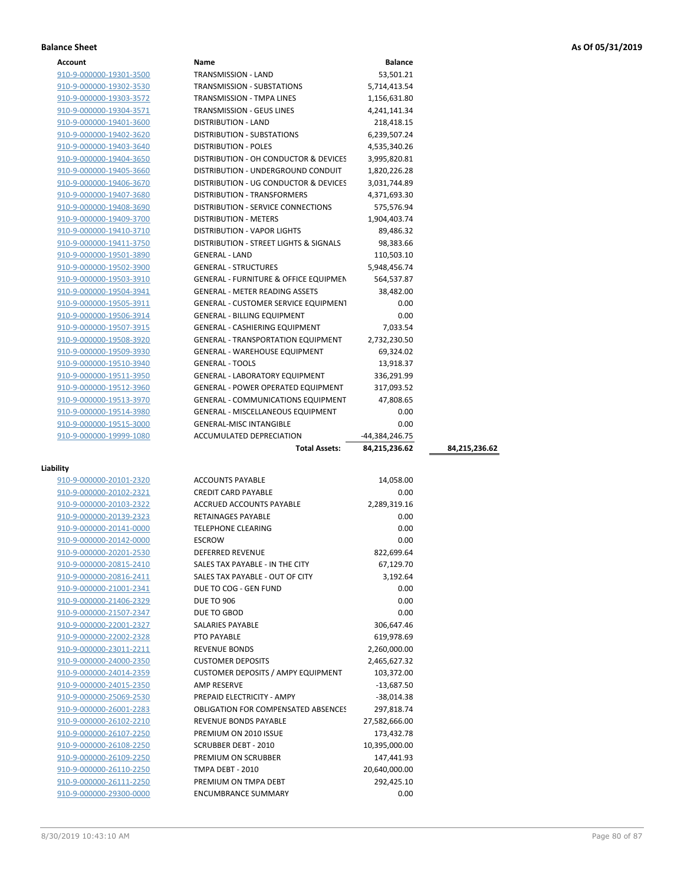| Account                 | <b>Name</b>                                      | <b>Balance</b> |               |
|-------------------------|--------------------------------------------------|----------------|---------------|
| 910-9-000000-19301-3500 | <b>TRANSMISSION - LAND</b>                       | 53,501.21      |               |
| 910-9-000000-19302-3530 | <b>TRANSMISSION - SUBSTATIONS</b>                | 5,714,413.54   |               |
| 910-9-000000-19303-3572 | TRANSMISSION - TMPA LINES                        | 1,156,631.80   |               |
| 910-9-000000-19304-3571 | <b>TRANSMISSION - GEUS LINES</b>                 | 4,241,141.34   |               |
| 910-9-000000-19401-3600 | <b>DISTRIBUTION - LAND</b>                       | 218,418.15     |               |
| 910-9-000000-19402-3620 | <b>DISTRIBUTION - SUBSTATIONS</b>                | 6,239,507.24   |               |
| 910-9-000000-19403-3640 | <b>DISTRIBUTION - POLES</b>                      | 4,535,340.26   |               |
| 910-9-000000-19404-3650 | DISTRIBUTION - OH CONDUCTOR & DEVICES            | 3,995,820.81   |               |
| 910-9-000000-19405-3660 | DISTRIBUTION - UNDERGROUND CONDUIT               | 1,820,226.28   |               |
| 910-9-000000-19406-3670 | DISTRIBUTION - UG CONDUCTOR & DEVICES            | 3,031,744.89   |               |
| 910-9-000000-19407-3680 | DISTRIBUTION - TRANSFORMERS                      | 4,371,693.30   |               |
| 910-9-000000-19408-3690 | DISTRIBUTION - SERVICE CONNECTIONS               | 575,576.94     |               |
| 910-9-000000-19409-3700 | <b>DISTRIBUTION - METERS</b>                     | 1,904,403.74   |               |
| 910-9-000000-19410-3710 | <b>DISTRIBUTION - VAPOR LIGHTS</b>               | 89,486.32      |               |
| 910-9-000000-19411-3750 | DISTRIBUTION - STREET LIGHTS & SIGNALS           | 98,383.66      |               |
| 910-9-000000-19501-3890 | <b>GENERAL - LAND</b>                            | 110,503.10     |               |
| 910-9-000000-19502-3900 | <b>GENERAL - STRUCTURES</b>                      | 5,948,456.74   |               |
| 910-9-000000-19503-3910 | <b>GENERAL - FURNITURE &amp; OFFICE EQUIPMEN</b> | 564,537.87     |               |
| 910-9-000000-19504-3941 | <b>GENERAL - METER READING ASSETS</b>            | 38,482.00      |               |
| 910-9-000000-19505-3911 | <b>GENERAL - CUSTOMER SERVICE EQUIPMENT</b>      | 0.00           |               |
| 910-9-000000-19506-3914 | <b>GENERAL - BILLING EQUIPMENT</b>               | 0.00           |               |
| 910-9-000000-19507-3915 | GENERAL - CASHIERING EQUIPMENT                   | 7,033.54       |               |
| 910-9-000000-19508-3920 | <b>GENERAL - TRANSPORTATION EQUIPMENT</b>        | 2,732,230.50   |               |
| 910-9-000000-19509-3930 | <b>GENERAL - WAREHOUSE EQUIPMENT</b>             | 69,324.02      |               |
| 910-9-000000-19510-3940 | <b>GENERAL - TOOLS</b>                           | 13,918.37      |               |
| 910-9-000000-19511-3950 | <b>GENERAL - LABORATORY EQUIPMENT</b>            | 336,291.99     |               |
| 910-9-000000-19512-3960 | <b>GENERAL - POWER OPERATED EQUIPMENT</b>        | 317,093.52     |               |
| 910-9-000000-19513-3970 | GENERAL - COMMUNICATIONS EQUIPMENT               | 47,808.65      |               |
| 910-9-000000-19514-3980 | <b>GENERAL - MISCELLANEOUS EQUIPMENT</b>         | 0.00           |               |
| 910-9-000000-19515-3000 | <b>GENERAL-MISC INTANGIBLE</b>                   | 0.00           |               |
| 910-9-000000-19999-1080 | ACCUMULATED DEPRECIATION                         | -44,384,246.75 |               |
|                         | <b>Total Assets:</b>                             | 84,215,236.62  | 84,215,236.62 |

## **Liability**

| 910-9-000000-20101-2320 | <b>ACCOUNTS PAYABLE</b>                    | 14,058.00     |  |
|-------------------------|--------------------------------------------|---------------|--|
| 910-9-000000-20102-2321 | <b>CREDIT CARD PAYABLE</b>                 | 0.00          |  |
| 910-9-000000-20103-2322 | <b>ACCRUED ACCOUNTS PAYABLE</b>            | 2,289,319.16  |  |
| 910-9-000000-20139-2323 | <b>RETAINAGES PAYABLE</b>                  | 0.00          |  |
| 910-9-000000-20141-0000 | <b>TELEPHONE CLEARING</b>                  | 0.00          |  |
| 910-9-000000-20142-0000 | <b>ESCROW</b>                              | 0.00          |  |
| 910-9-000000-20201-2530 | <b>DEFERRED REVENUE</b>                    | 822,699.64    |  |
| 910-9-000000-20815-2410 | SALES TAX PAYABLE - IN THE CITY            | 67,129.70     |  |
| 910-9-000000-20816-2411 | SALES TAX PAYABLE - OUT OF CITY            | 3,192.64      |  |
| 910-9-000000-21001-2341 | DUE TO COG - GEN FUND                      | 0.00          |  |
| 910-9-000000-21406-2329 | <b>DUE TO 906</b>                          | 0.00          |  |
| 910-9-000000-21507-2347 | DUE TO GBOD                                | 0.00          |  |
| 910-9-000000-22001-2327 | <b>SALARIES PAYABLE</b>                    | 306,647.46    |  |
| 910-9-000000-22002-2328 | PTO PAYABLE                                | 619,978.69    |  |
| 910-9-000000-23011-2211 | <b>REVENUE BONDS</b>                       | 2,260,000.00  |  |
| 910-9-000000-24000-2350 | <b>CUSTOMER DEPOSITS</b>                   | 2,465,627.32  |  |
| 910-9-000000-24014-2359 | <b>CUSTOMER DEPOSITS / AMPY EQUIPMENT</b>  | 103,372.00    |  |
| 910-9-000000-24015-2350 | <b>AMP RESERVE</b>                         | $-13,687.50$  |  |
| 910-9-000000-25069-2530 | PREPAID ELECTRICITY - AMPY                 | $-38.014.38$  |  |
| 910-9-000000-26001-2283 | <b>OBLIGATION FOR COMPENSATED ABSENCES</b> | 297,818.74    |  |
| 910-9-000000-26102-2210 | <b>REVENUE BONDS PAYABLE</b>               | 27,582,666.00 |  |
| 910-9-000000-26107-2250 | PREMIUM ON 2010 ISSUE                      | 173,432.78    |  |
| 910-9-000000-26108-2250 | <b>SCRUBBER DEBT - 2010</b>                | 10,395,000.00 |  |
| 910-9-000000-26109-2250 | PREMIUM ON SCRUBBER                        | 147,441.93    |  |
| 910-9-000000-26110-2250 | <b>TMPA DEBT - 2010</b>                    | 20,640,000.00 |  |
| 910-9-000000-26111-2250 | PREMIUM ON TMPA DEBT                       | 292,425.10    |  |
| 910-9-000000-29300-0000 | <b>ENCUMBRANCE SUMMARY</b>                 | 0.00          |  |
|                         |                                            |               |  |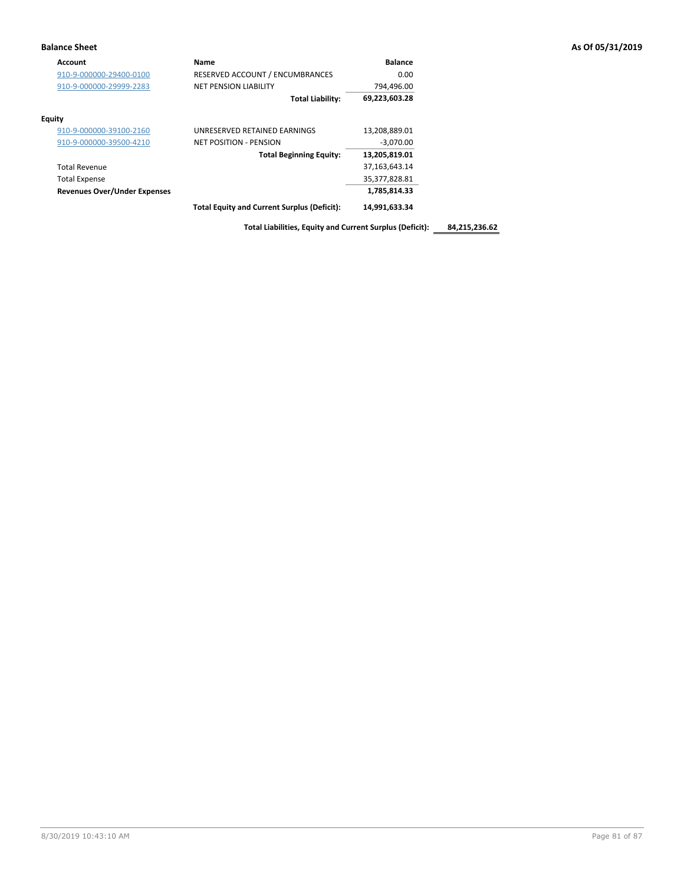| Account                             | Name                                               | <b>Balance</b>   |
|-------------------------------------|----------------------------------------------------|------------------|
| 910-9-000000-29400-0100             | RESERVED ACCOUNT / ENCUMBRANCES                    | 0.00             |
| 910-9-000000-29999-2283             | <b>NET PENSION LIABILITY</b>                       | 794,496.00       |
|                                     | <b>Total Liability:</b>                            | 69,223,603.28    |
| <b>Equity</b>                       |                                                    |                  |
| 910-9-000000-39100-2160             | UNRESERVED RETAINED EARNINGS                       | 13,208,889.01    |
| 910-9-000000-39500-4210             | NET POSITION - PENSION                             | $-3,070.00$      |
|                                     | <b>Total Beginning Equity:</b>                     | 13,205,819.01    |
| <b>Total Revenue</b>                |                                                    | 37, 163, 643. 14 |
| <b>Total Expense</b>                |                                                    | 35,377,828.81    |
| <b>Revenues Over/Under Expenses</b> |                                                    | 1,785,814.33     |
|                                     | <b>Total Equity and Current Surplus (Deficit):</b> | 14,991,633.34    |

**Total Liabilities, Equity and Current Surplus (Deficit): 84,215,236.62**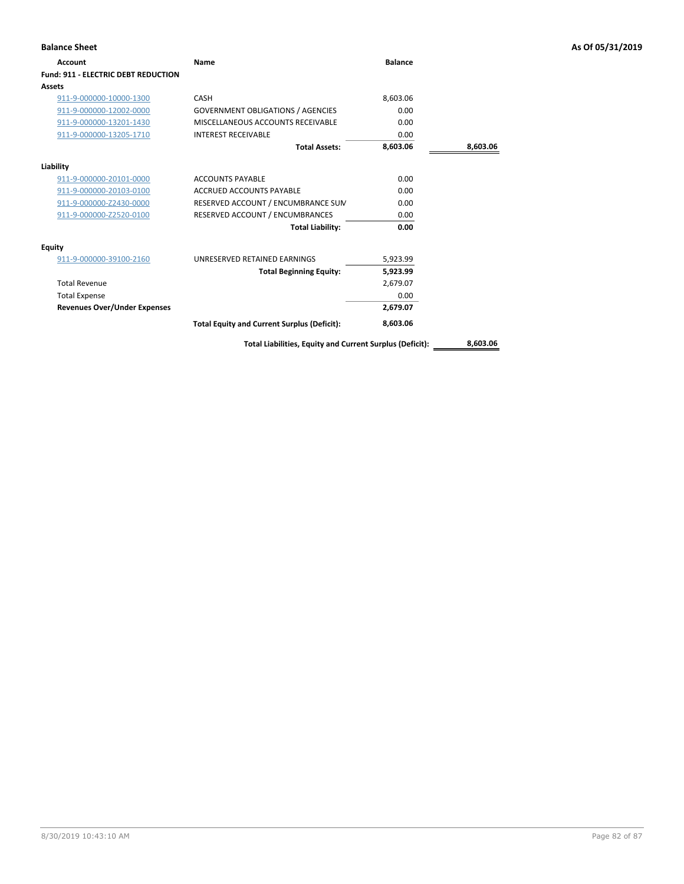| <b>Account</b>                             | Name                                                     | <b>Balance</b> |          |
|--------------------------------------------|----------------------------------------------------------|----------------|----------|
| <b>Fund: 911 - ELECTRIC DEBT REDUCTION</b> |                                                          |                |          |
| Assets                                     |                                                          |                |          |
| 911-9-000000-10000-1300                    | CASH                                                     | 8,603.06       |          |
| 911-9-000000-12002-0000                    | <b>GOVERNMENT OBLIGATIONS / AGENCIES</b>                 | 0.00           |          |
| 911-9-000000-13201-1430                    | MISCELLANEOUS ACCOUNTS RECEIVABLE                        | 0.00           |          |
| 911-9-000000-13205-1710                    | <b>INTEREST RECEIVABLE</b>                               | 0.00           |          |
|                                            | <b>Total Assets:</b>                                     | 8,603.06       | 8,603.06 |
| Liability                                  |                                                          |                |          |
| 911-9-000000-20101-0000                    | <b>ACCOUNTS PAYABLE</b>                                  | 0.00           |          |
| 911-9-000000-20103-0100                    | <b>ACCRUED ACCOUNTS PAYABLE</b>                          | 0.00           |          |
| 911-9-000000-Z2430-0000                    | RESERVED ACCOUNT / ENCUMBRANCE SUM                       | 0.00           |          |
| 911-9-000000-Z2520-0100                    | RESERVED ACCOUNT / ENCUMBRANCES                          | 0.00           |          |
|                                            | <b>Total Liability:</b>                                  | 0.00           |          |
| <b>Equity</b>                              |                                                          |                |          |
| 911-9-000000-39100-2160                    | UNRESERVED RETAINED EARNINGS                             | 5,923.99       |          |
|                                            | <b>Total Beginning Equity:</b>                           | 5,923.99       |          |
| <b>Total Revenue</b>                       |                                                          | 2,679.07       |          |
| <b>Total Expense</b>                       |                                                          | 0.00           |          |
| <b>Revenues Over/Under Expenses</b>        |                                                          | 2,679.07       |          |
|                                            | <b>Total Equity and Current Surplus (Deficit):</b>       | 8,603.06       |          |
|                                            | Total Liabilities, Equity and Current Surplus (Deficit): |                | 8,603.06 |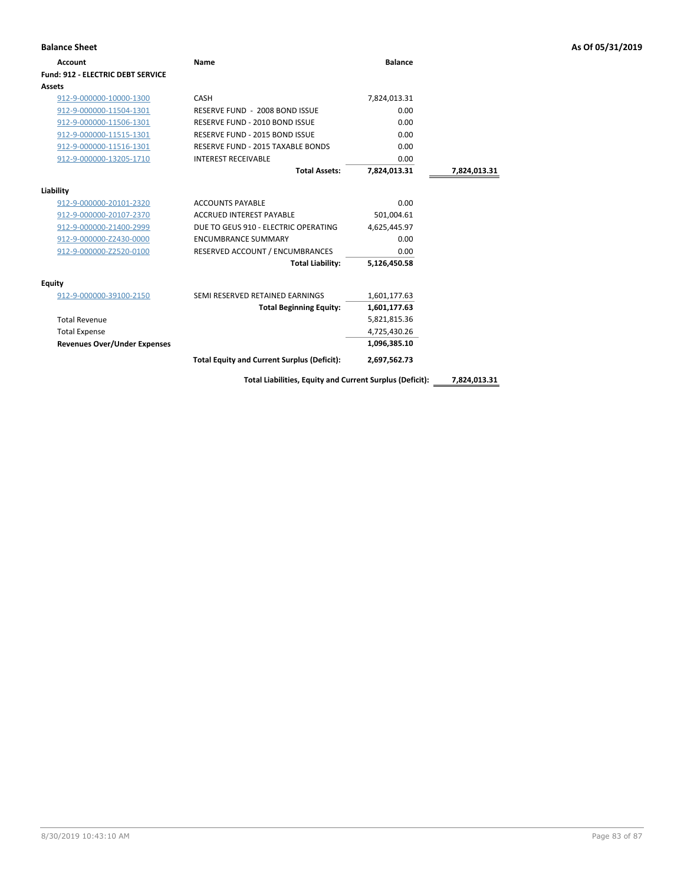| <b>Balance Sheet</b>                     |                                                         |                |              | As Of 05/31/2019 |
|------------------------------------------|---------------------------------------------------------|----------------|--------------|------------------|
| Account                                  | <b>Name</b>                                             | <b>Balance</b> |              |                  |
| <b>Fund: 912 - ELECTRIC DEBT SERVICE</b> |                                                         |                |              |                  |
| Assets                                   |                                                         |                |              |                  |
| 912-9-000000-10000-1300                  | CASH                                                    | 7,824,013.31   |              |                  |
| 912-9-000000-11504-1301                  | RESERVE FUND - 2008 BOND ISSUE                          | 0.00           |              |                  |
| 912-9-000000-11506-1301                  | RESERVE FUND - 2010 BOND ISSUE                          | 0.00           |              |                  |
| 912-9-000000-11515-1301                  | RESERVE FUND - 2015 BOND ISSUE                          | 0.00           |              |                  |
| 912-9-000000-11516-1301                  | RESERVE FUND - 2015 TAXABLE BONDS                       | 0.00           |              |                  |
| 912-9-000000-13205-1710                  | <b>INTEREST RECEIVABLE</b>                              | 0.00           |              |                  |
|                                          | <b>Total Assets:</b>                                    | 7,824,013.31   | 7,824,013.31 |                  |
| Liability                                |                                                         |                |              |                  |
| 912-9-000000-20101-2320                  | <b>ACCOUNTS PAYABLE</b>                                 | 0.00           |              |                  |
| 912-9-000000-20107-2370                  | <b>ACCRUED INTEREST PAYABLE</b>                         | 501,004.61     |              |                  |
| 912-9-000000-21400-2999                  | DUE TO GEUS 910 - ELECTRIC OPERATING                    | 4,625,445.97   |              |                  |
| 912-9-000000-Z2430-0000                  | <b>ENCUMBRANCE SUMMARY</b>                              | 0.00           |              |                  |
| 912-9-000000-Z2520-0100                  | RESERVED ACCOUNT / ENCUMBRANCES                         | 0.00           |              |                  |
|                                          | <b>Total Liability:</b>                                 | 5,126,450.58   |              |                  |
| <b>Equity</b>                            |                                                         |                |              |                  |
| 912-9-000000-39100-2150                  | SEMI RESERVED RETAINED EARNINGS                         | 1,601,177.63   |              |                  |
|                                          | <b>Total Beginning Equity:</b>                          | 1,601,177.63   |              |                  |
| <b>Total Revenue</b>                     |                                                         | 5,821,815.36   |              |                  |
| <b>Total Expense</b>                     |                                                         | 4,725,430.26   |              |                  |
| <b>Revenues Over/Under Expenses</b>      |                                                         | 1,096,385.10   |              |                  |
|                                          | <b>Total Equity and Current Surplus (Deficit):</b>      | 2,697,562.73   |              |                  |
|                                          | Total Liabilities, Faujty and Current Curalus (Deficit) |                | 703401331    |                  |

**Total Liabilities, Equity and Current Surplus (Deficit): 7,824,013.31**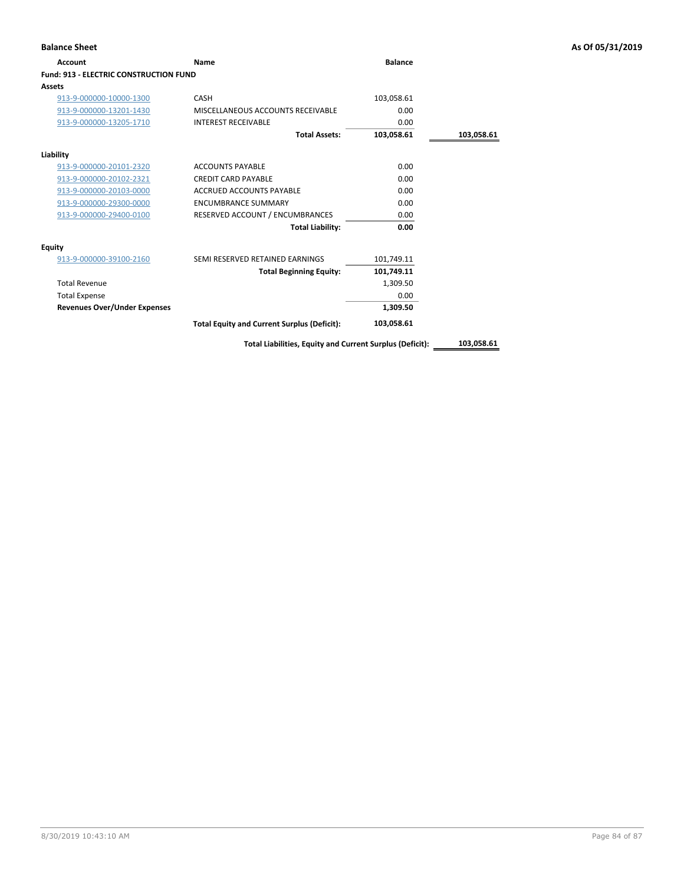| <b>Account</b>                         | Name                                               | <b>Balance</b> |            |
|----------------------------------------|----------------------------------------------------|----------------|------------|
| Fund: 913 - ELECTRIC CONSTRUCTION FUND |                                                    |                |            |
| Assets                                 |                                                    |                |            |
| 913-9-000000-10000-1300                | CASH                                               | 103,058.61     |            |
| 913-9-000000-13201-1430                | MISCELLANEOUS ACCOUNTS RECEIVABLE                  | 0.00           |            |
| 913-9-000000-13205-1710                | <b>INTEREST RECEIVABLE</b>                         | 0.00           |            |
|                                        | <b>Total Assets:</b>                               | 103,058.61     | 103,058.61 |
| Liability                              |                                                    |                |            |
| 913-9-000000-20101-2320                | <b>ACCOUNTS PAYABLE</b>                            | 0.00           |            |
| 913-9-000000-20102-2321                | <b>CREDIT CARD PAYABLE</b>                         | 0.00           |            |
| 913-9-000000-20103-0000                | <b>ACCRUED ACCOUNTS PAYABLE</b>                    | 0.00           |            |
| 913-9-000000-29300-0000                | <b>ENCUMBRANCE SUMMARY</b>                         | 0.00           |            |
| 913-9-000000-29400-0100                | RESERVED ACCOUNT / ENCUMBRANCES                    | 0.00           |            |
|                                        | <b>Total Liability:</b>                            | 0.00           |            |
| <b>Equity</b>                          |                                                    |                |            |
| 913-9-000000-39100-2160                | SEMI RESERVED RETAINED EARNINGS                    | 101,749.11     |            |
|                                        | <b>Total Beginning Equity:</b>                     | 101,749.11     |            |
| <b>Total Revenue</b>                   |                                                    | 1,309.50       |            |
| <b>Total Expense</b>                   |                                                    | 0.00           |            |
| <b>Revenues Over/Under Expenses</b>    |                                                    | 1,309.50       |            |
|                                        | <b>Total Equity and Current Surplus (Deficit):</b> | 103,058.61     |            |

**Total Liabilities, Equity and Current Surplus (Deficit): 103,058.61**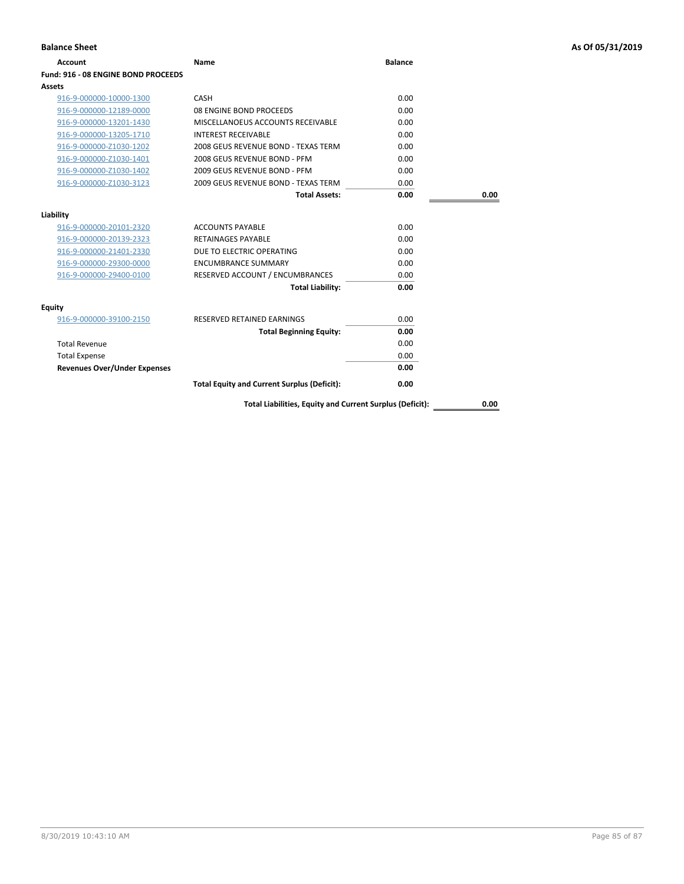| <b>Balance Sheet</b>                |                                                          |                |      | As Of 05/31/2019 |
|-------------------------------------|----------------------------------------------------------|----------------|------|------------------|
| <b>Account</b>                      | Name                                                     | <b>Balance</b> |      |                  |
| Fund: 916 - 08 ENGINE BOND PROCEEDS |                                                          |                |      |                  |
| Assets                              |                                                          |                |      |                  |
| 916-9-000000-10000-1300             | CASH                                                     | 0.00           |      |                  |
| 916-9-000000-12189-0000             | 08 ENGINE BOND PROCEEDS                                  | 0.00           |      |                  |
| 916-9-000000-13201-1430             | MISCELLANOEUS ACCOUNTS RECEIVABLE                        | 0.00           |      |                  |
| 916-9-000000-13205-1710             | <b>INTEREST RECEIVABLE</b>                               | 0.00           |      |                  |
| 916-9-000000-Z1030-1202             | 2008 GEUS REVENUE BOND - TEXAS TERM                      | 0.00           |      |                  |
| 916-9-000000-Z1030-1401             | 2008 GEUS REVENUE BOND - PFM                             | 0.00           |      |                  |
| 916-9-000000-Z1030-1402             | 2009 GEUS REVENUE BOND - PFM                             | 0.00           |      |                  |
| 916-9-000000-Z1030-3123             | 2009 GEUS REVENUE BOND - TEXAS TERM                      | 0.00           |      |                  |
|                                     | <b>Total Assets:</b>                                     | 0.00           | 0.00 |                  |
| Liability                           |                                                          |                |      |                  |
| 916-9-000000-20101-2320             | <b>ACCOUNTS PAYABLE</b>                                  | 0.00           |      |                  |
| 916-9-000000-20139-2323             | <b>RETAINAGES PAYABLE</b>                                | 0.00           |      |                  |
| 916-9-000000-21401-2330             | DUE TO ELECTRIC OPERATING                                | 0.00           |      |                  |
| 916-9-000000-29300-0000             | <b>ENCUMBRANCE SUMMARY</b>                               | 0.00           |      |                  |
| 916-9-000000-29400-0100             | RESERVED ACCOUNT / ENCUMBRANCES                          | 0.00           |      |                  |
|                                     | <b>Total Liability:</b>                                  | 0.00           |      |                  |
| <b>Equity</b>                       |                                                          |                |      |                  |
| 916-9-000000-39100-2150             | RESERVED RETAINED EARNINGS                               | 0.00           |      |                  |
|                                     | <b>Total Beginning Equity:</b>                           | 0.00           |      |                  |
| <b>Total Revenue</b>                |                                                          | 0.00           |      |                  |
| <b>Total Expense</b>                |                                                          | 0.00           |      |                  |
| <b>Revenues Over/Under Expenses</b> |                                                          | 0.00           |      |                  |
|                                     | <b>Total Equity and Current Surplus (Deficit):</b>       | 0.00           |      |                  |
|                                     | Total Liabilities, Equity and Current Surplus (Deficit): |                | 0.00 |                  |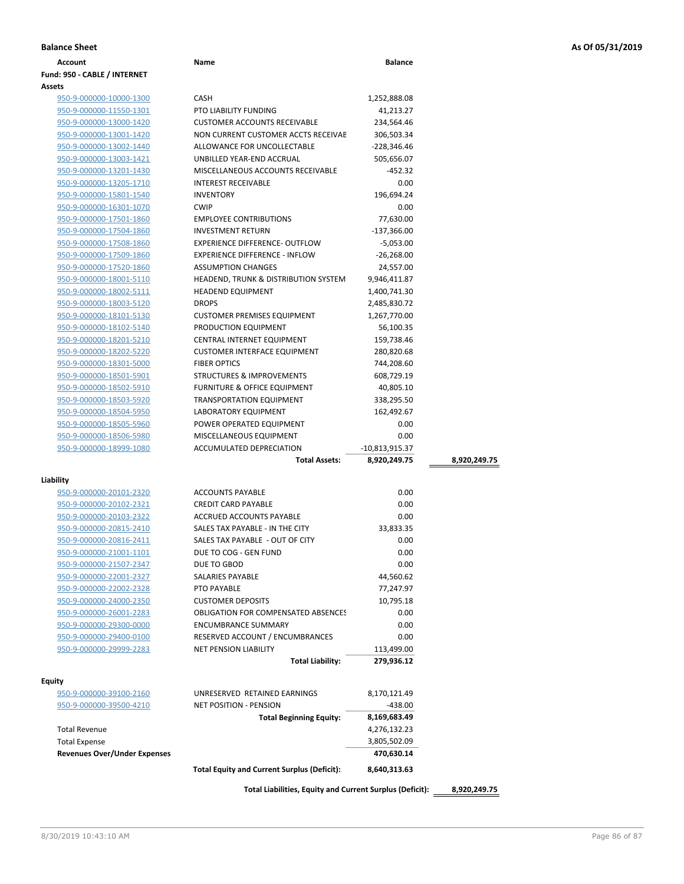| <b>Account</b>                                     | Name                                               | <b>Balance</b> |              |
|----------------------------------------------------|----------------------------------------------------|----------------|--------------|
| Fund: 950 - CABLE / INTERNET                       |                                                    |                |              |
| Assets                                             |                                                    |                |              |
| 950-9-000000-10000-1300                            | <b>CASH</b>                                        | 1,252,888.08   |              |
| 950-9-000000-11550-1301                            | <b>PTO LIABILITY FUNDING</b>                       | 41,213.27      |              |
| 950-9-000000-13000-1420                            | <b>CUSTOMER ACCOUNTS RECEIVABLE</b>                | 234,564.46     |              |
| 950-9-000000-13001-1420                            | NON CURRENT CUSTOMER ACCTS RECEIVAE                | 306,503.34     |              |
| 950-9-000000-13002-1440                            | ALLOWANCE FOR UNCOLLECTABLE                        | $-228,346.46$  |              |
| 950-9-000000-13003-1421                            | UNBILLED YEAR-END ACCRUAL                          | 505,656.07     |              |
| 950-9-000000-13201-1430                            | MISCELLANEOUS ACCOUNTS RECEIVABLE                  | -452.32        |              |
| 950-9-000000-13205-1710                            | <b>INTEREST RECEIVABLE</b>                         | 0.00           |              |
| 950-9-000000-15801-1540                            | <b>INVENTORY</b>                                   | 196,694.24     |              |
| 950-9-000000-16301-1070                            | <b>CWIP</b>                                        | 0.00           |              |
| 950-9-000000-17501-1860                            | <b>EMPLOYEE CONTRIBUTIONS</b>                      | 77,630.00      |              |
| 950-9-000000-17504-1860                            | <b>INVESTMENT RETURN</b>                           | $-137,366.00$  |              |
| 950-9-000000-17508-1860                            | EXPERIENCE DIFFERENCE- OUTFLOW                     | $-5,053.00$    |              |
| 950-9-000000-17509-1860                            | <b>EXPERIENCE DIFFERENCE - INFLOW</b>              | $-26,268.00$   |              |
| 950-9-000000-17520-1860                            | <b>ASSUMPTION CHANGES</b>                          | 24,557.00      |              |
| 950-9-000000-18001-5110                            | <b>HEADEND, TRUNK &amp; DISTRIBUTION SYSTEM</b>    | 9,946,411.87   |              |
| 950-9-000000-18002-5111                            | <b>HEADEND EQUIPMENT</b>                           | 1,400,741.30   |              |
| 950-9-000000-18003-5120                            | <b>DROPS</b>                                       | 2,485,830.72   |              |
| 950-9-000000-18101-5130                            | <b>CUSTOMER PREMISES EQUIPMENT</b>                 | 1,267,770.00   |              |
| 950-9-000000-18102-5140                            | PRODUCTION EQUIPMENT                               | 56,100.35      |              |
| 950-9-000000-18201-5210                            | <b>CENTRAL INTERNET EQUIPMENT</b>                  | 159,738.46     |              |
| 950-9-000000-18202-5220                            | <b>CUSTOMER INTERFACE EQUIPMENT</b>                | 280,820.68     |              |
| 950-9-000000-18301-5000                            | <b>FIBER OPTICS</b>                                | 744,208.60     |              |
| 950-9-000000-18501-5901                            | <b>STRUCTURES &amp; IMPROVEMENTS</b>               | 608,729.19     |              |
| 950-9-000000-18502-5910                            | <b>FURNITURE &amp; OFFICE EQUIPMENT</b>            | 40,805.10      |              |
|                                                    | <b>TRANSPORTATION EQUIPMENT</b>                    | 338,295.50     |              |
| 950-9-000000-18503-5920                            |                                                    |                |              |
| 950-9-000000-18504-5950                            | LABORATORY EQUIPMENT                               | 162,492.67     |              |
| 950-9-000000-18505-5960                            | POWER OPERATED EQUIPMENT                           | 0.00           |              |
| 950-9-000000-18506-5980                            | MISCELLANEOUS EQUIPMENT                            | 0.00           |              |
| 950-9-000000-18999-1080                            | ACCUMULATED DEPRECIATION                           | -10,813,915.37 |              |
|                                                    | <b>Total Assets:</b>                               | 8,920,249.75   | 8,920,249.75 |
| Liability                                          |                                                    |                |              |
| 950-9-000000-20101-2320                            | <b>ACCOUNTS PAYABLE</b>                            | 0.00           |              |
| 950-9-000000-20102-2321                            | <b>CREDIT CARD PAYABLE</b>                         | 0.00           |              |
| 950-9-000000-20103-2322                            | ACCRUED ACCOUNTS PAYABLE                           | 0.00           |              |
| 950-9-000000-20815-2410                            | SALES TAX PAYABLE - IN THE CITY                    | 33,833.35      |              |
| 950-9-000000-20816-2411                            | SALES TAX PAYABLE - OUT OF CITY                    | 0.00           |              |
| 950-9-000000-21001-1101                            | DUE TO COG - GEN FUND                              | 0.00           |              |
| 950-9-000000-21507-2347                            | DUE TO GBOD                                        | 0.00           |              |
| 950-9-000000-22001-2327                            | <b>SALARIES PAYABLE</b>                            | 44,560.62      |              |
| 950-9-000000-22002-2328                            | PTO PAYABLE                                        | 77,247.97      |              |
| 950-9-000000-24000-2350                            | <b>CUSTOMER DEPOSITS</b>                           | 10,795.18      |              |
| 950-9-000000-26001-2283                            | <b>OBLIGATION FOR COMPENSATED ABSENCES</b>         | 0.00           |              |
| 950-9-000000-29300-0000                            | <b>ENCUMBRANCE SUMMARY</b>                         | 0.00           |              |
|                                                    | RESERVED ACCOUNT / ENCUMBRANCES                    | 0.00           |              |
| 950-9-000000-29400-0100<br>950-9-000000-29999-2283 | <b>NET PENSION LIABILITY</b>                       | 113,499.00     |              |
|                                                    | <b>Total Liability:</b>                            |                |              |
|                                                    |                                                    | 279,936.12     |              |
| <b>Equity</b>                                      |                                                    |                |              |
| 950-9-000000-39100-2160                            | UNRESERVED RETAINED EARNINGS                       | 8,170,121.49   |              |
| 950-9-000000-39500-4210                            | <b>NET POSITION - PENSION</b>                      | -438.00        |              |
|                                                    | <b>Total Beginning Equity:</b>                     | 8,169,683.49   |              |
| <b>Total Revenue</b>                               |                                                    | 4,276,132.23   |              |
| <b>Total Expense</b>                               |                                                    | 3,805,502.09   |              |
| <b>Revenues Over/Under Expenses</b>                |                                                    | 470,630.14     |              |
|                                                    | <b>Total Equity and Current Surplus (Deficit):</b> | 8,640,313.63   |              |
|                                                    |                                                    |                |              |

**Total Liabilities, Equity and Current Surplus (Deficit): 8,920,249.75**